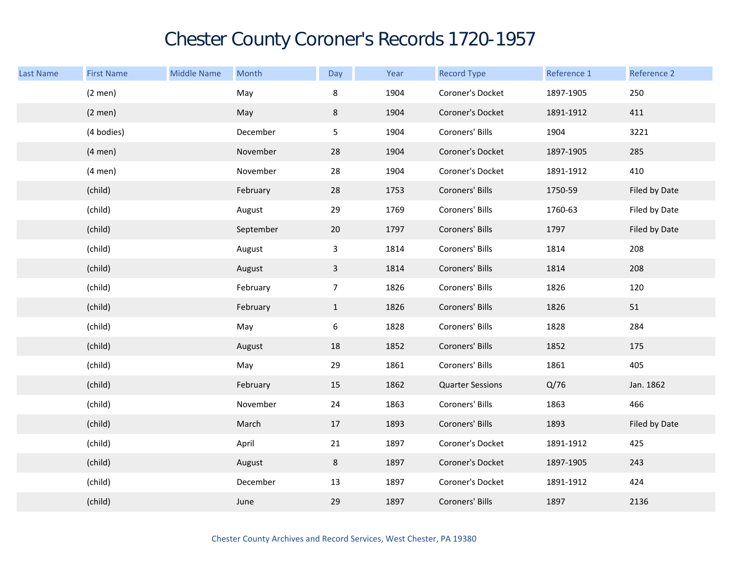## Chester County Coroner's Records 1720-1957

| Last Name | <b>First Name</b> | <b>Middle Name</b> | Month     | Day            | Year | <b>Record Type</b>      | Reference 1 | Reference 2   |
|-----------|-------------------|--------------------|-----------|----------------|------|-------------------------|-------------|---------------|
|           | $(2$ men $)$      |                    | May       | 8              | 1904 | Coroner's Docket        | 1897-1905   | 250           |
|           | $(2$ men $)$      |                    | May       | 8              | 1904 | Coroner's Docket        | 1891-1912   | 411           |
|           | (4 bodies)        |                    | December  | 5              | 1904 | Coroners' Bills         | 1904        | 3221          |
|           | $(4$ men $)$      |                    | November  | 28             | 1904 | Coroner's Docket        | 1897-1905   | 285           |
|           | $(4$ men $)$      |                    | November  | 28             | 1904 | Coroner's Docket        | 1891-1912   | 410           |
|           | (child)           |                    | February  | 28             | 1753 | Coroners' Bills         | 1750-59     | Filed by Date |
|           | (child)           |                    | August    | 29             | 1769 | Coroners' Bills         | 1760-63     | Filed by Date |
|           | (child)           |                    | September | $20\,$         | 1797 | Coroners' Bills         | 1797        | Filed by Date |
|           | (child)           |                    | August    | $\mathbf{3}$   | 1814 | Coroners' Bills         | 1814        | 208           |
|           | (child)           |                    | August    | $\mathbf{3}$   | 1814 | Coroners' Bills         | 1814        | 208           |
|           | (child)           |                    | February  | 7 <sup>7</sup> | 1826 | Coroners' Bills         | 1826        | 120           |
|           | (child)           |                    | February  | $\mathbf{1}$   | 1826 | Coroners' Bills         | 1826        | 51            |
|           | (child)           |                    | May       | 6              | 1828 | Coroners' Bills         | 1828        | 284           |
|           | (child)           |                    | August    | 18             | 1852 | Coroners' Bills         | 1852        | 175           |
|           | (child)           |                    | May       | 29             | 1861 | Coroners' Bills         | 1861        | 405           |
|           | (child)           |                    | February  | 15             | 1862 | <b>Quarter Sessions</b> | Q/76        | Jan. 1862     |
|           | (child)           |                    | November  | 24             | 1863 | Coroners' Bills         | 1863        | 466           |
|           | (child)           |                    | March     | 17             | 1893 | Coroners' Bills         | 1893        | Filed by Date |
|           | (child)           |                    | April     | 21             | 1897 | Coroner's Docket        | 1891-1912   | 425           |
|           | (child)           |                    | August    | 8              | 1897 | Coroner's Docket        | 1897-1905   | 243           |
|           | (child)           |                    | December  | 13             | 1897 | Coroner's Docket        | 1891-1912   | 424           |
|           | (child)           |                    | June      | 29             | 1897 | Coroners' Bills         | 1897        | 2136          |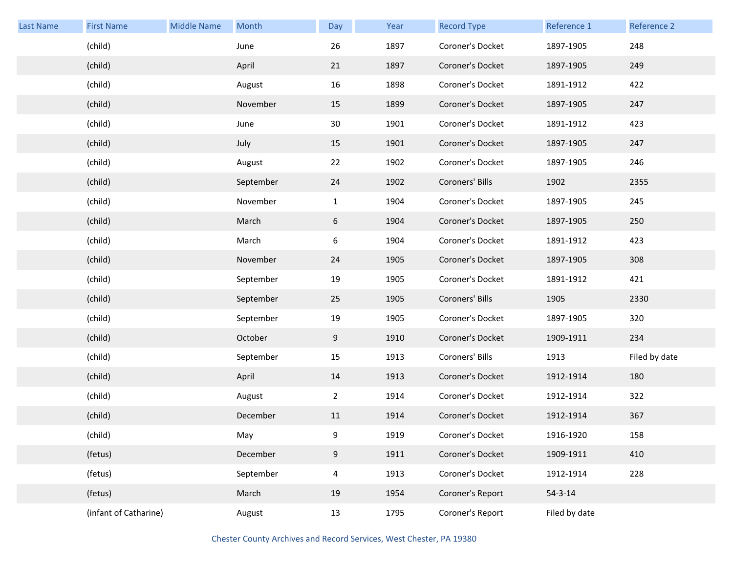| <b>Last Name</b> | <b>First Name</b>     | <b>Middle Name</b> | Month     | Day            | Year | <b>Record Type</b> | Reference 1   | Reference 2   |
|------------------|-----------------------|--------------------|-----------|----------------|------|--------------------|---------------|---------------|
|                  | (child)               |                    | June      | 26             | 1897 | Coroner's Docket   | 1897-1905     | 248           |
|                  | (child)               |                    | April     | 21             | 1897 | Coroner's Docket   | 1897-1905     | 249           |
|                  | (child)               |                    | August    | 16             | 1898 | Coroner's Docket   | 1891-1912     | 422           |
|                  | (child)               |                    | November  | 15             | 1899 | Coroner's Docket   | 1897-1905     | 247           |
|                  | (child)               |                    | June      | 30             | 1901 | Coroner's Docket   | 1891-1912     | 423           |
|                  | (child)               |                    | July      | 15             | 1901 | Coroner's Docket   | 1897-1905     | 247           |
|                  | (child)               |                    | August    | 22             | 1902 | Coroner's Docket   | 1897-1905     | 246           |
|                  | (child)               |                    | September | 24             | 1902 | Coroners' Bills    | 1902          | 2355          |
|                  | (child)               |                    | November  | $\mathbf{1}$   | 1904 | Coroner's Docket   | 1897-1905     | 245           |
|                  | (child)               |                    | March     | $6\,$          | 1904 | Coroner's Docket   | 1897-1905     | 250           |
|                  | (child)               |                    | March     | 6              | 1904 | Coroner's Docket   | 1891-1912     | 423           |
|                  | (child)               |                    | November  | 24             | 1905 | Coroner's Docket   | 1897-1905     | 308           |
|                  | (child)               |                    | September | 19             | 1905 | Coroner's Docket   | 1891-1912     | 421           |
|                  | (child)               |                    | September | 25             | 1905 | Coroners' Bills    | 1905          | 2330          |
|                  | (child)               |                    | September | 19             | 1905 | Coroner's Docket   | 1897-1905     | 320           |
|                  | (child)               |                    | October   | 9              | 1910 | Coroner's Docket   | 1909-1911     | 234           |
|                  | (child)               |                    | September | 15             | 1913 | Coroners' Bills    | 1913          | Filed by date |
|                  | (child)               |                    | April     | 14             | 1913 | Coroner's Docket   | 1912-1914     | 180           |
|                  | (child)               |                    | August    | $\overline{2}$ | 1914 | Coroner's Docket   | 1912-1914     | 322           |
|                  | (child)               |                    | December  | 11             | 1914 | Coroner's Docket   | 1912-1914     | 367           |
|                  | (child)               |                    | May       | 9              | 1919 | Coroner's Docket   | 1916-1920     | 158           |
|                  | (fetus)               |                    | December  | $9\,$          | 1911 | Coroner's Docket   | 1909-1911     | 410           |
|                  | (fetus)               |                    | September | $\overline{4}$ | 1913 | Coroner's Docket   | 1912-1914     | 228           |
|                  | (fetus)               |                    | March     | 19             | 1954 | Coroner's Report   | $54 - 3 - 14$ |               |
|                  | (infant of Catharine) |                    | August    | 13             | 1795 | Coroner's Report   | Filed by date |               |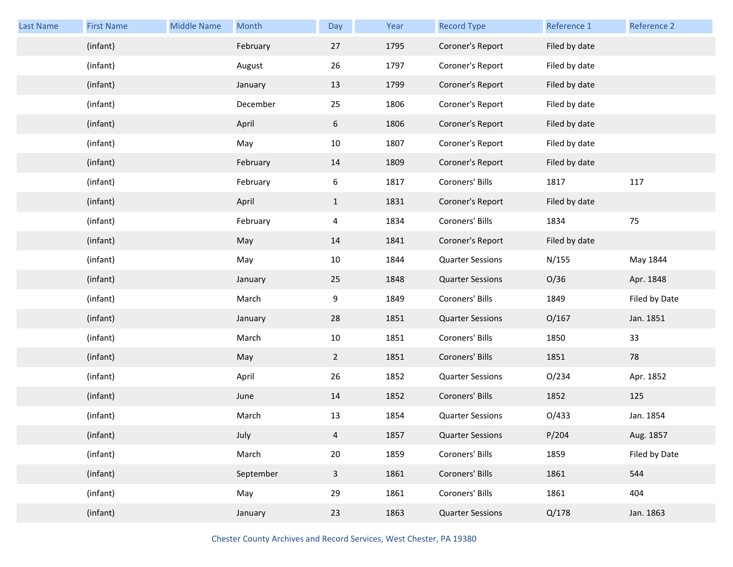| Last Name | <b>First Name</b> | <b>Middle Name</b> | Month     | Day            | Year | <b>Record Type</b>      | Reference 1   | Reference 2   |
|-----------|-------------------|--------------------|-----------|----------------|------|-------------------------|---------------|---------------|
|           | (infant)          |                    | February  | 27             | 1795 | Coroner's Report        | Filed by date |               |
|           | (infant)          |                    | August    | 26             | 1797 | Coroner's Report        | Filed by date |               |
|           | (infant)          |                    | January   | 13             | 1799 | Coroner's Report        | Filed by date |               |
|           | (infant)          |                    | December  | 25             | 1806 | Coroner's Report        | Filed by date |               |
|           | (infant)          |                    | April     | 6              | 1806 | Coroner's Report        | Filed by date |               |
|           | (infant)          |                    | May       | 10             | 1807 | Coroner's Report        | Filed by date |               |
|           | (infant)          |                    | February  | 14             | 1809 | Coroner's Report        | Filed by date |               |
|           | (infant)          |                    | February  | 6              | 1817 | Coroners' Bills         | 1817          | 117           |
|           | (infant)          |                    | April     | $\mathbf{1}$   | 1831 | Coroner's Report        | Filed by date |               |
|           | (infant)          |                    | February  | 4              | 1834 | Coroners' Bills         | 1834          | 75            |
|           | (infant)          |                    | May       | 14             | 1841 | Coroner's Report        | Filed by date |               |
|           | (infant)          |                    | May       | 10             | 1844 | <b>Quarter Sessions</b> | N/155         | May 1844      |
|           | (infant)          |                    | January   | 25             | 1848 | <b>Quarter Sessions</b> | O/36          | Apr. 1848     |
|           | (infant)          |                    | March     | 9              | 1849 | Coroners' Bills         | 1849          | Filed by Date |
|           | (infant)          |                    | January   | 28             | 1851 | <b>Quarter Sessions</b> | O/167         | Jan. 1851     |
|           | (infant)          |                    | March     | 10             | 1851 | Coroners' Bills         | 1850          | 33            |
|           | (infant)          |                    | May       | $\overline{2}$ | 1851 | Coroners' Bills         | 1851          | 78            |
|           | (infant)          |                    | April     | 26             | 1852 | <b>Quarter Sessions</b> | O/234         | Apr. 1852     |
|           | (infant)          |                    | June      | 14             | 1852 | Coroners' Bills         | 1852          | 125           |
|           | (infant)          |                    | March     | 13             | 1854 | <b>Quarter Sessions</b> | O/433         | Jan. 1854     |
|           | (infant)          |                    | July      | 4              | 1857 | <b>Quarter Sessions</b> | P/204         | Aug. 1857     |
|           | (infant)          |                    | March     | $20\,$         | 1859 | Coroners' Bills         | 1859          | Filed by Date |
|           | (infant)          |                    | September | $\mathbf{3}$   | 1861 | Coroners' Bills         | 1861          | 544           |
|           | (infant)          |                    | May       | 29             | 1861 | Coroners' Bills         | 1861          | 404           |
|           | (infant)          |                    | January   | 23             | 1863 | <b>Quarter Sessions</b> | Q/178         | Jan. 1863     |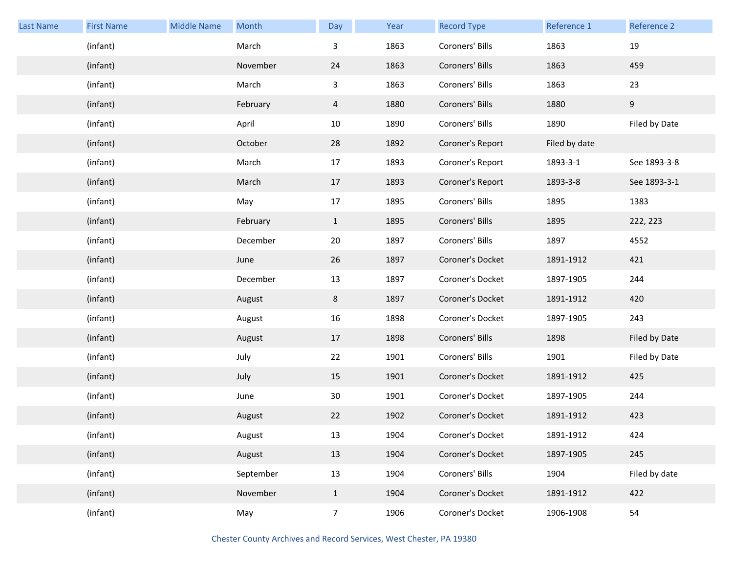| <b>Last Name</b> | <b>First Name</b> | <b>Middle Name</b> | Month     | Day            | Year | <b>Record Type</b> | Reference 1   | Reference 2   |
|------------------|-------------------|--------------------|-----------|----------------|------|--------------------|---------------|---------------|
|                  | (infant)          |                    | March     | 3              | 1863 | Coroners' Bills    | 1863          | 19            |
|                  | (infant)          |                    | November  | 24             | 1863 | Coroners' Bills    | 1863          | 459           |
|                  | (infant)          |                    | March     | 3              | 1863 | Coroners' Bills    | 1863          | 23            |
|                  | (infant)          |                    | February  | 4              | 1880 | Coroners' Bills    | 1880          | 9             |
|                  | (infant)          |                    | April     | 10             | 1890 | Coroners' Bills    | 1890          | Filed by Date |
|                  | (infant)          |                    | October   | 28             | 1892 | Coroner's Report   | Filed by date |               |
|                  | (infant)          |                    | March     | 17             | 1893 | Coroner's Report   | 1893-3-1      | See 1893-3-8  |
|                  | (infant)          |                    | March     | 17             | 1893 | Coroner's Report   | 1893-3-8      | See 1893-3-1  |
|                  | (infant)          |                    | May       | 17             | 1895 | Coroners' Bills    | 1895          | 1383          |
|                  | (infant)          |                    | February  | $\mathbf{1}$   | 1895 | Coroners' Bills    | 1895          | 222, 223      |
|                  | (infant)          |                    | December  | 20             | 1897 | Coroners' Bills    | 1897          | 4552          |
|                  | (infant)          |                    | June      | 26             | 1897 | Coroner's Docket   | 1891-1912     | 421           |
|                  | (infant)          |                    | December  | 13             | 1897 | Coroner's Docket   | 1897-1905     | 244           |
|                  | (infant)          |                    | August    | 8              | 1897 | Coroner's Docket   | 1891-1912     | 420           |
|                  | (infant)          |                    | August    | 16             | 1898 | Coroner's Docket   | 1897-1905     | 243           |
|                  | (infant)          |                    | August    | 17             | 1898 | Coroners' Bills    | 1898          | Filed by Date |
|                  | (infant)          |                    | July      | 22             | 1901 | Coroners' Bills    | 1901          | Filed by Date |
|                  | (infant)          |                    | July      | 15             | 1901 | Coroner's Docket   | 1891-1912     | 425           |
|                  | (infant)          |                    | June      | 30             | 1901 | Coroner's Docket   | 1897-1905     | 244           |
|                  | (infant)          |                    | August    | 22             | 1902 | Coroner's Docket   | 1891-1912     | 423           |
|                  | (infant)          |                    | August    | 13             | 1904 | Coroner's Docket   | 1891-1912     | 424           |
|                  | (infant)          |                    | August    | 13             | 1904 | Coroner's Docket   | 1897-1905     | 245           |
|                  | (infant)          |                    | September | 13             | 1904 | Coroners' Bills    | 1904          | Filed by date |
|                  | (infant)          |                    | November  | $\mathbf{1}$   | 1904 | Coroner's Docket   | 1891-1912     | 422           |
|                  | (infant)          |                    | May       | $\overline{7}$ | 1906 | Coroner's Docket   | 1906-1908     | 54            |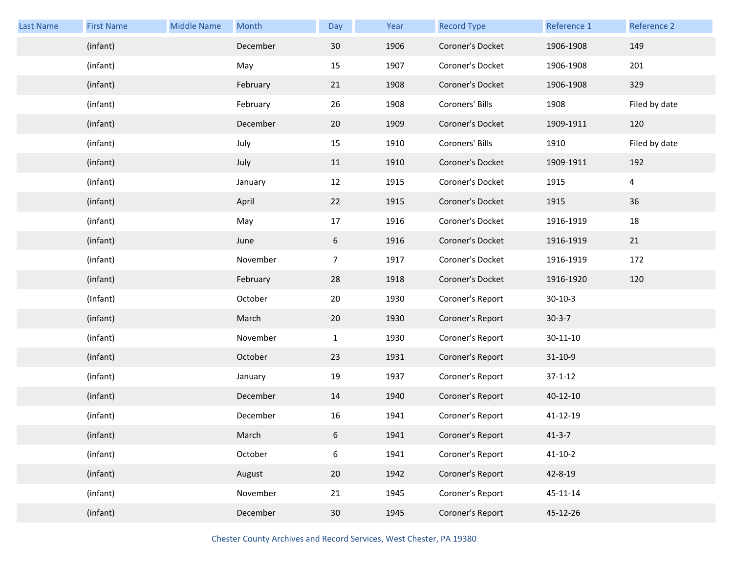| Last Name | <b>First Name</b> | <b>Middle Name</b> | Month    | Day             | Year | <b>Record Type</b> | Reference 1    | Reference 2    |
|-----------|-------------------|--------------------|----------|-----------------|------|--------------------|----------------|----------------|
|           | (infant)          |                    | December | 30              | 1906 | Coroner's Docket   | 1906-1908      | 149            |
|           | (infant)          |                    | May      | 15              | 1907 | Coroner's Docket   | 1906-1908      | 201            |
|           | (infant)          |                    | February | 21              | 1908 | Coroner's Docket   | 1906-1908      | 329            |
|           | (infant)          |                    | February | 26              | 1908 | Coroners' Bills    | 1908           | Filed by date  |
|           | (infant)          |                    | December | 20              | 1909 | Coroner's Docket   | 1909-1911      | 120            |
|           | (infant)          |                    | July     | 15              | 1910 | Coroners' Bills    | 1910           | Filed by date  |
|           | (infant)          |                    | July     | 11              | 1910 | Coroner's Docket   | 1909-1911      | 192            |
|           | (infant)          |                    | January  | 12              | 1915 | Coroner's Docket   | 1915           | $\overline{a}$ |
|           | (infant)          |                    | April    | 22              | 1915 | Coroner's Docket   | 1915           | 36             |
|           | (infant)          |                    | May      | 17              | 1916 | Coroner's Docket   | 1916-1919      | 18             |
|           | (infant)          |                    | June     | 6               | 1916 | Coroner's Docket   | 1916-1919      | 21             |
|           | (infant)          |                    | November | $\overline{7}$  | 1917 | Coroner's Docket   | 1916-1919      | 172            |
|           | (infant)          |                    | February | 28              | 1918 | Coroner's Docket   | 1916-1920      | 120            |
|           | (Infant)          |                    | October  | 20              | 1930 | Coroner's Report   | $30-10-3$      |                |
|           | (infant)          |                    | March    | 20              | 1930 | Coroner's Report   | $30-3-7$       |                |
|           | (infant)          |                    | November | $\mathbf{1}$    | 1930 | Coroner's Report   | $30 - 11 - 10$ |                |
|           | (infant)          |                    | October  | 23              | 1931 | Coroner's Report   | $31 - 10 - 9$  |                |
|           | (infant)          |                    | January  | 19              | 1937 | Coroner's Report   | $37 - 1 - 12$  |                |
|           | (infant)          |                    | December | 14              | 1940 | Coroner's Report   | 40-12-10       |                |
|           | (infant)          |                    | December | 16              | 1941 | Coroner's Report   | 41-12-19       |                |
|           | (infant)          |                    | March    | 6               | 1941 | Coroner's Report   | $41 - 3 - 7$   |                |
|           | (infant)          |                    | October  | 6               | 1941 | Coroner's Report   | $41 - 10 - 2$  |                |
|           | (infant)          |                    | August   | 20              | 1942 | Coroner's Report   | 42-8-19        |                |
|           | (infant)          |                    | November | 21              | 1945 | Coroner's Report   | 45-11-14       |                |
|           | (infant)          |                    | December | 30 <sup>°</sup> | 1945 | Coroner's Report   | 45-12-26       |                |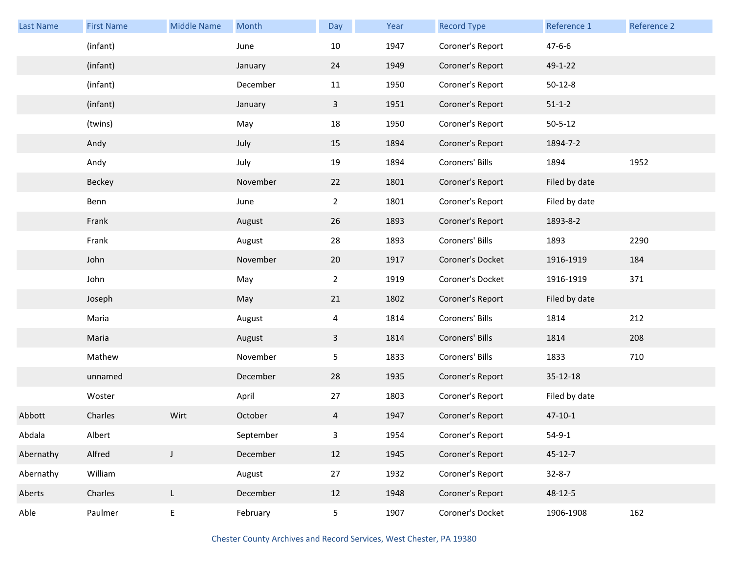| <b>Last Name</b> | <b>First Name</b> | <b>Middle Name</b> | Month     | Day             | Year | <b>Record Type</b> | Reference 1   | Reference 2 |
|------------------|-------------------|--------------------|-----------|-----------------|------|--------------------|---------------|-------------|
|                  | (infant)          |                    | June      | 10              | 1947 | Coroner's Report   | $47 - 6 - 6$  |             |
|                  | (infant)          |                    | January   | 24              | 1949 | Coroner's Report   | 49-1-22       |             |
|                  | (infant)          |                    | December  | 11              | 1950 | Coroner's Report   | $50 - 12 - 8$ |             |
|                  | (infant)          |                    | January   | $\mathbf{3}$    | 1951 | Coroner's Report   | $51 - 1 - 2$  |             |
|                  | (twins)           |                    | May       | 18              | 1950 | Coroner's Report   | $50 - 5 - 12$ |             |
|                  | Andy              |                    | July      | 15              | 1894 | Coroner's Report   | 1894-7-2      |             |
|                  | Andy              |                    | July      | 19              | 1894 | Coroners' Bills    | 1894          | 1952        |
|                  | Beckey            |                    | November  | 22              | 1801 | Coroner's Report   | Filed by date |             |
|                  | Benn              |                    | June      | $\overline{2}$  | 1801 | Coroner's Report   | Filed by date |             |
|                  | Frank             |                    | August    | 26              | 1893 | Coroner's Report   | 1893-8-2      |             |
|                  | Frank             |                    | August    | 28              | 1893 | Coroners' Bills    | 1893          | 2290        |
|                  | John              |                    | November  | 20              | 1917 | Coroner's Docket   | 1916-1919     | 184         |
|                  | John              |                    | May       | $\overline{2}$  | 1919 | Coroner's Docket   | 1916-1919     | 371         |
|                  | Joseph            |                    | May       | 21              | 1802 | Coroner's Report   | Filed by date |             |
|                  | Maria             |                    | August    | 4               | 1814 | Coroners' Bills    | 1814          | 212         |
|                  | Maria             |                    | August    | $\mathbf{3}$    | 1814 | Coroners' Bills    | 1814          | 208         |
|                  | Mathew            |                    | November  | $5\phantom{.0}$ | 1833 | Coroners' Bills    | 1833          | 710         |
|                  | unnamed           |                    | December  | 28              | 1935 | Coroner's Report   | 35-12-18      |             |
|                  | Woster            |                    | April     | 27              | 1803 | Coroner's Report   | Filed by date |             |
| Abbott           | Charles           | Wirt               | October   | 4               | 1947 | Coroner's Report   | $47 - 10 - 1$ |             |
| Abdala           | Albert            |                    | September | $\mathbf{3}$    | 1954 | Coroner's Report   | $54 - 9 - 1$  |             |
| Abernathy        | Alfred            | J                  | December  | 12              | 1945 | Coroner's Report   | $45 - 12 - 7$ |             |
| Abernathy        | William           |                    | August    | $27\,$          | 1932 | Coroner's Report   | $32 - 8 - 7$  |             |
| Aberts           | Charles           | $\mathsf{L}$       | December  | 12              | 1948 | Coroner's Report   | 48-12-5       |             |
| Able             | Paulmer           | $\mathsf E$        | February  | $5\phantom{.0}$ | 1907 | Coroner's Docket   | 1906-1908     | 162         |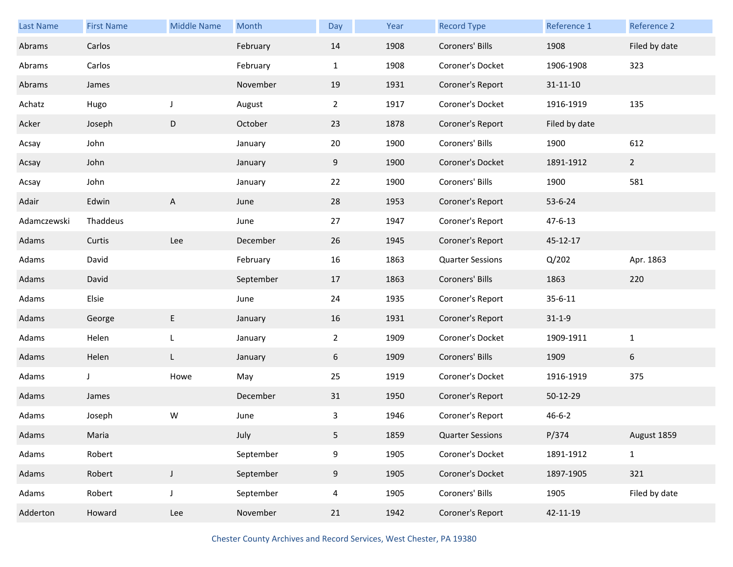| Last Name   | <b>First Name</b> | <b>Middle Name</b> | Month     | Day            | Year | <b>Record Type</b>      | Reference 1    | Reference 2   |
|-------------|-------------------|--------------------|-----------|----------------|------|-------------------------|----------------|---------------|
| Abrams      | Carlos            |                    | February  | 14             | 1908 | Coroners' Bills         | 1908           | Filed by date |
| Abrams      | Carlos            |                    | February  | $\mathbf{1}$   | 1908 | Coroner's Docket        | 1906-1908      | 323           |
| Abrams      | James             |                    | November  | 19             | 1931 | Coroner's Report        | $31 - 11 - 10$ |               |
| Achatz      | Hugo              | J                  | August    | $\overline{2}$ | 1917 | Coroner's Docket        | 1916-1919      | 135           |
| Acker       | Joseph            | D                  | October   | 23             | 1878 | Coroner's Report        | Filed by date  |               |
| Acsay       | John              |                    | January   | 20             | 1900 | Coroners' Bills         | 1900           | 612           |
| Acsay       | John              |                    | January   | 9              | 1900 | Coroner's Docket        | 1891-1912      | $2^{\circ}$   |
| Acsay       | John              |                    | January   | 22             | 1900 | Coroners' Bills         | 1900           | 581           |
| Adair       | Edwin             | A                  | June      | 28             | 1953 | Coroner's Report        | 53-6-24        |               |
| Adamczewski | Thaddeus          |                    | June      | 27             | 1947 | Coroner's Report        | $47 - 6 - 13$  |               |
| Adams       | Curtis            | Lee                | December  | 26             | 1945 | Coroner's Report        | 45-12-17       |               |
| Adams       | David             |                    | February  | 16             | 1863 | <b>Quarter Sessions</b> | Q/202          | Apr. 1863     |
| Adams       | David             |                    | September | 17             | 1863 | Coroners' Bills         | 1863           | 220           |
| Adams       | Elsie             |                    | June      | 24             | 1935 | Coroner's Report        | $35 - 6 - 11$  |               |
| Adams       | George            | E                  | January   | 16             | 1931 | Coroner's Report        | $31 - 1 - 9$   |               |
| Adams       | Helen             | L                  | January   | $\overline{2}$ | 1909 | Coroner's Docket        | 1909-1911      | $\mathbf{1}$  |
| Adams       | Helen             | L                  | January   | 6              | 1909 | Coroners' Bills         | 1909           | 6             |
| Adams       | J                 | Howe               | May       | 25             | 1919 | Coroner's Docket        | 1916-1919      | 375           |
| Adams       | James             |                    | December  | 31             | 1950 | Coroner's Report        | 50-12-29       |               |
| Adams       | Joseph            | W                  | June      | 3              | 1946 | Coroner's Report        | $46 - 6 - 2$   |               |
| Adams       | Maria             |                    | July      | 5              | 1859 | <b>Quarter Sessions</b> | P/374          | August 1859   |
| Adams       | Robert            |                    | September | 9              | 1905 | Coroner's Docket        | 1891-1912      | $\mathbf{1}$  |
| Adams       | Robert            | $\mathsf J$        | September | 9              | 1905 | Coroner's Docket        | 1897-1905      | 321           |
| Adams       | Robert            | J                  | September | 4              | 1905 | Coroners' Bills         | 1905           | Filed by date |
| Adderton    | Howard            | Lee                | November  | 21             | 1942 | Coroner's Report        | 42-11-19       |               |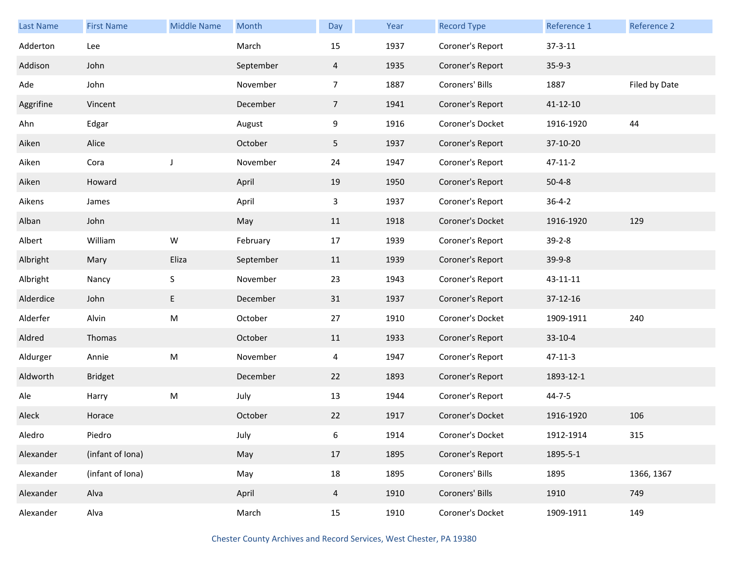| <b>Last Name</b> | <b>First Name</b> | <b>Middle Name</b>                                                                                         | Month     | Day            | Year | <b>Record Type</b> | Reference 1   | Reference 2   |
|------------------|-------------------|------------------------------------------------------------------------------------------------------------|-----------|----------------|------|--------------------|---------------|---------------|
| Adderton         | Lee               |                                                                                                            | March     | 15             | 1937 | Coroner's Report   | $37 - 3 - 11$ |               |
| Addison          | John              |                                                                                                            | September | $\overline{4}$ | 1935 | Coroner's Report   | $35-9-3$      |               |
| Ade              | John              |                                                                                                            | November  | $\overline{7}$ | 1887 | Coroners' Bills    | 1887          | Filed by Date |
| Aggrifine        | Vincent           |                                                                                                            | December  | $\overline{7}$ | 1941 | Coroner's Report   | 41-12-10      |               |
| Ahn              | Edgar             |                                                                                                            | August    | 9              | 1916 | Coroner's Docket   | 1916-1920     | 44            |
| Aiken            | Alice             |                                                                                                            | October   | 5 <sub>1</sub> | 1937 | Coroner's Report   | 37-10-20      |               |
| Aiken            | Cora              | $\mathsf J$                                                                                                | November  | 24             | 1947 | Coroner's Report   | $47 - 11 - 2$ |               |
| Aiken            | Howard            |                                                                                                            | April     | 19             | 1950 | Coroner's Report   | $50 - 4 - 8$  |               |
| Aikens           | James             |                                                                                                            | April     | $\mathbf{3}$   | 1937 | Coroner's Report   | $36 - 4 - 2$  |               |
| Alban            | John              |                                                                                                            | May       | 11             | 1918 | Coroner's Docket   | 1916-1920     | 129           |
| Albert           | William           | W                                                                                                          | February  | 17             | 1939 | Coroner's Report   | $39 - 2 - 8$  |               |
| Albright         | Mary              | Eliza                                                                                                      | September | 11             | 1939 | Coroner's Report   | $39-9-8$      |               |
| Albright         | Nancy             | $\sf S$                                                                                                    | November  | 23             | 1943 | Coroner's Report   | 43-11-11      |               |
| Alderdice        | John              | E                                                                                                          | December  | 31             | 1937 | Coroner's Report   | 37-12-16      |               |
| Alderfer         | Alvin             | M                                                                                                          | October   | 27             | 1910 | Coroner's Docket   | 1909-1911     | 240           |
| Aldred           | Thomas            |                                                                                                            | October   | 11             | 1933 | Coroner's Report   | $33-10-4$     |               |
| Aldurger         | Annie             | $\mathsf{M}% _{T}=\mathsf{M}_{T}\!\left( a,b\right) ,\ \mathsf{M}_{T}=\mathsf{M}_{T}\!\left( a,b\right) ,$ | November  | $\overline{4}$ | 1947 | Coroner's Report   | $47 - 11 - 3$ |               |
| Aldworth         | <b>Bridget</b>    |                                                                                                            | December  | 22             | 1893 | Coroner's Report   | 1893-12-1     |               |
| Ale              | Harry             | ${\sf M}$                                                                                                  | July      | 13             | 1944 | Coroner's Report   | $44 - 7 - 5$  |               |
| Aleck            | Horace            |                                                                                                            | October   | 22             | 1917 | Coroner's Docket   | 1916-1920     | 106           |
| Aledro           | Piedro            |                                                                                                            | July      | 6              | 1914 | Coroner's Docket   | 1912-1914     | 315           |
| Alexander        | (infant of Iona)  |                                                                                                            | May       | 17             | 1895 | Coroner's Report   | 1895-5-1      |               |
| Alexander        | (infant of Iona)  |                                                                                                            | May       | 18             | 1895 | Coroners' Bills    | 1895          | 1366, 1367    |
| Alexander        | Alva              |                                                                                                            | April     | $\overline{4}$ | 1910 | Coroners' Bills    | 1910          | 749           |
| Alexander        | Alva              |                                                                                                            | March     | 15             | 1910 | Coroner's Docket   | 1909-1911     | 149           |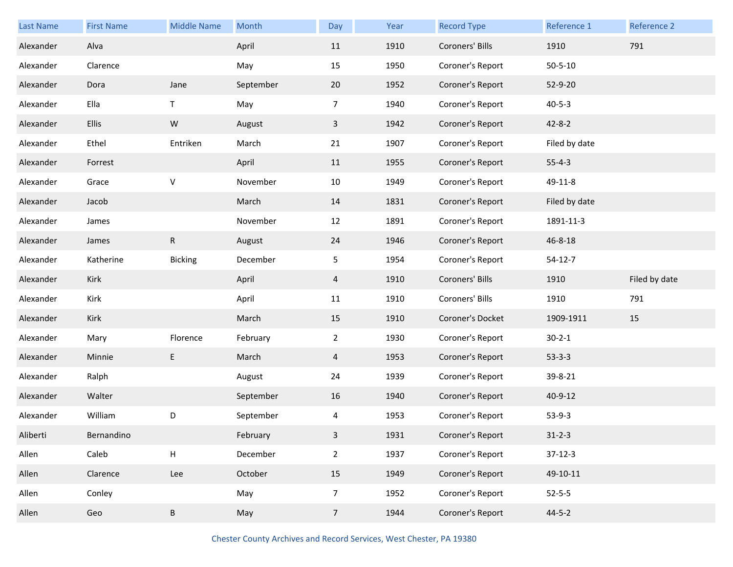| <b>Last Name</b> | <b>First Name</b> | <b>Middle Name</b> | Month     | Day            | Year | <b>Record Type</b> | Reference 1   | Reference 2   |
|------------------|-------------------|--------------------|-----------|----------------|------|--------------------|---------------|---------------|
| Alexander        | Alva              |                    | April     | 11             | 1910 | Coroners' Bills    | 1910          | 791           |
| Alexander        | Clarence          |                    | May       | 15             | 1950 | Coroner's Report   | $50 - 5 - 10$ |               |
| Alexander        | Dora              | Jane               | September | 20             | 1952 | Coroner's Report   | 52-9-20       |               |
| Alexander        | Ella              | T.                 | May       | 7              | 1940 | Coroner's Report   | $40 - 5 - 3$  |               |
| Alexander        | <b>Ellis</b>      | ${\sf W}$          | August    | $\overline{3}$ | 1942 | Coroner's Report   | $42 - 8 - 2$  |               |
| Alexander        | Ethel             | Entriken           | March     | 21             | 1907 | Coroner's Report   | Filed by date |               |
| Alexander        | Forrest           |                    | April     | 11             | 1955 | Coroner's Report   | $55 - 4 - 3$  |               |
| Alexander        | Grace             | V                  | November  | 10             | 1949 | Coroner's Report   | 49-11-8       |               |
| Alexander        | Jacob             |                    | March     | 14             | 1831 | Coroner's Report   | Filed by date |               |
| Alexander        | James             |                    | November  | 12             | 1891 | Coroner's Report   | 1891-11-3     |               |
| Alexander        | James             | $\mathsf{R}$       | August    | 24             | 1946 | Coroner's Report   | 46-8-18       |               |
| Alexander        | Katherine         | <b>Bicking</b>     | December  | 5              | 1954 | Coroner's Report   | $54 - 12 - 7$ |               |
|                  |                   |                    |           |                |      |                    |               |               |
| Alexander        | Kirk              |                    | April     | $\overline{4}$ | 1910 | Coroners' Bills    | 1910          | Filed by date |
| Alexander        | Kirk              |                    | April     | 11             | 1910 | Coroners' Bills    | 1910          | 791           |
| Alexander        | Kirk              |                    | March     | 15             | 1910 | Coroner's Docket   | 1909-1911     | 15            |
| Alexander        | Mary              | Florence           | February  | $\overline{2}$ | 1930 | Coroner's Report   | $30 - 2 - 1$  |               |
| Alexander        | Minnie            | E                  | March     | 4              | 1953 | Coroner's Report   | $53 - 3 - 3$  |               |
| Alexander        | Ralph             |                    | August    | 24             | 1939 | Coroner's Report   | 39-8-21       |               |
| Alexander        | Walter            |                    | September | 16             | 1940 | Coroner's Report   | 40-9-12       |               |
| Alexander        | William           | D                  | September | 4              | 1953 | Coroner's Report   | $53-9-3$      |               |
| Aliberti         | Bernandino        |                    | February  | $\overline{3}$ | 1931 | Coroner's Report   | $31 - 2 - 3$  |               |
| Allen            | Caleb             | $\mathsf{H}$       | December  | $\overline{2}$ | 1937 | Coroner's Report   | $37-12-3$     |               |
| Allen            | Clarence          | Lee                | October   | 15             | 1949 | Coroner's Report   | 49-10-11      |               |
| Allen            | Conley            |                    | May       | $\overline{7}$ | 1952 | Coroner's Report   | $52 - 5 - 5$  |               |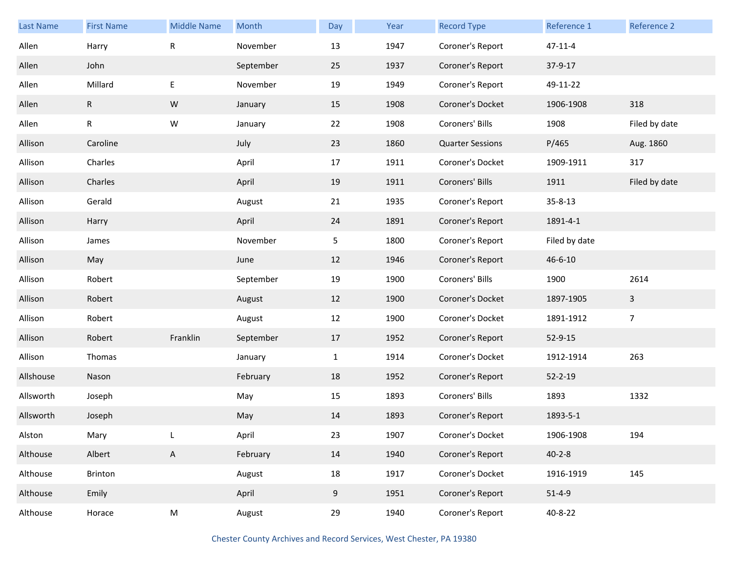| <b>Last Name</b> | <b>First Name</b> | <b>Middle Name</b> | Month     | Day          | Year | <b>Record Type</b>      | Reference 1   | Reference 2    |
|------------------|-------------------|--------------------|-----------|--------------|------|-------------------------|---------------|----------------|
| Allen            | Harry             | ${\sf R}$          | November  | 13           | 1947 | Coroner's Report        | $47 - 11 - 4$ |                |
| Allen            | John              |                    | September | 25           | 1937 | Coroner's Report        | 37-9-17       |                |
| Allen            | Millard           | E                  | November  | 19           | 1949 | Coroner's Report        | 49-11-22      |                |
| Allen            | R                 | ${\sf W}$          | January   | 15           | 1908 | Coroner's Docket        | 1906-1908     | 318            |
| Allen            | ${\sf R}$         | ${\sf W}$          | January   | 22           | 1908 | Coroners' Bills         | 1908          | Filed by date  |
| Allison          | Caroline          |                    | July      | 23           | 1860 | <b>Quarter Sessions</b> | P/465         | Aug. 1860      |
| Allison          | Charles           |                    | April     | 17           | 1911 | Coroner's Docket        | 1909-1911     | 317            |
| Allison          | Charles           |                    | April     | 19           | 1911 | Coroners' Bills         | 1911          | Filed by date  |
| Allison          | Gerald            |                    | August    | 21           | 1935 | Coroner's Report        | $35 - 8 - 13$ |                |
| Allison          | Harry             |                    | April     | 24           | 1891 | Coroner's Report        | 1891-4-1      |                |
| Allison          | James             |                    | November  | 5            | 1800 | Coroner's Report        | Filed by date |                |
| Allison          | May               |                    | June      | 12           | 1946 | Coroner's Report        | 46-6-10       |                |
| Allison          | Robert            |                    | September | 19           | 1900 | Coroners' Bills         | 1900          | 2614           |
| Allison          | Robert            |                    | August    | 12           | 1900 | Coroner's Docket        | 1897-1905     | 3              |
| Allison          | Robert            |                    | August    | 12           | 1900 | Coroner's Docket        | 1891-1912     | $\overline{7}$ |
| Allison          | Robert            | Franklin           | September | 17           | 1952 | Coroner's Report        | $52 - 9 - 15$ |                |
| Allison          | Thomas            |                    | January   | $\mathbf{1}$ | 1914 | Coroner's Docket        | 1912-1914     | 263            |
| Allshouse        | Nason             |                    | February  | 18           | 1952 | Coroner's Report        | $52 - 2 - 19$ |                |
| Allsworth        | Joseph            |                    | May       | 15           | 1893 | Coroners' Bills         | 1893          | 1332           |
| Allsworth        | Joseph            |                    | May       | 14           | 1893 | Coroner's Report        | 1893-5-1      |                |
| Alston           | Mary              |                    | April     | 23           | 1907 | Coroner's Docket        | 1906-1908     | 194            |
| Althouse         | Albert            | A                  | February  | 14           | 1940 | Coroner's Report        | $40 - 2 - 8$  |                |
| Althouse         | Brinton           |                    | August    | 18           | 1917 | Coroner's Docket        | 1916-1919     | 145            |
| Althouse         | Emily             |                    | April     | 9            | 1951 | Coroner's Report        | $51 - 4 - 9$  |                |
| Althouse         | Horace            | ${\sf M}$          | August    | 29           | 1940 | Coroner's Report        | 40-8-22       |                |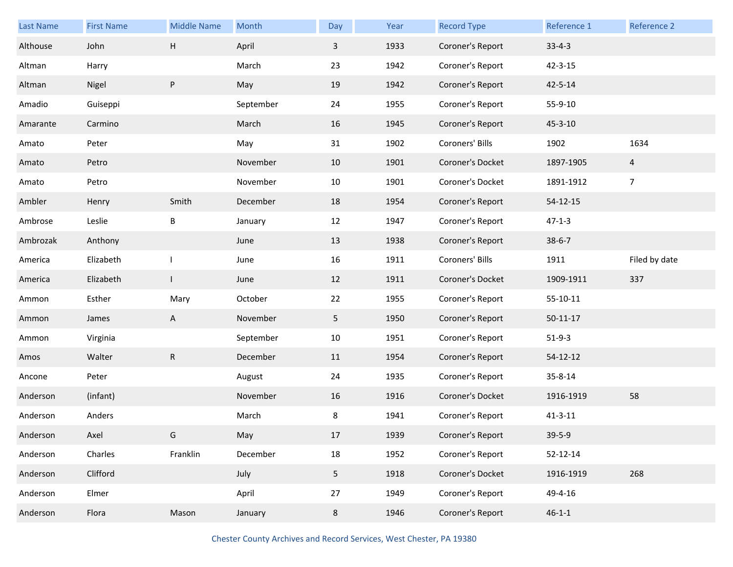| Last Name | <b>First Name</b> | <b>Middle Name</b> | Month     | Day             | Year | <b>Record Type</b> | Reference 1    | Reference 2    |
|-----------|-------------------|--------------------|-----------|-----------------|------|--------------------|----------------|----------------|
| Althouse  | John              | Н                  | April     | 3               | 1933 | Coroner's Report   | $33 - 4 - 3$   |                |
| Altman    | Harry             |                    | March     | 23              | 1942 | Coroner's Report   | $42 - 3 - 15$  |                |
| Altman    | Nigel             | P                  | May       | 19              | 1942 | Coroner's Report   | $42 - 5 - 14$  |                |
| Amadio    | Guiseppi          |                    | September | 24              | 1955 | Coroner's Report   | 55-9-10        |                |
| Amarante  | Carmino           |                    | March     | 16              | 1945 | Coroner's Report   | 45-3-10        |                |
| Amato     | Peter             |                    | May       | 31              | 1902 | Coroners' Bills    | 1902           | 1634           |
| Amato     | Petro             |                    | November  | 10              | 1901 | Coroner's Docket   | 1897-1905      | $\overline{4}$ |
| Amato     | Petro             |                    | November  | 10              | 1901 | Coroner's Docket   | 1891-1912      | $\overline{7}$ |
| Ambler    | Henry             | Smith              | December  | 18              | 1954 | Coroner's Report   | 54-12-15       |                |
| Ambrose   | Leslie            | B                  | January   | 12              | 1947 | Coroner's Report   | $47 - 1 - 3$   |                |
| Ambrozak  | Anthony           |                    | June      | 13              | 1938 | Coroner's Report   | $38 - 6 - 7$   |                |
| America   | Elizabeth         |                    | June      | 16              | 1911 | Coroners' Bills    | 1911           | Filed by date  |
| America   | Elizabeth         | $\mathbf{I}$       | June      | 12              | 1911 | Coroner's Docket   | 1909-1911      | 337            |
| Ammon     | Esther            | Mary               | October   | 22              | 1955 | Coroner's Report   | 55-10-11       |                |
| Ammon     | James             | A                  | November  | 5               | 1950 | Coroner's Report   | $50 - 11 - 17$ |                |
| Ammon     | Virginia          |                    | September | 10              | 1951 | Coroner's Report   | $51-9-3$       |                |
| Amos      | Walter            | ${\sf R}$          | December  | 11              | 1954 | Coroner's Report   | 54-12-12       |                |
| Ancone    | Peter             |                    | August    | 24              | 1935 | Coroner's Report   | 35-8-14        |                |
| Anderson  | (infant)          |                    | November  | 16              | 1916 | Coroner's Docket   | 1916-1919      | 58             |
| Anderson  | Anders            |                    | March     | 8               | 1941 | Coroner's Report   | $41 - 3 - 11$  |                |
| Anderson  | Axel              | G                  | May       | 17              | 1939 | Coroner's Report   | $39 - 5 - 9$   |                |
| Anderson  | Charles           | Franklin           | December  | $18\,$          | 1952 | Coroner's Report   | 52-12-14       |                |
| Anderson  | Clifford          |                    | July      | $5\phantom{.0}$ | 1918 | Coroner's Docket   | 1916-1919      | 268            |
| Anderson  | Elmer             |                    | April     | 27              | 1949 | Coroner's Report   | 49-4-16        |                |
| Anderson  | Flora             | Mason              | January   | 8               | 1946 | Coroner's Report   | $46 - 1 - 1$   |                |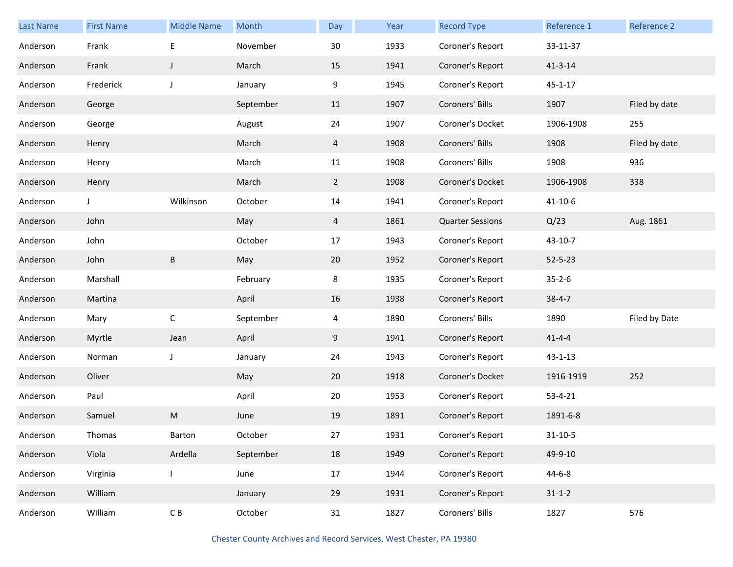| Last Name | <b>First Name</b> | <b>Middle Name</b> | Month     | Day            | Year | <b>Record Type</b>      | Reference 1   | Reference 2   |
|-----------|-------------------|--------------------|-----------|----------------|------|-------------------------|---------------|---------------|
| Anderson  | Frank             | $\mathsf E$        | November  | 30             | 1933 | Coroner's Report        | 33-11-37      |               |
| Anderson  | Frank             | J                  | March     | 15             | 1941 | Coroner's Report        | $41 - 3 - 14$ |               |
| Anderson  | Frederick         | J                  | January   | 9              | 1945 | Coroner's Report        | $45 - 1 - 17$ |               |
| Anderson  | George            |                    | September | 11             | 1907 | Coroners' Bills         | 1907          | Filed by date |
| Anderson  | George            |                    | August    | 24             | 1907 | Coroner's Docket        | 1906-1908     | 255           |
| Anderson  | Henry             |                    | March     | 4              | 1908 | Coroners' Bills         | 1908          | Filed by date |
| Anderson  | Henry             |                    | March     | 11             | 1908 | Coroners' Bills         | 1908          | 936           |
| Anderson  | Henry             |                    | March     | $\overline{2}$ | 1908 | Coroner's Docket        | 1906-1908     | 338           |
| Anderson  | J                 | Wilkinson          | October   | 14             | 1941 | Coroner's Report        | $41 - 10 - 6$ |               |
| Anderson  | John              |                    | May       | 4              | 1861 | <b>Quarter Sessions</b> | Q/23          | Aug. 1861     |
| Anderson  | John              |                    | October   | 17             | 1943 | Coroner's Report        | 43-10-7       |               |
| Anderson  | John              | B                  | May       | 20             | 1952 | Coroner's Report        | $52 - 5 - 23$ |               |
| Anderson  | Marshall          |                    | February  | 8              | 1935 | Coroner's Report        | $35 - 2 - 6$  |               |
| Anderson  | Martina           |                    | April     | 16             | 1938 | Coroner's Report        | $38 - 4 - 7$  |               |
| Anderson  | Mary              | $\mathsf C$        | September | 4              | 1890 | Coroners' Bills         | 1890          | Filed by Date |
| Anderson  | Myrtle            | Jean               | April     | 9              | 1941 | Coroner's Report        | $41 - 4 - 4$  |               |
| Anderson  | Norman            | J                  | January   | 24             | 1943 | Coroner's Report        | $43 - 1 - 13$ |               |
| Anderson  | Oliver            |                    | May       | 20             | 1918 | Coroner's Docket        | 1916-1919     | 252           |
| Anderson  | Paul              |                    | April     | 20             | 1953 | Coroner's Report        | $53 - 4 - 21$ |               |
| Anderson  | Samuel            | M                  | June      | 19             | 1891 | Coroner's Report        | 1891-6-8      |               |
| Anderson  | Thomas            | Barton             | October   | 27             | 1931 | Coroner's Report        | $31 - 10 - 5$ |               |
| Anderson  | Viola             | Ardella            | September | 18             | 1949 | Coroner's Report        | 49-9-10       |               |
| Anderson  | Virginia          |                    | June      | 17             | 1944 | Coroner's Report        | $44 - 6 - 8$  |               |
| Anderson  | William           |                    | January   | 29             | 1931 | Coroner's Report        | $31 - 1 - 2$  |               |
| Anderson  | William           | $\mathsf C$ B      | October   | 31             | 1827 | Coroners' Bills         | 1827          | 576           |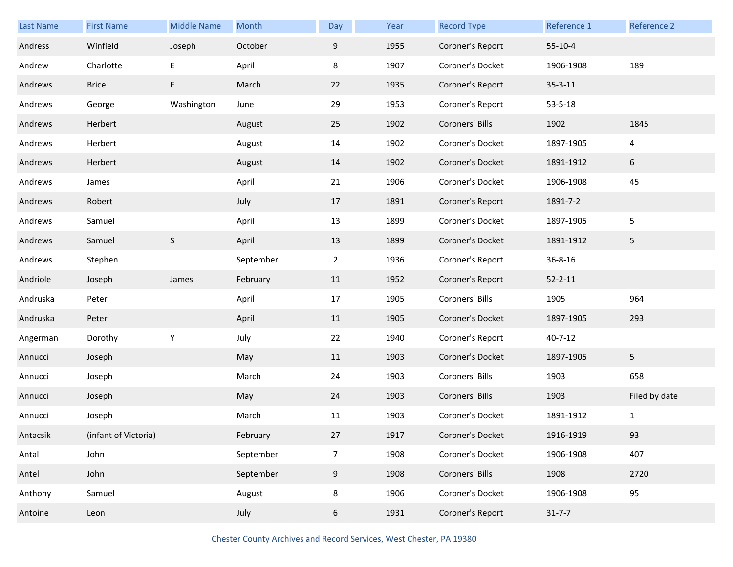| Last Name | <b>First Name</b>    | <b>Middle Name</b> | Month     | Day            | Year | <b>Record Type</b> | Reference 1   | Reference 2    |
|-----------|----------------------|--------------------|-----------|----------------|------|--------------------|---------------|----------------|
| Andress   | Winfield             | Joseph             | October   | 9              | 1955 | Coroner's Report   | $55 - 10 - 4$ |                |
| Andrew    | Charlotte            | E                  | April     | 8              | 1907 | Coroner's Docket   | 1906-1908     | 189            |
| Andrews   | <b>Brice</b>         | F                  | March     | 22             | 1935 | Coroner's Report   | $35 - 3 - 11$ |                |
| Andrews   | George               | Washington         | June      | 29             | 1953 | Coroner's Report   | $53 - 5 - 18$ |                |
| Andrews   | Herbert              |                    | August    | 25             | 1902 | Coroners' Bills    | 1902          | 1845           |
| Andrews   | Herbert              |                    | August    | 14             | 1902 | Coroner's Docket   | 1897-1905     | $\overline{a}$ |
| Andrews   | Herbert              |                    | August    | 14             | 1902 | Coroner's Docket   | 1891-1912     | 6              |
| Andrews   | James                |                    | April     | 21             | 1906 | Coroner's Docket   | 1906-1908     | 45             |
| Andrews   | Robert               |                    | July      | 17             | 1891 | Coroner's Report   | 1891-7-2      |                |
| Andrews   | Samuel               |                    | April     | 13             | 1899 | Coroner's Docket   | 1897-1905     | 5              |
| Andrews   | Samuel               | S                  | April     | 13             | 1899 | Coroner's Docket   | 1891-1912     | 5              |
| Andrews   | Stephen              |                    | September | $\overline{2}$ | 1936 | Coroner's Report   | $36 - 8 - 16$ |                |
| Andriole  | Joseph               | James              | February  | 11             | 1952 | Coroner's Report   | $52 - 2 - 11$ |                |
| Andruska  | Peter                |                    | April     | 17             | 1905 | Coroners' Bills    | 1905          | 964            |
| Andruska  | Peter                |                    | April     | 11             | 1905 | Coroner's Docket   | 1897-1905     | 293            |
| Angerman  | Dorothy              | Υ                  | July      | 22             | 1940 | Coroner's Report   | $40 - 7 - 12$ |                |
| Annucci   | Joseph               |                    | May       | 11             | 1903 | Coroner's Docket   | 1897-1905     | 5 <sub>1</sub> |
| Annucci   | Joseph               |                    | March     | 24             | 1903 | Coroners' Bills    | 1903          | 658            |
| Annucci   | Joseph               |                    | May       | 24             | 1903 | Coroners' Bills    | 1903          | Filed by date  |
| Annucci   | Joseph               |                    | March     | 11             | 1903 | Coroner's Docket   | 1891-1912     | $\mathbf{1}$   |
| Antacsik  | (infant of Victoria) |                    | February  | 27             | 1917 | Coroner's Docket   | 1916-1919     | 93             |
| Antal     | John                 |                    | September | $\overline{7}$ | 1908 | Coroner's Docket   | 1906-1908     | 407            |
| Antel     | John                 |                    | September | 9              | 1908 | Coroners' Bills    | 1908          | 2720           |
| Anthony   | Samuel               |                    | August    | 8              | 1906 | Coroner's Docket   | 1906-1908     | 95             |
| Antoine   | Leon                 |                    | July      | 6              | 1931 | Coroner's Report   | $31 - 7 - 7$  |                |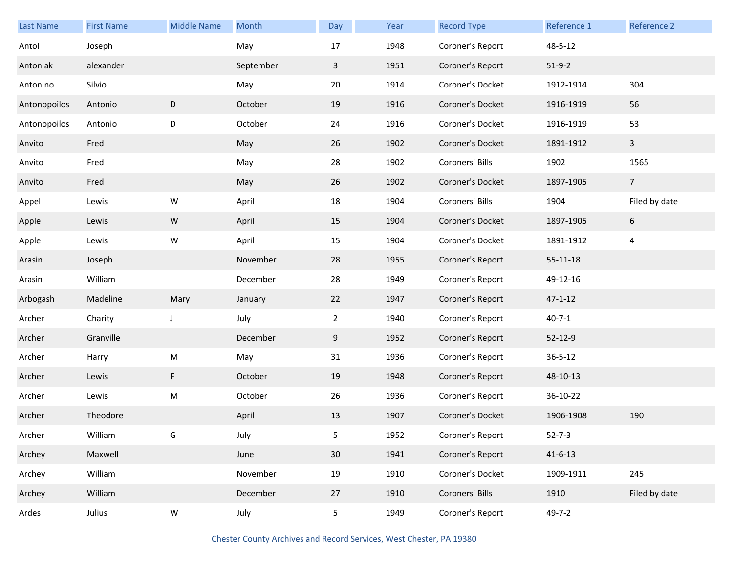| <b>Last Name</b> | <b>First Name</b> | <b>Middle Name</b> | Month     | Day            | Year | <b>Record Type</b> | Reference 1   | Reference 2    |
|------------------|-------------------|--------------------|-----------|----------------|------|--------------------|---------------|----------------|
| Antol            | Joseph            |                    | May       | 17             | 1948 | Coroner's Report   | 48-5-12       |                |
| Antoniak         | alexander         |                    | September | $\mathbf{3}$   | 1951 | Coroner's Report   | $51-9-2$      |                |
| Antonino         | Silvio            |                    | May       | 20             | 1914 | Coroner's Docket   | 1912-1914     | 304            |
| Antonopoilos     | Antonio           | D                  | October   | 19             | 1916 | Coroner's Docket   | 1916-1919     | 56             |
| Antonopoilos     | Antonio           | D                  | October   | 24             | 1916 | Coroner's Docket   | 1916-1919     | 53             |
| Anvito           | Fred              |                    | May       | 26             | 1902 | Coroner's Docket   | 1891-1912     | $\mathbf{3}$   |
| Anvito           | Fred              |                    | May       | 28             | 1902 | Coroners' Bills    | 1902          | 1565           |
| Anvito           | Fred              |                    | May       | 26             | 1902 | Coroner's Docket   | 1897-1905     | $\overline{7}$ |
| Appel            | Lewis             | ${\sf W}$          | April     | 18             | 1904 | Coroners' Bills    | 1904          | Filed by date  |
| Apple            | Lewis             | W                  | April     | 15             | 1904 | Coroner's Docket   | 1897-1905     | 6              |
| Apple            | Lewis             | W                  | April     | 15             | 1904 | Coroner's Docket   | 1891-1912     | $\overline{4}$ |
| Arasin           | Joseph            |                    | November  | 28             | 1955 | Coroner's Report   | 55-11-18      |                |
| Arasin           | William           |                    | December  | 28             | 1949 | Coroner's Report   | 49-12-16      |                |
| Arbogash         | Madeline          | Mary               | January   | 22             | 1947 | Coroner's Report   | $47 - 1 - 12$ |                |
| Archer           | Charity           | J                  | July      | $\overline{2}$ | 1940 | Coroner's Report   | $40 - 7 - 1$  |                |
| Archer           | Granville         |                    | December  | 9              | 1952 | Coroner's Report   | 52-12-9       |                |
| Archer           | Harry             | ${\sf M}$          | May       | 31             | 1936 | Coroner's Report   | $36 - 5 - 12$ |                |
| Archer           | Lewis             | F                  | October   | 19             | 1948 | Coroner's Report   | 48-10-13      |                |
| Archer           | Lewis             | ${\sf M}$          | October   | 26             | 1936 | Coroner's Report   | 36-10-22      |                |
| Archer           | Theodore          |                    | April     | 13             | 1907 | Coroner's Docket   | 1906-1908     | 190            |
| Archer           | William           |                    | July      | 5              | 1952 | Coroner's Report   | $52 - 7 - 3$  |                |
| Archey           | Maxwell           |                    | June      | 30             | 1941 | Coroner's Report   | $41 - 6 - 13$ |                |
| Archey           | William           |                    | November  | 19             | 1910 | Coroner's Docket   | 1909-1911     | 245            |
| Archey           | William           |                    | December  | 27             | 1910 | Coroners' Bills    | 1910          | Filed by date  |
| Ardes            | Julius            | ${\sf W}$          | July      | 5 <sub>1</sub> | 1949 | Coroner's Report   | $49 - 7 - 2$  |                |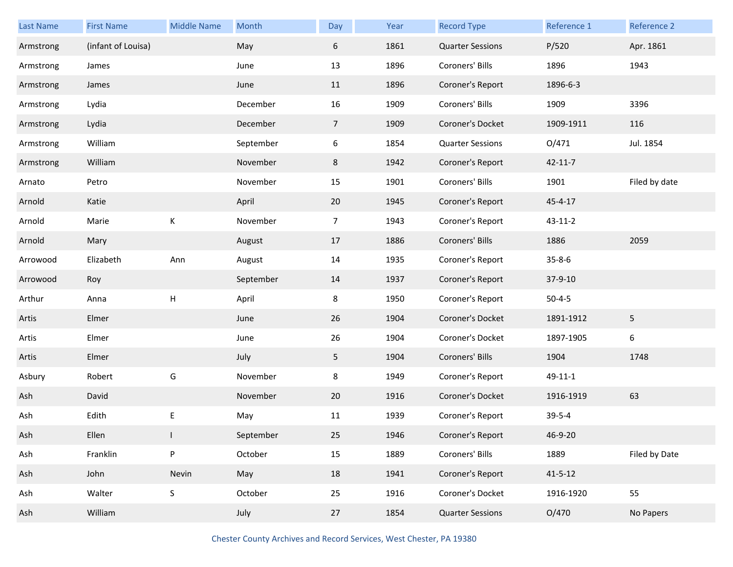| Last Name | <b>First Name</b>  | <b>Middle Name</b> | Month     | Day            | Year | <b>Record Type</b>      | Reference 1   | Reference 2   |
|-----------|--------------------|--------------------|-----------|----------------|------|-------------------------|---------------|---------------|
| Armstrong | (infant of Louisa) |                    | May       | 6              | 1861 | <b>Quarter Sessions</b> | P/520         | Apr. 1861     |
| Armstrong | James              |                    | June      | 13             | 1896 | Coroners' Bills         | 1896          | 1943          |
| Armstrong | James              |                    | June      | 11             | 1896 | Coroner's Report        | 1896-6-3      |               |
| Armstrong | Lydia              |                    | December  | 16             | 1909 | Coroners' Bills         | 1909          | 3396          |
| Armstrong | Lydia              |                    | December  | 7 <sup>7</sup> | 1909 | Coroner's Docket        | 1909-1911     | 116           |
| Armstrong | William            |                    | September | 6              | 1854 | <b>Quarter Sessions</b> | O/471         | Jul. 1854     |
| Armstrong | William            |                    | November  | 8              | 1942 | Coroner's Report        | $42 - 11 - 7$ |               |
| Arnato    | Petro              |                    | November  | 15             | 1901 | Coroners' Bills         | 1901          | Filed by date |
| Arnold    | Katie              |                    | April     | 20             | 1945 | Coroner's Report        | 45-4-17       |               |
| Arnold    | Marie              | К                  | November  | $\overline{7}$ | 1943 | Coroner's Report        | 43-11-2       |               |
| Arnold    | Mary               |                    | August    | 17             | 1886 | Coroners' Bills         | 1886          | 2059          |
| Arrowood  | Elizabeth          | Ann                | August    | 14             | 1935 | Coroner's Report        | $35 - 8 - 6$  |               |
| Arrowood  | Roy                |                    | September | 14             | 1937 | Coroner's Report        | 37-9-10       |               |
| Arthur    | Anna               | Н                  | April     | 8              | 1950 | Coroner's Report        | $50 - 4 - 5$  |               |
| Artis     | Elmer              |                    | June      | 26             | 1904 | Coroner's Docket        | 1891-1912     | 5             |
| Artis     | Elmer              |                    | June      | 26             | 1904 | Coroner's Docket        | 1897-1905     | 6             |
| Artis     | Elmer              |                    | July      | 5              | 1904 | Coroners' Bills         | 1904          | 1748          |
| Asbury    | Robert             | G                  | November  | 8              | 1949 | Coroner's Report        | 49-11-1       |               |
| Ash       | David              |                    | November  | 20             | 1916 | Coroner's Docket        | 1916-1919     | 63            |
| Ash       | Edith              | Ε                  | May       | 11             | 1939 | Coroner's Report        | $39 - 5 - 4$  |               |
| Ash       | Ellen              | $\mathbf{L}$       | September | 25             | 1946 | Coroner's Report        | 46-9-20       |               |
| Ash       | Franklin           | P                  | October   | 15             | 1889 | Coroners' Bills         | 1889          | Filed by Date |
| Ash       | John               | Nevin              | May       | 18             | 1941 | Coroner's Report        | $41 - 5 - 12$ |               |
| Ash       | Walter             | S                  | October   | 25             | 1916 | Coroner's Docket        | 1916-1920     | 55            |
| Ash       | William            |                    | July      | 27             | 1854 | <b>Quarter Sessions</b> | O/470         | No Papers     |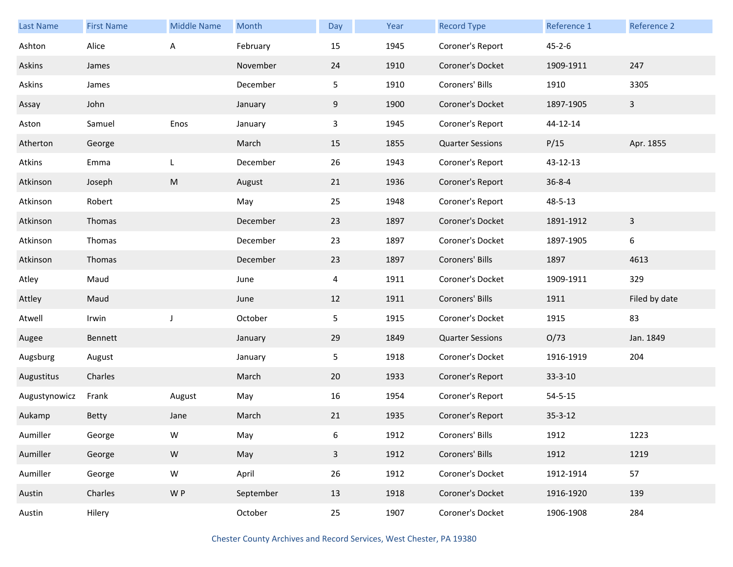| <b>Last Name</b> | <b>First Name</b> | <b>Middle Name</b> | Month     | Day            | Year | <b>Record Type</b>      | Reference 1   | Reference 2             |
|------------------|-------------------|--------------------|-----------|----------------|------|-------------------------|---------------|-------------------------|
| Ashton           | Alice             | Α                  | February  | 15             | 1945 | Coroner's Report        | $45 - 2 - 6$  |                         |
| Askins           | James             |                    | November  | 24             | 1910 | Coroner's Docket        | 1909-1911     | 247                     |
| Askins           | James             |                    | December  | 5              | 1910 | Coroners' Bills         | 1910          | 3305                    |
| Assay            | John              |                    | January   | 9              | 1900 | Coroner's Docket        | 1897-1905     | $\mathbf{3}$            |
| Aston            | Samuel            | Enos               | January   | 3              | 1945 | Coroner's Report        | 44-12-14      |                         |
| Atherton         | George            |                    | March     | 15             | 1855 | <b>Quarter Sessions</b> | P/15          | Apr. 1855               |
| Atkins           | Emma              | L                  | December  | 26             | 1943 | Coroner's Report        | 43-12-13      |                         |
| Atkinson         | Joseph            | M                  | August    | 21             | 1936 | Coroner's Report        | $36 - 8 - 4$  |                         |
| Atkinson         | Robert            |                    | May       | 25             | 1948 | Coroner's Report        | 48-5-13       |                         |
| Atkinson         | Thomas            |                    | December  | 23             | 1897 | Coroner's Docket        | 1891-1912     | $\overline{\mathbf{3}}$ |
| Atkinson         | Thomas            |                    | December  | 23             | 1897 | Coroner's Docket        | 1897-1905     | 6                       |
| Atkinson         | Thomas            |                    | December  | 23             | 1897 | Coroners' Bills         | 1897          | 4613                    |
| Atley            | Maud              |                    | June      | $\overline{4}$ | 1911 | Coroner's Docket        | 1909-1911     | 329                     |
| Attley           | Maud              |                    | June      | 12             | 1911 | Coroners' Bills         | 1911          | Filed by date           |
| Atwell           | Irwin             | J                  | October   | 5              | 1915 | Coroner's Docket        | 1915          | 83                      |
| Augee            | Bennett           |                    | January   | 29             | 1849 | <b>Quarter Sessions</b> | O/73          | Jan. 1849               |
| Augsburg         | August            |                    | January   | 5              | 1918 | Coroner's Docket        | 1916-1919     | 204                     |
| Augustitus       | Charles           |                    | March     | 20             | 1933 | Coroner's Report        | $33 - 3 - 10$ |                         |
| Augustynowicz    | Frank             | August             | May       | 16             | 1954 | Coroner's Report        | $54 - 5 - 15$ |                         |
| Aukamp           | Betty             | Jane               | March     | 21             | 1935 | Coroner's Report        | $35 - 3 - 12$ |                         |
| Aumiller         | George            | W                  | May       | 6              | 1912 | Coroners' Bills         | 1912          | 1223                    |
| Aumiller         | George            | ${\sf W}$          | May       | $\mathbf{3}$   | 1912 | Coroners' Bills         | 1912          | 1219                    |
| Aumiller         | George            | ${\sf W}$          | April     | 26             | 1912 | Coroner's Docket        | 1912-1914     | 57                      |
| Austin           | Charles           | W P                | September | 13             | 1918 | Coroner's Docket        | 1916-1920     | 139                     |
| Austin           | Hilery            |                    | October   | 25             | 1907 | Coroner's Docket        | 1906-1908     | 284                     |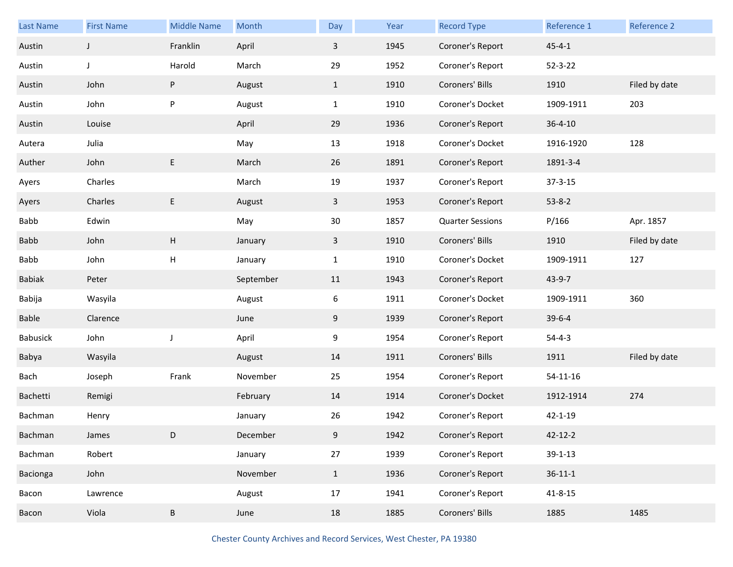| <b>Last Name</b> | <b>First Name</b> | <b>Middle Name</b>        | Month     | Day          | Year | <b>Record Type</b>      | Reference 1    | Reference 2   |
|------------------|-------------------|---------------------------|-----------|--------------|------|-------------------------|----------------|---------------|
| Austin           | $\mathsf{J}$      | Franklin                  | April     | $\mathbf{3}$ | 1945 | Coroner's Report        | $45 - 4 - 1$   |               |
| Austin           | J                 | Harold                    | March     | 29           | 1952 | Coroner's Report        | $52 - 3 - 22$  |               |
| Austin           | John              | P                         | August    | $\mathbf{1}$ | 1910 | Coroners' Bills         | 1910           | Filed by date |
| Austin           | John              | P                         | August    | $\mathbf{1}$ | 1910 | Coroner's Docket        | 1909-1911      | 203           |
| Austin           | Louise            |                           | April     | 29           | 1936 | Coroner's Report        | $36 - 4 - 10$  |               |
| Autera           | Julia             |                           | May       | 13           | 1918 | Coroner's Docket        | 1916-1920      | 128           |
| Auther           | John              | E                         | March     | 26           | 1891 | Coroner's Report        | 1891-3-4       |               |
| Ayers            | Charles           |                           | March     | 19           | 1937 | Coroner's Report        | $37 - 3 - 15$  |               |
| Ayers            | Charles           | E                         | August    | $\mathbf{3}$ | 1953 | Coroner's Report        | $53 - 8 - 2$   |               |
| Babb             | Edwin             |                           | May       | 30           | 1857 | <b>Quarter Sessions</b> | P/166          | Apr. 1857     |
| Babb             | John              | $\boldsymbol{\mathsf{H}}$ | January   | $\mathbf{3}$ | 1910 | Coroners' Bills         | 1910           | Filed by date |
| Babb             | John              | $\mathsf{H}$              | January   | $\mathbf{1}$ | 1910 | Coroner's Docket        | 1909-1911      | 127           |
| <b>Babiak</b>    | Peter             |                           | September | 11           | 1943 | Coroner's Report        | 43-9-7         |               |
| Babija           | Wasyila           |                           | August    | 6            | 1911 | Coroner's Docket        | 1909-1911      | 360           |
| Bable            | Clarence          |                           | June      | 9            | 1939 | Coroner's Report        | $39 - 6 - 4$   |               |
| Babusick         | John              | J                         | April     | 9            | 1954 | Coroner's Report        | $54 - 4 - 3$   |               |
| Babya            | Wasyila           |                           | August    | 14           | 1911 | Coroners' Bills         | 1911           | Filed by date |
| Bach             | Joseph            | Frank                     | November  | 25           | 1954 | Coroner's Report        | $54 - 11 - 16$ |               |
| Bachetti         | Remigi            |                           | February  | 14           | 1914 | Coroner's Docket        | 1912-1914      | 274           |
| Bachman          | Henry             |                           | January   | 26           | 1942 | Coroner's Report        | $42 - 1 - 19$  |               |
| Bachman          | James             | D                         | December  | 9            | 1942 | Coroner's Report        | 42-12-2        |               |
| Bachman          | Robert            |                           | January   | 27           | 1939 | Coroner's Report        | $39 - 1 - 13$  |               |
| Bacionga         | John              |                           | November  | $\mathbf{1}$ | 1936 | Coroner's Report        | $36 - 11 - 1$  |               |
| Bacon            | Lawrence          |                           | August    | 17           | 1941 | Coroner's Report        | $41 - 8 - 15$  |               |
| Bacon            | Viola             | B                         | June      | 18           | 1885 | Coroners' Bills         | 1885           | 1485          |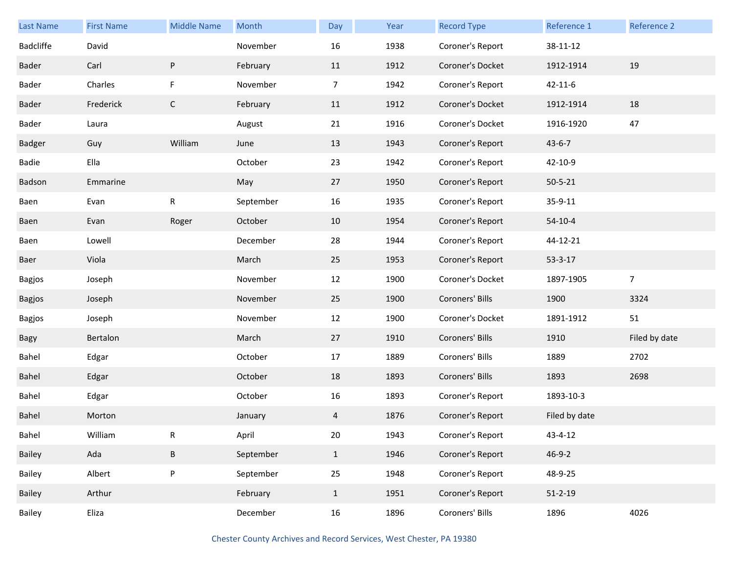| <b>Last Name</b> | <b>First Name</b> | <b>Middle Name</b> | Month     | Day            | Year | <b>Record Type</b> | Reference 1   | Reference 2    |
|------------------|-------------------|--------------------|-----------|----------------|------|--------------------|---------------|----------------|
| <b>Badcliffe</b> | David             |                    | November  | 16             | 1938 | Coroner's Report   | 38-11-12      |                |
| Bader            | Carl              | ${\sf P}$          | February  | 11             | 1912 | Coroner's Docket   | 1912-1914     | 19             |
| Bader            | Charles           | F                  | November  | $\overline{7}$ | 1942 | Coroner's Report   | $42 - 11 - 6$ |                |
| Bader            | Frederick         | $\mathsf{C}$       | February  | 11             | 1912 | Coroner's Docket   | 1912-1914     | 18             |
| Bader            | Laura             |                    | August    | 21             | 1916 | Coroner's Docket   | 1916-1920     | 47             |
| Badger           | Guy               | William            | June      | 13             | 1943 | Coroner's Report   | $43 - 6 - 7$  |                |
| Badie            | Ella              |                    | October   | 23             | 1942 | Coroner's Report   | 42-10-9       |                |
| Badson           | Emmarine          |                    | May       | 27             | 1950 | Coroner's Report   | $50 - 5 - 21$ |                |
| Baen             | Evan              | ${\sf R}$          | September | 16             | 1935 | Coroner's Report   | 35-9-11       |                |
| Baen             | Evan              | Roger              | October   | 10             | 1954 | Coroner's Report   | $54-10-4$     |                |
| Baen             | Lowell            |                    | December  | 28             | 1944 | Coroner's Report   | 44-12-21      |                |
| Baer             | Viola             |                    | March     | 25             | 1953 | Coroner's Report   | $53 - 3 - 17$ |                |
| Bagjos           | Joseph            |                    | November  | 12             | 1900 | Coroner's Docket   | 1897-1905     | $\overline{7}$ |
| Bagjos           | Joseph            |                    | November  | 25             | 1900 | Coroners' Bills    | 1900          | 3324           |
| Bagjos           | Joseph            |                    | November  | 12             | 1900 | Coroner's Docket   | 1891-1912     | 51             |
| Bagy             | Bertalon          |                    | March     | 27             | 1910 | Coroners' Bills    | 1910          | Filed by date  |
| Bahel            | Edgar             |                    | October   | 17             | 1889 | Coroners' Bills    | 1889          | 2702           |
| Bahel            | Edgar             |                    | October   | 18             | 1893 | Coroners' Bills    | 1893          | 2698           |
| Bahel            | Edgar             |                    | October   | 16             | 1893 | Coroner's Report   | 1893-10-3     |                |
| Bahel            | Morton            |                    | January   | 4              | 1876 | Coroner's Report   | Filed by date |                |
| Bahel            | William           | R                  | April     | 20             | 1943 | Coroner's Report   | 43-4-12       |                |
| Bailey           | Ada               | B                  | September | $\mathbf{1}$   | 1946 | Coroner's Report   | $46 - 9 - 2$  |                |
| Bailey           | Albert            | ${\sf P}$          | September | 25             | 1948 | Coroner's Report   | 48-9-25       |                |
| Bailey           | Arthur            |                    | February  | $\mathbf{1}$   | 1951 | Coroner's Report   | $51 - 2 - 19$ |                |
| Bailey           | Eliza             |                    | December  | 16             | 1896 | Coroners' Bills    | 1896          | 4026           |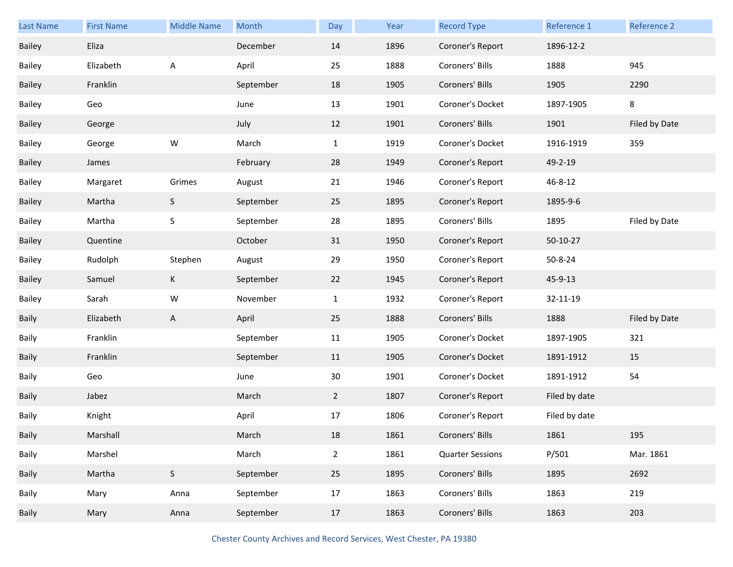| <b>Last Name</b> | <b>First Name</b> | <b>Middle Name</b> | Month     | Day            | Year | <b>Record Type</b>      | Reference 1   | Reference 2   |
|------------------|-------------------|--------------------|-----------|----------------|------|-------------------------|---------------|---------------|
| Bailey           | Eliza             |                    | December  | 14             | 1896 | Coroner's Report        | 1896-12-2     |               |
| Bailey           | Elizabeth         | A                  | April     | 25             | 1888 | Coroners' Bills         | 1888          | 945           |
| Bailey           | Franklin          |                    | September | 18             | 1905 | Coroners' Bills         | 1905          | 2290          |
| Bailey           | Geo               |                    | June      | 13             | 1901 | Coroner's Docket        | 1897-1905     | 8             |
| Bailey           | George            |                    | July      | 12             | 1901 | Coroners' Bills         | 1901          | Filed by Date |
| Bailey           | George            | W                  | March     | $\mathbf{1}$   | 1919 | Coroner's Docket        | 1916-1919     | 359           |
| Bailey           | James             |                    | February  | 28             | 1949 | Coroner's Report        | 49-2-19       |               |
| Bailey           | Margaret          | Grimes             | August    | 21             | 1946 | Coroner's Report        | 46-8-12       |               |
| Bailey           | Martha            | $\mathsf S$        | September | 25             | 1895 | Coroner's Report        | 1895-9-6      |               |
| Bailey           | Martha            | S                  | September | 28             | 1895 | Coroners' Bills         | 1895          | Filed by Date |
| Bailey           | Quentine          |                    | October   | 31             | 1950 | Coroner's Report        | 50-10-27      |               |
| Bailey           | Rudolph           | Stephen            | August    | 29             | 1950 | Coroner's Report        | 50-8-24       |               |
| Bailey           | Samuel            | K                  | September | 22             | 1945 | Coroner's Report        | 45-9-13       |               |
| Bailey           | Sarah             | W                  | November  | $\mathbf{1}$   | 1932 | Coroner's Report        | 32-11-19      |               |
| <b>Baily</b>     | Elizabeth         | A                  | April     | 25             | 1888 | Coroners' Bills         | 1888          | Filed by Date |
| Baily            | Franklin          |                    | September | 11             | 1905 | Coroner's Docket        | 1897-1905     | 321           |
| <b>Baily</b>     | Franklin          |                    | September | 11             | 1905 | Coroner's Docket        | 1891-1912     | 15            |
| Baily            | Geo               |                    | June      | 30             | 1901 | Coroner's Docket        | 1891-1912     | 54            |
| <b>Baily</b>     | Jabez             |                    | March     | $\overline{2}$ | 1807 | Coroner's Report        | Filed by date |               |
| Baily            | Knight            |                    | April     | 17             | 1806 | Coroner's Report        | Filed by date |               |
| Baily            | Marshall          |                    | March     | 18             | 1861 | Coroners' Bills         | 1861          | 195           |
| Baily            | Marshel           |                    | March     | $2^{\circ}$    | 1861 | <b>Quarter Sessions</b> | P/501         | Mar. 1861     |
| Baily            | Martha            | $\mathsf S$        | September | 25             | 1895 | Coroners' Bills         | 1895          | 2692          |
| Baily            | Mary              | Anna               | September | 17             | 1863 | Coroners' Bills         | 1863          | 219           |
| Baily            | Mary              | Anna               | September | 17             | 1863 | Coroners' Bills         | 1863          | 203           |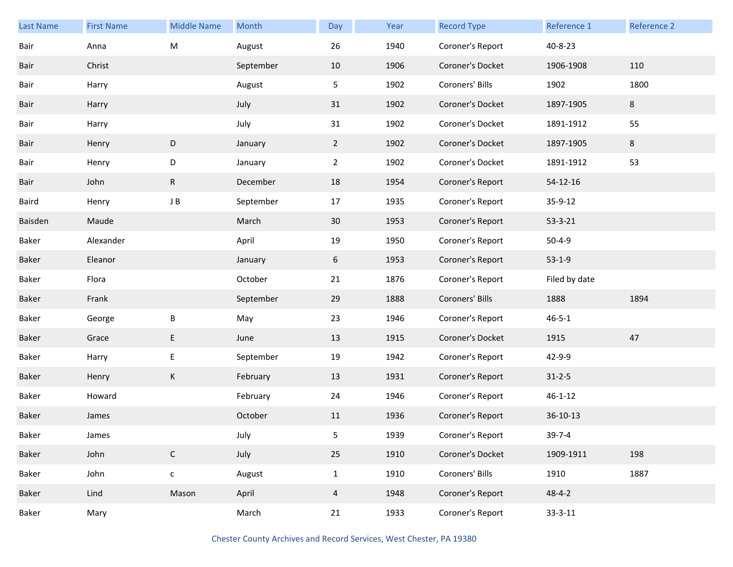| <b>Last Name</b> | <b>First Name</b> | <b>Middle Name</b> | Month     | Day            | Year | <b>Record Type</b> | Reference 1   | Reference 2 |
|------------------|-------------------|--------------------|-----------|----------------|------|--------------------|---------------|-------------|
| Bair             | Anna              | M                  | August    | 26             | 1940 | Coroner's Report   | 40-8-23       |             |
| Bair             | Christ            |                    | September | 10             | 1906 | Coroner's Docket   | 1906-1908     | 110         |
| Bair             | Harry             |                    | August    | 5              | 1902 | Coroners' Bills    | 1902          | 1800        |
| Bair             | Harry             |                    | July      | 31             | 1902 | Coroner's Docket   | 1897-1905     | 8           |
| Bair             | Harry             |                    | July      | 31             | 1902 | Coroner's Docket   | 1891-1912     | 55          |
| Bair             | Henry             | D                  | January   | $\overline{2}$ | 1902 | Coroner's Docket   | 1897-1905     | 8           |
| Bair             | Henry             | D                  | January   | $2^{\circ}$    | 1902 | Coroner's Docket   | 1891-1912     | 53          |
| Bair             | John              | R                  | December  | 18             | 1954 | Coroner's Report   | 54-12-16      |             |
| Baird            | Henry             | J B                | September | 17             | 1935 | Coroner's Report   | 35-9-12       |             |
| Baisden          | Maude             |                    | March     | 30             | 1953 | Coroner's Report   | $53 - 3 - 21$ |             |
| Baker            | Alexander         |                    | April     | 19             | 1950 | Coroner's Report   | $50 - 4 - 9$  |             |
| Baker            | Eleanor           |                    | January   | 6              | 1953 | Coroner's Report   | $53-1-9$      |             |
| Baker            | Flora             |                    | October   | 21             | 1876 | Coroner's Report   | Filed by date |             |
| Baker            | Frank             |                    | September | 29             | 1888 | Coroners' Bills    | 1888          | 1894        |
| Baker            | George            | Β                  | May       | 23             | 1946 | Coroner's Report   | $46 - 5 - 1$  |             |
| Baker            | Grace             | E                  | June      | 13             | 1915 | Coroner's Docket   | 1915          | 47          |
| Baker            | Harry             | E                  | September | 19             | 1942 | Coroner's Report   | 42-9-9        |             |
| Baker            | Henry             | K                  | February  | 13             | 1931 | Coroner's Report   | $31 - 2 - 5$  |             |
| Baker            | Howard            |                    | February  | 24             | 1946 | Coroner's Report   | $46 - 1 - 12$ |             |
| Baker            | James             |                    | October   | 11             | 1936 | Coroner's Report   | $36-10-13$    |             |
| Baker            | James             |                    | July      | 5              | 1939 | Coroner's Report   | $39 - 7 - 4$  |             |
| Baker            | John              | $\mathsf{C}$       | July      | 25             | 1910 | Coroner's Docket   | 1909-1911     | 198         |
| Baker            | John              | ${\mathsf c}$      | August    | $\mathbf{1}$   | 1910 | Coroners' Bills    | 1910          | 1887        |
| Baker            | Lind              | Mason              | April     | $\overline{4}$ | 1948 | Coroner's Report   | $48 - 4 - 2$  |             |
| Baker            | Mary              |                    | March     | 21             | 1933 | Coroner's Report   | $33 - 3 - 11$ |             |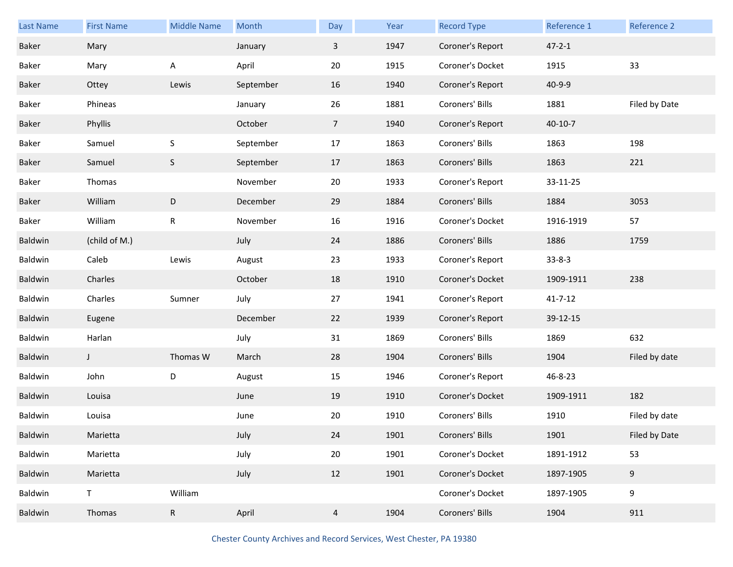| <b>Last Name</b> | <b>First Name</b> | <b>Middle Name</b> | Month     | Day             | Year | <b>Record Type</b> | Reference 1   | Reference 2   |
|------------------|-------------------|--------------------|-----------|-----------------|------|--------------------|---------------|---------------|
| Baker            | Mary              |                    | January   | 3               | 1947 | Coroner's Report   | $47 - 2 - 1$  |               |
| Baker            | Mary              | A                  | April     | 20              | 1915 | Coroner's Docket   | 1915          | 33            |
| Baker            | Ottey             | Lewis              | September | 16              | 1940 | Coroner's Report   | 40-9-9        |               |
| Baker            | Phineas           |                    | January   | 26              | 1881 | Coroners' Bills    | 1881          | Filed by Date |
| Baker            | Phyllis           |                    | October   | $7\overline{ }$ | 1940 | Coroner's Report   | $40 - 10 - 7$ |               |
| Baker            | Samuel            | S                  | September | 17              | 1863 | Coroners' Bills    | 1863          | 198           |
| Baker            | Samuel            | $\mathsf S$        | September | 17              | 1863 | Coroners' Bills    | 1863          | 221           |
| Baker            | Thomas            |                    | November  | 20              | 1933 | Coroner's Report   | 33-11-25      |               |
| Baker            | William           | ${\sf D}$          | December  | 29              | 1884 | Coroners' Bills    | 1884          | 3053          |
| Baker            | William           | ${\sf R}$          | November  | 16              | 1916 | Coroner's Docket   | 1916-1919     | 57            |
| Baldwin          | (child of M.)     |                    | July      | 24              | 1886 | Coroners' Bills    | 1886          | 1759          |
| Baldwin          | Caleb             | Lewis              | August    | 23              | 1933 | Coroner's Report   | $33 - 8 - 3$  |               |
| Baldwin          | Charles           |                    | October   | 18              | 1910 | Coroner's Docket   | 1909-1911     | 238           |
| Baldwin          | Charles           | Sumner             | July      | 27              | 1941 | Coroner's Report   | $41 - 7 - 12$ |               |
| Baldwin          | Eugene            |                    | December  | 22              | 1939 | Coroner's Report   | 39-12-15      |               |
| Baldwin          | Harlan            |                    | July      | 31              | 1869 | Coroners' Bills    | 1869          | 632           |
| Baldwin          | J                 | Thomas W           | March     | 28              | 1904 | Coroners' Bills    | 1904          | Filed by date |
| Baldwin          | John              | D                  | August    | 15              | 1946 | Coroner's Report   | 46-8-23       |               |
| Baldwin          | Louisa            |                    | June      | 19              | 1910 | Coroner's Docket   | 1909-1911     | 182           |
| Baldwin          | Louisa            |                    | June      | 20              | 1910 | Coroners' Bills    | 1910          | Filed by date |
| Baldwin          | Marietta          |                    | July      | 24              | 1901 | Coroners' Bills    | 1901          | Filed by Date |
| Baldwin          | Marietta          |                    | July      | 20              | 1901 | Coroner's Docket   | 1891-1912     | 53            |
| Baldwin          | Marietta          |                    | July      | 12              | 1901 | Coroner's Docket   | 1897-1905     | 9             |
| Baldwin          | T.                | William            |           |                 |      | Coroner's Docket   | 1897-1905     | 9             |
| Baldwin          | Thomas            | $\mathsf{R}$       | April     | $\overline{4}$  | 1904 | Coroners' Bills    | 1904          | 911           |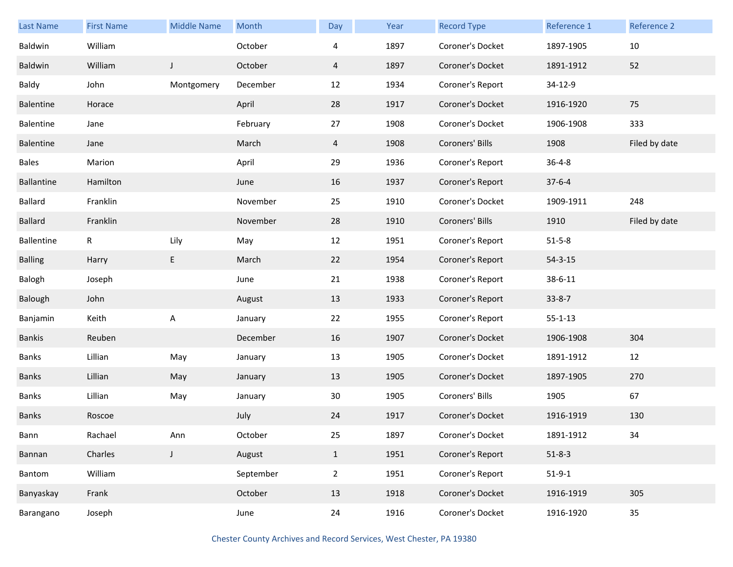| <b>Last Name</b>  | <b>First Name</b> | <b>Middle Name</b> | Month     | Day            | Year | <b>Record Type</b> | Reference 1   | Reference 2   |
|-------------------|-------------------|--------------------|-----------|----------------|------|--------------------|---------------|---------------|
| Baldwin           | William           |                    | October   | 4              | 1897 | Coroner's Docket   | 1897-1905     | 10            |
| Baldwin           | William           | J                  | October   | $\overline{4}$ | 1897 | Coroner's Docket   | 1891-1912     | 52            |
| Baldy             | John              | Montgomery         | December  | 12             | 1934 | Coroner's Report   | 34-12-9       |               |
| Balentine         | Horace            |                    | April     | 28             | 1917 | Coroner's Docket   | 1916-1920     | 75            |
| Balentine         | Jane              |                    | February  | 27             | 1908 | Coroner's Docket   | 1906-1908     | 333           |
| Balentine         | Jane              |                    | March     | 4              | 1908 | Coroners' Bills    | 1908          | Filed by date |
| <b>Bales</b>      | Marion            |                    | April     | 29             | 1936 | Coroner's Report   | $36 - 4 - 8$  |               |
| Ballantine        | Hamilton          |                    | June      | 16             | 1937 | Coroner's Report   | $37-6-4$      |               |
| Ballard           | Franklin          |                    | November  | 25             | 1910 | Coroner's Docket   | 1909-1911     | 248           |
| Ballard           | Franklin          |                    | November  | 28             | 1910 | Coroners' Bills    | 1910          | Filed by date |
| <b>Ballentine</b> | $\mathsf R$       | Lily               | May       | 12             | 1951 | Coroner's Report   | $51 - 5 - 8$  |               |
| <b>Balling</b>    | Harry             | E                  | March     | 22             | 1954 | Coroner's Report   | $54 - 3 - 15$ |               |
| Balogh            | Joseph            |                    | June      | 21             | 1938 | Coroner's Report   | 38-6-11       |               |
| Balough           | John              |                    | August    | 13             | 1933 | Coroner's Report   | $33 - 8 - 7$  |               |
| Banjamin          | Keith             | A                  | January   | 22             | 1955 | Coroner's Report   | $55 - 1 - 13$ |               |
| <b>Bankis</b>     | Reuben            |                    | December  | 16             | 1907 | Coroner's Docket   | 1906-1908     | 304           |
| Banks             | Lillian           | May                | January   | 13             | 1905 | Coroner's Docket   | 1891-1912     | 12            |
| Banks             | Lillian           | May                | January   | 13             | 1905 | Coroner's Docket   | 1897-1905     | 270           |
| Banks             | Lillian           | May                | January   | 30             | 1905 | Coroners' Bills    | 1905          | 67            |
| Banks             | Roscoe            |                    | July      | 24             | 1917 | Coroner's Docket   | 1916-1919     | 130           |
| Bann              | Rachael           | Ann                | October   | 25             | 1897 | Coroner's Docket   | 1891-1912     | 34            |
| Bannan            | Charles           | $\mathsf J$        | August    | $\mathbf{1}$   | 1951 | Coroner's Report   | $51 - 8 - 3$  |               |
| Bantom            | William           |                    | September | $\overline{2}$ | 1951 | Coroner's Report   | $51-9-1$      |               |
| Banyaskay         | Frank             |                    | October   | 13             | 1918 | Coroner's Docket   | 1916-1919     | 305           |
| Barangano         | Joseph            |                    | June      | 24             | 1916 | Coroner's Docket   | 1916-1920     | 35            |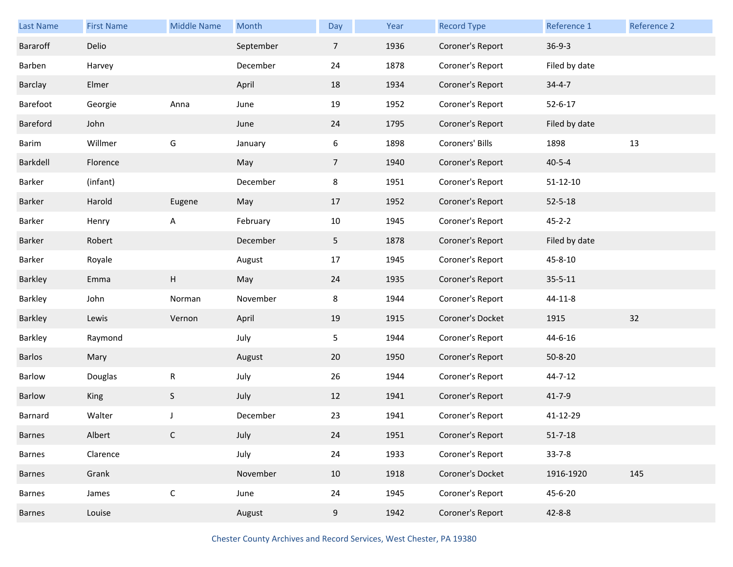| <b>Last Name</b> | <b>First Name</b> | <b>Middle Name</b> | Month     | Day            | Year | <b>Record Type</b> | Reference 1    | Reference 2 |
|------------------|-------------------|--------------------|-----------|----------------|------|--------------------|----------------|-------------|
| Bararoff         | Delio             |                    | September | $\overline{7}$ | 1936 | Coroner's Report   | $36 - 9 - 3$   |             |
| Barben           | Harvey            |                    | December  | 24             | 1878 | Coroner's Report   | Filed by date  |             |
| Barclay          | Elmer             |                    | April     | 18             | 1934 | Coroner's Report   | $34 - 4 - 7$   |             |
| Barefoot         | Georgie           | Anna               | June      | 19             | 1952 | Coroner's Report   | $52 - 6 - 17$  |             |
| Bareford         | John              |                    | June      | 24             | 1795 | Coroner's Report   | Filed by date  |             |
| Barim            | Willmer           | G                  | January   | 6              | 1898 | Coroners' Bills    | 1898           | 13          |
| Barkdell         | Florence          |                    | May       | $\overline{7}$ | 1940 | Coroner's Report   | $40 - 5 - 4$   |             |
| Barker           | (infant)          |                    | December  | 8              | 1951 | Coroner's Report   | $51 - 12 - 10$ |             |
| Barker           | Harold            | Eugene             | May       | 17             | 1952 | Coroner's Report   | $52 - 5 - 18$  |             |
| Barker           | Henry             | Α                  | February  | 10             | 1945 | Coroner's Report   | $45 - 2 - 2$   |             |
| Barker           | Robert            |                    | December  | 5              | 1878 | Coroner's Report   | Filed by date  |             |
| Barker           | Royale            |                    | August    | 17             | 1945 | Coroner's Report   | 45-8-10        |             |
| Barkley          | Emma              | Н                  | May       | 24             | 1935 | Coroner's Report   | $35 - 5 - 11$  |             |
| Barkley          | John              | Norman             | November  | 8              | 1944 | Coroner's Report   | 44-11-8        |             |
| Barkley          | Lewis             | Vernon             | April     | 19             | 1915 | Coroner's Docket   | 1915           | 32          |
| Barkley          | Raymond           |                    | July      | 5              | 1944 | Coroner's Report   | 44-6-16        |             |
| Barlos           | Mary              |                    | August    | 20             | 1950 | Coroner's Report   | $50 - 8 - 20$  |             |
| Barlow           | Douglas           | R                  | July      | 26             | 1944 | Coroner's Report   | 44-7-12        |             |
| Barlow           | King              | $\sf S$            | July      | 12             | 1941 | Coroner's Report   | $41 - 7 - 9$   |             |
| Barnard          | Walter            | J                  | December  | 23             | 1941 | Coroner's Report   | 41-12-29       |             |
| <b>Barnes</b>    | Albert            | С                  | July      | 24             | 1951 | Coroner's Report   | $51 - 7 - 18$  |             |
| Barnes           | Clarence          |                    | July      | 24             | 1933 | Coroner's Report   | $33 - 7 - 8$   |             |
| Barnes           | Grank             |                    | November  | 10             | 1918 | Coroner's Docket   | 1916-1920      | 145         |
| Barnes           | James             | $\mathsf C$        | June      | 24             | 1945 | Coroner's Report   | 45-6-20        |             |
| Barnes           | Louise            |                    | August    | 9              | 1942 | Coroner's Report   | $42 - 8 - 8$   |             |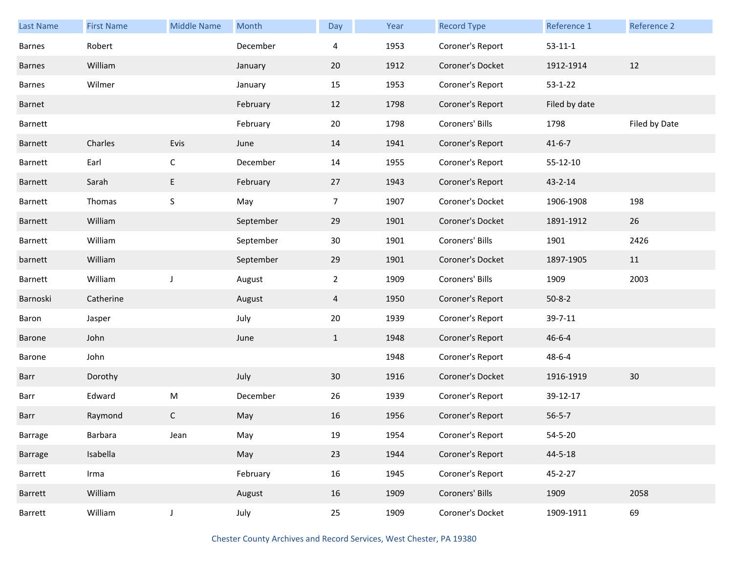| <b>Last Name</b> | <b>First Name</b> | <b>Middle Name</b> | Month     | Day             | Year | <b>Record Type</b> | Reference 1   | Reference 2   |
|------------------|-------------------|--------------------|-----------|-----------------|------|--------------------|---------------|---------------|
| <b>Barnes</b>    | Robert            |                    | December  | 4               | 1953 | Coroner's Report   | $53 - 11 - 1$ |               |
| <b>Barnes</b>    | William           |                    | January   | 20              | 1912 | Coroner's Docket   | 1912-1914     | 12            |
| <b>Barnes</b>    | Wilmer            |                    | January   | 15              | 1953 | Coroner's Report   | $53 - 1 - 22$ |               |
| Barnet           |                   |                    | February  | 12              | 1798 | Coroner's Report   | Filed by date |               |
| Barnett          |                   |                    | February  | 20              | 1798 | Coroners' Bills    | 1798          | Filed by Date |
| Barnett          | Charles           | Evis               | June      | 14              | 1941 | Coroner's Report   | $41 - 6 - 7$  |               |
| Barnett          | Earl              | $\mathsf C$        | December  | 14              | 1955 | Coroner's Report   | 55-12-10      |               |
| Barnett          | Sarah             | E                  | February  | 27              | 1943 | Coroner's Report   | $43 - 2 - 14$ |               |
| Barnett          | Thomas            | $\sf S$            | May       | $\overline{7}$  | 1907 | Coroner's Docket   | 1906-1908     | 198           |
| Barnett          | William           |                    | September | 29              | 1901 | Coroner's Docket   | 1891-1912     | 26            |
| Barnett          | William           |                    | September | 30              | 1901 | Coroners' Bills    | 1901          | 2426          |
| barnett          | William           |                    | September | 29              | 1901 | Coroner's Docket   | 1897-1905     | 11            |
| Barnett          | William           | J                  | August    | $\overline{2}$  | 1909 | Coroners' Bills    | 1909          | 2003          |
| Barnoski         | Catherine         |                    | August    | 4               | 1950 | Coroner's Report   | $50 - 8 - 2$  |               |
| Baron            | Jasper            |                    | July      | 20              | 1939 | Coroner's Report   | 39-7-11       |               |
| Barone           | John              |                    | June      | $\mathbf{1}$    | 1948 | Coroner's Report   | $46 - 6 - 4$  |               |
| Barone           | John              |                    |           |                 | 1948 | Coroner's Report   | $48 - 6 - 4$  |               |
| Barr             | Dorothy           |                    | July      | 30 <sup>°</sup> | 1916 | Coroner's Docket   | 1916-1919     | 30            |
| Barr             | Edward            | ${\sf M}$          | December  | 26              | 1939 | Coroner's Report   | 39-12-17      |               |
| Barr             | Raymond           | C                  | May       | 16              | 1956 | Coroner's Report   | $56 - 5 - 7$  |               |
| Barrage          | Barbara           | Jean               | May       | 19              | 1954 | Coroner's Report   | $54 - 5 - 20$ |               |
| Barrage          | Isabella          |                    | May       | 23              | 1944 | Coroner's Report   | $44 - 5 - 18$ |               |
| Barrett          | Irma              |                    | February  | 16              | 1945 | Coroner's Report   | 45-2-27       |               |
| Barrett          | William           |                    | August    | 16              | 1909 | Coroners' Bills    | 1909          | 2058          |
| Barrett          | William           | $\mathsf J$        | July      | 25              | 1909 | Coroner's Docket   | 1909-1911     | 69            |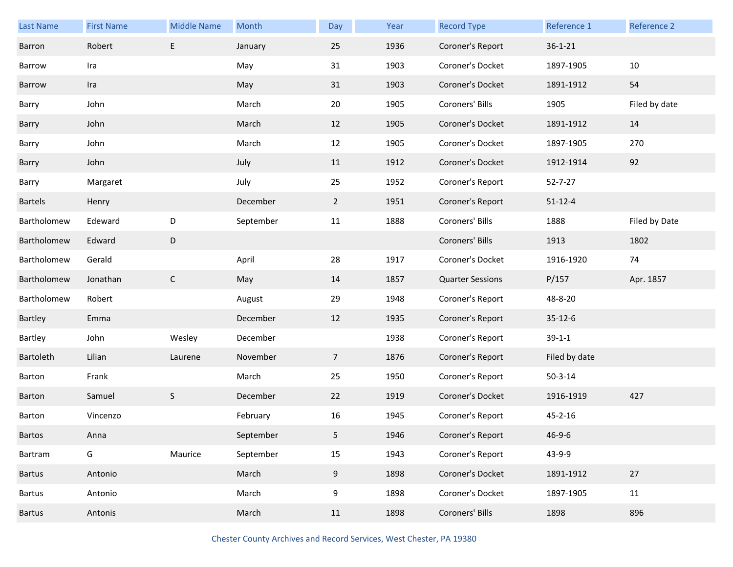| Last Name   | <b>First Name</b> | <b>Middle Name</b> | Month     | Day             | Year | <b>Record Type</b>      | Reference 1   | Reference 2   |
|-------------|-------------------|--------------------|-----------|-----------------|------|-------------------------|---------------|---------------|
| Barron      | Robert            | E                  | January   | 25              | 1936 | Coroner's Report        | $36 - 1 - 21$ |               |
| Barrow      | Ira               |                    | May       | 31              | 1903 | Coroner's Docket        | 1897-1905     | 10            |
| Barrow      | Ira               |                    | May       | 31              | 1903 | Coroner's Docket        | 1891-1912     | 54            |
| Barry       | John              |                    | March     | 20              | 1905 | Coroners' Bills         | 1905          | Filed by date |
| Barry       | John              |                    | March     | 12              | 1905 | Coroner's Docket        | 1891-1912     | 14            |
| Barry       | John              |                    | March     | 12              | 1905 | Coroner's Docket        | 1897-1905     | 270           |
| Barry       | John              |                    | July      | 11              | 1912 | Coroner's Docket        | 1912-1914     | 92            |
| Barry       | Margaret          |                    | July      | 25              | 1952 | Coroner's Report        | $52 - 7 - 27$ |               |
| Bartels     | Henry             |                    | December  | $\overline{2}$  | 1951 | Coroner's Report        | $51 - 12 - 4$ |               |
| Bartholomew | Edeward           | D                  | September | 11              | 1888 | Coroners' Bills         | 1888          | Filed by Date |
| Bartholomew | Edward            | D                  |           |                 |      | Coroners' Bills         | 1913          | 1802          |
| Bartholomew | Gerald            |                    | April     | 28              | 1917 | Coroner's Docket        | 1916-1920     | 74            |
| Bartholomew | Jonathan          | $\mathsf{C}$       | May       | 14              | 1857 | <b>Quarter Sessions</b> | P/157         | Apr. 1857     |
| Bartholomew | Robert            |                    | August    | 29              | 1948 | Coroner's Report        | 48-8-20       |               |
| Bartley     | Emma              |                    | December  | 12              | 1935 | Coroner's Report        | $35 - 12 - 6$ |               |
| Bartley     | John              | Wesley             | December  |                 | 1938 | Coroner's Report        | $39-1-1$      |               |
| Bartoleth   | Lilian            | Laurene            | November  | $7\overline{ }$ | 1876 | Coroner's Report        | Filed by date |               |
| Barton      |                   |                    |           |                 |      |                         |               |               |
|             | Frank             |                    | March     | 25              | 1950 | Coroner's Report        | $50 - 3 - 14$ |               |
| Barton      | Samuel            | $\mathsf S$        | December  | 22              | 1919 | Coroner's Docket        | 1916-1919     | 427           |
| Barton      | Vincenzo          |                    | February  | 16              | 1945 | Coroner's Report        | $45 - 2 - 16$ |               |
| Bartos      | Anna              |                    | September | 5               | 1946 | Coroner's Report        | $46 - 9 - 6$  |               |
| Bartram     | G                 | Maurice            | September | 15              | 1943 | Coroner's Report        | 43-9-9        |               |
| Bartus      | Antonio           |                    | March     | 9               | 1898 | Coroner's Docket        | 1891-1912     | 27            |
| Bartus      | Antonio           |                    | March     | 9               | 1898 | Coroner's Docket        | 1897-1905     | 11            |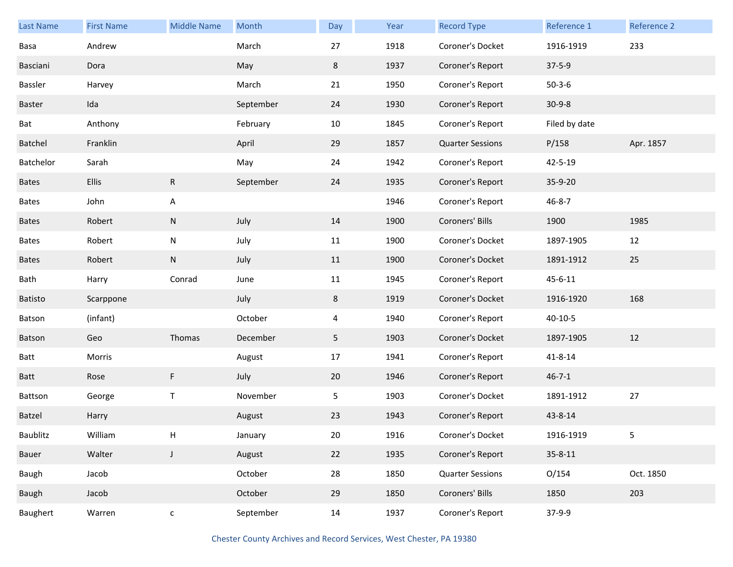| Last Name      | <b>First Name</b> | <b>Middle Name</b> | Month     | Day    | Year | <b>Record Type</b>      | Reference 1   | <b>Reference 2</b> |
|----------------|-------------------|--------------------|-----------|--------|------|-------------------------|---------------|--------------------|
| Basa           | Andrew            |                    | March     | 27     | 1918 | Coroner's Docket        | 1916-1919     | 233                |
| Basciani       | Dora              |                    | May       | 8      | 1937 | Coroner's Report        | $37 - 5 - 9$  |                    |
| Bassler        | Harvey            |                    | March     | 21     | 1950 | Coroner's Report        | $50 - 3 - 6$  |                    |
| Baster         | Ida               |                    | September | 24     | 1930 | Coroner's Report        | $30 - 9 - 8$  |                    |
| Bat            | Anthony           |                    | February  | $10\,$ | 1845 | Coroner's Report        | Filed by date |                    |
| Batchel        | Franklin          |                    | April     | 29     | 1857 | <b>Quarter Sessions</b> | P/158         | Apr. 1857          |
| Batchelor      | Sarah             |                    | May       | 24     | 1942 | Coroner's Report        | 42-5-19       |                    |
| <b>Bates</b>   | <b>Ellis</b>      | $\mathsf{R}$       | September | 24     | 1935 | Coroner's Report        | 35-9-20       |                    |
| <b>Bates</b>   | John              | A                  |           |        | 1946 | Coroner's Report        | $46 - 8 - 7$  |                    |
| <b>Bates</b>   | Robert            | ${\sf N}$          | July      | 14     | 1900 | Coroners' Bills         | 1900          | 1985               |
| <b>Bates</b>   | Robert            | ${\sf N}$          | July      | 11     | 1900 | Coroner's Docket        | 1897-1905     | 12                 |
| <b>Bates</b>   | Robert            | ${\sf N}$          | July      | 11     | 1900 | Coroner's Docket        | 1891-1912     | 25                 |
| Bath           | Harry             | Conrad             | June      | 11     | 1945 | Coroner's Report        | 45-6-11       |                    |
| <b>Batisto</b> | Scarppone         |                    | July      | 8      | 1919 | Coroner's Docket        | 1916-1920     | 168                |
| Batson         | (infant)          |                    | October   | 4      | 1940 | Coroner's Report        | $40 - 10 - 5$ |                    |
| Batson         | Geo               | Thomas             | December  | 5      | 1903 | Coroner's Docket        | 1897-1905     | 12                 |
| Batt           | Morris            |                    | August    | 17     | 1941 | Coroner's Report        | 41-8-14       |                    |
| <b>Batt</b>    | Rose              | F                  | July      | 20     | 1946 | Coroner's Report        | $46 - 7 - 1$  |                    |
| Battson        | George            | $\sf T$            | November  | 5      | 1903 | Coroner's Docket        | 1891-1912     | 27                 |
| Batzel         | Harry             |                    | August    | 23     | 1943 | Coroner's Report        | 43-8-14       |                    |
| Baublitz       | William           | Н                  | January   | $20\,$ | 1916 | Coroner's Docket        | 1916-1919     | 5                  |
| Bauer          | Walter            | J                  | August    | 22     | 1935 | Coroner's Report        | $35 - 8 - 11$ |                    |
| Baugh          | Jacob             |                    | October   | 28     | 1850 | <b>Quarter Sessions</b> | O/154         | Oct. 1850          |
| Baugh          | Jacob             |                    | October   | 29     | 1850 | Coroners' Bills         | 1850          | 203                |
| Baughert       | Warren            | $\mathsf{C}$       | September | 14     | 1937 | Coroner's Report        | 37-9-9        |                    |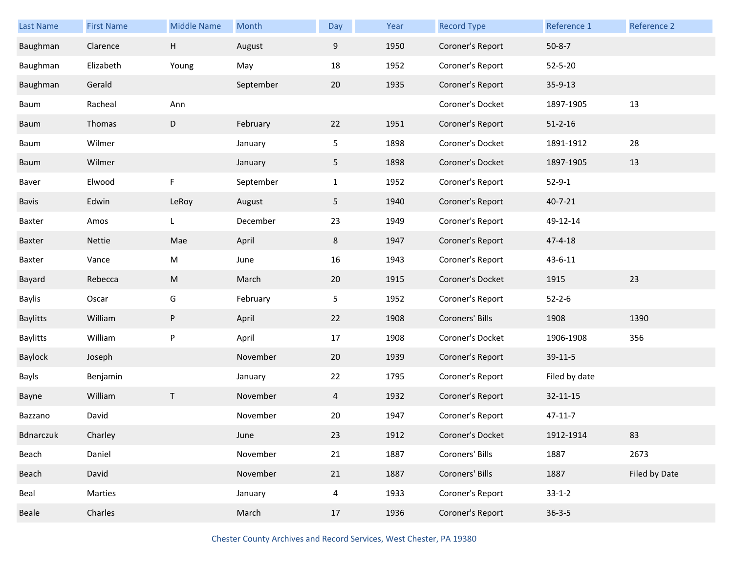| <b>Last Name</b> | <b>First Name</b> | <b>Middle Name</b> | Month     | Day            | Year | <b>Record Type</b> | Reference 1   | Reference 2   |
|------------------|-------------------|--------------------|-----------|----------------|------|--------------------|---------------|---------------|
| Baughman         | Clarence          | Н                  | August    | 9              | 1950 | Coroner's Report   | $50 - 8 - 7$  |               |
| Baughman         | Elizabeth         | Young              | May       | 18             | 1952 | Coroner's Report   | $52 - 5 - 20$ |               |
| Baughman         | Gerald            |                    | September | 20             | 1935 | Coroner's Report   | 35-9-13       |               |
| Baum             | Racheal           | Ann                |           |                |      | Coroner's Docket   | 1897-1905     | 13            |
| Baum             | Thomas            | D                  | February  | 22             | 1951 | Coroner's Report   | $51 - 2 - 16$ |               |
| Baum             | Wilmer            |                    | January   | 5              | 1898 | Coroner's Docket   | 1891-1912     | 28            |
| Baum             | Wilmer            |                    | January   | 5              | 1898 | Coroner's Docket   | 1897-1905     | 13            |
| Baver            | Elwood            | F                  | September | $\mathbf{1}$   | 1952 | Coroner's Report   | $52 - 9 - 1$  |               |
| Bavis            | Edwin             | LeRoy              | August    | 5              | 1940 | Coroner's Report   | $40 - 7 - 21$ |               |
| Baxter           | Amos              | L                  | December  | 23             | 1949 | Coroner's Report   | 49-12-14      |               |
| Baxter           | Nettie            | Mae                | April     | 8              | 1947 | Coroner's Report   | $47 - 4 - 18$ |               |
| Baxter           | Vance             | M                  | June      | 16             | 1943 | Coroner's Report   | 43-6-11       |               |
| Bayard           | Rebecca           | ${\sf M}$          | March     | 20             | 1915 | Coroner's Docket   | 1915          | 23            |
| Baylis           | Oscar             | G                  | February  | 5              | 1952 | Coroner's Report   | $52 - 2 - 6$  |               |
| <b>Baylitts</b>  | William           | P                  | April     | 22             | 1908 | Coroners' Bills    | 1908          | 1390          |
| <b>Baylitts</b>  | William           | P                  | April     | 17             | 1908 | Coroner's Docket   | 1906-1908     | 356           |
| Baylock          | Joseph            |                    | November  | 20             | 1939 | Coroner's Report   | 39-11-5       |               |
| Bayls            | Benjamin          |                    | January   | 22             | 1795 | Coroner's Report   | Filed by date |               |
| Bayne            | William           | $\mathsf{T}$       | November  | $\overline{4}$ | 1932 | Coroner's Report   | 32-11-15      |               |
| Bazzano          | David             |                    | November  | 20             | 1947 | Coroner's Report   | $47 - 11 - 7$ |               |
| Bdnarczuk        | Charley           |                    | June      | 23             | 1912 | Coroner's Docket   | 1912-1914     | 83            |
| Beach            | Daniel            |                    | November  | 21             | 1887 | Coroners' Bills    | 1887          | 2673          |
| Beach            | David             |                    | November  | 21             | 1887 | Coroners' Bills    | 1887          | Filed by Date |
| Beal             | Marties           |                    | January   | $\overline{4}$ | 1933 | Coroner's Report   | $33 - 1 - 2$  |               |
| Beale            | Charles           |                    | March     | 17             | 1936 | Coroner's Report   | $36 - 3 - 5$  |               |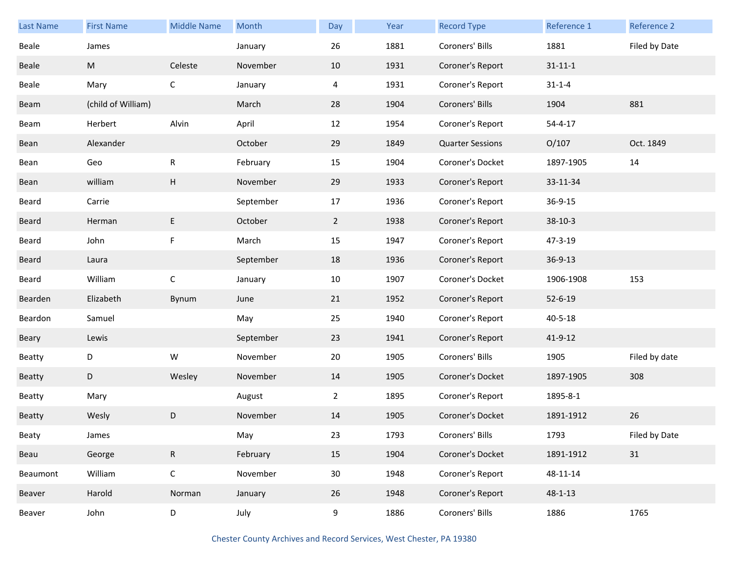| <b>Last Name</b> | <b>First Name</b>  | <b>Middle Name</b> | Month     | Day             | Year | <b>Record Type</b>      | Reference 1   | Reference 2   |
|------------------|--------------------|--------------------|-----------|-----------------|------|-------------------------|---------------|---------------|
| Beale            | James              |                    | January   | 26              | 1881 | Coroners' Bills         | 1881          | Filed by Date |
| Beale            | M                  | Celeste            | November  | 10              | 1931 | Coroner's Report        | $31 - 11 - 1$ |               |
| Beale            | Mary               | $\mathsf C$        | January   | 4               | 1931 | Coroner's Report        | $31 - 1 - 4$  |               |
| Beam             | (child of William) |                    | March     | 28              | 1904 | Coroners' Bills         | 1904          | 881           |
| Beam             | Herbert            | Alvin              | April     | 12              | 1954 | Coroner's Report        | $54 - 4 - 17$ |               |
| Bean             | Alexander          |                    | October   | 29              | 1849 | <b>Quarter Sessions</b> | O/107         | Oct. 1849     |
| Bean             | Geo                | ${\sf R}$          | February  | 15              | 1904 | Coroner's Docket        | 1897-1905     | 14            |
| Bean             | william            | Н                  | November  | 29              | 1933 | Coroner's Report        | 33-11-34      |               |
| Beard            | Carrie             |                    | September | 17              | 1936 | Coroner's Report        | 36-9-15       |               |
| Beard            | Herman             | E                  | October   | $\overline{2}$  | 1938 | Coroner's Report        | $38-10-3$     |               |
| Beard            | John               | F                  | March     | 15              | 1947 | Coroner's Report        | 47-3-19       |               |
| Beard            | Laura              |                    | September | 18              | 1936 | Coroner's Report        | 36-9-13       |               |
| Beard            | William            | $\mathsf C$        | January   | 10              | 1907 | Coroner's Docket        | 1906-1908     | 153           |
| Bearden          | Elizabeth          | Bynum              | June      | 21              | 1952 | Coroner's Report        | $52 - 6 - 19$ |               |
| Beardon          | Samuel             |                    | May       | 25              | 1940 | Coroner's Report        | $40 - 5 - 18$ |               |
| Beary            | Lewis              |                    | September | 23              | 1941 | Coroner's Report        | 41-9-12       |               |
| Beatty           | D                  | ${\mathsf W}$      | November  | 20              | 1905 | Coroners' Bills         | 1905          | Filed by date |
| Beatty           | D                  | Wesley             | November  | 14              | 1905 | Coroner's Docket        | 1897-1905     | 308           |
| Beatty           | Mary               |                    | August    | $\overline{2}$  | 1895 | Coroner's Report        | 1895-8-1      |               |
| <b>Beatty</b>    | Wesly              | D                  | November  | 14              | 1905 | Coroner's Docket        | 1891-1912     | 26            |
| Beaty            | James              |                    | May       | 23              | 1793 | Coroners' Bills         | 1793          | Filed by Date |
| Beau             | George             | $\mathsf{R}$       | February  | 15              | 1904 | Coroner's Docket        | 1891-1912     | 31            |
| Beaumont         | William            | $\mathsf C$        | November  | 30 <sub>o</sub> | 1948 | Coroner's Report        | 48-11-14      |               |
| Beaver           | Harold             | Norman             | January   | 26              | 1948 | Coroner's Report        | $48 - 1 - 13$ |               |
| Beaver           | John               | D                  | July      | 9               | 1886 | Coroners' Bills         | 1886          | 1765          |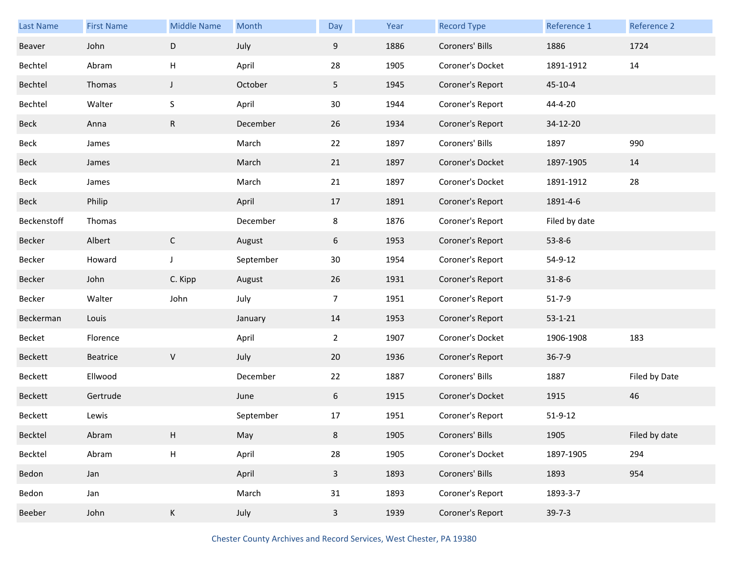| Last Name   | <b>First Name</b> | <b>Middle Name</b> | Month     | Day            | Year | <b>Record Type</b> | Reference 1   | Reference 2   |
|-------------|-------------------|--------------------|-----------|----------------|------|--------------------|---------------|---------------|
| Beaver      | John              | D                  | July      | 9              | 1886 | Coroners' Bills    | 1886          | 1724          |
| Bechtel     | Abram             | н                  | April     | 28             | 1905 | Coroner's Docket   | 1891-1912     | 14            |
| Bechtel     | Thomas            | $\mathsf{J}$       | October   | 5 <sub>1</sub> | 1945 | Coroner's Report   | $45 - 10 - 4$ |               |
| Bechtel     | Walter            | S                  | April     | 30             | 1944 | Coroner's Report   | 44-4-20       |               |
| Beck        | Anna              | ${\sf R}$          | December  | 26             | 1934 | Coroner's Report   | 34-12-20      |               |
| Beck        | James             |                    | March     | 22             | 1897 | Coroners' Bills    | 1897          | 990           |
| Beck        | James             |                    | March     | 21             | 1897 | Coroner's Docket   | 1897-1905     | 14            |
| Beck        | James             |                    | March     | 21             | 1897 | Coroner's Docket   | 1891-1912     | 28            |
| Beck        | Philip            |                    | April     | 17             | 1891 | Coroner's Report   | 1891-4-6      |               |
| Beckenstoff | Thomas            |                    | December  | 8              | 1876 | Coroner's Report   | Filed by date |               |
| Becker      | Albert            | $\mathsf{C}$       | August    | 6              | 1953 | Coroner's Report   | $53 - 8 - 6$  |               |
| Becker      | Howard            | $\mathsf{J}$       | September | 30             | 1954 | Coroner's Report   | 54-9-12       |               |
| Becker      | John              | C. Kipp            | August    | 26             | 1931 | Coroner's Report   | $31 - 8 - 6$  |               |
| Becker      | Walter            | John               | July      | $\overline{7}$ | 1951 | Coroner's Report   | $51 - 7 - 9$  |               |
| Beckerman   | Louis             |                    | January   | 14             | 1953 | Coroner's Report   | $53 - 1 - 21$ |               |
| Becket      | Florence          |                    | April     | $\overline{2}$ | 1907 | Coroner's Docket   | 1906-1908     | 183           |
| Beckett     | Beatrice          | $\sf V$            | July      | 20             | 1936 | Coroner's Report   | $36 - 7 - 9$  |               |
| Beckett     | Ellwood           |                    | December  | 22             | 1887 | Coroners' Bills    | 1887          | Filed by Date |
| Beckett     | Gertrude          |                    | June      | 6              | 1915 | Coroner's Docket   | 1915          | 46            |
| Beckett     | Lewis             |                    | September | 17             | 1951 | Coroner's Report   | $51 - 9 - 12$ |               |
| Becktel     | Abram             | H                  | May       | 8              | 1905 | Coroners' Bills    | 1905          | Filed by date |
| Becktel     | Abram             | $\sf H$            | April     | 28             | 1905 | Coroner's Docket   | 1897-1905     | 294           |
| Bedon       | Jan               |                    | April     | $\overline{3}$ | 1893 | Coroners' Bills    | 1893          | 954           |
| Bedon       | Jan               |                    | March     | 31             | 1893 | Coroner's Report   | 1893-3-7      |               |
| Beeber      | John              | K                  | July      | $\overline{3}$ | 1939 | Coroner's Report   | $39 - 7 - 3$  |               |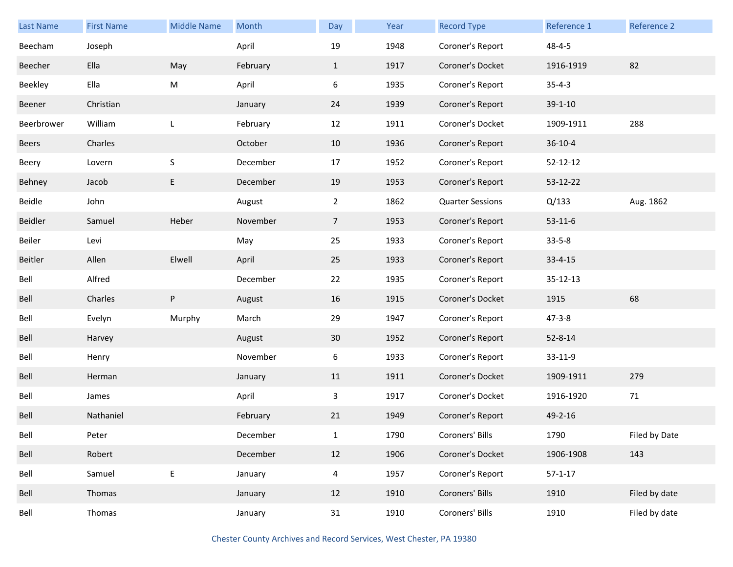| <b>Last Name</b> | <b>First Name</b> | <b>Middle Name</b> | Month    | Day            | Year | <b>Record Type</b>      | Reference 1    | Reference 2   |
|------------------|-------------------|--------------------|----------|----------------|------|-------------------------|----------------|---------------|
| Beecham          | Joseph            |                    | April    | 19             | 1948 | Coroner's Report        | $48 - 4 - 5$   |               |
| Beecher          | Ella              | May                | February | $\mathbf{1}$   | 1917 | Coroner's Docket        | 1916-1919      | 82            |
| Beekley          | Ella              | M                  | April    | 6              | 1935 | Coroner's Report        | $35 - 4 - 3$   |               |
| Beener           | Christian         |                    | January  | 24             | 1939 | Coroner's Report        | $39 - 1 - 10$  |               |
| Beerbrower       | William           | L                  | February | 12             | 1911 | Coroner's Docket        | 1909-1911      | 288           |
| Beers            | Charles           |                    | October  | 10             | 1936 | Coroner's Report        | $36 - 10 - 4$  |               |
| Beery            | Lovern            | $\sf S$            | December | 17             | 1952 | Coroner's Report        | $52 - 12 - 12$ |               |
| Behney           | Jacob             | E                  | December | 19             | 1953 | Coroner's Report        | 53-12-22       |               |
| Beidle           | John              |                    | August   | $\overline{2}$ | 1862 | <b>Quarter Sessions</b> | Q/133          | Aug. 1862     |
| Beidler          | Samuel            | Heber              | November | 7 <sup>7</sup> | 1953 | Coroner's Report        | $53 - 11 - 6$  |               |
| Beiler           | Levi              |                    | May      | 25             | 1933 | Coroner's Report        | $33 - 5 - 8$   |               |
| Beitler          | Allen             | Elwell             | April    | 25             | 1933 | Coroner's Report        | $33 - 4 - 15$  |               |
| Bell             | Alfred            |                    | December | 22             | 1935 | Coroner's Report        | 35-12-13       |               |
| Bell             | Charles           | P                  | August   | 16             | 1915 | Coroner's Docket        | 1915           | 68            |
| Bell             | Evelyn            | Murphy             | March    | 29             | 1947 | Coroner's Report        | $47 - 3 - 8$   |               |
| Bell             | Harvey            |                    | August   | 30             | 1952 | Coroner's Report        | $52 - 8 - 14$  |               |
| Bell             | Henry             |                    | November | 6              | 1933 | Coroner's Report        | 33-11-9        |               |
| Bell             | Herman            |                    | January  | 11             | 1911 | Coroner's Docket        | 1909-1911      | 279           |
| Bell             | James             |                    | April    | 3              | 1917 | Coroner's Docket        | 1916-1920      | 71            |
| Bell             | Nathaniel         |                    | February | 21             | 1949 | Coroner's Report        | 49-2-16        |               |
| Bell             | Peter             |                    | December | $\mathbf{1}$   | 1790 | Coroners' Bills         | 1790           | Filed by Date |
| Bell             | Robert            |                    | December | 12             | 1906 | Coroner's Docket        | 1906-1908      | 143           |
| Bell             | Samuel            | $\mathsf E$        | January  | $\overline{4}$ | 1957 | Coroner's Report        | $57 - 1 - 17$  |               |
| Bell             | Thomas            |                    | January  | 12             | 1910 | Coroners' Bills         | 1910           | Filed by date |
| Bell             | Thomas            |                    | January  | 31             | 1910 | Coroners' Bills         | 1910           | Filed by date |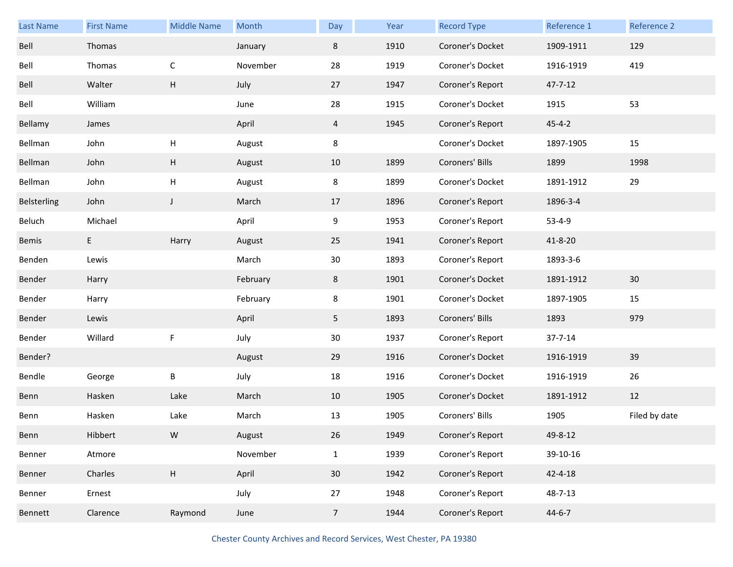| <b>Last Name</b> | <b>First Name</b> | <b>Middle Name</b>        | Month    | Day            | Year | <b>Record Type</b> | Reference 1   | <b>Reference 2</b> |
|------------------|-------------------|---------------------------|----------|----------------|------|--------------------|---------------|--------------------|
| Bell             | Thomas            |                           | January  | 8              | 1910 | Coroner's Docket   | 1909-1911     | 129                |
| Bell             | Thomas            | $\mathsf C$               | November | 28             | 1919 | Coroner's Docket   | 1916-1919     | 419                |
| Bell             | Walter            | H                         | July     | 27             | 1947 | Coroner's Report   | $47 - 7 - 12$ |                    |
| Bell             | William           |                           | June     | 28             | 1915 | Coroner's Docket   | 1915          | 53                 |
| Bellamy          | James             |                           | April    | 4              | 1945 | Coroner's Report   | $45 - 4 - 2$  |                    |
| Bellman          | John              | Н                         | August   | 8              |      | Coroner's Docket   | 1897-1905     | 15                 |
| Bellman          | John              | Н                         | August   | 10             | 1899 | Coroners' Bills    | 1899          | 1998               |
| Bellman          | John              | H                         | August   | 8              | 1899 | Coroner's Docket   | 1891-1912     | 29                 |
| Belsterling      | John              | $\mathsf J$               | March    | 17             | 1896 | Coroner's Report   | 1896-3-4      |                    |
| Beluch           | Michael           |                           | April    | 9              | 1953 | Coroner's Report   | $53 - 4 - 9$  |                    |
| Bemis            | E.                | Harry                     | August   | 25             | 1941 | Coroner's Report   | $41 - 8 - 20$ |                    |
| Benden           | Lewis             |                           | March    | 30             | 1893 | Coroner's Report   | 1893-3-6      |                    |
| Bender           | Harry             |                           | February | 8              | 1901 | Coroner's Docket   | 1891-1912     | 30                 |
| Bender           | Harry             |                           | February | 8              | 1901 | Coroner's Docket   | 1897-1905     | 15                 |
| Bender           | Lewis             |                           | April    | 5              | 1893 | Coroners' Bills    | 1893          | 979                |
| Bender           | Willard           | F                         | July     | 30             | 1937 | Coroner's Report   | $37 - 7 - 14$ |                    |
| Bender?          |                   |                           | August   | 29             | 1916 | Coroner's Docket   | 1916-1919     | 39                 |
| Bendle           | George            | B                         | July     | 18             | 1916 | Coroner's Docket   | 1916-1919     | 26                 |
| Benn             | Hasken            | Lake                      | March    | 10             | 1905 | Coroner's Docket   | 1891-1912     | 12                 |
| Benn             | Hasken            | Lake                      | March    | 13             | 1905 | Coroners' Bills    | 1905          | Filed by date      |
| Benn             | Hibbert           | W                         | August   | 26             | 1949 | Coroner's Report   | 49-8-12       |                    |
| Benner           | Atmore            |                           | November | $\mathbf{1}$   | 1939 | Coroner's Report   | 39-10-16      |                    |
| Benner           | Charles           | $\boldsymbol{\mathsf{H}}$ | April    | 30             | 1942 | Coroner's Report   | $42 - 4 - 18$ |                    |
| Benner           | Ernest            |                           | July     | 27             | 1948 | Coroner's Report   | 48-7-13       |                    |
| Bennett          | Clarence          | Raymond                   | June     | 7 <sup>7</sup> | 1944 | Coroner's Report   | $44 - 6 - 7$  |                    |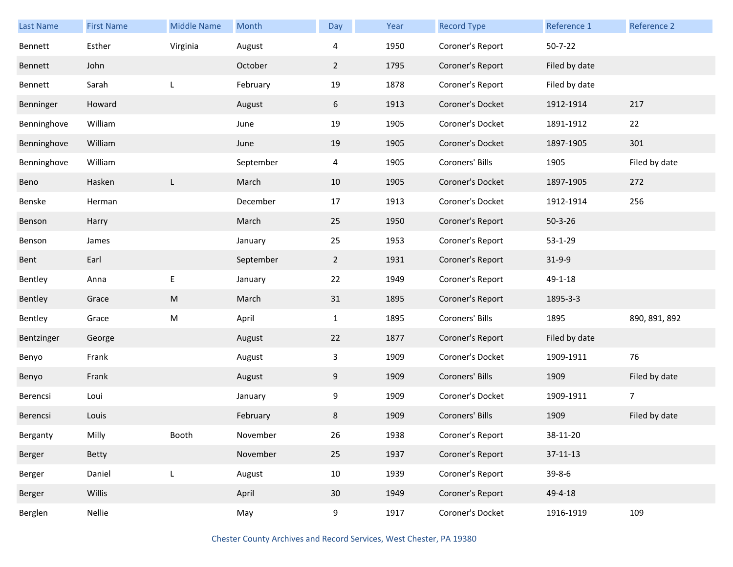| <b>Last Name</b> | <b>First Name</b> | <b>Middle Name</b> | Month     | Day            | Year | <b>Record Type</b> | Reference 1    | Reference 2    |
|------------------|-------------------|--------------------|-----------|----------------|------|--------------------|----------------|----------------|
| Bennett          | Esther            | Virginia           | August    | 4              | 1950 | Coroner's Report   | $50 - 7 - 22$  |                |
| Bennett          | John              |                    | October   | $\overline{2}$ | 1795 | Coroner's Report   | Filed by date  |                |
| Bennett          | Sarah             | L                  | February  | 19             | 1878 | Coroner's Report   | Filed by date  |                |
| Benninger        | Howard            |                    | August    | 6              | 1913 | Coroner's Docket   | 1912-1914      | 217            |
| Benninghove      | William           |                    | June      | 19             | 1905 | Coroner's Docket   | 1891-1912      | 22             |
| Benninghove      | William           |                    | June      | 19             | 1905 | Coroner's Docket   | 1897-1905      | 301            |
| Benninghove      | William           |                    | September | 4              | 1905 | Coroners' Bills    | 1905           | Filed by date  |
| Beno             | Hasken            | L                  | March     | 10             | 1905 | Coroner's Docket   | 1897-1905      | 272            |
| Benske           | Herman            |                    | December  | 17             | 1913 | Coroner's Docket   | 1912-1914      | 256            |
| Benson           | Harry             |                    | March     | 25             | 1950 | Coroner's Report   | $50 - 3 - 26$  |                |
| Benson           | James             |                    | January   | 25             | 1953 | Coroner's Report   | $53 - 1 - 29$  |                |
| Bent             | Earl              |                    | September | $\mathbf{2}$   | 1931 | Coroner's Report   | $31-9-9$       |                |
| Bentley          | Anna              | E                  | January   | 22             | 1949 | Coroner's Report   | 49-1-18        |                |
| Bentley          | Grace             | ${\sf M}$          | March     | 31             | 1895 | Coroner's Report   | 1895-3-3       |                |
| Bentley          | Grace             | M                  | April     | $\mathbf{1}$   | 1895 | Coroners' Bills    | 1895           | 890, 891, 892  |
| Bentzinger       | George            |                    | August    | 22             | 1877 | Coroner's Report   | Filed by date  |                |
| Benyo            | Frank             |                    | August    | $\mathbf{3}$   | 1909 | Coroner's Docket   | 1909-1911      | 76             |
| Benyo            | Frank             |                    | August    | 9              | 1909 | Coroners' Bills    | 1909           | Filed by date  |
| Berencsi         | Loui              |                    | January   | 9              | 1909 | Coroner's Docket   | 1909-1911      | $\overline{7}$ |
| Berencsi         | Louis             |                    | February  | 8              | 1909 | Coroners' Bills    | 1909           | Filed by date  |
| Berganty         | Milly             | Booth              | November  | 26             | 1938 | Coroner's Report   | 38-11-20       |                |
| Berger           | Betty             |                    | November  | 25             | 1937 | Coroner's Report   | $37 - 11 - 13$ |                |
| Berger           | Daniel            | L                  | August    | $10\,$         | 1939 | Coroner's Report   | $39 - 8 - 6$   |                |
| Berger           | Willis            |                    | April     | 30             | 1949 | Coroner's Report   | 49-4-18        |                |
| Berglen          | Nellie            |                    | May       | 9              | 1917 | Coroner's Docket   | 1916-1919      | 109            |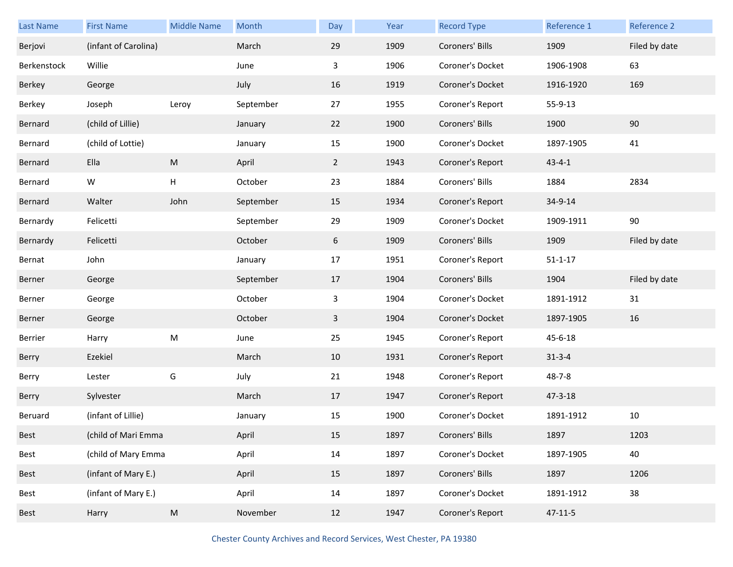| Last Name   | <b>First Name</b>    | <b>Middle Name</b> | Month     | Day            | Year | <b>Record Type</b> | Reference 1   | Reference 2   |
|-------------|----------------------|--------------------|-----------|----------------|------|--------------------|---------------|---------------|
| Berjovi     | (infant of Carolina) |                    | March     | 29             | 1909 | Coroners' Bills    | 1909          | Filed by date |
| Berkenstock | Willie               |                    | June      | 3              | 1906 | Coroner's Docket   | 1906-1908     | 63            |
| Berkey      | George               |                    | July      | 16             | 1919 | Coroner's Docket   | 1916-1920     | 169           |
| Berkey      | Joseph               | Leroy              | September | 27             | 1955 | Coroner's Report   | 55-9-13       |               |
| Bernard     | (child of Lillie)    |                    | January   | 22             | 1900 | Coroners' Bills    | 1900          | 90            |
| Bernard     | (child of Lottie)    |                    | January   | 15             | 1900 | Coroner's Docket   | 1897-1905     | 41            |
| Bernard     | Ella                 | ${\sf M}$          | April     | $\overline{2}$ | 1943 | Coroner's Report   | $43 - 4 - 1$  |               |
| Bernard     | W                    | Н                  | October   | 23             | 1884 | Coroners' Bills    | 1884          | 2834          |
| Bernard     | Walter               | John               | September | 15             | 1934 | Coroner's Report   | 34-9-14       |               |
| Bernardy    | Felicetti            |                    | September | 29             | 1909 | Coroner's Docket   | 1909-1911     | 90            |
| Bernardy    | Felicetti            |                    | October   | 6              | 1909 | Coroners' Bills    | 1909          | Filed by date |
| Bernat      | John                 |                    | January   | 17             | 1951 | Coroner's Report   | $51 - 1 - 17$ |               |
|             |                      |                    |           |                |      |                    |               |               |
| Berner      | George               |                    | September | 17             | 1904 | Coroners' Bills    | 1904          | Filed by date |
| Berner      | George               |                    | October   | 3              | 1904 | Coroner's Docket   | 1891-1912     | 31            |
| Berner      | George               |                    | October   | $\mathbf{3}$   | 1904 | Coroner's Docket   | 1897-1905     | 16            |
| Berrier     | Harry                | ${\sf M}$          | June      | 25             | 1945 | Coroner's Report   | 45-6-18       |               |
| Berry       | Ezekiel              |                    | March     | 10             | 1931 | Coroner's Report   | $31 - 3 - 4$  |               |
| Berry       | Lester               | G                  | July      | 21             | 1948 | Coroner's Report   | $48 - 7 - 8$  |               |
| Berry       | Sylvester            |                    | March     | 17             | 1947 | Coroner's Report   | $47 - 3 - 18$ |               |
| Beruard     | (infant of Lillie)   |                    | January   | 15             | 1900 | Coroner's Docket   | 1891-1912     | 10            |
| Best        | (child of Mari Emma  |                    | April     | 15             | 1897 | Coroners' Bills    | 1897          | 1203          |
| Best        | (child of Mary Emma  |                    | April     | 14             | 1897 | Coroner's Docket   | 1897-1905     | 40            |
| <b>Best</b> | (infant of Mary E.)  |                    | April     | 15             | 1897 | Coroners' Bills    | 1897          | 1206          |
| Best        | (infant of Mary E.)  |                    | April     | 14             | 1897 | Coroner's Docket   | 1891-1912     | 38            |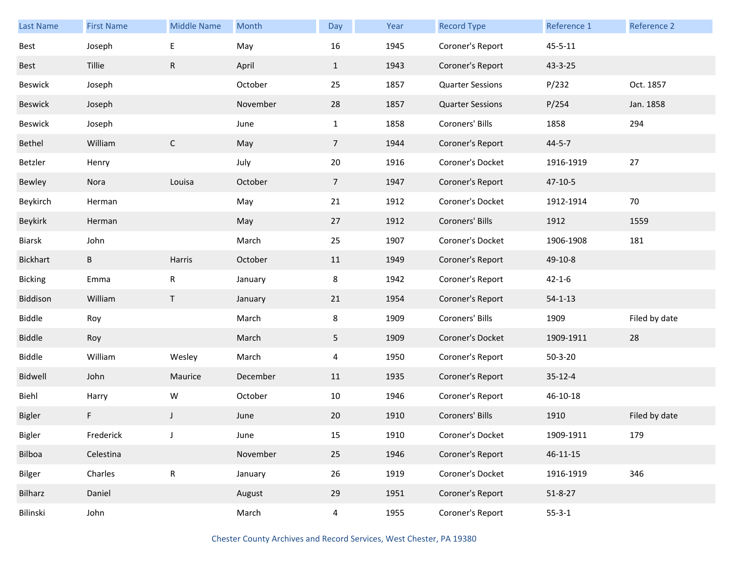| <b>Last Name</b> | <b>First Name</b> | <b>Middle Name</b> | Month    | Day             | Year | <b>Record Type</b>      | Reference 1    | Reference 2   |
|------------------|-------------------|--------------------|----------|-----------------|------|-------------------------|----------------|---------------|
| <b>Best</b>      | Joseph            | E                  | May      | 16              | 1945 | Coroner's Report        | $45 - 5 - 11$  |               |
| Best             | Tillie            | ${\sf R}$          | April    | $\mathbf{1}$    | 1943 | Coroner's Report        | 43-3-25        |               |
| Beswick          | Joseph            |                    | October  | 25              | 1857 | <b>Quarter Sessions</b> | P/232          | Oct. 1857     |
| <b>Beswick</b>   | Joseph            |                    | November | 28              | 1857 | <b>Quarter Sessions</b> | P/254          | Jan. 1858     |
| Beswick          | Joseph            |                    | June     | $\mathbf{1}$    | 1858 | Coroners' Bills         | 1858           | 294           |
| Bethel           | William           | $\mathsf{C}$       | May      | $7\overline{ }$ | 1944 | Coroner's Report        | $44 - 5 - 7$   |               |
| Betzler          | Henry             |                    | July     | 20              | 1916 | Coroner's Docket        | 1916-1919      | 27            |
| Bewley           | Nora              | Louisa             | October  | $\overline{7}$  | 1947 | Coroner's Report        | $47 - 10 - 5$  |               |
| Beykirch         | Herman            |                    | May      | 21              | 1912 | Coroner's Docket        | 1912-1914      | 70            |
| Beykirk          | Herman            |                    | May      | 27              | 1912 | Coroners' Bills         | 1912           | 1559          |
| Biarsk           | John              |                    | March    | 25              | 1907 | Coroner's Docket        | 1906-1908      | 181           |
| <b>Bickhart</b>  | B                 | Harris             | October  | 11              | 1949 | Coroner's Report        | 49-10-8        |               |
| <b>Bicking</b>   | Emma              | R                  | January  | 8               | 1942 | Coroner's Report        | $42 - 1 - 6$   |               |
| Biddison         | William           | T                  | January  | 21              | 1954 | Coroner's Report        | $54 - 1 - 13$  |               |
| Biddle           | Roy               |                    | March    | 8               | 1909 | Coroners' Bills         | 1909           | Filed by date |
| <b>Biddle</b>    | Roy               |                    | March    | 5               | 1909 | Coroner's Docket        | 1909-1911      | 28            |
| <b>Biddle</b>    | William           | Wesley             | March    | 4               | 1950 | Coroner's Report        | $50 - 3 - 20$  |               |
| Bidwell          | John              | Maurice            | December | 11              | 1935 | Coroner's Report        | $35 - 12 - 4$  |               |
| Biehl            | Harry             | W                  | October  | 10              | 1946 | Coroner's Report        | 46-10-18       |               |
| Bigler           | F                 | J                  | June     | 20              | 1910 | Coroners' Bills         | 1910           | Filed by date |
| Bigler           | Frederick         | J                  | June     | 15              | 1910 | Coroner's Docket        | 1909-1911      | 179           |
| Bilboa           | Celestina         |                    | November | 25              | 1946 | Coroner's Report        | $46 - 11 - 15$ |               |
| Bilger           | Charles           | ${\sf R}$          | January  | 26              | 1919 | Coroner's Docket        | 1916-1919      | 346           |
| Bilharz          | Daniel            |                    | August   | 29              | 1951 | Coroner's Report        | $51 - 8 - 27$  |               |
| Bilinski         | John              |                    | March    | $\overline{4}$  | 1955 | Coroner's Report        | $55 - 3 - 1$   |               |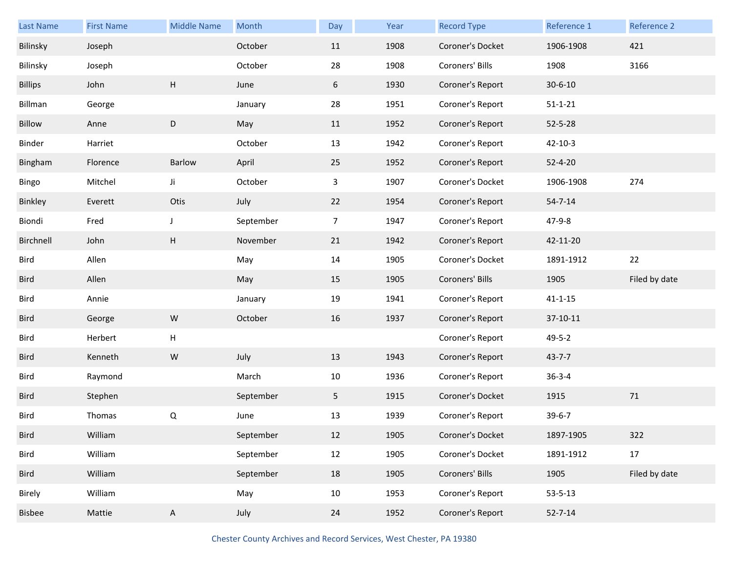| <b>Last Name</b> | <b>First Name</b> | <b>Middle Name</b> | Month     | Day            | Year | <b>Record Type</b> | Reference 1   | Reference 2   |
|------------------|-------------------|--------------------|-----------|----------------|------|--------------------|---------------|---------------|
| Bilinsky         | Joseph            |                    | October   | 11             | 1908 | Coroner's Docket   | 1906-1908     | 421           |
| Bilinsky         | Joseph            |                    | October   | 28             | 1908 | Coroners' Bills    | 1908          | 3166          |
| <b>Billips</b>   | John              | Н                  | June      | 6              | 1930 | Coroner's Report   | $30 - 6 - 10$ |               |
| Billman          | George            |                    | January   | 28             | 1951 | Coroner's Report   | $51 - 1 - 21$ |               |
| Billow           | Anne              | $\mathsf D$        | May       | 11             | 1952 | Coroner's Report   | $52 - 5 - 28$ |               |
| Binder           | Harriet           |                    | October   | 13             | 1942 | Coroner's Report   | $42 - 10 - 3$ |               |
| Bingham          | Florence          | Barlow             | April     | 25             | 1952 | Coroner's Report   | $52 - 4 - 20$ |               |
| Bingo            | Mitchel           | Ji                 | October   | 3              | 1907 | Coroner's Docket   | 1906-1908     | 274           |
| Binkley          | Everett           | Otis               | July      | 22             | 1954 | Coroner's Report   | $54 - 7 - 14$ |               |
| Biondi           | Fred              | $\mathsf{J}$       | September | $\overline{7}$ | 1947 | Coroner's Report   | 47-9-8        |               |
| Birchnell        | John              | Н                  | November  | 21             | 1942 | Coroner's Report   | 42-11-20      |               |
| Bird             | Allen             |                    | May       | 14             | 1905 | Coroner's Docket   | 1891-1912     | 22            |
|                  |                   |                    |           |                |      |                    |               |               |
| Bird             | Allen             |                    | May       | 15             | 1905 | Coroners' Bills    | 1905          | Filed by date |
| Bird             | Annie             |                    | January   | 19             | 1941 | Coroner's Report   | $41 - 1 - 15$ |               |
| Bird             | George            | ${\sf W}$          | October   | 16             | 1937 | Coroner's Report   | 37-10-11      |               |
| Bird             | Herbert           | Н                  |           |                |      | Coroner's Report   | $49 - 5 - 2$  |               |
| Bird             | Kenneth           | ${\sf W}$          | July      | 13             | 1943 | Coroner's Report   | $43 - 7 - 7$  |               |
| Bird             | Raymond           |                    | March     | 10             | 1936 | Coroner's Report   | $36 - 3 - 4$  |               |
| <b>Bird</b>      | Stephen           |                    | September | 5              | 1915 | Coroner's Docket   | 1915          | 71            |
| Bird             | Thomas            | Q                  | June      | 13             | 1939 | Coroner's Report   | $39 - 6 - 7$  |               |
| Bird             | William           |                    | September | 12             | 1905 | Coroner's Docket   | 1897-1905     | 322           |
| Bird             | William           |                    | September | 12             | 1905 | Coroner's Docket   | 1891-1912     | 17            |
| Bird             | William           |                    | September | 18             | 1905 | Coroners' Bills    | 1905          | Filed by date |
| Birely           | William           |                    | May       | 10             | 1953 | Coroner's Report   | $53 - 5 - 13$ |               |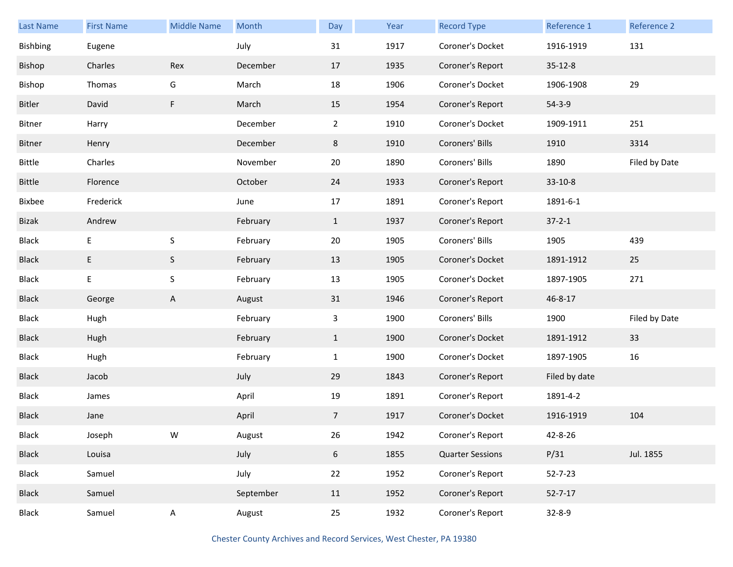| <b>Last Name</b> | <b>First Name</b> | <b>Middle Name</b> | Month     | Day            | Year | <b>Record Type</b>      | Reference 1   | <b>Reference 2</b> |
|------------------|-------------------|--------------------|-----------|----------------|------|-------------------------|---------------|--------------------|
| Bishbing         | Eugene            |                    | July      | 31             | 1917 | Coroner's Docket        | 1916-1919     | 131                |
| Bishop           | Charles           | Rex                | December  | 17             | 1935 | Coroner's Report        | $35 - 12 - 8$ |                    |
| Bishop           | Thomas            | G                  | March     | 18             | 1906 | Coroner's Docket        | 1906-1908     | 29                 |
| Bitler           | David             | F                  | March     | 15             | 1954 | Coroner's Report        | $54 - 3 - 9$  |                    |
| Bitner           | Harry             |                    | December  | $\overline{2}$ | 1910 | Coroner's Docket        | 1909-1911     | 251                |
| Bitner           | Henry             |                    | December  | 8              | 1910 | Coroners' Bills         | 1910          | 3314               |
| Bittle           | Charles           |                    | November  | 20             | 1890 | Coroners' Bills         | 1890          | Filed by Date      |
| Bittle           | Florence          |                    | October   | 24             | 1933 | Coroner's Report        | $33-10-8$     |                    |
| Bixbee           | Frederick         |                    | June      | 17             | 1891 | Coroner's Report        | 1891-6-1      |                    |
| Bizak            | Andrew            |                    | February  | $\mathbf{1}$   | 1937 | Coroner's Report        | $37 - 2 - 1$  |                    |
| <b>Black</b>     | E                 | $\sf S$            | February  | 20             | 1905 | Coroners' Bills         | 1905          | 439                |
| <b>Black</b>     | E                 | S                  | February  | 13             | 1905 | Coroner's Docket        | 1891-1912     | 25                 |
| Black            | Ε                 | $\sf S$            | February  | 13             | 1905 | Coroner's Docket        | 1897-1905     | 271                |
| <b>Black</b>     | George            | A                  | August    | 31             | 1946 | Coroner's Report        | 46-8-17       |                    |
| <b>Black</b>     | Hugh              |                    | February  | 3              | 1900 | Coroners' Bills         | 1900          | Filed by Date      |
| <b>Black</b>     | Hugh              |                    | February  | $\mathbf{1}$   | 1900 | Coroner's Docket        | 1891-1912     | 33                 |
| Black            | Hugh              |                    | February  | $\mathbf{1}$   | 1900 | Coroner's Docket        | 1897-1905     | 16                 |
| <b>Black</b>     | Jacob             |                    | July      | 29             | 1843 | Coroner's Report        | Filed by date |                    |
| Black            | James             |                    | April     | 19             | 1891 | Coroner's Report        | 1891-4-2      |                    |
| <b>Black</b>     | Jane              |                    | April     | $\overline{7}$ | 1917 | Coroner's Docket        | 1916-1919     | 104                |
| Black            | Joseph            | W                  | August    | 26             | 1942 | Coroner's Report        | 42-8-26       |                    |
| <b>Black</b>     | Louisa            |                    | July      | 6              | 1855 | <b>Quarter Sessions</b> | P/31          | Jul. 1855          |
| <b>Black</b>     | Samuel            |                    | July      | 22             | 1952 | Coroner's Report        | $52 - 7 - 23$ |                    |
| <b>Black</b>     | Samuel            |                    | September | 11             | 1952 | Coroner's Report        | $52 - 7 - 17$ |                    |
| <b>Black</b>     | Samuel            | A                  | August    | 25             | 1932 | Coroner's Report        | $32 - 8 - 9$  |                    |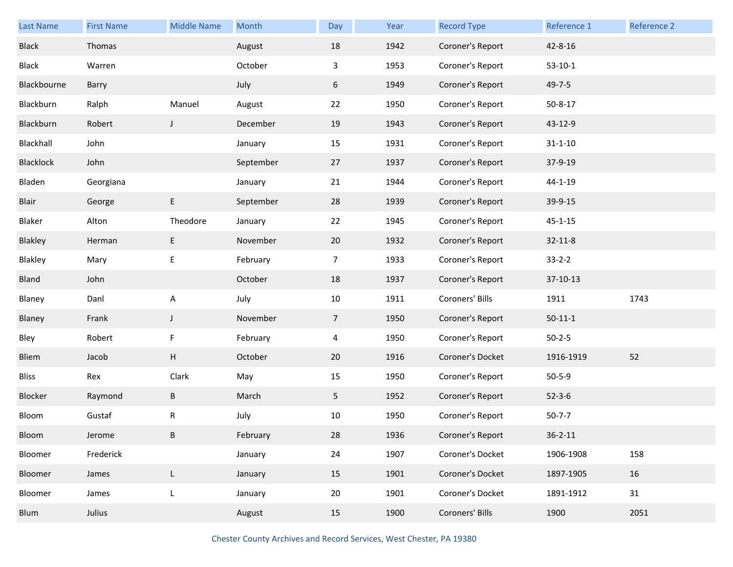| <b>Last Name</b> | <b>First Name</b> | <b>Middle Name</b> | Month     | Day            | Year | <b>Record Type</b> | Reference 1   | Reference 2 |
|------------------|-------------------|--------------------|-----------|----------------|------|--------------------|---------------|-------------|
| <b>Black</b>     | Thomas            |                    | August    | 18             | 1942 | Coroner's Report   | 42-8-16       |             |
| Black            | Warren            |                    | October   | 3              | 1953 | Coroner's Report   | $53-10-1$     |             |
| Blackbourne      | Barry             |                    | July      | 6              | 1949 | Coroner's Report   | $49 - 7 - 5$  |             |
| Blackburn        | Ralph             | Manuel             | August    | 22             | 1950 | Coroner's Report   | $50 - 8 - 17$ |             |
| Blackburn        | Robert            | J                  | December  | 19             | 1943 | Coroner's Report   | 43-12-9       |             |
| Blackhall        | John              |                    | January   | 15             | 1931 | Coroner's Report   | $31 - 1 - 10$ |             |
| Blacklock        | John              |                    | September | 27             | 1937 | Coroner's Report   | 37-9-19       |             |
| Bladen           | Georgiana         |                    | January   | 21             | 1944 | Coroner's Report   | $44 - 1 - 19$ |             |
| Blair            | George            | E                  | September | 28             | 1939 | Coroner's Report   | 39-9-15       |             |
| Blaker           | Alton             | Theodore           | January   | 22             | 1945 | Coroner's Report   | $45 - 1 - 15$ |             |
| Blakley          | Herman            | E                  | November  | 20             | 1932 | Coroner's Report   | $32 - 11 - 8$ |             |
| Blakley          | Mary              | E                  | February  | 7              | 1933 | Coroner's Report   | $33 - 2 - 2$  |             |
| Bland            | John              |                    | October   | 18             | 1937 | Coroner's Report   | 37-10-13      |             |
| Blaney           | Danl              | $\mathsf{A}$       | July      | 10             | 1911 | Coroners' Bills    | 1911          | 1743        |
| Blaney           | Frank             | $\mathsf J$        | November  | $\overline{7}$ | 1950 | Coroner's Report   | $50 - 11 - 1$ |             |
| Bley             | Robert            | F                  | February  | 4              | 1950 | Coroner's Report   | $50 - 2 - 5$  |             |
| Bliem            | Jacob             | Н                  | October   | 20             | 1916 | Coroner's Docket   | 1916-1919     | 52          |
| <b>Bliss</b>     | Rex               | Clark              | May       | 15             | 1950 | Coroner's Report   | $50 - 5 - 9$  |             |
| Blocker          | Raymond           | Β                  | March     | 5              | 1952 | Coroner's Report   | $52 - 3 - 6$  |             |
| Bloom            | Gustaf            | R                  | July      | 10             | 1950 | Coroner's Report   | $50 - 7 - 7$  |             |
| Bloom            | Jerome            | B                  | February  | 28             | 1936 | Coroner's Report   | $36 - 2 - 11$ |             |
| Bloomer          | Frederick         |                    | January   | 24             | 1907 | Coroner's Docket   | 1906-1908     | 158         |
| Bloomer          | James             | L                  | January   | 15             | 1901 | Coroner's Docket   | 1897-1905     | 16          |
| Bloomer          | James             | L                  | January   | 20             | 1901 | Coroner's Docket   | 1891-1912     | 31          |
| Blum             | Julius            |                    | August    | 15             | 1900 | Coroners' Bills    | 1900          | 2051        |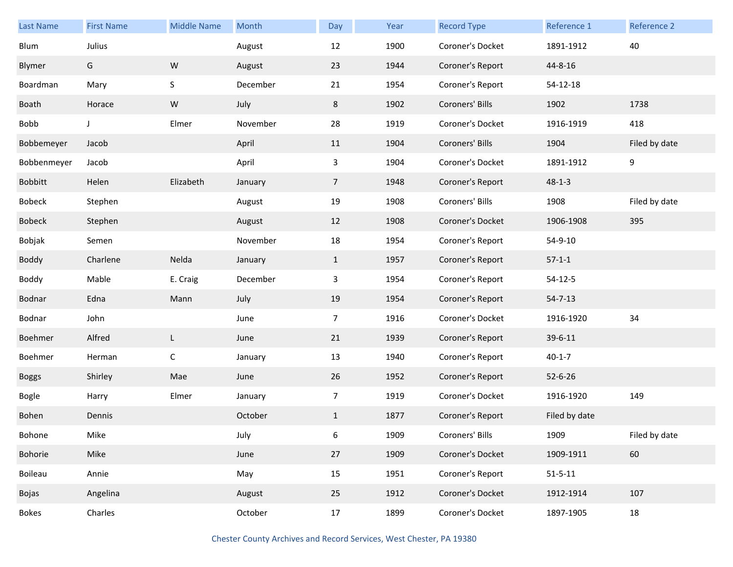| <b>Last Name</b> | <b>First Name</b> | <b>Middle Name</b> | Month    | Day            | Year | <b>Record Type</b> | Reference 1   | Reference 2   |
|------------------|-------------------|--------------------|----------|----------------|------|--------------------|---------------|---------------|
| Blum             | Julius            |                    | August   | 12             | 1900 | Coroner's Docket   | 1891-1912     | 40            |
| Blymer           | G                 | W                  | August   | 23             | 1944 | Coroner's Report   | 44-8-16       |               |
| Boardman         | Mary              | S                  | December | 21             | 1954 | Coroner's Report   | 54-12-18      |               |
| Boath            | Horace            | ${\sf W}$          | July     | 8              | 1902 | Coroners' Bills    | 1902          | 1738          |
| Bobb             | J                 | Elmer              | November | 28             | 1919 | Coroner's Docket   | 1916-1919     | 418           |
| Bobbemeyer       | Jacob             |                    | April    | 11             | 1904 | Coroners' Bills    | 1904          | Filed by date |
| Bobbenmeyer      | Jacob             |                    | April    | 3              | 1904 | Coroner's Docket   | 1891-1912     | 9             |
| <b>Bobbitt</b>   | Helen             | Elizabeth          | January  | $\overline{7}$ | 1948 | Coroner's Report   | $48 - 1 - 3$  |               |
| Bobeck           | Stephen           |                    | August   | 19             | 1908 | Coroners' Bills    | 1908          | Filed by date |
| <b>Bobeck</b>    | Stephen           |                    | August   | 12             | 1908 | Coroner's Docket   | 1906-1908     | 395           |
| Bobjak           | Semen             |                    | November | 18             | 1954 | Coroner's Report   | 54-9-10       |               |
| Boddy            | Charlene          | Nelda              | January  | $\mathbf{1}$   | 1957 | Coroner's Report   | $57-1-1$      |               |
| Boddy            | Mable             | E. Craig           | December | $\mathbf{3}$   | 1954 | Coroner's Report   | $54 - 12 - 5$ |               |
| Bodnar           | Edna              | Mann               | July     | 19             | 1954 | Coroner's Report   | $54 - 7 - 13$ |               |
| Bodnar           | John              |                    | June     | $\overline{7}$ | 1916 | Coroner's Docket   | 1916-1920     | 34            |
| Boehmer          | Alfred            | L.                 | June     | 21             | 1939 | Coroner's Report   | 39-6-11       |               |
| Boehmer          | Herman            | $\mathsf C$        | January  | 13             | 1940 | Coroner's Report   | $40 - 1 - 7$  |               |
| <b>Boggs</b>     | Shirley           | Mae                | June     | 26             | 1952 | Coroner's Report   | $52 - 6 - 26$ |               |
| Bogle            | Harry             | Elmer              | January  | $\overline{7}$ | 1919 | Coroner's Docket   | 1916-1920     | 149           |
| Bohen            | Dennis            |                    | October  | $\mathbf{1}$   | 1877 | Coroner's Report   | Filed by date |               |
| Bohone           | Mike              |                    | July     | 6              | 1909 | Coroners' Bills    | 1909          | Filed by date |
| Bohorie          | Mike              |                    | June     | 27             | 1909 | Coroner's Docket   | 1909-1911     | 60            |
| Boileau          | Annie             |                    | May      | 15             | 1951 | Coroner's Report   | $51 - 5 - 11$ |               |
| Bojas            | Angelina          |                    | August   | 25             | 1912 | Coroner's Docket   | 1912-1914     | 107           |
| <b>Bokes</b>     | Charles           |                    | October  | 17             | 1899 | Coroner's Docket   | 1897-1905     | 18            |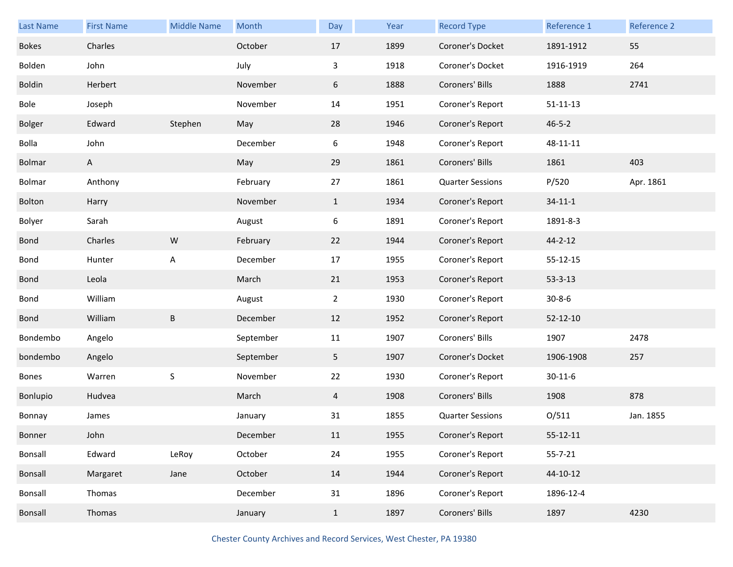| Last Name     | <b>First Name</b> | <b>Middle Name</b> | Month     | Day            | Year | <b>Record Type</b>      | Reference 1    | Reference 2 |
|---------------|-------------------|--------------------|-----------|----------------|------|-------------------------|----------------|-------------|
| <b>Bokes</b>  | Charles           |                    | October   | 17             | 1899 | Coroner's Docket        | 1891-1912      | 55          |
| Bolden        | John              |                    | July      | 3              | 1918 | Coroner's Docket        | 1916-1919      | 264         |
| <b>Boldin</b> | Herbert           |                    | November  | 6              | 1888 | Coroners' Bills         | 1888           | 2741        |
| Bole          | Joseph            |                    | November  | 14             | 1951 | Coroner's Report        | $51 - 11 - 13$ |             |
| Bolger        | Edward            | Stephen            | May       | 28             | 1946 | Coroner's Report        | $46 - 5 - 2$   |             |
| Bolla         | John              |                    | December  | 6              | 1948 | Coroner's Report        | 48-11-11       |             |
| Bolmar        | A                 |                    | May       | 29             | 1861 | Coroners' Bills         | 1861           | 403         |
| Bolmar        | Anthony           |                    | February  | 27             | 1861 | <b>Quarter Sessions</b> | P/520          | Apr. 1861   |
| Bolton        | Harry             |                    | November  | $\mathbf{1}$   | 1934 | Coroner's Report        | $34 - 11 - 1$  |             |
| Bolyer        | Sarah             |                    | August    | 6              | 1891 | Coroner's Report        | 1891-8-3       |             |
| Bond          | Charles           | ${\sf W}$          | February  | 22             | 1944 | Coroner's Report        | $44 - 2 - 12$  |             |
| Bond          | Hunter            | A                  | December  | 17             | 1955 | Coroner's Report        | 55-12-15       |             |
| <b>Bond</b>   | Leola             |                    | March     | 21             | 1953 | Coroner's Report        | $53 - 3 - 13$  |             |
| Bond          | William           |                    | August    | $\overline{2}$ | 1930 | Coroner's Report        | $30 - 8 - 6$   |             |
| Bond          | William           | $\sf B$            | December  | 12             | 1952 | Coroner's Report        | $52 - 12 - 10$ |             |
| Bondembo      | Angelo            |                    | September | 11             | 1907 | Coroners' Bills         | 1907           | 2478        |
| bondembo      | Angelo            |                    | September | 5 <sub>1</sub> | 1907 | Coroner's Docket        | 1906-1908      | 257         |
| Bones         | Warren            | S                  | November  | 22             | 1930 | Coroner's Report        | $30 - 11 - 6$  |             |
| Bonlupio      | Hudvea            |                    | March     | 4              | 1908 | Coroners' Bills         | 1908           | 878         |
| Bonnay        | James             |                    | January   | 31             | 1855 | <b>Quarter Sessions</b> | O/511          | Jan. 1855   |
| Bonner        | John              |                    | December  | 11             | 1955 | Coroner's Report        | $55 - 12 - 11$ |             |
| Bonsall       | Edward            | LeRoy              | October   | 24             | 1955 | Coroner's Report        | $55 - 7 - 21$  |             |
| Bonsall       | Margaret          | Jane               | October   | 14             | 1944 | Coroner's Report        | 44-10-12       |             |
| Bonsall       | Thomas            |                    | December  | 31             | 1896 | Coroner's Report        | 1896-12-4      |             |
| Bonsall       | Thomas            |                    | January   | $\mathbf{1}$   | 1897 | Coroners' Bills         | 1897           | 4230        |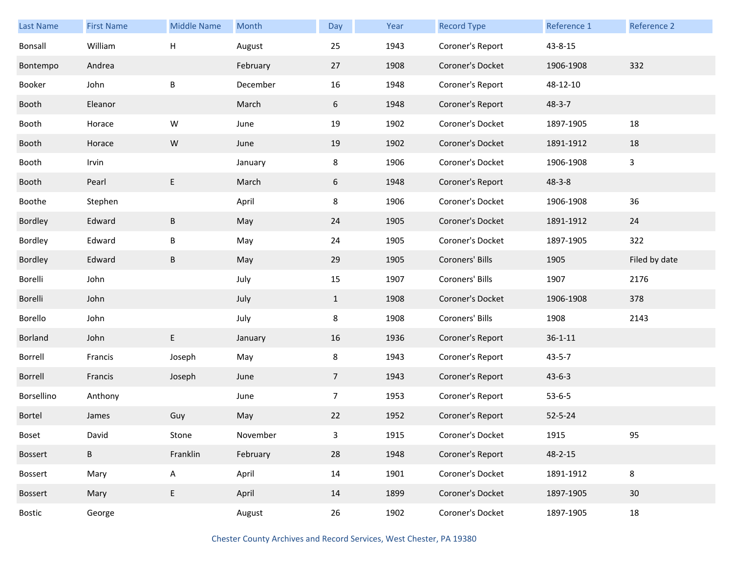| <b>Last Name</b> | <b>First Name</b> | <b>Middle Name</b> | Month    | Day            | Year | <b>Record Type</b> | Reference 1   | Reference 2   |
|------------------|-------------------|--------------------|----------|----------------|------|--------------------|---------------|---------------|
| Bonsall          | William           | н                  | August   | 25             | 1943 | Coroner's Report   | 43-8-15       |               |
| Bontempo         | Andrea            |                    | February | 27             | 1908 | Coroner's Docket   | 1906-1908     | 332           |
| Booker           | John              | B                  | December | 16             | 1948 | Coroner's Report   | 48-12-10      |               |
| Booth            | Eleanor           |                    | March    | 6              | 1948 | Coroner's Report   | $48 - 3 - 7$  |               |
| Booth            | Horace            | W                  | June     | 19             | 1902 | Coroner's Docket   | 1897-1905     | 18            |
| Booth            | Horace            | ${\sf W}$          | June     | 19             | 1902 | Coroner's Docket   | 1891-1912     | 18            |
| Booth            | Irvin             |                    | January  | 8              | 1906 | Coroner's Docket   | 1906-1908     | 3             |
| Booth            | Pearl             | E                  | March    | 6              | 1948 | Coroner's Report   | $48 - 3 - 8$  |               |
| Boothe           | Stephen           |                    | April    | 8              | 1906 | Coroner's Docket   | 1906-1908     | 36            |
| Bordley          | Edward            | B                  | May      | 24             | 1905 | Coroner's Docket   | 1891-1912     | 24            |
| Bordley          | Edward            | B                  | May      | 24             | 1905 | Coroner's Docket   | 1897-1905     | 322           |
| Bordley          | Edward            | B                  | May      | 29             | 1905 | Coroners' Bills    | 1905          | Filed by date |
| Borelli          | John              |                    | July     | 15             | 1907 | Coroners' Bills    | 1907          | 2176          |
| Borelli          | John              |                    | July     | $\mathbf{1}$   | 1908 | Coroner's Docket   | 1906-1908     | 378           |
| Borello          | John              |                    | July     | 8              | 1908 | Coroners' Bills    | 1908          | 2143          |
| Borland          | John              | E                  | January  | 16             | 1936 | Coroner's Report   | $36 - 1 - 11$ |               |
| Borrell          | Francis           | Joseph             | May      | 8              | 1943 | Coroner's Report   | $43 - 5 - 7$  |               |
| Borrell          | Francis           | Joseph             | June     | $\overline{7}$ | 1943 | Coroner's Report   | $43 - 6 - 3$  |               |
| Borsellino       | Anthony           |                    | June     | $\overline{7}$ | 1953 | Coroner's Report   | $53 - 6 - 5$  |               |
| <b>Bortel</b>    | James             | Guy                | May      | 22             | 1952 | Coroner's Report   | $52 - 5 - 24$ |               |
| Boset            | David             | Stone              | November | 3              | 1915 | Coroner's Docket   | 1915          | 95            |
| Bossert          | B                 | Franklin           | February | 28             | 1948 | Coroner's Report   | $48 - 2 - 15$ |               |
| Bossert          | Mary              | $\sf A$            | April    | 14             | 1901 | Coroner's Docket   | 1891-1912     | $\bf 8$       |
| Bossert          | Mary              | E                  | April    | 14             | 1899 | Coroner's Docket   | 1897-1905     | 30            |
| Bostic           | George            |                    | August   | 26             | 1902 | Coroner's Docket   | 1897-1905     | 18            |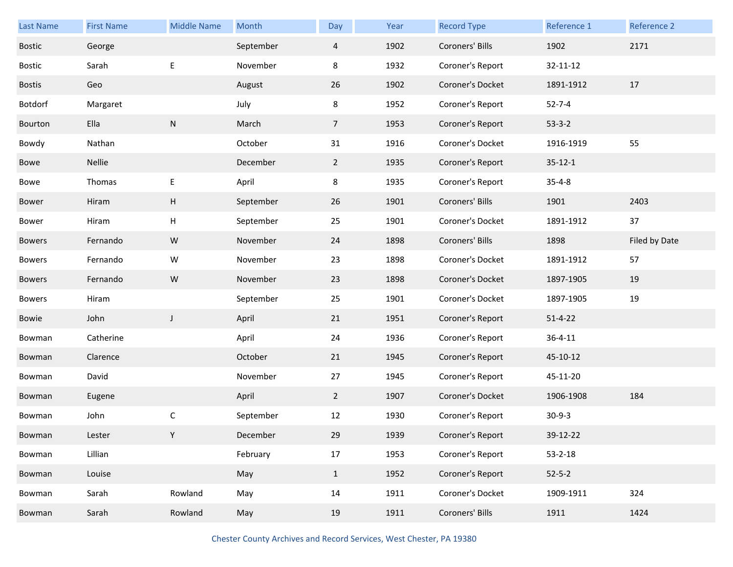| <b>Last Name</b> | <b>First Name</b> | <b>Middle Name</b> | Month     | Day            | Year | <b>Record Type</b> | Reference 1   | Reference 2   |
|------------------|-------------------|--------------------|-----------|----------------|------|--------------------|---------------|---------------|
| <b>Bostic</b>    | George            |                    | September | $\overline{4}$ | 1902 | Coroners' Bills    | 1902          | 2171          |
| <b>Bostic</b>    | Sarah             | E                  | November  | 8              | 1932 | Coroner's Report   | 32-11-12      |               |
| <b>Bostis</b>    | Geo               |                    | August    | 26             | 1902 | Coroner's Docket   | 1891-1912     | 17            |
| Botdorf          | Margaret          |                    | July      | 8              | 1952 | Coroner's Report   | $52 - 7 - 4$  |               |
| Bourton          | Ella              | ${\sf N}$          | March     | $\overline{7}$ | 1953 | Coroner's Report   | $53-3-2$      |               |
| Bowdy            | Nathan            |                    | October   | 31             | 1916 | Coroner's Docket   | 1916-1919     | 55            |
| Bowe             | Nellie            |                    | December  | $2^{\circ}$    | 1935 | Coroner's Report   | $35 - 12 - 1$ |               |
| Bowe             | Thomas            | E                  | April     | 8              | 1935 | Coroner's Report   | $35 - 4 - 8$  |               |
| Bower            | Hiram             | Н                  | September | 26             | 1901 | Coroners' Bills    | 1901          | 2403          |
| Bower            | Hiram             | Н                  | September | 25             | 1901 | Coroner's Docket   | 1891-1912     | 37            |
| <b>Bowers</b>    | Fernando          | ${\sf W}$          | November  | 24             | 1898 | Coroners' Bills    | 1898          | Filed by Date |
| <b>Bowers</b>    | Fernando          | W                  | November  | 23             | 1898 | Coroner's Docket   | 1891-1912     | 57            |
| <b>Bowers</b>    | Fernando          | ${\sf W}$          | November  | 23             | 1898 | Coroner's Docket   | 1897-1905     | 19            |
| Bowers           | Hiram             |                    | September | 25             | 1901 | Coroner's Docket   | 1897-1905     | 19            |
| Bowie            | John              | $\mathsf J$        | April     | 21             | 1951 | Coroner's Report   | $51 - 4 - 22$ |               |
| Bowman           | Catherine         |                    | April     | 24             | 1936 | Coroner's Report   | $36 - 4 - 11$ |               |
| Bowman           | Clarence          |                    | October   | 21             | 1945 | Coroner's Report   | 45-10-12      |               |
| Bowman           | David             |                    | November  | 27             | 1945 | Coroner's Report   | 45-11-20      |               |
| Bowman           | Eugene            |                    | April     | $\overline{2}$ | 1907 | Coroner's Docket   | 1906-1908     | 184           |
| Bowman           | John              | С                  | September | 12             | 1930 | Coroner's Report   | $30-9-3$      |               |
| Bowman           | Lester            |                    | December  | 29             | 1939 | Coroner's Report   | 39-12-22      |               |
| Bowman           | Lillian           |                    | February  | 17             | 1953 | Coroner's Report   | $53 - 2 - 18$ |               |
| Bowman           | Louise            |                    | May       | $\mathbf{1}$   | 1952 | Coroner's Report   | $52 - 5 - 2$  |               |
| Bowman           | Sarah             | Rowland            | May       | 14             | 1911 | Coroner's Docket   | 1909-1911     | 324           |
| Bowman           | Sarah             | Rowland            | May       | 19             | 1911 | Coroners' Bills    | 1911          | 1424          |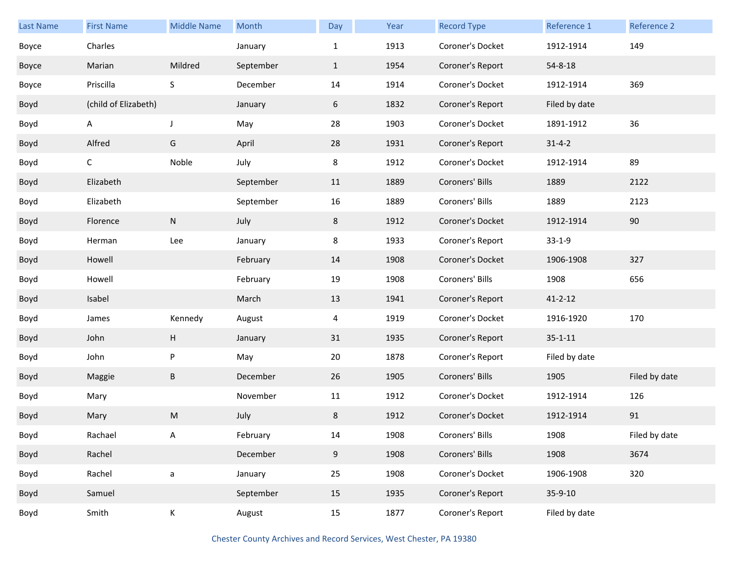| <b>Last Name</b> | <b>First Name</b>    | <b>Middle Name</b> | Month     | Day          | Year | <b>Record Type</b> | Reference 1   | Reference 2   |
|------------------|----------------------|--------------------|-----------|--------------|------|--------------------|---------------|---------------|
| Boyce            | Charles              |                    | January   | $\mathbf{1}$ | 1913 | Coroner's Docket   | 1912-1914     | 149           |
|                  | Marian               | Mildred            | September |              | 1954 | Coroner's Report   | $54 - 8 - 18$ |               |
| Boyce            |                      |                    |           | $\mathbf{1}$ |      |                    |               |               |
| Boyce            | Priscilla            | S                  | December  | 14           | 1914 | Coroner's Docket   | 1912-1914     | 369           |
| Boyd             | (child of Elizabeth) |                    | January   | 6            | 1832 | Coroner's Report   | Filed by date |               |
| Boyd             | A                    | $\mathsf J$        | May       | 28           | 1903 | Coroner's Docket   | 1891-1912     | 36            |
| Boyd             | Alfred               | G                  | April     | 28           | 1931 | Coroner's Report   | $31 - 4 - 2$  |               |
| Boyd             | C                    | Noble              | July      | 8            | 1912 | Coroner's Docket   | 1912-1914     | 89            |
| Boyd             | Elizabeth            |                    | September | 11           | 1889 | Coroners' Bills    | 1889          | 2122          |
| Boyd             | Elizabeth            |                    | September | 16           | 1889 | Coroners' Bills    | 1889          | 2123          |
| Boyd             | Florence             | ${\sf N}$          | July      | 8            | 1912 | Coroner's Docket   | 1912-1914     | 90            |
| Boyd             | Herman               | Lee                | January   | 8            | 1933 | Coroner's Report   | $33 - 1 - 9$  |               |
| Boyd             | Howell               |                    | February  | 14           | 1908 | Coroner's Docket   | 1906-1908     | 327           |
| Boyd             | Howell               |                    | February  | 19           | 1908 | Coroners' Bills    | 1908          | 656           |
| Boyd             | Isabel               |                    | March     | 13           | 1941 | Coroner's Report   | $41 - 2 - 12$ |               |
| Boyd             | James                | Kennedy            | August    | 4            | 1919 | Coroner's Docket   | 1916-1920     | 170           |
| Boyd             | John                 | H                  | January   | 31           | 1935 | Coroner's Report   | $35 - 1 - 11$ |               |
| Boyd             | John                 | P                  | May       | 20           | 1878 | Coroner's Report   | Filed by date |               |
| Boyd             | Maggie               | $\sf B$            | December  | 26           | 1905 | Coroners' Bills    | 1905          | Filed by date |
| Boyd             | Mary                 |                    | November  | 11           | 1912 | Coroner's Docket   | 1912-1914     | 126           |
| Boyd             | Mary                 | M                  | July      | 8            | 1912 | Coroner's Docket   | 1912-1914     | 91            |
| Boyd             | Rachael              | A                  | February  | 14           | 1908 | Coroners' Bills    | 1908          | Filed by date |
| Boyd             | Rachel               |                    | December  | 9            | 1908 | Coroners' Bills    | 1908          | 3674          |
| Boyd             | Rachel               | $\mathsf a$        | January   | 25           | 1908 | Coroner's Docket   | 1906-1908     | 320           |
| Boyd             | Samuel               |                    | September | 15           | 1935 | Coroner's Report   | 35-9-10       |               |
| Boyd             | Smith                | Κ                  | August    | 15           | 1877 | Coroner's Report   | Filed by date |               |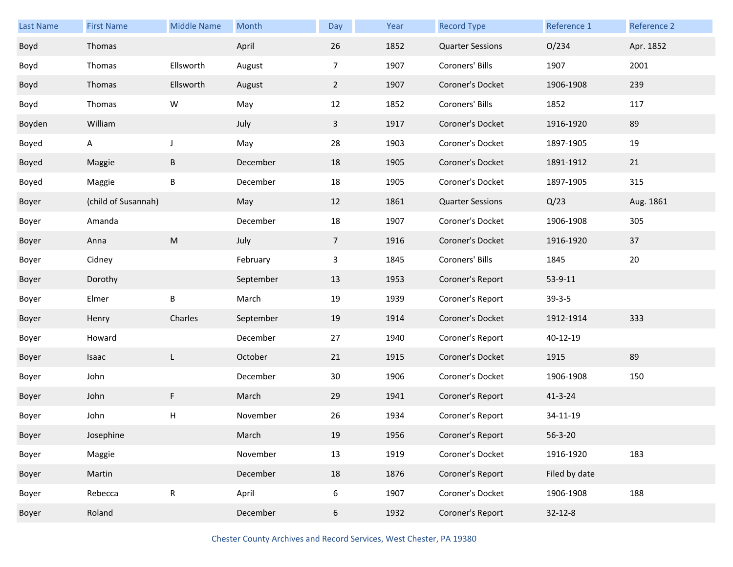| <b>Last Name</b> | <b>First Name</b>   | <b>Middle Name</b>                                                                                         | Month     | Day            | Year | <b>Record Type</b>      | Reference 1   | Reference 2 |
|------------------|---------------------|------------------------------------------------------------------------------------------------------------|-----------|----------------|------|-------------------------|---------------|-------------|
| Boyd             | Thomas              |                                                                                                            | April     | 26             | 1852 | <b>Quarter Sessions</b> | O/234         | Apr. 1852   |
| Boyd             | Thomas              | Ellsworth                                                                                                  | August    | $\overline{7}$ | 1907 | Coroners' Bills         | 1907          | 2001        |
| Boyd             | Thomas              | Ellsworth                                                                                                  | August    | $\overline{2}$ | 1907 | Coroner's Docket        | 1906-1908     | 239         |
| Boyd             | Thomas              | W                                                                                                          | May       | 12             | 1852 | Coroners' Bills         | 1852          | 117         |
| Boyden           | William             |                                                                                                            | July      | $\mathbf{3}$   | 1917 | Coroner's Docket        | 1916-1920     | 89          |
| Boyed            | A                   | J                                                                                                          | May       | 28             | 1903 | Coroner's Docket        | 1897-1905     | 19          |
| Boyed            | Maggie              | B                                                                                                          | December  | 18             | 1905 | Coroner's Docket        | 1891-1912     | 21          |
| Boyed            | Maggie              | B                                                                                                          | December  | 18             | 1905 | Coroner's Docket        | 1897-1905     | 315         |
| Boyer            | (child of Susannah) |                                                                                                            | May       | 12             | 1861 | <b>Quarter Sessions</b> | Q/23          | Aug. 1861   |
| Boyer            | Amanda              |                                                                                                            | December  | 18             | 1907 | Coroner's Docket        | 1906-1908     | 305         |
| Boyer            | Anna                | $\mathsf{M}% _{T}=\mathsf{M}_{T}\!\left( a,b\right) ,\ \mathsf{M}_{T}=\mathsf{M}_{T}\!\left( a,b\right) ,$ | July      | 7 <sup>7</sup> | 1916 | Coroner's Docket        | 1916-1920     | 37          |
| Boyer            | Cidney              |                                                                                                            | February  | 3              | 1845 | Coroners' Bills         | 1845          | 20          |
| Boyer            | Dorothy             |                                                                                                            | September | 13             | 1953 | Coroner's Report        | 53-9-11       |             |
| Boyer            | Elmer               | B                                                                                                          | March     | 19             | 1939 | Coroner's Report        | $39 - 3 - 5$  |             |
| Boyer            | Henry               | Charles                                                                                                    | September | 19             | 1914 | Coroner's Docket        | 1912-1914     | 333         |
| Boyer            | Howard              |                                                                                                            | December  | 27             | 1940 | Coroner's Report        | 40-12-19      |             |
| Boyer            | Isaac               | L                                                                                                          | October   | 21             | 1915 | Coroner's Docket        | 1915          | 89          |
| Boyer            | John                |                                                                                                            | December  | 30             | 1906 | Coroner's Docket        | 1906-1908     | 150         |
| Boyer            | John                | F                                                                                                          | March     | 29             | 1941 | Coroner's Report        | $41 - 3 - 24$ |             |
| Boyer            | John                | Н                                                                                                          | November  | 26             | 1934 | Coroner's Report        | 34-11-19      |             |
| Boyer            | Josephine           |                                                                                                            | March     | 19             | 1956 | Coroner's Report        | $56 - 3 - 20$ |             |
| Boyer            | Maggie              |                                                                                                            | November  | 13             | 1919 | Coroner's Docket        | 1916-1920     | 183         |
| Boyer            | Martin              |                                                                                                            | December  | 18             | 1876 | Coroner's Report        | Filed by date |             |
| Boyer            | Rebecca             | ${\sf R}$                                                                                                  | April     | 6              | 1907 | Coroner's Docket        | 1906-1908     | 188         |
| Boyer            | Roland              |                                                                                                            | December  | 6              | 1932 | Coroner's Report        | $32 - 12 - 8$ |             |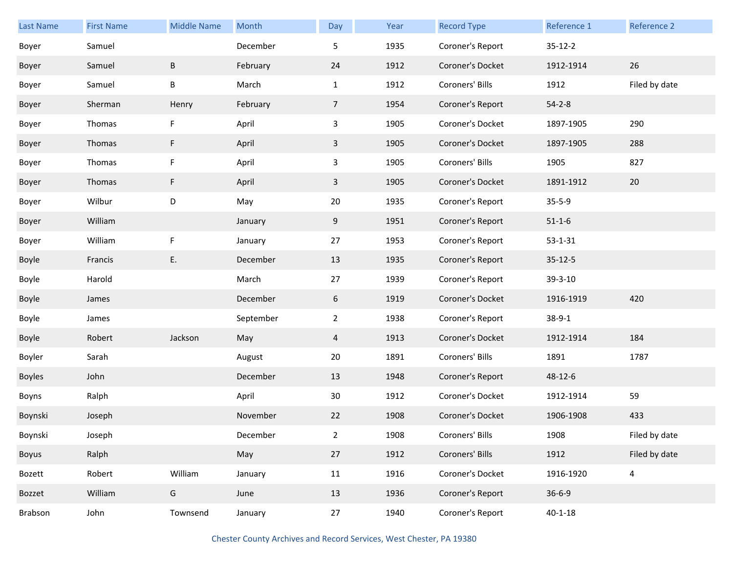| Last Name | <b>First Name</b> | <b>Middle Name</b> | Month     | Day            | Year | <b>Record Type</b> | Reference 1   | Reference 2    |
|-----------|-------------------|--------------------|-----------|----------------|------|--------------------|---------------|----------------|
| Boyer     | Samuel            |                    | December  | 5              | 1935 | Coroner's Report   | $35 - 12 - 2$ |                |
| Boyer     | Samuel            | B                  | February  | 24             | 1912 | Coroner's Docket   | 1912-1914     | 26             |
| Boyer     | Samuel            | B                  | March     | $\mathbf{1}$   | 1912 | Coroners' Bills    | 1912          | Filed by date  |
| Boyer     | Sherman           | Henry              | February  | $\overline{7}$ | 1954 | Coroner's Report   | $54 - 2 - 8$  |                |
| Boyer     | Thomas            | F                  | April     | $\mathbf{3}$   | 1905 | Coroner's Docket   | 1897-1905     | 290            |
| Boyer     | Thomas            | F                  | April     | $\mathbf{3}$   | 1905 | Coroner's Docket   | 1897-1905     | 288            |
| Boyer     | Thomas            | F                  | April     | 3              | 1905 | Coroners' Bills    | 1905          | 827            |
| Boyer     | Thomas            | F                  | April     | $\mathbf{3}$   | 1905 | Coroner's Docket   | 1891-1912     | 20             |
| Boyer     | Wilbur            | D                  | May       | 20             | 1935 | Coroner's Report   | $35 - 5 - 9$  |                |
| Boyer     | William           |                    | January   | 9              | 1951 | Coroner's Report   | $51 - 1 - 6$  |                |
| Boyer     | William           | F                  | January   | 27             | 1953 | Coroner's Report   | $53 - 1 - 31$ |                |
| Boyle     | Francis           | Ε.                 | December  | 13             | 1935 | Coroner's Report   | $35 - 12 - 5$ |                |
| Boyle     | Harold            |                    | March     | 27             | 1939 | Coroner's Report   | 39-3-10       |                |
| Boyle     | James             |                    | December  | 6              | 1919 | Coroner's Docket   | 1916-1919     | 420            |
| Boyle     | James             |                    | September | $\overline{2}$ | 1938 | Coroner's Report   | $38 - 9 - 1$  |                |
| Boyle     | Robert            | Jackson            | May       | 4              | 1913 | Coroner's Docket   | 1912-1914     | 184            |
| Boyler    | Sarah             |                    | August    | 20             | 1891 | Coroners' Bills    | 1891          | 1787           |
| Boyles    | John              |                    | December  | 13             | 1948 | Coroner's Report   | 48-12-6       |                |
| Boyns     | Ralph             |                    | April     | 30             | 1912 | Coroner's Docket   | 1912-1914     | 59             |
| Boynski   | Joseph            |                    | November  | 22             | 1908 | Coroner's Docket   | 1906-1908     | 433            |
| Boynski   | Joseph            |                    | December  | $\overline{2}$ | 1908 | Coroners' Bills    | 1908          | Filed by date  |
| Boyus     | Ralph             |                    | May       | 27             | 1912 | Coroners' Bills    | 1912          | Filed by date  |
| Bozett    | Robert            | William            | January   | 11             | 1916 | Coroner's Docket   | 1916-1920     | $\overline{4}$ |
| Bozzet    | William           | G                  | June      | 13             | 1936 | Coroner's Report   | $36 - 6 - 9$  |                |
| Brabson   | John              | Townsend           | January   | 27             | 1940 | Coroner's Report   | $40 - 1 - 18$ |                |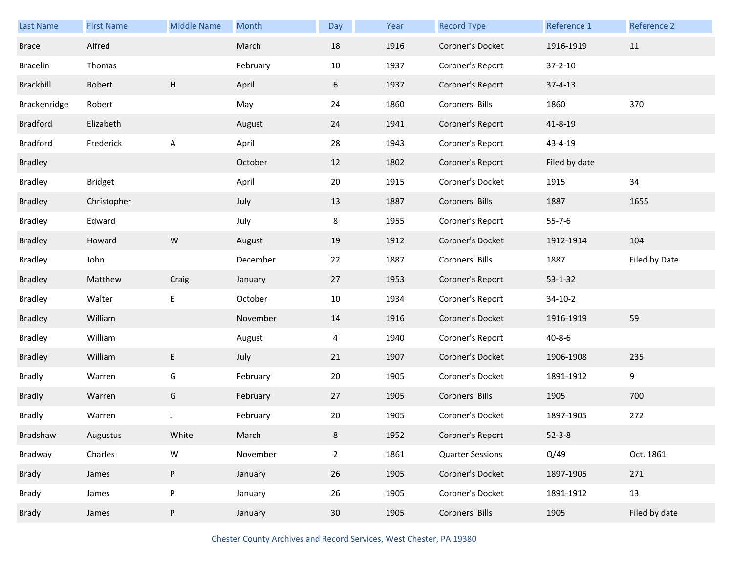| <b>Last Name</b> | <b>First Name</b> | <b>Middle Name</b>        | Month    | Day             | Year | <b>Record Type</b>      | Reference 1   | Reference 2   |
|------------------|-------------------|---------------------------|----------|-----------------|------|-------------------------|---------------|---------------|
| <b>Brace</b>     | Alfred            |                           | March    | 18              | 1916 | Coroner's Docket        | 1916-1919     | 11            |
| <b>Bracelin</b>  | Thomas            |                           | February | 10              | 1937 | Coroner's Report        | $37 - 2 - 10$ |               |
| Brackbill        | Robert            | $\boldsymbol{\mathsf{H}}$ | April    | 6               | 1937 | Coroner's Report        | $37 - 4 - 13$ |               |
| Brackenridge     | Robert            |                           | May      | 24              | 1860 | Coroners' Bills         | 1860          | 370           |
| <b>Bradford</b>  | Elizabeth         |                           | August   | 24              | 1941 | Coroner's Report        | 41-8-19       |               |
| <b>Bradford</b>  | Frederick         | A                         | April    | 28              | 1943 | Coroner's Report        | 43-4-19       |               |
| <b>Bradley</b>   |                   |                           | October  | 12              | 1802 | Coroner's Report        | Filed by date |               |
| <b>Bradley</b>   | <b>Bridget</b>    |                           | April    | 20              | 1915 | Coroner's Docket        | 1915          | 34            |
| <b>Bradley</b>   | Christopher       |                           | July     | 13              | 1887 | Coroners' Bills         | 1887          | 1655          |
| <b>Bradley</b>   | Edward            |                           | July     | 8               | 1955 | Coroner's Report        | $55 - 7 - 6$  |               |
| <b>Bradley</b>   | Howard            | ${\sf W}$                 | August   | 19              | 1912 | Coroner's Docket        | 1912-1914     | 104           |
| <b>Bradley</b>   | John              |                           | December | 22              | 1887 | Coroners' Bills         | 1887          | Filed by Date |
| <b>Bradley</b>   | Matthew           | Craig                     | January  | 27              | 1953 | Coroner's Report        | $53 - 1 - 32$ |               |
| <b>Bradley</b>   | Walter            | E                         | October  | 10              | 1934 | Coroner's Report        | $34-10-2$     |               |
| <b>Bradley</b>   | William           |                           | November | 14              | 1916 | Coroner's Docket        | 1916-1919     | 59            |
| <b>Bradley</b>   | William           |                           | August   | 4               | 1940 | Coroner's Report        | $40 - 8 - 6$  |               |
| <b>Bradley</b>   | William           | E                         | July     | 21              | 1907 | Coroner's Docket        | 1906-1908     | 235           |
| Bradly           | Warren            | G                         | February | 20              | 1905 | Coroner's Docket        | 1891-1912     | 9             |
| <b>Bradly</b>    | Warren            | G                         | February | 27              | 1905 | Coroners' Bills         | 1905          | 700           |
| <b>Bradly</b>    | Warren            | J                         | February | 20              | 1905 | Coroner's Docket        | 1897-1905     | 272           |
| Bradshaw         | Augustus          | White                     | March    | 8               | 1952 | Coroner's Report        | $52 - 3 - 8$  |               |
| Bradway          | Charles           | ${\sf W}$                 | November | $\overline{2}$  | 1861 | <b>Quarter Sessions</b> | Q/49          | Oct. 1861     |
| Brady            | James             | $\sf P$                   | January  | 26              | 1905 | Coroner's Docket        | 1897-1905     | 271           |
| Brady            | James             | $\sf P$                   | January  | 26              | 1905 | Coroner's Docket        | 1891-1912     | 13            |
| Brady            | James             | P                         | January  | 30 <sup>°</sup> | 1905 | Coroners' Bills         | 1905          | Filed by date |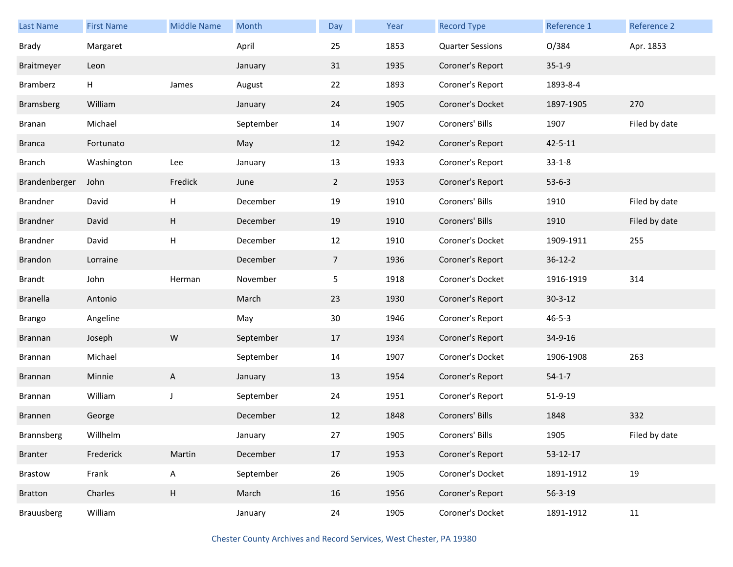| Last Name         | <b>First Name</b> | <b>Middle Name</b>        | Month     | Day            | Year | <b>Record Type</b>      | Reference 1    | <b>Reference 2</b> |
|-------------------|-------------------|---------------------------|-----------|----------------|------|-------------------------|----------------|--------------------|
| Brady             | Margaret          |                           | April     | 25             | 1853 | <b>Quarter Sessions</b> | 0/384          | Apr. 1853          |
| Braitmeyer        | Leon              |                           | January   | 31             | 1935 | Coroner's Report        | $35-1-9$       |                    |
| Bramberz          | н                 | James                     | August    | 22             | 1893 | Coroner's Report        | 1893-8-4       |                    |
| <b>Bramsberg</b>  | William           |                           | January   | 24             | 1905 | Coroner's Docket        | 1897-1905      | 270                |
| Branan            | Michael           |                           | September | 14             | 1907 | Coroners' Bills         | 1907           | Filed by date      |
| <b>Branca</b>     | Fortunato         |                           | May       | 12             | 1942 | Coroner's Report        | $42 - 5 - 11$  |                    |
| <b>Branch</b>     | Washington        | Lee                       | January   | 13             | 1933 | Coroner's Report        | $33 - 1 - 8$   |                    |
| Brandenberger     | John              | Fredick                   | June      | $\overline{2}$ | 1953 | Coroner's Report        | $53-6-3$       |                    |
| Brandner          | David             | H                         | December  | 19             | 1910 | Coroners' Bills         | 1910           | Filed by date      |
| <b>Brandner</b>   | David             | H                         | December  | 19             | 1910 | Coroners' Bills         | 1910           | Filed by date      |
| Brandner          | David             | H                         | December  | 12             | 1910 | Coroner's Docket        | 1909-1911      | 255                |
| <b>Brandon</b>    | Lorraine          |                           | December  | $\overline{7}$ | 1936 | Coroner's Report        | $36 - 12 - 2$  |                    |
| Brandt            | John              | Herman                    | November  | 5 <sub>1</sub> | 1918 | Coroner's Docket        | 1916-1919      | 314                |
| <b>Branella</b>   | Antonio           |                           | March     | 23             | 1930 | Coroner's Report        | $30 - 3 - 12$  |                    |
| <b>Brango</b>     | Angeline          |                           | May       | 30             | 1946 | Coroner's Report        | $46 - 5 - 3$   |                    |
| Brannan           | Joseph            | ${\sf W}$                 | September | 17             | 1934 | Coroner's Report        | 34-9-16        |                    |
| Brannan           | Michael           |                           | September | 14             | 1907 | Coroner's Docket        | 1906-1908      | 263                |
| Brannan           | Minnie            | A                         | January   | 13             | 1954 | Coroner's Report        | $54 - 1 - 7$   |                    |
| Brannan           | William           | J                         | September | 24             | 1951 | Coroner's Report        | 51-9-19        |                    |
| Brannen           | George            |                           | December  | 12             | 1848 | Coroners' Bills         | 1848           | 332                |
| Brannsberg        | Willhelm          |                           | January   | 27             | 1905 | Coroners' Bills         | 1905           | Filed by date      |
| <b>Branter</b>    | Frederick         | Martin                    | December  | 17             | 1953 | Coroner's Report        | $53 - 12 - 17$ |                    |
| Brastow           | Frank             | $\mathsf{A}$              | September | 26             | 1905 | Coroner's Docket        | 1891-1912      | 19                 |
| <b>Bratton</b>    | Charles           | $\boldsymbol{\mathsf{H}}$ | March     | 16             | 1956 | Coroner's Report        | $56 - 3 - 19$  |                    |
| <b>Brauusberg</b> | William           |                           | January   | 24             | 1905 | Coroner's Docket        | 1891-1912      | 11                 |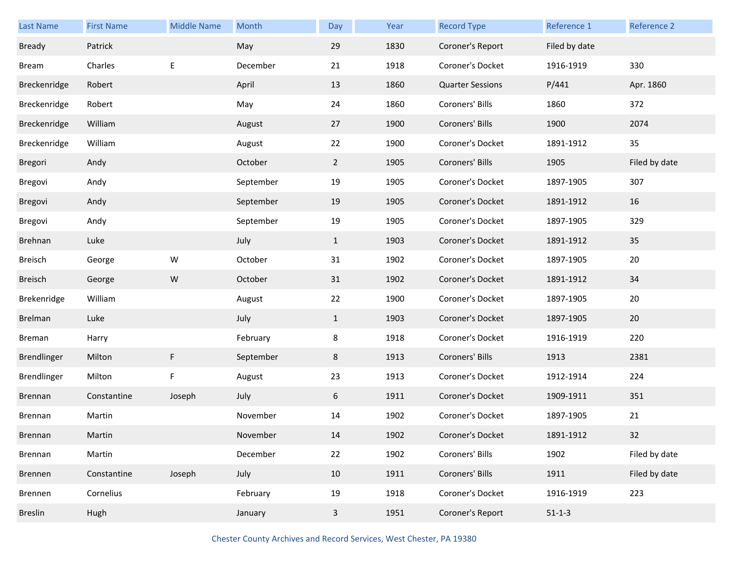| Last Name      | <b>First Name</b> | <b>Middle Name</b> | Month     | Day            | Year | <b>Record Type</b>      | Reference 1   | Reference 2   |
|----------------|-------------------|--------------------|-----------|----------------|------|-------------------------|---------------|---------------|
| <b>Bready</b>  | Patrick           |                    | May       | 29             | 1830 | Coroner's Report        | Filed by date |               |
| <b>Bream</b>   | Charles           | Е                  | December  | 21             | 1918 | Coroner's Docket        | 1916-1919     | 330           |
| Breckenridge   | Robert            |                    | April     | 13             | 1860 | <b>Quarter Sessions</b> | P/441         | Apr. 1860     |
| Breckenridge   | Robert            |                    | May       | 24             | 1860 | Coroners' Bills         | 1860          | 372           |
| Breckenridge   | William           |                    | August    | 27             | 1900 | Coroners' Bills         | 1900          | 2074          |
| Breckenridge   | William           |                    | August    | 22             | 1900 | Coroner's Docket        | 1891-1912     | 35            |
| Bregori        | Andy              |                    | October   | $\overline{2}$ | 1905 | Coroners' Bills         | 1905          | Filed by date |
| Bregovi        | Andy              |                    | September | 19             | 1905 | Coroner's Docket        | 1897-1905     | 307           |
| Bregovi        | Andy              |                    | September | 19             | 1905 | Coroner's Docket        | 1891-1912     | 16            |
| Bregovi        | Andy              |                    | September | 19             | 1905 | Coroner's Docket        | 1897-1905     | 329           |
| Brehnan        | Luke              |                    | July      | $\mathbf{1}$   | 1903 | Coroner's Docket        | 1891-1912     | 35            |
| Breisch        | George            | W                  | October   | 31             | 1902 | Coroner's Docket        | 1897-1905     | 20            |
| <b>Breisch</b> | George            | ${\sf W}$          | October   | 31             | 1902 | Coroner's Docket        | 1891-1912     | 34            |
| Brekenridge    | William           |                    | August    | 22             | 1900 | Coroner's Docket        | 1897-1905     | 20            |
| Brelman        | Luke              |                    | July      | $\mathbf{1}$   | 1903 | Coroner's Docket        | 1897-1905     | 20            |
| Breman         | Harry             |                    | February  | 8              | 1918 | Coroner's Docket        | 1916-1919     | 220           |
| Brendlinger    | Milton            | F                  | September | 8              | 1913 | Coroners' Bills         | 1913          | 2381          |
| Brendlinger    | Milton            | F                  | August    | 23             | 1913 | Coroner's Docket        | 1912-1914     | 224           |
| Brennan        | Constantine       | Joseph             | July      | 6              | 1911 | Coroner's Docket        | 1909-1911     | 351           |
| Brennan        | Martin            |                    | November  | 14             | 1902 | Coroner's Docket        | 1897-1905     | 21            |
| Brennan        | Martin            |                    | November  | 14             | 1902 | Coroner's Docket        | 1891-1912     | 32            |
| Brennan        | Martin            |                    | December  | 22             | 1902 | Coroners' Bills         | 1902          | Filed by date |
| Brennen        | Constantine       | Joseph             | July      | 10             | 1911 | Coroners' Bills         | 1911          | Filed by date |
| Brennen        | Cornelius         |                    | February  | 19             | 1918 | Coroner's Docket        | 1916-1919     | 223           |
| <b>Breslin</b> | Hugh              |                    | January   | $\mathbf{3}$   | 1951 | Coroner's Report        | $51 - 1 - 3$  |               |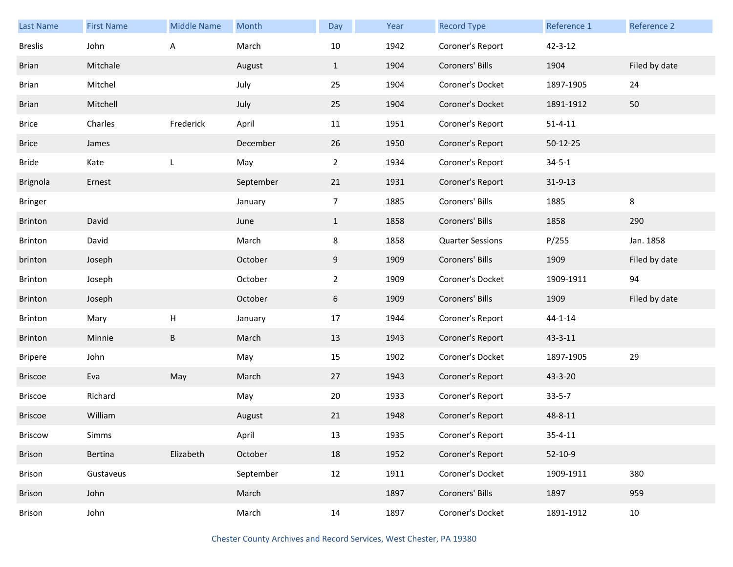| <b>Last Name</b> | <b>First Name</b> | <b>Middle Name</b> | Month     | Day            | Year | <b>Record Type</b>      | Reference 1    | Reference 2   |
|------------------|-------------------|--------------------|-----------|----------------|------|-------------------------|----------------|---------------|
| <b>Breslis</b>   | John              | Α                  | March     | 10             | 1942 | Coroner's Report        | $42 - 3 - 12$  |               |
| <b>Brian</b>     | Mitchale          |                    | August    | $\mathbf{1}$   | 1904 | Coroners' Bills         | 1904           | Filed by date |
| <b>Brian</b>     | Mitchel           |                    | July      | 25             | 1904 | Coroner's Docket        | 1897-1905      | 24            |
| <b>Brian</b>     | Mitchell          |                    | July      | 25             | 1904 | Coroner's Docket        | 1891-1912      | 50            |
| <b>Brice</b>     | Charles           | Frederick          | April     | 11             | 1951 | Coroner's Report        | $51 - 4 - 11$  |               |
| <b>Brice</b>     | James             |                    | December  | 26             | 1950 | Coroner's Report        | $50 - 12 - 25$ |               |
| <b>Bride</b>     | Kate              | L                  | May       | $\overline{2}$ | 1934 | Coroner's Report        | $34 - 5 - 1$   |               |
| Brignola         | Ernest            |                    | September | 21             | 1931 | Coroner's Report        | $31 - 9 - 13$  |               |
| Bringer          |                   |                    | January   | $\overline{7}$ | 1885 | Coroners' Bills         | 1885           | 8             |
| <b>Brinton</b>   | David             |                    | June      | $\mathbf{1}$   | 1858 | Coroners' Bills         | 1858           | 290           |
| Brinton          | David             |                    | March     | 8              | 1858 | <b>Quarter Sessions</b> | P/255          | Jan. 1858     |
| brinton          | Joseph            |                    | October   | 9              | 1909 | Coroners' Bills         | 1909           | Filed by date |
| Brinton          | Joseph            |                    | October   | $2^{\circ}$    | 1909 | Coroner's Docket        | 1909-1911      | 94            |
| <b>Brinton</b>   | Joseph            |                    | October   | 6              | 1909 | Coroners' Bills         | 1909           | Filed by date |
| Brinton          | Mary              | $\mathsf{H}%$      | January   | 17             | 1944 | Coroner's Report        | $44 - 1 - 14$  |               |
| <b>Brinton</b>   | Minnie            | B                  | March     | 13             | 1943 | Coroner's Report        | 43-3-11        |               |
| <b>Bripere</b>   | John              |                    | May       | 15             | 1902 | Coroner's Docket        | 1897-1905      | 29            |
| <b>Briscoe</b>   | Eva               | May                | March     | 27             | 1943 | Coroner's Report        | 43-3-20        |               |
| Briscoe          | Richard           |                    | May       | 20             | 1933 | Coroner's Report        | $33 - 5 - 7$   |               |
| <b>Briscoe</b>   | William           |                    | August    | 21             | 1948 | Coroner's Report        | 48-8-11        |               |
| Briscow          | Simms             |                    | April     | 13             | 1935 | Coroner's Report        | $35 - 4 - 11$  |               |
| <b>Brison</b>    | Bertina           | Elizabeth          | October   | 18             | 1952 | Coroner's Report        | $52-10-9$      |               |
| Brison           | Gustaveus         |                    | September | 12             | 1911 | Coroner's Docket        | 1909-1911      | 380           |
| <b>Brison</b>    | John              |                    | March     |                | 1897 | Coroners' Bills         | 1897           | 959           |
| Brison           | John              |                    | March     | 14             | 1897 | Coroner's Docket        | 1891-1912      | 10            |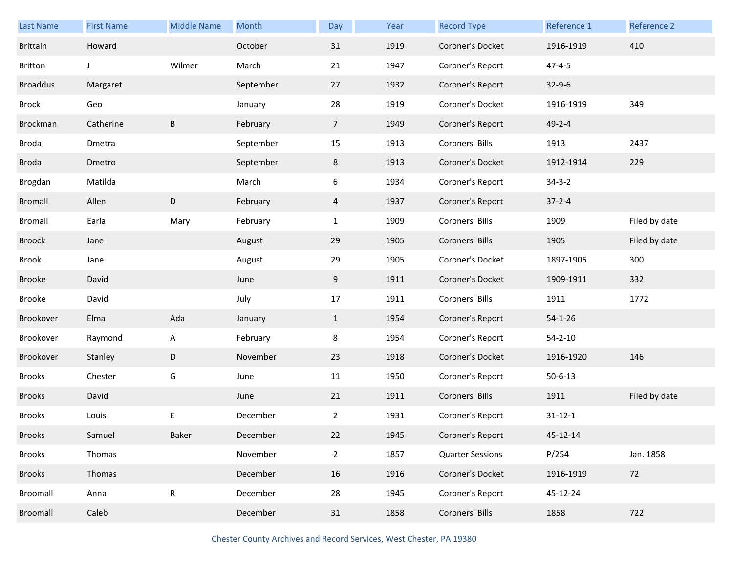| <b>Last Name</b> | <b>First Name</b> | <b>Middle Name</b> | Month     | Day            | Year | <b>Record Type</b>      | Reference 1   | Reference 2   |
|------------------|-------------------|--------------------|-----------|----------------|------|-------------------------|---------------|---------------|
| <b>Brittain</b>  | Howard            |                    | October   | 31             | 1919 | Coroner's Docket        | 1916-1919     | 410           |
| <b>Britton</b>   | J                 | Wilmer             | March     | 21             | 1947 | Coroner's Report        | $47 - 4 - 5$  |               |
| <b>Broaddus</b>  | Margaret          |                    | September | 27             | 1932 | Coroner's Report        | $32 - 9 - 6$  |               |
| Brock            | Geo               |                    | January   | 28             | 1919 | Coroner's Docket        | 1916-1919     | 349           |
| Brockman         | Catherine         | $\sf B$            | February  | 7 <sup>7</sup> | 1949 | Coroner's Report        | $49 - 2 - 4$  |               |
| Broda            | Dmetra            |                    | September | 15             | 1913 | Coroners' Bills         | 1913          | 2437          |
| Broda            | Dmetro            |                    | September | 8              | 1913 | Coroner's Docket        | 1912-1914     | 229           |
| Brogdan          | Matilda           |                    | March     | 6              | 1934 | Coroner's Report        | $34 - 3 - 2$  |               |
| <b>Bromall</b>   | Allen             | $\mathsf D$        | February  | $\overline{4}$ | 1937 | Coroner's Report        | $37 - 2 - 4$  |               |
| <b>Bromall</b>   | Earla             | Mary               | February  | $\mathbf{1}$   | 1909 | Coroners' Bills         | 1909          | Filed by date |
| Broock           | Jane              |                    | August    | 29             | 1905 | Coroners' Bills         | 1905          | Filed by date |
| Brook            | Jane              |                    | August    | 29             | 1905 | Coroner's Docket        | 1897-1905     | 300           |
| <b>Brooke</b>    | David             |                    | June      | 9              | 1911 | Coroner's Docket        | 1909-1911     | 332           |
| <b>Brooke</b>    | David             |                    | July      | 17             | 1911 | Coroners' Bills         | 1911          | 1772          |
| Brookover        | Elma              | Ada                | January   | $\mathbf{1}$   | 1954 | Coroner's Report        | $54 - 1 - 26$ |               |
| Brookover        | Raymond           | A                  | February  | 8              | 1954 | Coroner's Report        | $54 - 2 - 10$ |               |
| Brookover        | Stanley           | D                  | November  | 23             | 1918 | Coroner's Docket        | 1916-1920     | 146           |
| <b>Brooks</b>    | Chester           | G                  | June      | 11             | 1950 | Coroner's Report        | $50 - 6 - 13$ |               |
| <b>Brooks</b>    | David             |                    | June      | 21             | 1911 | Coroners' Bills         | 1911          | Filed by date |
| <b>Brooks</b>    | Louis             | Е                  | December  | 2              | 1931 | Coroner's Report        | $31 - 12 - 1$ |               |
| <b>Brooks</b>    | Samuel            | Baker              | December  | 22             | 1945 | Coroner's Report        | 45-12-14      |               |
| <b>Brooks</b>    | Thomas            |                    | November  | $\overline{2}$ | 1857 | <b>Quarter Sessions</b> | P/254         | Jan. 1858     |
| <b>Brooks</b>    | Thomas            |                    | December  | 16             | 1916 | Coroner's Docket        | 1916-1919     | 72            |
| Broomall         | Anna              | ${\sf R}$          | December  | 28             | 1945 | Coroner's Report        | 45-12-24      |               |
| Broomall         |                   |                    |           |                |      | Coroners' Bills         | 1858          | 722           |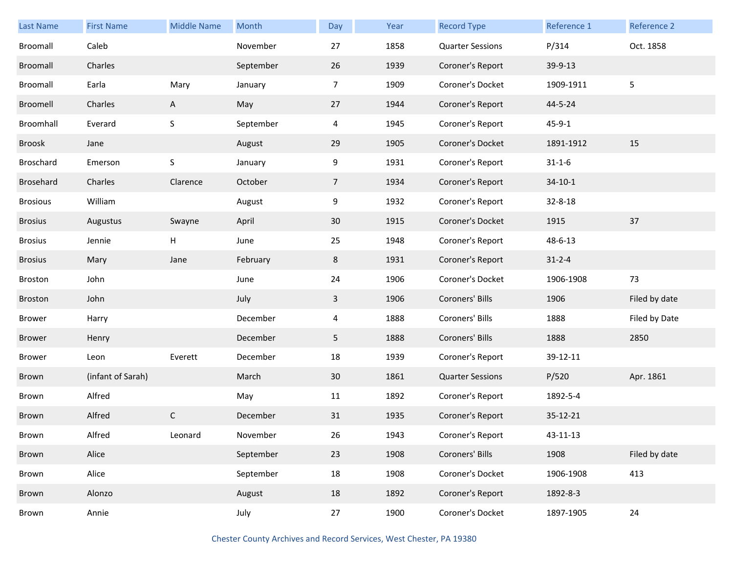| <b>Last Name</b> | <b>First Name</b> | <b>Middle Name</b> | Month     | Day             | Year | <b>Record Type</b>      | Reference 1  | Reference 2   |
|------------------|-------------------|--------------------|-----------|-----------------|------|-------------------------|--------------|---------------|
| Broomall         | Caleb             |                    | November  | 27              | 1858 | <b>Quarter Sessions</b> | P/314        | Oct. 1858     |
| Broomall         | Charles           |                    | September | 26              | 1939 | Coroner's Report        | 39-9-13      |               |
| Broomall         | Earla             | Mary               | January   | $\overline{7}$  | 1909 | Coroner's Docket        | 1909-1911    | 5             |
| Broomell         | Charles           | A                  | May       | 27              | 1944 | Coroner's Report        | 44-5-24      |               |
| Broomhall        | Everard           | $\sf S$            | September | 4               | 1945 | Coroner's Report        | $45 - 9 - 1$ |               |
| Broosk           | Jane              |                    | August    | 29              | 1905 | Coroner's Docket        | 1891-1912    | 15            |
| Broschard        | Emerson           | $\sf S$            | January   | 9               | 1931 | Coroner's Report        | $31 - 1 - 6$ |               |
| Brosehard        | Charles           | Clarence           | October   | 7 <sup>1</sup>  | 1934 | Coroner's Report        | $34-10-1$    |               |
| <b>Brosious</b>  | William           |                    | August    | 9               | 1932 | Coroner's Report        | 32-8-18      |               |
| <b>Brosius</b>   | Augustus          | Swayne             | April     | 30 <sup>°</sup> | 1915 | Coroner's Docket        | 1915         | 37            |
| <b>Brosius</b>   | Jennie            | Н.                 | June      | 25              | 1948 | Coroner's Report        | 48-6-13      |               |
| <b>Brosius</b>   | Mary              | Jane               | February  | 8               | 1931 | Coroner's Report        | $31 - 2 - 4$ |               |
| Broston          | John              |                    | June      | 24              | 1906 | Coroner's Docket        | 1906-1908    | 73            |
| Broston          | John              |                    | July      | 3               | 1906 | Coroners' Bills         | 1906         | Filed by date |
| Brower           | Harry             |                    | December  | 4               | 1888 | Coroners' Bills         | 1888         | Filed by Date |
| <b>Brower</b>    | Henry             |                    | December  | 5               | 1888 | Coroners' Bills         | 1888         | 2850          |
| Brower           | Leon              | Everett            | December  | 18              | 1939 | Coroner's Report        | 39-12-11     |               |
| Brown            | (infant of Sarah) |                    | March     | 30              | 1861 | <b>Quarter Sessions</b> | P/520        | Apr. 1861     |
| Brown            | Alfred            |                    | May       | 11              | 1892 | Coroner's Report        | 1892-5-4     |               |
| Brown            | Alfred            | C                  | December  | 31              | 1935 | Coroner's Report        | 35-12-21     |               |
| Brown            | Alfred            | Leonard            | November  | 26              | 1943 | Coroner's Report        | 43-11-13     |               |
| Brown            | Alice             |                    | September | 23              | 1908 | Coroners' Bills         | 1908         | Filed by date |
| Brown            | Alice             |                    | September | 18              | 1908 | Coroner's Docket        | 1906-1908    | 413           |
| Brown            | Alonzo            |                    | August    | 18              | 1892 | Coroner's Report        | 1892-8-3     |               |
| Brown            | Annie             |                    | July      | 27              | 1900 | Coroner's Docket        | 1897-1905    | 24            |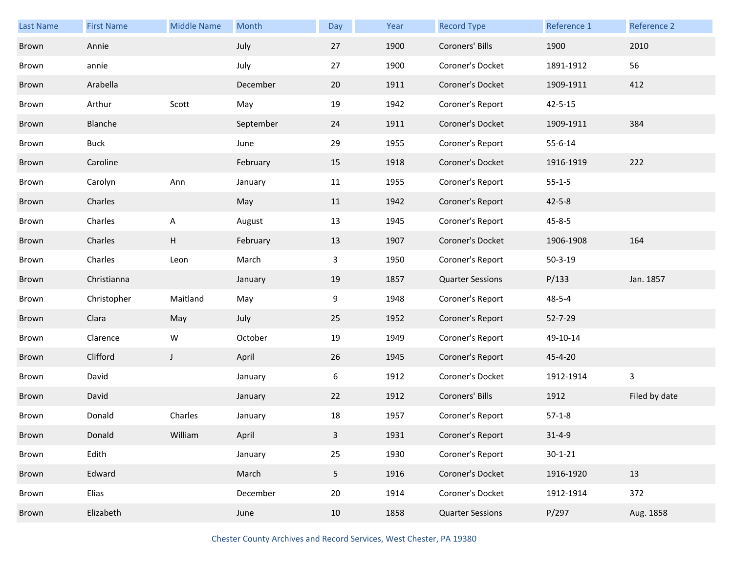| <b>Last Name</b> | <b>First Name</b> | <b>Middle Name</b> | Month     | Day            | Year | <b>Record Type</b>      | Reference 1   | Reference 2   |
|------------------|-------------------|--------------------|-----------|----------------|------|-------------------------|---------------|---------------|
| Brown            | Annie             |                    | July      | 27             | 1900 | Coroners' Bills         | 1900          | 2010          |
| Brown            | annie             |                    | July      | 27             | 1900 | Coroner's Docket        | 1891-1912     | 56            |
| Brown            | Arabella          |                    | December  | 20             | 1911 | Coroner's Docket        | 1909-1911     | 412           |
| Brown            | Arthur            | Scott              | May       | 19             | 1942 | Coroner's Report        | $42 - 5 - 15$ |               |
| Brown            | Blanche           |                    | September | 24             | 1911 | Coroner's Docket        | 1909-1911     | 384           |
| Brown            | <b>Buck</b>       |                    | June      | 29             | 1955 | Coroner's Report        | $55 - 6 - 14$ |               |
| Brown            | Caroline          |                    | February  | 15             | 1918 | Coroner's Docket        | 1916-1919     | 222           |
| Brown            | Carolyn           | Ann                | January   | 11             | 1955 | Coroner's Report        | $55 - 1 - 5$  |               |
| Brown            | Charles           |                    | May       | 11             | 1942 | Coroner's Report        | $42 - 5 - 8$  |               |
| Brown            | Charles           | A                  | August    | 13             | 1945 | Coroner's Report        | $45 - 8 - 5$  |               |
| Brown            | Charles           | H                  | February  | 13             | 1907 | Coroner's Docket        | 1906-1908     | 164           |
| Brown            | Charles           | Leon               | March     | 3              | 1950 | Coroner's Report        | $50 - 3 - 19$ |               |
| Brown            | Christianna       |                    | January   | 19             | 1857 | <b>Quarter Sessions</b> | P/133         | Jan. 1857     |
| Brown            | Christopher       | Maitland           | May       | 9              | 1948 | Coroner's Report        | $48 - 5 - 4$  |               |
| Brown            | Clara             |                    |           |                |      |                         |               |               |
|                  |                   | May                | July      | 25             | 1952 | Coroner's Report        | 52-7-29       |               |
| Brown            | Clarence          | W                  | October   | 19             | 1949 | Coroner's Report        | 49-10-14      |               |
| Brown            | Clifford          | $\mathsf J$        | April     | 26             | 1945 | Coroner's Report        | 45-4-20       |               |
| Brown            | David             |                    | January   | 6              | 1912 | Coroner's Docket        | 1912-1914     | 3             |
| Brown            | David             |                    | January   | 22             | 1912 | Coroners' Bills         | 1912          | Filed by date |
| Brown            | Donald            | Charles            | January   | 18             | 1957 | Coroner's Report        | $57-1-8$      |               |
| Brown            | Donald            | William            | April     | 3              | 1931 | Coroner's Report        | $31 - 4 - 9$  |               |
| Brown            | Edith             |                    | January   | 25             | 1930 | Coroner's Report        | $30 - 1 - 21$ |               |
| Brown            | Edward            |                    | March     | 5 <sub>1</sub> | 1916 | Coroner's Docket        | 1916-1920     | 13            |
| Brown            | Elias             |                    | December  | 20             | 1914 | Coroner's Docket        | 1912-1914     | 372           |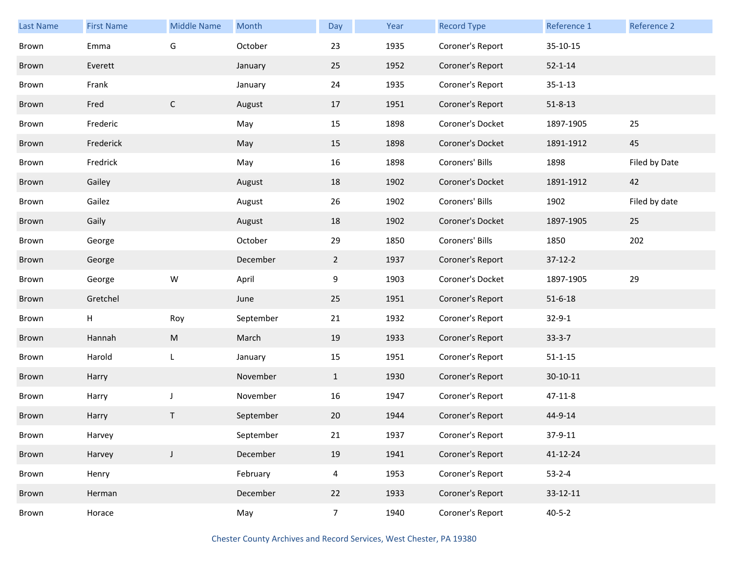| <b>Last Name</b> | <b>First Name</b> | <b>Middle Name</b> | Month     | Day            | Year | <b>Record Type</b> | Reference 1    | Reference 2   |
|------------------|-------------------|--------------------|-----------|----------------|------|--------------------|----------------|---------------|
| Brown            | Emma              | G                  | October   | 23             | 1935 | Coroner's Report   | 35-10-15       |               |
| Brown            | Everett           |                    | January   | 25             | 1952 | Coroner's Report   | $52 - 1 - 14$  |               |
| Brown            | Frank             |                    | January   | 24             | 1935 | Coroner's Report   | $35 - 1 - 13$  |               |
| Brown            | Fred              | $\mathsf{C}$       | August    | 17             | 1951 | Coroner's Report   | $51 - 8 - 13$  |               |
| Brown            | Frederic          |                    | May       | 15             | 1898 | Coroner's Docket   | 1897-1905      | 25            |
| Brown            | Frederick         |                    | May       | 15             | 1898 | Coroner's Docket   | 1891-1912      | 45            |
| Brown            | Fredrick          |                    | May       | 16             | 1898 | Coroners' Bills    | 1898           | Filed by Date |
| Brown            | Gailey            |                    | August    | 18             | 1902 | Coroner's Docket   | 1891-1912      | 42            |
| Brown            | Gailez            |                    | August    | 26             | 1902 | Coroners' Bills    | 1902           | Filed by date |
| Brown            | Gaily             |                    | August    | 18             | 1902 | Coroner's Docket   | 1897-1905      | 25            |
| Brown            | George            |                    | October   | 29             | 1850 | Coroners' Bills    | 1850           | 202           |
| Brown            | George            |                    | December  | $\overline{2}$ | 1937 | Coroner's Report   | $37-12-2$      |               |
| Brown            | George            | ${\sf W}$          | April     | 9              | 1903 | Coroner's Docket   | 1897-1905      | 29            |
| Brown            | Gretchel          |                    | June      | 25             | 1951 | Coroner's Report   | $51 - 6 - 18$  |               |
| Brown            | Н                 | Roy                | September | 21             | 1932 | Coroner's Report   | $32 - 9 - 1$   |               |
| Brown            | Hannah            | M                  | March     | 19             | 1933 | Coroner's Report   | $33-3-7$       |               |
| Brown            | Harold            | L                  | January   | 15             | 1951 | Coroner's Report   | $51 - 1 - 15$  |               |
| Brown            | Harry             |                    | November  | $\mathbf{1}$   | 1930 | Coroner's Report   | $30 - 10 - 11$ |               |
| Brown            | Harry             | $\mathsf J$        | November  | 16             | 1947 | Coroner's Report   | 47-11-8        |               |
| Brown            | Harry             | Τ                  | September | 20             | 1944 | Coroner's Report   | 44-9-14        |               |
| Brown            | Harvey            |                    | September | 21             | 1937 | Coroner's Report   | 37-9-11        |               |
| Brown            | Harvey            | J                  | December  | 19             | 1941 | Coroner's Report   | 41-12-24       |               |
| Brown            | Henry             |                    | February  | $\overline{4}$ | 1953 | Coroner's Report   | $53 - 2 - 4$   |               |
| Brown            | Herman            |                    | December  | 22             | 1933 | Coroner's Report   | 33-12-11       |               |
| Brown            | Horace            |                    | May       | $\overline{7}$ | 1940 | Coroner's Report   | $40 - 5 - 2$   |               |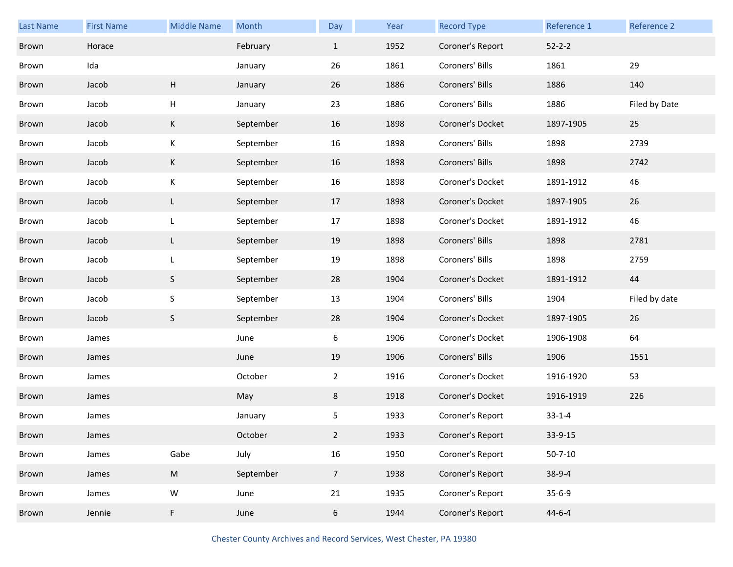| Last Name | <b>First Name</b> | <b>Middle Name</b> | Month     | Day             | Year | <b>Record Type</b> | Reference 1   | Reference 2   |
|-----------|-------------------|--------------------|-----------|-----------------|------|--------------------|---------------|---------------|
| Brown     | Horace            |                    | February  | $\mathbf{1}$    | 1952 | Coroner's Report   | $52 - 2 - 2$  |               |
| Brown     | Ida               |                    | January   | 26              | 1861 | Coroners' Bills    | 1861          | 29            |
| Brown     | Jacob             | H                  | January   | 26              | 1886 | Coroners' Bills    | 1886          | 140           |
| Brown     | Jacob             | Н                  | January   | 23              | 1886 | Coroners' Bills    | 1886          | Filed by Date |
| Brown     | Jacob             | K                  | September | 16              | 1898 | Coroner's Docket   | 1897-1905     | 25            |
| Brown     | Jacob             | К                  | September | 16              | 1898 | Coroners' Bills    | 1898          | 2739          |
| Brown     | Jacob             | K                  | September | 16              | 1898 | Coroners' Bills    | 1898          | 2742          |
| Brown     | Jacob             | К                  | September | 16              | 1898 | Coroner's Docket   | 1891-1912     | 46            |
| Brown     | Jacob             | L                  | September | 17              | 1898 | Coroner's Docket   | 1897-1905     | 26            |
| Brown     | Jacob             | L                  | September | 17              | 1898 | Coroner's Docket   | 1891-1912     | 46            |
| Brown     | Jacob             | L                  | September | 19              | 1898 | Coroners' Bills    | 1898          | 2781          |
| Brown     | Jacob             | L                  | September | 19              | 1898 | Coroners' Bills    | 1898          | 2759          |
| Brown     | Jacob             | S                  | September | 28              | 1904 | Coroner's Docket   | 1891-1912     | 44            |
| Brown     | Jacob             | S                  | September | 13              | 1904 | Coroners' Bills    | 1904          | Filed by date |
| Brown     | Jacob             | $\mathsf S$        | September | 28              | 1904 | Coroner's Docket   | 1897-1905     | 26            |
| Brown     | James             |                    | June      | 6               | 1906 | Coroner's Docket   | 1906-1908     | 64            |
| Brown     | James             |                    | June      | 19              | 1906 | Coroners' Bills    | 1906          | 1551          |
| Brown     | James             |                    | October   | $\overline{2}$  | 1916 | Coroner's Docket   | 1916-1920     | 53            |
| Brown     | James             |                    | May       | 8               | 1918 | Coroner's Docket   | 1916-1919     | 226           |
| Brown     | James             |                    | January   | 5               | 1933 | Coroner's Report   | $33 - 1 - 4$  |               |
| Brown     | James             |                    | October   | $\overline{2}$  | 1933 | Coroner's Report   | $33-9-15$     |               |
| Brown     | James             | Gabe               | July      | 16              | 1950 | Coroner's Report   | $50 - 7 - 10$ |               |
| Brown     | James             | ${\sf M}$          | September | $7\overline{ }$ | 1938 | Coroner's Report   | $38-9-4$      |               |
| Brown     | James             | ${\sf W}$          | June      | 21              | 1935 | Coroner's Report   | $35 - 6 - 9$  |               |
| Brown     | Jennie            | F                  | June      | 6               | 1944 | Coroner's Report   | $44 - 6 - 4$  |               |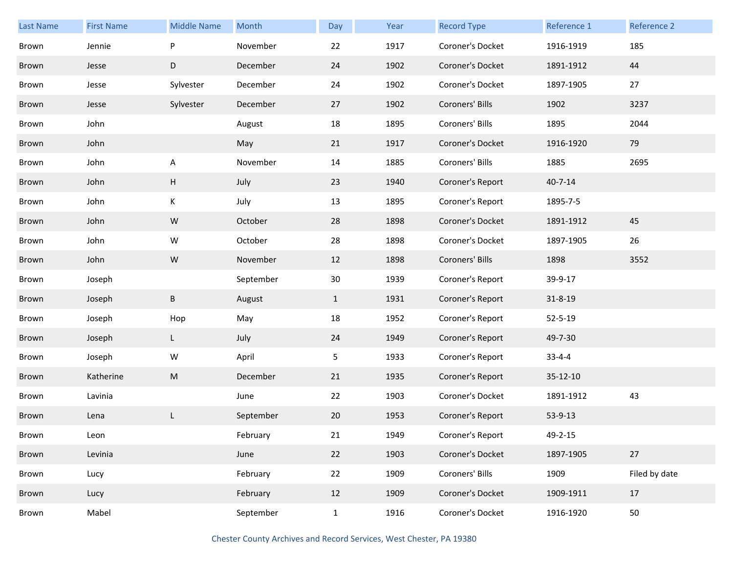| <b>Last Name</b> | <b>First Name</b> | <b>Middle Name</b> | Month     | Day          | Year | <b>Record Type</b> | Reference 1   | Reference 2   |
|------------------|-------------------|--------------------|-----------|--------------|------|--------------------|---------------|---------------|
| Brown            | Jennie            | ${\sf P}$          | November  | 22           | 1917 | Coroner's Docket   | 1916-1919     | 185           |
| Brown            | Jesse             | D                  | December  | 24           | 1902 | Coroner's Docket   | 1891-1912     | 44            |
| Brown            | Jesse             | Sylvester          | December  | 24           | 1902 | Coroner's Docket   | 1897-1905     | 27            |
| Brown            | Jesse             | Sylvester          | December  | 27           | 1902 | Coroners' Bills    | 1902          | 3237          |
| Brown            | John              |                    | August    | 18           | 1895 | Coroners' Bills    | 1895          | 2044          |
| Brown            | John              |                    | May       | 21           | 1917 | Coroner's Docket   | 1916-1920     | 79            |
| Brown            | John              | A                  | November  | 14           | 1885 | Coroners' Bills    | 1885          | 2695          |
| Brown            | John              | H                  | July      | 23           | 1940 | Coroner's Report   | $40 - 7 - 14$ |               |
| Brown            | John              | K                  | July      | 13           | 1895 | Coroner's Report   | 1895-7-5      |               |
| Brown            | John              | ${\sf W}$          | October   | 28           | 1898 | Coroner's Docket   | 1891-1912     | 45            |
| Brown            | John              | W                  | October   | 28           | 1898 | Coroner's Docket   | 1897-1905     | 26            |
| Brown            | John              | W                  | November  | 12           | 1898 | Coroners' Bills    | 1898          | 3552          |
| Brown            | Joseph            |                    | September | 30           | 1939 | Coroner's Report   | 39-9-17       |               |
| Brown            | Joseph            | $\sf B$            | August    | $\mathbf{1}$ | 1931 | Coroner's Report   | $31 - 8 - 19$ |               |
| Brown            | Joseph            | Hop                | May       | 18           | 1952 | Coroner's Report   | $52 - 5 - 19$ |               |
| Brown            | Joseph            | L                  | July      | 24           | 1949 | Coroner's Report   | 49-7-30       |               |
| Brown            | Joseph            | ${\sf W}$          | April     | 5            | 1933 | Coroner's Report   | $33 - 4 - 4$  |               |
| Brown            | Katherine         | ${\sf M}$          | December  | 21           | 1935 | Coroner's Report   | 35-12-10      |               |
| Brown            | Lavinia           |                    | June      | 22           | 1903 | Coroner's Docket   | 1891-1912     | 43            |
| Brown            | Lena              | L                  | September | 20           | 1953 | Coroner's Report   | 53-9-13       |               |
| Brown            | Leon              |                    | February  | 21           | 1949 | Coroner's Report   | 49-2-15       |               |
| Brown            | Levinia           |                    | June      | 22           | 1903 | Coroner's Docket   | 1897-1905     | 27            |
| Brown            | Lucy              |                    | February  | 22           | 1909 | Coroners' Bills    | 1909          | Filed by date |
| Brown            | Lucy              |                    | February  | 12           | 1909 | Coroner's Docket   | 1909-1911     | 17            |
| Brown            | Mabel             |                    | September | $\mathbf{1}$ | 1916 | Coroner's Docket   | 1916-1920     | 50            |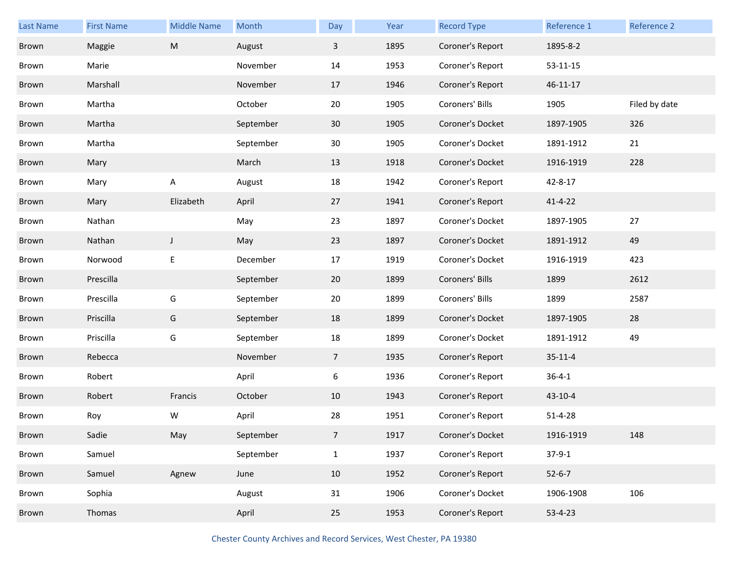| Last Name | <b>First Name</b> | <b>Middle Name</b> | Month     | Day             | Year | <b>Record Type</b> | Reference 1    | Reference 2   |
|-----------|-------------------|--------------------|-----------|-----------------|------|--------------------|----------------|---------------|
| Brown     | Maggie            | ${\sf M}$          | August    | $\mathbf{3}$    | 1895 | Coroner's Report   | 1895-8-2       |               |
| Brown     | Marie             |                    | November  | 14              | 1953 | Coroner's Report   | $53 - 11 - 15$ |               |
| Brown     | Marshall          |                    | November  | 17              | 1946 | Coroner's Report   | 46-11-17       |               |
| Brown     | Martha            |                    | October   | 20              | 1905 | Coroners' Bills    | 1905           | Filed by date |
| Brown     | Martha            |                    | September | 30              | 1905 | Coroner's Docket   | 1897-1905      | 326           |
| Brown     | Martha            |                    | September | 30              | 1905 | Coroner's Docket   | 1891-1912      | 21            |
| Brown     | Mary              |                    | March     | 13              | 1918 | Coroner's Docket   | 1916-1919      | 228           |
| Brown     | Mary              | Α                  | August    | 18              | 1942 | Coroner's Report   | 42-8-17        |               |
| Brown     | Mary              | Elizabeth          | April     | 27              | 1941 | Coroner's Report   | $41 - 4 - 22$  |               |
| Brown     | Nathan            |                    | May       | 23              | 1897 | Coroner's Docket   | 1897-1905      | 27            |
| Brown     | Nathan            | $\mathsf J$        | May       | 23              | 1897 | Coroner's Docket   | 1891-1912      | 49            |
| Brown     | Norwood           | E                  | December  | 17              | 1919 | Coroner's Docket   | 1916-1919      | 423           |
| Brown     | Prescilla         |                    | September | 20              | 1899 | Coroners' Bills    | 1899           | 2612          |
| Brown     | Prescilla         | G                  | September | 20              | 1899 | Coroners' Bills    | 1899           | 2587          |
| Brown     | Priscilla         | G                  | September | 18              | 1899 | Coroner's Docket   | 1897-1905      | 28            |
| Brown     | Priscilla         | G                  | September | 18              | 1899 | Coroner's Docket   | 1891-1912      | 49            |
| Brown     | Rebecca           |                    | November  | $7\overline{ }$ | 1935 | Coroner's Report   | $35 - 11 - 4$  |               |
| Brown     | Robert            |                    | April     | 6               | 1936 | Coroner's Report   | $36 - 4 - 1$   |               |
| Brown     | Robert            | Francis            | October   | 10              | 1943 | Coroner's Report   | $43 - 10 - 4$  |               |
| Brown     | Roy               | W                  | April     | 28              | 1951 | Coroner's Report   | $51 - 4 - 28$  |               |
| Brown     | Sadie             | May                | September | $\overline{7}$  | 1917 | Coroner's Docket   | 1916-1919      | 148           |
| Brown     | Samuel            |                    | September | $\mathbf{1}$    | 1937 | Coroner's Report   | $37-9-1$       |               |
| Brown     | Samuel            | Agnew              | June      | 10              | 1952 | Coroner's Report   | $52 - 6 - 7$   |               |
| Brown     | Sophia            |                    | August    | 31              | 1906 | Coroner's Docket   | 1906-1908      | 106           |
| Brown     | Thomas            |                    | April     | 25              | 1953 | Coroner's Report   | $53 - 4 - 23$  |               |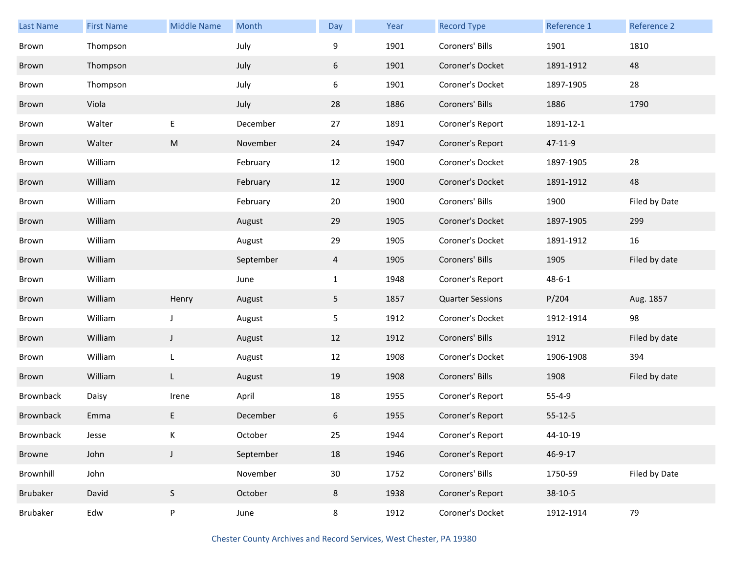| <b>Last Name</b> | <b>First Name</b> | <b>Middle Name</b> | Month     | Day          | Year | <b>Record Type</b>      | Reference 1   | Reference 2   |
|------------------|-------------------|--------------------|-----------|--------------|------|-------------------------|---------------|---------------|
| Brown            | Thompson          |                    | July      | 9            | 1901 | Coroners' Bills         | 1901          | 1810          |
| Brown            | Thompson          |                    | July      | 6            | 1901 | Coroner's Docket        | 1891-1912     | 48            |
| Brown            | Thompson          |                    | July      | 6            | 1901 | Coroner's Docket        | 1897-1905     | 28            |
| Brown            | Viola             |                    | July      | 28           | 1886 | Coroners' Bills         | 1886          | 1790          |
| Brown            | Walter            | $\mathsf E$        | December  | 27           | 1891 | Coroner's Report        | 1891-12-1     |               |
| Brown            | Walter            | ${\sf M}$          | November  | 24           | 1947 | Coroner's Report        | 47-11-9       |               |
| Brown            | William           |                    | February  | 12           | 1900 | Coroner's Docket        | 1897-1905     | 28            |
| Brown            | William           |                    | February  | 12           | 1900 | Coroner's Docket        | 1891-1912     | 48            |
| Brown            | William           |                    | February  | 20           | 1900 | Coroners' Bills         | 1900          | Filed by Date |
| Brown            | William           |                    | August    | 29           | 1905 | Coroner's Docket        | 1897-1905     | 299           |
| Brown            | William           |                    | August    | 29           | 1905 | Coroner's Docket        | 1891-1912     | 16            |
| Brown            | William           |                    | September | 4            | 1905 | Coroners' Bills         | 1905          | Filed by date |
| Brown            | William           |                    | June      | $\mathbf{1}$ | 1948 | Coroner's Report        | $48 - 6 - 1$  |               |
| Brown            | William           | Henry              | August    | 5            | 1857 | <b>Quarter Sessions</b> | P/204         | Aug. 1857     |
| Brown            | William           | $\mathsf J$        | August    | 5            | 1912 | Coroner's Docket        | 1912-1914     | 98            |
| Brown            | William           | J                  | August    | 12           | 1912 | Coroners' Bills         | 1912          | Filed by date |
| Brown            | William           | L                  | August    | 12           | 1908 | Coroner's Docket        | 1906-1908     | 394           |
| Brown            | William           | L                  | August    | 19           | 1908 | Coroners' Bills         | 1908          | Filed by date |
| Brownback        | Daisy             | Irene              | April     | 18           | 1955 | Coroner's Report        | $55 - 4 - 9$  |               |
| Brownback        | Emma              | E                  | December  | 6            | 1955 | Coroner's Report        | $55 - 12 - 5$ |               |
| Brownback        | Jesse             | Κ                  | October   | 25           | 1944 | Coroner's Report        | 44-10-19      |               |
| <b>Browne</b>    | John              | $\mathsf J$        | September | 18           | 1946 | Coroner's Report        | 46-9-17       |               |
| Brownhill        | John              |                    | November  | $30\,$       | 1752 | Coroners' Bills         | 1750-59       | Filed by Date |
| Brubaker         | David             | $\mathsf S$        | October   | 8            | 1938 | Coroner's Report        | $38-10-5$     |               |
| <b>Brubaker</b>  | Edw               | P                  | June      | 8            | 1912 | Coroner's Docket        | 1912-1914     | 79            |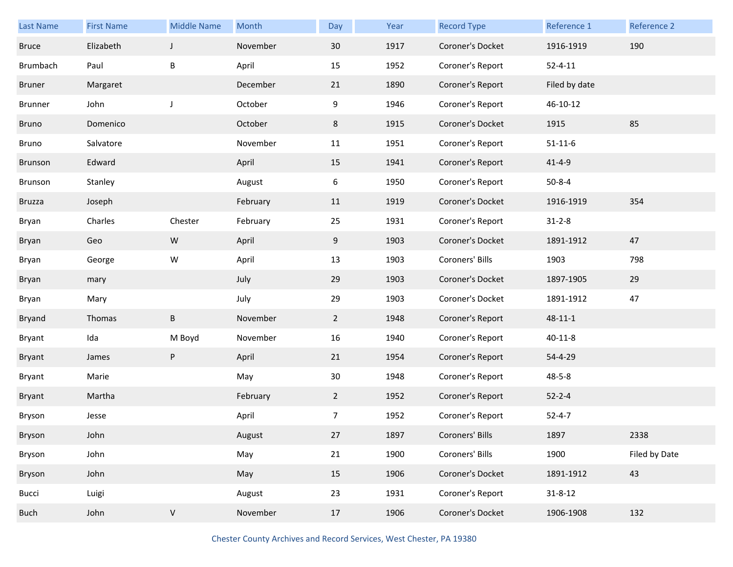| <b>Last Name</b> | <b>First Name</b> | <b>Middle Name</b> | Month    | Day             | Year | <b>Record Type</b> | Reference 1   | Reference 2   |
|------------------|-------------------|--------------------|----------|-----------------|------|--------------------|---------------|---------------|
| <b>Bruce</b>     | Elizabeth         | $\mathsf J$        | November | 30 <sup>°</sup> | 1917 | Coroner's Docket   | 1916-1919     | 190           |
| <b>Brumbach</b>  | Paul              | B                  | April    | 15              | 1952 | Coroner's Report   | $52 - 4 - 11$ |               |
| <b>Bruner</b>    | Margaret          |                    | December | 21              | 1890 | Coroner's Report   | Filed by date |               |
| Brunner          | John              | J                  | October  | 9               | 1946 | Coroner's Report   | 46-10-12      |               |
| Bruno            | Domenico          |                    | October  | 8               | 1915 | Coroner's Docket   | 1915          | 85            |
| Bruno            | Salvatore         |                    | November | 11              | 1951 | Coroner's Report   | $51 - 11 - 6$ |               |
| Brunson          | Edward            |                    | April    | 15              | 1941 | Coroner's Report   | $41 - 4 - 9$  |               |
| Brunson          | Stanley           |                    | August   | 6               | 1950 | Coroner's Report   | $50 - 8 - 4$  |               |
| <b>Bruzza</b>    | Joseph            |                    | February | 11              | 1919 | Coroner's Docket   | 1916-1919     | 354           |
| Bryan            | Charles           | Chester            | February | 25              | 1931 | Coroner's Report   | $31 - 2 - 8$  |               |
| Bryan            | Geo               | ${\sf W}$          | April    | 9               | 1903 | Coroner's Docket   | 1891-1912     | 47            |
| Bryan            | George            | W                  | April    | 13              | 1903 | Coroners' Bills    | 1903          | 798           |
| Bryan            | mary              |                    | July     | 29              | 1903 | Coroner's Docket   | 1897-1905     | 29            |
| Bryan            | Mary              |                    | July     | 29              | 1903 | Coroner's Docket   | 1891-1912     | 47            |
| <b>Bryand</b>    | Thomas            | $\sf B$            | November | $2^{\circ}$     | 1948 | Coroner's Report   | $48 - 11 - 1$ |               |
| Bryant           | Ida               | M Boyd             | November | 16              | 1940 | Coroner's Report   | $40 - 11 - 8$ |               |
| Bryant           | James             | ${\sf P}$          | April    | 21              | 1954 | Coroner's Report   | 54-4-29       |               |
| Bryant           | Marie             |                    | May      | 30              | 1948 | Coroner's Report   | $48 - 5 - 8$  |               |
| <b>Bryant</b>    | Martha            |                    | February | $\overline{2}$  | 1952 | Coroner's Report   | $52 - 2 - 4$  |               |
| Bryson           | Jesse             |                    | April    | 7               | 1952 | Coroner's Report   | $52 - 4 - 7$  |               |
| Bryson           | John              |                    | August   | 27              | 1897 | Coroners' Bills    | 1897          | 2338          |
| Bryson           | John              |                    | May      | 21              | 1900 | Coroners' Bills    | 1900          | Filed by Date |
| Bryson           | John              |                    | May      | 15              | 1906 | Coroner's Docket   | 1891-1912     | 43            |
| Bucci            | Luigi             |                    | August   | 23              | 1931 | Coroner's Report   | $31 - 8 - 12$ |               |
| <b>Buch</b>      | John              | $\mathsf V$        | November | 17              | 1906 | Coroner's Docket   | 1906-1908     | 132           |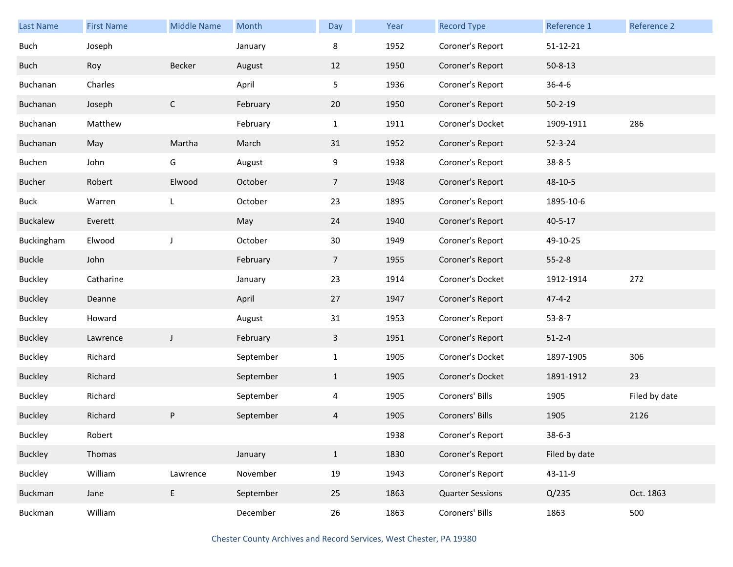| <b>Last Name</b> | <b>First Name</b> | <b>Middle Name</b> | Month     | Day            | Year | <b>Record Type</b>      | Reference 1    | Reference 2   |
|------------------|-------------------|--------------------|-----------|----------------|------|-------------------------|----------------|---------------|
| <b>Buch</b>      | Joseph            |                    | January   | 8              | 1952 | Coroner's Report        | $51 - 12 - 21$ |               |
| Buch             | Roy               | Becker             | August    | 12             | 1950 | Coroner's Report        | $50 - 8 - 13$  |               |
| Buchanan         | Charles           |                    | April     | 5              | 1936 | Coroner's Report        | $36 - 4 - 6$   |               |
| Buchanan         | Joseph            | $\mathsf{C}$       | February  | 20             | 1950 | Coroner's Report        | $50 - 2 - 19$  |               |
| Buchanan         | Matthew           |                    | February  | $\mathbf{1}$   | 1911 | Coroner's Docket        | 1909-1911      | 286           |
| Buchanan         | May               | Martha             | March     | 31             | 1952 | Coroner's Report        | $52 - 3 - 24$  |               |
| Buchen           | John              | G                  | August    | 9              | 1938 | Coroner's Report        | $38 - 8 - 5$   |               |
| <b>Bucher</b>    | Robert            | Elwood             | October   | 7 <sup>1</sup> | 1948 | Coroner's Report        | 48-10-5        |               |
| <b>Buck</b>      | Warren            | L                  | October   | 23             | 1895 | Coroner's Report        | 1895-10-6      |               |
| Buckalew         | Everett           |                    | May       | 24             | 1940 | Coroner's Report        | $40 - 5 - 17$  |               |
| Buckingham       | Elwood            | J                  | October   | 30             | 1949 | Coroner's Report        | 49-10-25       |               |
| <b>Buckle</b>    | John              |                    | February  | $\overline{7}$ | 1955 | Coroner's Report        | $55 - 2 - 8$   |               |
| <b>Buckley</b>   | Catharine         |                    | January   | 23             | 1914 | Coroner's Docket        | 1912-1914      | 272           |
| <b>Buckley</b>   | Deanne            |                    | April     | 27             | 1947 | Coroner's Report        | $47 - 4 - 2$   |               |
| <b>Buckley</b>   | Howard            |                    | August    | 31             | 1953 | Coroner's Report        | $53 - 8 - 7$   |               |
| <b>Buckley</b>   | Lawrence          | $\mathsf{J}$       | February  | 3              | 1951 | Coroner's Report        | $51 - 2 - 4$   |               |
| <b>Buckley</b>   | Richard           |                    | September | $\mathbf{1}$   | 1905 | Coroner's Docket        | 1897-1905      | 306           |
| <b>Buckley</b>   | Richard           |                    | September | $\mathbf{1}$   | 1905 | Coroner's Docket        | 1891-1912      | 23            |
| <b>Buckley</b>   | Richard           |                    | September | $\overline{4}$ | 1905 | Coroners' Bills         | 1905           | Filed by date |
| <b>Buckley</b>   | Richard           | P                  | September | 4              | 1905 | Coroners' Bills         | 1905           | 2126          |
| Buckley          | Robert            |                    |           |                | 1938 | Coroner's Report        | $38 - 6 - 3$   |               |
| Buckley          | Thomas            |                    | January   | $\mathbf{1}$   | 1830 | Coroner's Report        | Filed by date  |               |
| Buckley          | William           | Lawrence           | November  | 19             | 1943 | Coroner's Report        | 43-11-9        |               |
| Buckman          | Jane              | E                  | September | 25             | 1863 | <b>Quarter Sessions</b> | Q/235          | Oct. 1863     |
| Buckman          | William           |                    | December  | 26             | 1863 | Coroners' Bills         | 1863           | 500           |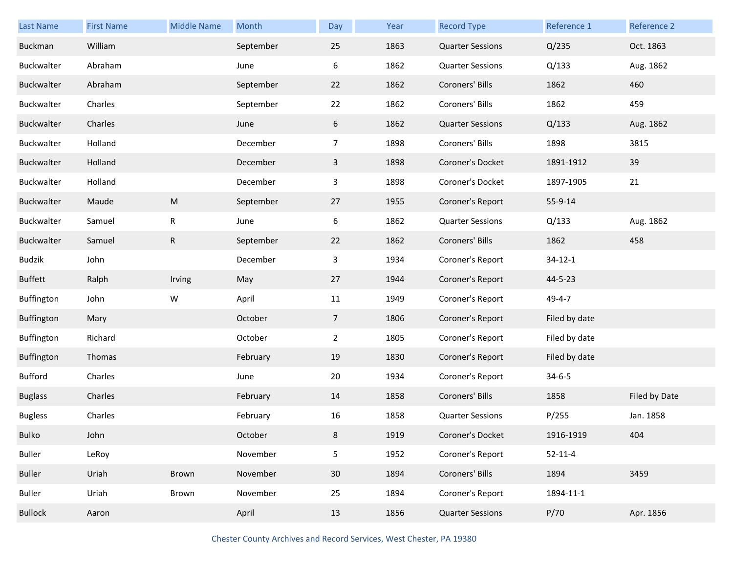| <b>Last Name</b> | <b>First Name</b> | <b>Middle Name</b> | Month     | Day             | Year | <b>Record Type</b>      | Reference 1   | Reference 2   |
|------------------|-------------------|--------------------|-----------|-----------------|------|-------------------------|---------------|---------------|
| Buckman          | William           |                    | September | 25              | 1863 | <b>Quarter Sessions</b> | Q/235         | Oct. 1863     |
| Buckwalter       | Abraham           |                    | June      | 6               | 1862 | <b>Quarter Sessions</b> | Q/133         | Aug. 1862     |
| Buckwalter       | Abraham           |                    | September | 22              | 1862 | Coroners' Bills         | 1862          | 460           |
| Buckwalter       | Charles           |                    | September | 22              | 1862 | Coroners' Bills         | 1862          | 459           |
| Buckwalter       | Charles           |                    | June      | 6               | 1862 | <b>Quarter Sessions</b> | Q/133         | Aug. 1862     |
| Buckwalter       | Holland           |                    | December  | $\overline{7}$  | 1898 | Coroners' Bills         | 1898          | 3815          |
| Buckwalter       | Holland           |                    | December  | $\mathbf{3}$    | 1898 | Coroner's Docket        | 1891-1912     | 39            |
| Buckwalter       | Holland           |                    | December  | 3               | 1898 | Coroner's Docket        | 1897-1905     | 21            |
| Buckwalter       | Maude             | ${\sf M}$          | September | 27              | 1955 | Coroner's Report        | 55-9-14       |               |
| Buckwalter       | Samuel            | R                  | June      | 6               | 1862 | <b>Quarter Sessions</b> | Q/133         | Aug. 1862     |
| Buckwalter       | Samuel            | ${\sf R}$          | September | 22              | 1862 | Coroners' Bills         | 1862          | 458           |
| <b>Budzik</b>    | John              |                    | December  | 3               | 1934 | Coroner's Report        | $34 - 12 - 1$ |               |
| <b>Buffett</b>   | Ralph             | Irving             | May       | 27              | 1944 | Coroner's Report        | 44-5-23       |               |
|                  |                   |                    |           |                 |      |                         |               |               |
| Buffington       | John              | W                  | April     | 11              | 1949 | Coroner's Report        | 49-4-7        |               |
| Buffington       | Mary              |                    | October   | $7\overline{ }$ | 1806 | Coroner's Report        | Filed by date |               |
| Buffington       | Richard           |                    | October   | $\overline{2}$  | 1805 | Coroner's Report        | Filed by date |               |
| Buffington       | Thomas            |                    | February  | 19              | 1830 | Coroner's Report        | Filed by date |               |
| Bufford          | Charles           |                    | June      | 20              | 1934 | Coroner's Report        | $34 - 6 - 5$  |               |
| <b>Buglass</b>   | Charles           |                    | February  | 14              | 1858 | Coroners' Bills         | 1858          | Filed by Date |
| <b>Bugless</b>   | Charles           |                    | February  | 16              | 1858 | <b>Quarter Sessions</b> | P/255         | Jan. 1858     |
| Bulko            | John              |                    | October   | 8               | 1919 | Coroner's Docket        | 1916-1919     | 404           |
| <b>Buller</b>    | LeRoy             |                    | November  | 5               | 1952 | Coroner's Report        | $52 - 11 - 4$ |               |
| Buller           | Uriah             | Brown              | November  | 30              | 1894 | Coroners' Bills         | 1894          | 3459          |
| Buller           | Uriah             | Brown              | November  | 25              | 1894 | Coroner's Report        | 1894-11-1     |               |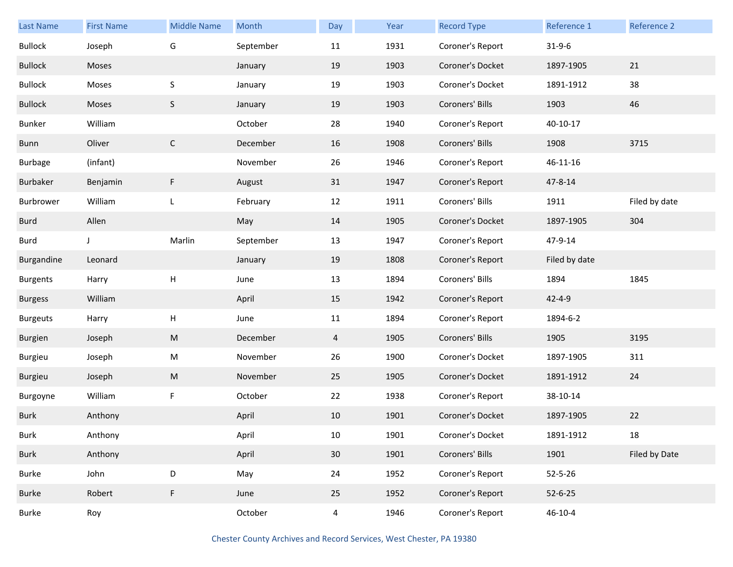| <b>Last Name</b> | <b>First Name</b> | <b>Middle Name</b>        | Month     | Day            | Year | <b>Record Type</b> | Reference 1   | Reference 2   |
|------------------|-------------------|---------------------------|-----------|----------------|------|--------------------|---------------|---------------|
| <b>Bullock</b>   | Joseph            | G                         | September | 11             | 1931 | Coroner's Report   | $31 - 9 - 6$  |               |
| <b>Bullock</b>   | Moses             |                           | January   | 19             | 1903 | Coroner's Docket   | 1897-1905     | 21            |
| <b>Bullock</b>   | Moses             | $\sf S$                   | January   | 19             | 1903 | Coroner's Docket   | 1891-1912     | 38            |
| <b>Bullock</b>   | Moses             | S                         | January   | 19             | 1903 | Coroners' Bills    | 1903          | 46            |
| Bunker           | William           |                           | October   | 28             | 1940 | Coroner's Report   | 40-10-17      |               |
| Bunn             | Oliver            | $\mathsf{C}$              | December  | 16             | 1908 | Coroners' Bills    | 1908          | 3715          |
| <b>Burbage</b>   | (infant)          |                           | November  | 26             | 1946 | Coroner's Report   | 46-11-16      |               |
| Burbaker         | Benjamin          | F.                        | August    | 31             | 1947 | Coroner's Report   | $47 - 8 - 14$ |               |
| Burbrower        | William           | L                         | February  | 12             | 1911 | Coroners' Bills    | 1911          | Filed by date |
| Burd             | Allen             |                           | May       | 14             | 1905 | Coroner's Docket   | 1897-1905     | 304           |
| Burd             | $\mathsf{J}$      | Marlin                    | September | 13             | 1947 | Coroner's Report   | 47-9-14       |               |
| Burgandine       | Leonard           |                           | January   | 19             | 1808 | Coroner's Report   | Filed by date |               |
| <b>Burgents</b>  | Harry             | $\mathsf{H}%$             | June      | 13             | 1894 | Coroners' Bills    | 1894          | 1845          |
| <b>Burgess</b>   | William           |                           | April     | 15             | 1942 | Coroner's Report   | $42 - 4 - 9$  |               |
| <b>Burgeuts</b>  | Harry             | $\boldsymbol{\mathsf{H}}$ | June      | 11             | 1894 | Coroner's Report   | 1894-6-2      |               |
| Burgien          | Joseph            | M                         | December  | $\overline{4}$ | 1905 | Coroners' Bills    | 1905          | 3195          |
| Burgieu          | Joseph            | M                         | November  | 26             | 1900 | Coroner's Docket   | 1897-1905     | 311           |
| Burgieu          | Joseph            | M                         | November  | 25             | 1905 | Coroner's Docket   | 1891-1912     | 24            |
| Burgoyne         | William           | $\mathsf F$               | October   | 22             | 1938 | Coroner's Report   | 38-10-14      |               |
| <b>Burk</b>      | Anthony           |                           | April     | 10             | 1901 | Coroner's Docket   | 1897-1905     | 22            |
| <b>Burk</b>      | Anthony           |                           | April     | $10\,$         | 1901 | Coroner's Docket   | 1891-1912     | 18            |
| <b>Burk</b>      | Anthony           |                           | April     | 30             | 1901 | Coroners' Bills    | 1901          | Filed by Date |
| Burke            | John              | D                         | May       | 24             | 1952 | Coroner's Report   | $52 - 5 - 26$ |               |
| Burke            | Robert            | $\mathsf F$               | June      | 25             | 1952 | Coroner's Report   | $52 - 6 - 25$ |               |
| Burke            | Roy               |                           | October   | $\overline{4}$ | 1946 | Coroner's Report   | $46 - 10 - 4$ |               |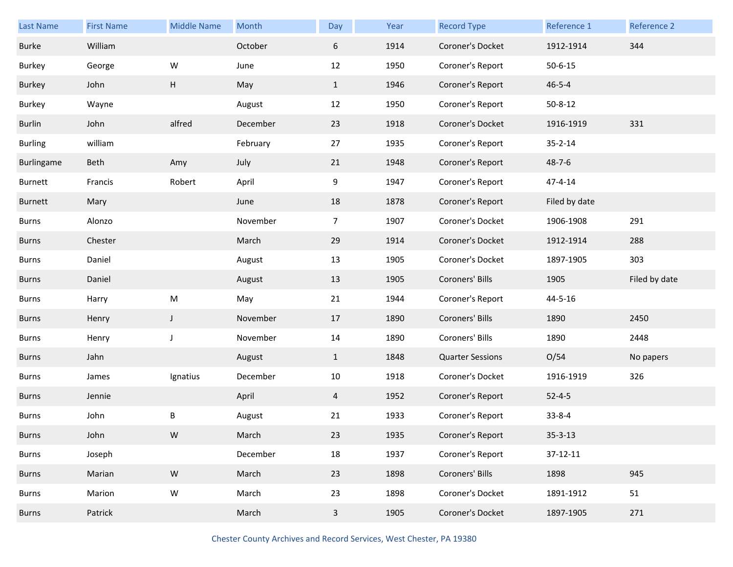| <b>Last Name</b>  | <b>First Name</b> | <b>Middle Name</b> | Month    | Day            | Year | <b>Record Type</b>      | Reference 1   | Reference 2   |
|-------------------|-------------------|--------------------|----------|----------------|------|-------------------------|---------------|---------------|
| <b>Burke</b>      | William           |                    | October  | 6              | 1914 | Coroner's Docket        | 1912-1914     | 344           |
| <b>Burkey</b>     | George            | W                  | June     | 12             | 1950 | Coroner's Report        | $50 - 6 - 15$ |               |
| <b>Burkey</b>     | John              | Н                  | May      | $\mathbf{1}$   | 1946 | Coroner's Report        | $46 - 5 - 4$  |               |
| Burkey            | Wayne             |                    | August   | 12             | 1950 | Coroner's Report        | $50 - 8 - 12$ |               |
| Burlin            | John              | alfred             | December | 23             | 1918 | Coroner's Docket        | 1916-1919     | 331           |
| <b>Burling</b>    | william           |                    | February | 27             | 1935 | Coroner's Report        | $35 - 2 - 14$ |               |
| <b>Burlingame</b> | Beth              | Amy                | July     | 21             | 1948 | Coroner's Report        | $48 - 7 - 6$  |               |
| Burnett           | Francis           | Robert             | April    | 9              | 1947 | Coroner's Report        | 47-4-14       |               |
| <b>Burnett</b>    | Mary              |                    | June     | 18             | 1878 | Coroner's Report        | Filed by date |               |
| Burns             | Alonzo            |                    | November | $\overline{7}$ | 1907 | Coroner's Docket        | 1906-1908     | 291           |
| <b>Burns</b>      | Chester           |                    | March    | 29             | 1914 | Coroner's Docket        | 1912-1914     | 288           |
| Burns             | Daniel            |                    | August   | 13             | 1905 | Coroner's Docket        | 1897-1905     | 303           |
|                   |                   |                    |          |                |      |                         |               |               |
| <b>Burns</b>      | Daniel            |                    | August   | 13             | 1905 | Coroners' Bills         | 1905          | Filed by date |
| <b>Burns</b>      | Harry             | M                  | May      | 21             | 1944 | Coroner's Report        | 44-5-16       |               |
| <b>Burns</b>      | Henry             | $\mathsf J$        | November | 17             | 1890 | Coroners' Bills         | 1890          | 2450          |
| <b>Burns</b>      | Henry             | J                  | November | 14             | 1890 | Coroners' Bills         | 1890          | 2448          |
| <b>Burns</b>      | Jahn              |                    | August   | $\mathbf{1}$   | 1848 | <b>Quarter Sessions</b> | O/54          | No papers     |
| Burns             | James             | Ignatius           | December | 10             | 1918 | Coroner's Docket        | 1916-1919     | 326           |
| <b>Burns</b>      | Jennie            |                    | April    | 4              | 1952 | Coroner's Report        | $52 - 4 - 5$  |               |
| <b>Burns</b>      | John              | В                  | August   | 21             | 1933 | Coroner's Report        | $33 - 8 - 4$  |               |
| <b>Burns</b>      | John              | ${\sf W}$          | March    | 23             | 1935 | Coroner's Report        | $35 - 3 - 13$ |               |
| Burns             | Joseph            |                    | December | 18             | 1937 | Coroner's Report        | 37-12-11      |               |
| <b>Burns</b>      | Marian            | ${\sf W}$          | March    | 23             | 1898 | Coroners' Bills         | 1898          | 945           |
| Burns             | Marion            | ${\sf W}$          | March    | 23             | 1898 | Coroner's Docket        | 1891-1912     | 51            |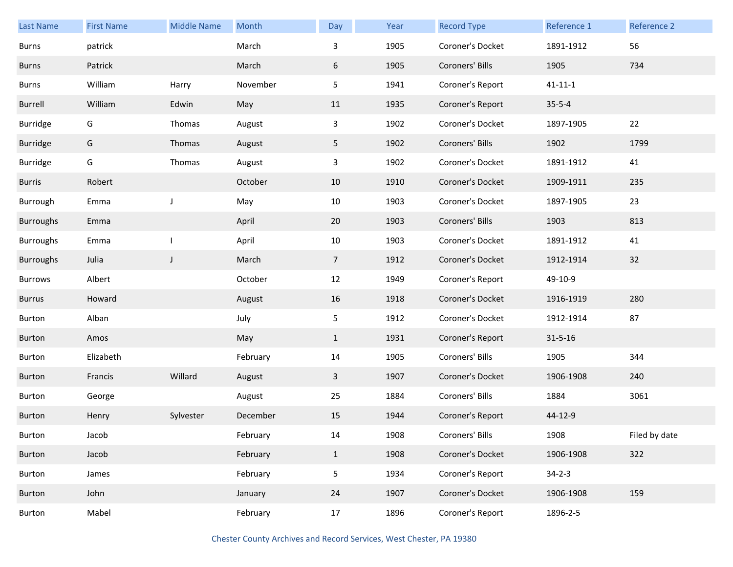| <b>Last Name</b> | <b>First Name</b> | <b>Middle Name</b> | Month    | Day            | Year | <b>Record Type</b> | Reference 1   | <b>Reference 2</b> |
|------------------|-------------------|--------------------|----------|----------------|------|--------------------|---------------|--------------------|
| <b>Burns</b>     | patrick           |                    | March    | 3              | 1905 | Coroner's Docket   | 1891-1912     | 56                 |
| Burns            | Patrick           |                    | March    | 6              | 1905 | Coroners' Bills    | 1905          | 734                |
| Burns            | William           | Harry              | November | 5              | 1941 | Coroner's Report   | $41 - 11 - 1$ |                    |
| Burrell          | William           | Edwin              | May      | 11             | 1935 | Coroner's Report   | $35 - 5 - 4$  |                    |
| Burridge         | G                 | Thomas             | August   | $\mathbf{3}$   | 1902 | Coroner's Docket   | 1897-1905     | 22                 |
| <b>Burridge</b>  | G                 | Thomas             | August   | 5              | 1902 | Coroners' Bills    | 1902          | 1799               |
| <b>Burridge</b>  | G                 | Thomas             | August   | 3              | 1902 | Coroner's Docket   | 1891-1912     | 41                 |
| <b>Burris</b>    | Robert            |                    | October  | 10             | 1910 | Coroner's Docket   | 1909-1911     | 235                |
| Burrough         | Emma              | J                  | May      | 10             | 1903 | Coroner's Docket   | 1897-1905     | 23                 |
| <b>Burroughs</b> | Emma              |                    | April    | 20             | 1903 | Coroners' Bills    | 1903          | 813                |
| <b>Burroughs</b> | Emma              |                    | April    | 10             | 1903 | Coroner's Docket   | 1891-1912     | 41                 |
| <b>Burroughs</b> | Julia             | J                  | March    | 7 <sup>1</sup> | 1912 | Coroner's Docket   | 1912-1914     | 32                 |
| <b>Burrows</b>   | Albert            |                    | October  | 12             | 1949 | Coroner's Report   | 49-10-9       |                    |
| <b>Burrus</b>    | Howard            |                    | August   | 16             | 1918 | Coroner's Docket   | 1916-1919     | 280                |
| Burton           | Alban             |                    | July     | 5              | 1912 | Coroner's Docket   | 1912-1914     | 87                 |
| Burton           | Amos              |                    | May      | $\mathbf{1}$   | 1931 | Coroner's Report   | $31 - 5 - 16$ |                    |
| Burton           | Elizabeth         |                    | February | 14             | 1905 | Coroners' Bills    | 1905          | 344                |
| Burton           | Francis           | Willard            | August   | 3              | 1907 | Coroner's Docket   | 1906-1908     | 240                |
| Burton           | George            |                    | August   | 25             | 1884 | Coroners' Bills    | 1884          | 3061               |
| Burton           | Henry             | Sylvester          | December | 15             | 1944 | Coroner's Report   | 44-12-9       |                    |
| Burton           | Jacob             |                    | February | 14             | 1908 | Coroners' Bills    | 1908          | Filed by date      |
| Burton           | Jacob             |                    | February | $\mathbf{1}$   | 1908 | Coroner's Docket   | 1906-1908     | 322                |
| Burton           | James             |                    | February | 5              | 1934 | Coroner's Report   | $34 - 2 - 3$  |                    |
| Burton           | John              |                    | January  | 24             | 1907 | Coroner's Docket   | 1906-1908     | 159                |
| Burton           | Mabel             |                    | February | 17             | 1896 | Coroner's Report   | 1896-2-5      |                    |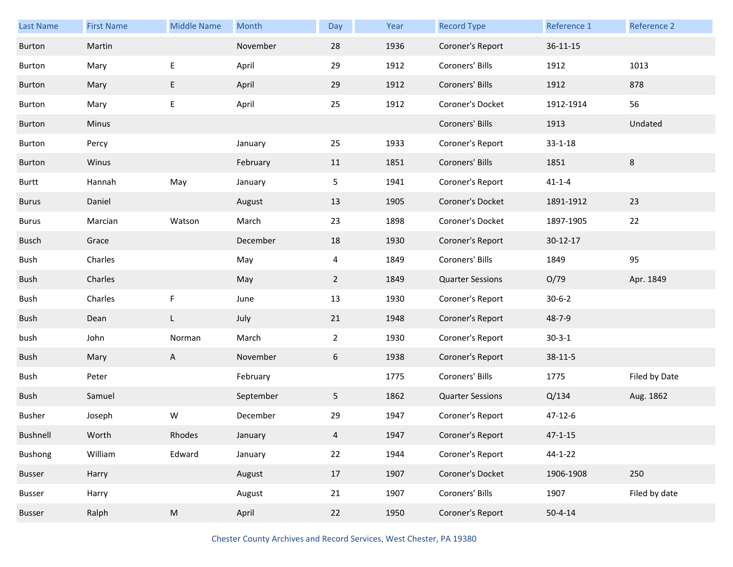| Last Name    | <b>First Name</b> | <b>Middle Name</b> | Month     | Day            | Year | <b>Record Type</b>      | Reference 1    | Reference 2   |
|--------------|-------------------|--------------------|-----------|----------------|------|-------------------------|----------------|---------------|
| Burton       | Martin            |                    | November  | 28             | 1936 | Coroner's Report        | $36 - 11 - 15$ |               |
| Burton       | Mary              | Е                  | April     | 29             | 1912 | Coroners' Bills         | 1912           | 1013          |
| Burton       | Mary              | E                  | April     | 29             | 1912 | Coroners' Bills         | 1912           | 878           |
| Burton       | Mary              | E                  | April     | 25             | 1912 | Coroner's Docket        | 1912-1914      | 56            |
| Burton       | <b>Minus</b>      |                    |           |                |      | Coroners' Bills         | 1913           | Undated       |
| Burton       | Percy             |                    | January   | 25             | 1933 | Coroner's Report        | $33 - 1 - 18$  |               |
| Burton       | Winus             |                    | February  | 11             | 1851 | Coroners' Bills         | 1851           | 8             |
| Burtt        | Hannah            | May                | January   | 5              | 1941 | Coroner's Report        | $41 - 1 - 4$   |               |
| Burus        | Daniel            |                    | August    | 13             | 1905 | Coroner's Docket        | 1891-1912      | 23            |
| Burus        | Marcian           | Watson             | March     | 23             | 1898 | Coroner's Docket        | 1897-1905      | 22            |
| <b>Busch</b> | Grace             |                    | December  | 18             | 1930 | Coroner's Report        | $30 - 12 - 17$ |               |
| Bush         | Charles           |                    | May       | $\overline{4}$ | 1849 | Coroners' Bills         | 1849           | 95            |
| Bush         | Charles           |                    | May       | $\overline{2}$ | 1849 | <b>Quarter Sessions</b> | O/79           | Apr. 1849     |
| Bush         | Charles           | F                  | June      | 13             | 1930 | Coroner's Report        | $30 - 6 - 2$   |               |
| Bush         | Dean              | L                  | July      | 21             | 1948 | Coroner's Report        | 48-7-9         |               |
| bush         | John              | Norman             | March     | $\overline{2}$ | 1930 | Coroner's Report        | $30 - 3 - 1$   |               |
| Bush         | Mary              | A                  | November  | 6              | 1938 | Coroner's Report        | $38 - 11 - 5$  |               |
| Bush         | Peter             |                    | February  |                | 1775 | Coroners' Bills         | 1775           | Filed by Date |
| Bush         | Samuel            |                    | September | 5              | 1862 | <b>Quarter Sessions</b> | Q/134          | Aug. 1862     |
| Busher       | Joseph            | W                  | December  | 29             | 1947 | Coroner's Report        | $47 - 12 - 6$  |               |
| Bushnell     | Worth             | Rhodes             | January   | 4              | 1947 | Coroner's Report        | $47 - 1 - 15$  |               |
| Bushong      | William           | Edward             | January   | 22             | 1944 | Coroner's Report        | 44-1-22        |               |
| Busser       | Harry             |                    | August    | 17             | 1907 | Coroner's Docket        | 1906-1908      | 250           |
| Busser       | Harry             |                    | August    | 21             | 1907 | Coroners' Bills         | 1907           | Filed by date |
| Busser       | Ralph             | ${\sf M}$          | April     | 22             | 1950 | Coroner's Report        | $50 - 4 - 14$  |               |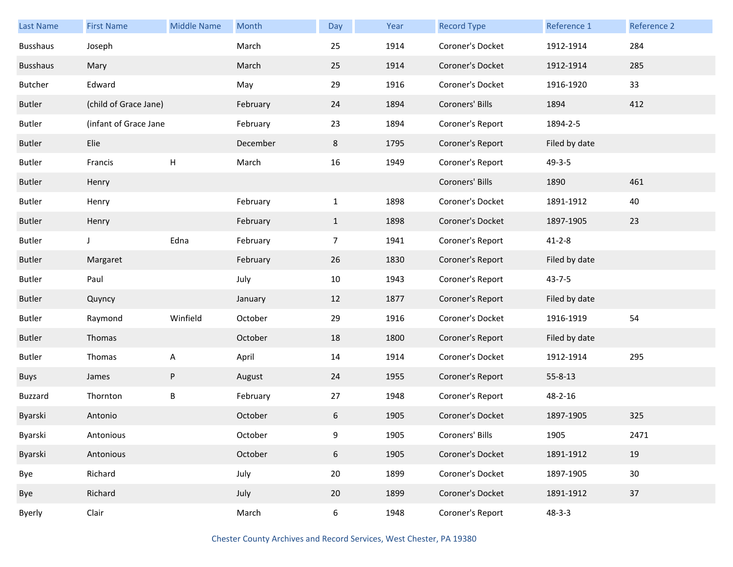| <b>Last Name</b> | <b>First Name</b>     | <b>Middle Name</b> | Month    | Day            | Year | <b>Record Type</b> | Reference 1   | Reference 2 |
|------------------|-----------------------|--------------------|----------|----------------|------|--------------------|---------------|-------------|
| <b>Busshaus</b>  | Joseph                |                    | March    | 25             | 1914 | Coroner's Docket   | 1912-1914     | 284         |
| <b>Busshaus</b>  | Mary                  |                    | March    | 25             | 1914 | Coroner's Docket   | 1912-1914     | 285         |
| Butcher          | Edward                |                    | May      | 29             | 1916 | Coroner's Docket   | 1916-1920     | 33          |
| <b>Butler</b>    | (child of Grace Jane) |                    | February | 24             | 1894 | Coroners' Bills    | 1894          | 412         |
| <b>Butler</b>    | (infant of Grace Jane |                    | February | 23             | 1894 | Coroner's Report   | 1894-2-5      |             |
| <b>Butler</b>    | Elie                  |                    | December | 8              | 1795 | Coroner's Report   | Filed by date |             |
| <b>Butler</b>    | Francis               | $\mathsf{H}$       | March    | 16             | 1949 | Coroner's Report   | $49 - 3 - 5$  |             |
| <b>Butler</b>    | Henry                 |                    |          |                |      | Coroners' Bills    | 1890          | 461         |
| <b>Butler</b>    | Henry                 |                    | February | $\mathbf{1}$   | 1898 | Coroner's Docket   | 1891-1912     | 40          |
| <b>Butler</b>    | Henry                 |                    | February | $\mathbf{1}$   | 1898 | Coroner's Docket   | 1897-1905     | 23          |
| <b>Butler</b>    | J                     | Edna               | February | $\overline{7}$ | 1941 | Coroner's Report   | $41 - 2 - 8$  |             |
| <b>Butler</b>    | Margaret              |                    | February | 26             | 1830 | Coroner's Report   | Filed by date |             |
| <b>Butler</b>    | Paul                  |                    | July     | 10             | 1943 | Coroner's Report   | $43 - 7 - 5$  |             |
| <b>Butler</b>    | Quyncy                |                    | January  | 12             | 1877 | Coroner's Report   | Filed by date |             |
| <b>Butler</b>    | Raymond               | Winfield           | October  | 29             | 1916 | Coroner's Docket   | 1916-1919     | 54          |
| <b>Butler</b>    | Thomas                |                    | October  | 18             | 1800 | Coroner's Report   | Filed by date |             |
| <b>Butler</b>    | Thomas                | A                  | April    | 14             | 1914 | Coroner's Docket   | 1912-1914     | 295         |
| <b>Buys</b>      | James                 | ${\sf P}$          | August   | 24             | 1955 | Coroner's Report   | $55 - 8 - 13$ |             |
| Buzzard          | Thornton              | B                  | February | 27             | 1948 | Coroner's Report   | 48-2-16       |             |
| Byarski          | Antonio               |                    | October  | 6              | 1905 | Coroner's Docket   | 1897-1905     | 325         |
| Byarski          | Antonious             |                    | October  | 9              | 1905 | Coroners' Bills    | 1905          | 2471        |
| Byarski          | Antonious             |                    | October  | 6              | 1905 | Coroner's Docket   | 1891-1912     | 19          |
| Bye              | Richard               |                    | July     | 20             | 1899 | Coroner's Docket   | 1897-1905     | 30          |
| Bye              | Richard               |                    | July     | 20             | 1899 | Coroner's Docket   | 1891-1912     | 37          |
| Byerly           | Clair                 |                    | March    | 6              | 1948 | Coroner's Report   | $48 - 3 - 3$  |             |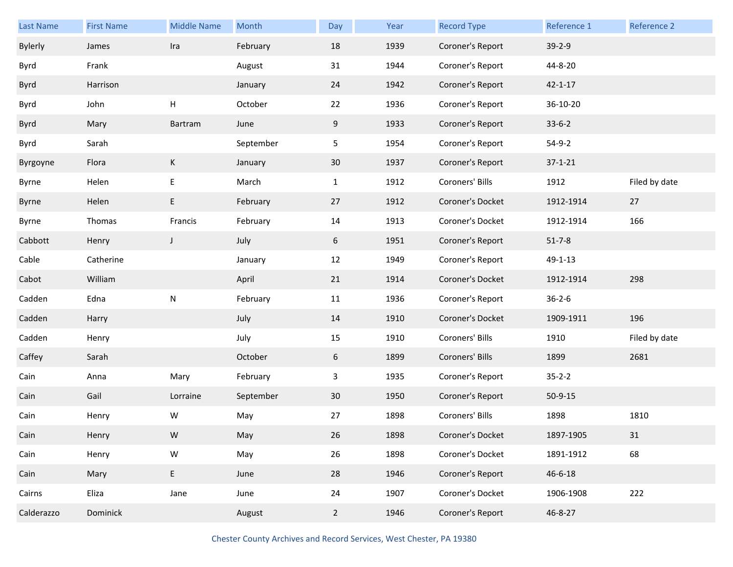| <b>Last Name</b> | <b>First Name</b> | <b>Middle Name</b> | Month     | Day            | Year | <b>Record Type</b> | Reference 1   | Reference 2   |
|------------------|-------------------|--------------------|-----------|----------------|------|--------------------|---------------|---------------|
| <b>Bylerly</b>   | James             | Ira                | February  | 18             | 1939 | Coroner's Report   | $39 - 2 - 9$  |               |
| Byrd             | Frank             |                    | August    | 31             | 1944 | Coroner's Report   | 44-8-20       |               |
| Byrd             | Harrison          |                    | January   | 24             | 1942 | Coroner's Report   | $42 - 1 - 17$ |               |
| Byrd             | John              | H                  | October   | 22             | 1936 | Coroner's Report   | 36-10-20      |               |
| <b>Byrd</b>      | Mary              | Bartram            | June      | 9              | 1933 | Coroner's Report   | $33-6-2$      |               |
| Byrd             | Sarah             |                    | September | 5              | 1954 | Coroner's Report   | $54-9-2$      |               |
| Byrgoyne         | Flora             | K                  | January   | 30             | 1937 | Coroner's Report   | $37 - 1 - 21$ |               |
| Byrne            | Helen             | E                  | March     | $\mathbf{1}$   | 1912 | Coroners' Bills    | 1912          | Filed by date |
| Byrne            | Helen             | E                  | February  | 27             | 1912 | Coroner's Docket   | 1912-1914     | 27            |
| Byrne            | Thomas            | Francis            | February  | 14             | 1913 | Coroner's Docket   | 1912-1914     | 166           |
| Cabbott          | Henry             | $\mathsf J$        | July      | 6              | 1951 | Coroner's Report   | $51 - 7 - 8$  |               |
| Cable            | Catherine         |                    | January   | 12             | 1949 | Coroner's Report   | 49-1-13       |               |
| Cabot            | William           |                    | April     | 21             | 1914 | Coroner's Docket   | 1912-1914     | 298           |
| Cadden           | Edna              | ${\sf N}$          | February  | 11             | 1936 | Coroner's Report   | $36 - 2 - 6$  |               |
| Cadden           | Harry             |                    | July      | 14             | 1910 | Coroner's Docket   | 1909-1911     | 196           |
| Cadden           | Henry             |                    | July      | 15             | 1910 | Coroners' Bills    | 1910          | Filed by date |
| Caffey           | Sarah             |                    | October   | 6              | 1899 | Coroners' Bills    | 1899          | 2681          |
| Cain             | Anna              | Mary               | February  | 3              | 1935 | Coroner's Report   | $35 - 2 - 2$  |               |
| Cain             | Gail              | Lorraine           | September | 30             | 1950 | Coroner's Report   | $50-9-15$     |               |
| Cain             | Henry             | W                  | May       | 27             | 1898 | Coroners' Bills    | 1898          | 1810          |
| Cain             | Henry             | W                  | May       | 26             | 1898 | Coroner's Docket   | 1897-1905     | 31            |
| Cain             | Henry             | ${\sf W}$          | May       | 26             | 1898 | Coroner's Docket   | 1891-1912     | 68            |
| Cain             | Mary              | E                  | June      | 28             | 1946 | Coroner's Report   | $46 - 6 - 18$ |               |
| Cairns           | Eliza             | Jane               | June      | 24             | 1907 | Coroner's Docket   | 1906-1908     | 222           |
| Calderazzo       | Dominick          |                    | August    | $\overline{2}$ | 1946 | Coroner's Report   | 46-8-27       |               |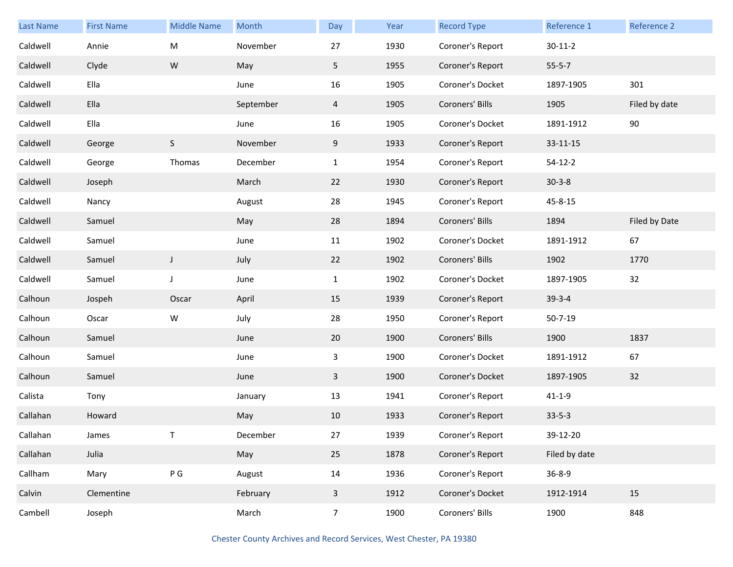| <b>Last Name</b> | <b>First Name</b> | <b>Middle Name</b> | Month     | Day            | Year | <b>Record Type</b> | Reference 1   | <b>Reference 2</b> |
|------------------|-------------------|--------------------|-----------|----------------|------|--------------------|---------------|--------------------|
| Caldwell         | Annie             | M                  | November  | 27             | 1930 | Coroner's Report   | $30 - 11 - 2$ |                    |
| Caldwell         | Clyde             | ${\sf W}$          | May       | 5              | 1955 | Coroner's Report   | $55 - 5 - 7$  |                    |
| Caldwell         | Ella              |                    | June      | 16             | 1905 | Coroner's Docket   | 1897-1905     | 301                |
| Caldwell         | Ella              |                    | September | $\overline{4}$ | 1905 | Coroners' Bills    | 1905          | Filed by date      |
| Caldwell         | Ella              |                    | June      | 16             | 1905 | Coroner's Docket   | 1891-1912     | $90\,$             |
| Caldwell         | George            | $\mathsf S$        | November  | 9              | 1933 | Coroner's Report   | 33-11-15      |                    |
| Caldwell         | George            | Thomas             | December  | $\mathbf{1}$   | 1954 | Coroner's Report   | $54 - 12 - 2$ |                    |
| Caldwell         | Joseph            |                    | March     | 22             | 1930 | Coroner's Report   | $30-3-8$      |                    |
| Caldwell         | Nancy             |                    | August    | 28             | 1945 | Coroner's Report   | 45-8-15       |                    |
| Caldwell         | Samuel            |                    | May       | 28             | 1894 | Coroners' Bills    | 1894          | Filed by Date      |
| Caldwell         | Samuel            |                    | June      | 11             | 1902 | Coroner's Docket   | 1891-1912     | 67                 |
| Caldwell         | Samuel            | $\mathsf{J}$       | July      | 22             | 1902 | Coroners' Bills    | 1902          | 1770               |
| Caldwell         | Samuel            | $\mathsf J$        | June      | $\mathbf{1}$   | 1902 | Coroner's Docket   | 1897-1905     | 32                 |
| Calhoun          | Jospeh            | Oscar              | April     | 15             | 1939 | Coroner's Report   | $39 - 3 - 4$  |                    |
| Calhoun          | Oscar             | W                  | July      | 28             | 1950 | Coroner's Report   | $50 - 7 - 19$ |                    |
| Calhoun          | Samuel            |                    | June      | 20             | 1900 | Coroners' Bills    | 1900          | 1837               |
| Calhoun          | Samuel            |                    | June      | 3              | 1900 | Coroner's Docket   | 1891-1912     | 67                 |
| Calhoun          | Samuel            |                    | June      | $\mathbf{3}$   | 1900 | Coroner's Docket   | 1897-1905     | 32                 |
| Calista          | Tony              |                    | January   | 13             | 1941 | Coroner's Report   | $41 - 1 - 9$  |                    |
| Callahan         | Howard            |                    | May       | 10             | 1933 | Coroner's Report   | $33 - 5 - 3$  |                    |
| Callahan         | James             |                    | December  | 27             | 1939 | Coroner's Report   | 39-12-20      |                    |
| Callahan         | Julia             |                    | May       | 25             | 1878 | Coroner's Report   | Filed by date |                    |
| Callham          | Mary              | $\,P\,G\,$         | August    | 14             | 1936 | Coroner's Report   | $36 - 8 - 9$  |                    |
| Calvin           | Clementine        |                    | February  | $\mathbf{3}$   | 1912 | Coroner's Docket   | 1912-1914     | 15                 |
| Cambell          | Joseph            |                    | March     | $\overline{7}$ | 1900 | Coroners' Bills    | 1900          | 848                |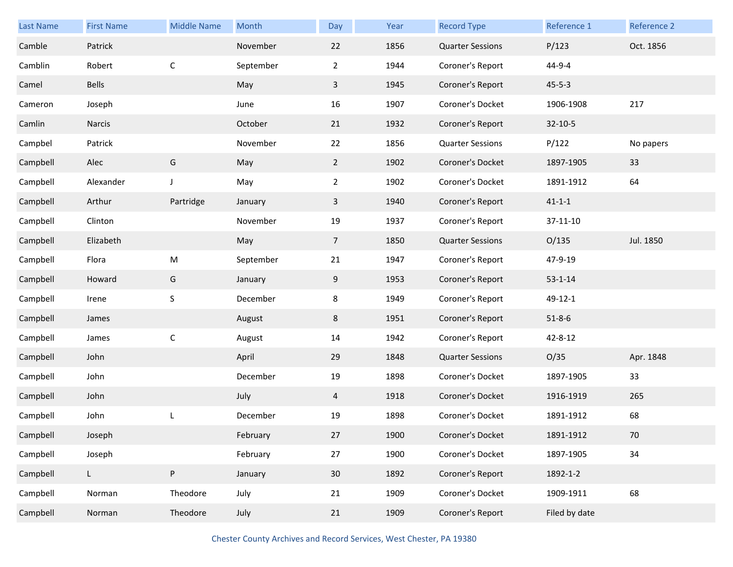| <b>Last Name</b> | <b>First Name</b> | <b>Middle Name</b> | Month     | Day             | Year | <b>Record Type</b>      | Reference 1   | Reference 2 |
|------------------|-------------------|--------------------|-----------|-----------------|------|-------------------------|---------------|-------------|
| Camble           | Patrick           |                    | November  | 22              | 1856 | <b>Quarter Sessions</b> | P/123         | Oct. 1856   |
| Camblin          | Robert            | $\mathsf C$        | September | $\overline{2}$  | 1944 | Coroner's Report        | 44-9-4        |             |
| Camel            | Bells             |                    | May       | $\mathbf{3}$    | 1945 | Coroner's Report        | $45 - 5 - 3$  |             |
| Cameron          | Joseph            |                    | June      | 16              | 1907 | Coroner's Docket        | 1906-1908     | 217         |
| Camlin           | Narcis            |                    | October   | 21              | 1932 | Coroner's Report        | $32 - 10 - 5$ |             |
| Campbel          | Patrick           |                    | November  | 22              | 1856 | <b>Quarter Sessions</b> | P/122         | No papers   |
| Campbell         | Alec              | G                  | May       | $\overline{2}$  | 1902 | Coroner's Docket        | 1897-1905     | 33          |
| Campbell         | Alexander         | J                  | May       | $\overline{2}$  | 1902 | Coroner's Docket        | 1891-1912     | 64          |
| Campbell         | Arthur            | Partridge          | January   | $\mathbf{3}$    | 1940 | Coroner's Report        | $41 - 1 - 1$  |             |
| Campbell         | Clinton           |                    | November  | 19              | 1937 | Coroner's Report        | 37-11-10      |             |
| Campbell         | Elizabeth         |                    | May       | 7 <sup>7</sup>  | 1850 | <b>Quarter Sessions</b> | O/135         | Jul. 1850   |
| Campbell         | Flora             | M                  | September | 21              | 1947 | Coroner's Report        | 47-9-19       |             |
| Campbell         | Howard            | G                  | January   | 9               | 1953 | Coroner's Report        | $53 - 1 - 14$ |             |
| Campbell         | Irene             | S                  | December  | 8               | 1949 | Coroner's Report        | 49-12-1       |             |
| Campbell         | James             |                    | August    | 8               | 1951 | Coroner's Report        | $51 - 8 - 6$  |             |
| Campbell         | James             | $\mathsf C$        | August    | 14              | 1942 | Coroner's Report        | $42 - 8 - 12$ |             |
| Campbell         | John              |                    | April     | 29              | 1848 | <b>Quarter Sessions</b> | O/35          | Apr. 1848   |
| Campbell         | John              |                    | December  | 19              | 1898 | Coroner's Docket        | 1897-1905     | 33          |
| Campbell         | John              |                    | July      | $\overline{4}$  | 1918 | Coroner's Docket        | 1916-1919     | 265         |
| Campbell         | John              | L                  | December  | 19              | 1898 | Coroner's Docket        | 1891-1912     | 68          |
| Campbell         | Joseph            |                    | February  | 27              | 1900 | Coroner's Docket        | 1891-1912     | 70          |
| Campbell         | Joseph            |                    | February  | $27\,$          | 1900 | Coroner's Docket        | 1897-1905     | 34          |
| Campbell         | L                 | ${\sf P}$          | January   | 30 <sup>°</sup> | 1892 | Coroner's Report        | 1892-1-2      |             |
| Campbell         | Norman            | Theodore           | July      | 21              | 1909 | Coroner's Docket        | 1909-1911     | 68          |
| Campbell         | Norman            | Theodore           | July      | 21              | 1909 | Coroner's Report        | Filed by date |             |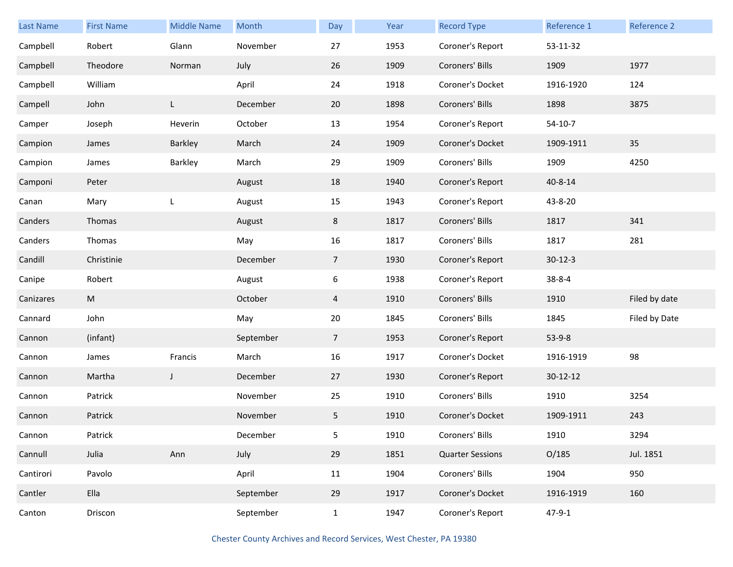| <b>Last Name</b> | <b>First Name</b> | <b>Middle Name</b> | Month     | Day            | Year | <b>Record Type</b>      | Reference 1  | Reference 2   |
|------------------|-------------------|--------------------|-----------|----------------|------|-------------------------|--------------|---------------|
| Campbell         | Robert            | Glann              | November  | 27             | 1953 | Coroner's Report        | 53-11-32     |               |
| Campbell         | Theodore          | Norman             | July      | 26             | 1909 | Coroners' Bills         | 1909         | 1977          |
| Campbell         | William           |                    | April     | 24             | 1918 | Coroner's Docket        | 1916-1920    | 124           |
| Campell          | John              | L.                 | December  | 20             | 1898 | Coroners' Bills         | 1898         | 3875          |
| Camper           | Joseph            | Heverin            | October   | 13             | 1954 | Coroner's Report        | $54-10-7$    |               |
| Campion          | James             | Barkley            | March     | 24             | 1909 | Coroner's Docket        | 1909-1911    | 35            |
| Campion          | James             | Barkley            | March     | 29             | 1909 | Coroners' Bills         | 1909         | 4250          |
| Camponi          | Peter             |                    | August    | 18             | 1940 | Coroner's Report        | 40-8-14      |               |
| Canan            | Mary              | L                  | August    | 15             | 1943 | Coroner's Report        | 43-8-20      |               |
| Canders          | Thomas            |                    | August    | 8              | 1817 | Coroners' Bills         | 1817         | 341           |
| Canders          | Thomas            |                    | May       | 16             | 1817 | Coroners' Bills         | 1817         | 281           |
| Candill          | Christinie        |                    | December  | $\overline{7}$ | 1930 | Coroner's Report        | $30-12-3$    |               |
| Canipe           | Robert            |                    | August    | 6              | 1938 | Coroner's Report        | $38 - 8 - 4$ |               |
| Canizares        | M                 |                    | October   | 4              | 1910 | Coroners' Bills         | 1910         | Filed by date |
| Cannard          | John              |                    | May       | 20             | 1845 | Coroners' Bills         | 1845         | Filed by Date |
| Cannon           | (infant)          |                    | September | $\overline{7}$ | 1953 | Coroner's Report        | $53-9-8$     |               |
| Cannon           | James             | Francis            | March     | 16             | 1917 | Coroner's Docket        | 1916-1919    | 98            |
| Cannon           | Martha            | J                  | December  | 27             | 1930 | Coroner's Report        | 30-12-12     |               |
| Cannon           | Patrick           |                    | November  | 25             | 1910 | Coroners' Bills         | 1910         | 3254          |
| Cannon           | Patrick           |                    | November  | 5              | 1910 | Coroner's Docket        | 1909-1911    | 243           |
| Cannon           | Patrick           |                    | December  | 5              | 1910 | Coroners' Bills         | 1910         | 3294          |
| Cannull          | Julia             | Ann                | July      | 29             | 1851 | <b>Quarter Sessions</b> | O/185        | Jul. 1851     |
| Cantirori        | Pavolo            |                    | April     | 11             | 1904 | Coroners' Bills         | 1904         | 950           |
| Cantler          | Ella              |                    | September | 29             | 1917 | Coroner's Docket        | 1916-1919    | 160           |
| Canton           | Driscon           |                    | September | $\mathbf{1}$   | 1947 | Coroner's Report        | $47 - 9 - 1$ |               |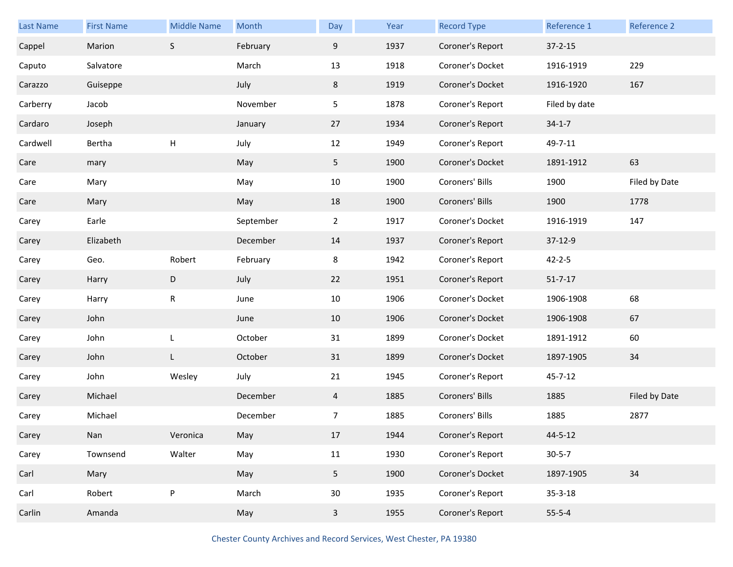| Last Name | <b>First Name</b> | <b>Middle Name</b> | Month     | Day            | Year | <b>Record Type</b> | Reference 1   | Reference 2   |
|-----------|-------------------|--------------------|-----------|----------------|------|--------------------|---------------|---------------|
| Cappel    | Marion            | $\mathsf S$        | February  | 9              | 1937 | Coroner's Report   | $37 - 2 - 15$ |               |
| Caputo    | Salvatore         |                    | March     | 13             | 1918 | Coroner's Docket   | 1916-1919     | 229           |
| Carazzo   | Guiseppe          |                    | July      | 8              | 1919 | Coroner's Docket   | 1916-1920     | 167           |
| Carberry  | Jacob             |                    | November  | 5              | 1878 | Coroner's Report   | Filed by date |               |
| Cardaro   | Joseph            |                    | January   | 27             | 1934 | Coroner's Report   | $34-1-7$      |               |
| Cardwell  | Bertha            | $\mathsf{H}$       | July      | 12             | 1949 | Coroner's Report   | 49-7-11       |               |
| Care      | mary              |                    | May       | 5 <sub>1</sub> | 1900 | Coroner's Docket   | 1891-1912     | 63            |
| Care      | Mary              |                    | May       | 10             | 1900 | Coroners' Bills    | 1900          | Filed by Date |
| Care      | Mary              |                    | May       | 18             | 1900 | Coroners' Bills    | 1900          | 1778          |
| Carey     | Earle             |                    | September | $\overline{2}$ | 1917 | Coroner's Docket   | 1916-1919     | 147           |
| Carey     | Elizabeth         |                    | December  | 14             | 1937 | Coroner's Report   | 37-12-9       |               |
| Carey     | Geo.              | Robert             | February  | 8              | 1942 | Coroner's Report   | $42 - 2 - 5$  |               |
| Carey     | Harry             | $\mathsf D$        | July      | 22             | 1951 | Coroner's Report   | $51 - 7 - 17$ |               |
| Carey     | Harry             | $\mathsf R$        | June      | 10             | 1906 | Coroner's Docket   | 1906-1908     | 68            |
| Carey     | John              |                    | June      | 10             | 1906 | Coroner's Docket   | 1906-1908     | 67            |
| Carey     | John              | L                  | October   | 31             | 1899 | Coroner's Docket   | 1891-1912     | 60            |
| Carey     | John              | L                  | October   | 31             | 1899 | Coroner's Docket   | 1897-1905     | 34            |
| Carey     | John              | Wesley             | July      | 21             | 1945 | Coroner's Report   | $45 - 7 - 12$ |               |
| Carey     | Michael           |                    | December  | 4              | 1885 | Coroners' Bills    | 1885          | Filed by Date |
| Carey     | Michael           |                    | December  | 7              | 1885 | Coroners' Bills    | 1885          | 2877          |
| Carey     | Nan               | Veronica           | May       | 17             | 1944 | Coroner's Report   | 44-5-12       |               |
| Carey     | Townsend          | Walter             | May       | 11             | 1930 | Coroner's Report   | $30 - 5 - 7$  |               |
| Carl      | Mary              |                    | May       | 5 <sub>1</sub> | 1900 | Coroner's Docket   | 1897-1905     | 34            |
| Carl      | Robert            | ${\sf P}$          | March     | $30\,$         | 1935 | Coroner's Report   | $35 - 3 - 18$ |               |
| Carlin    | Amanda            |                    | May       | $\mathbf{3}$   | 1955 | Coroner's Report   | $55 - 5 - 4$  |               |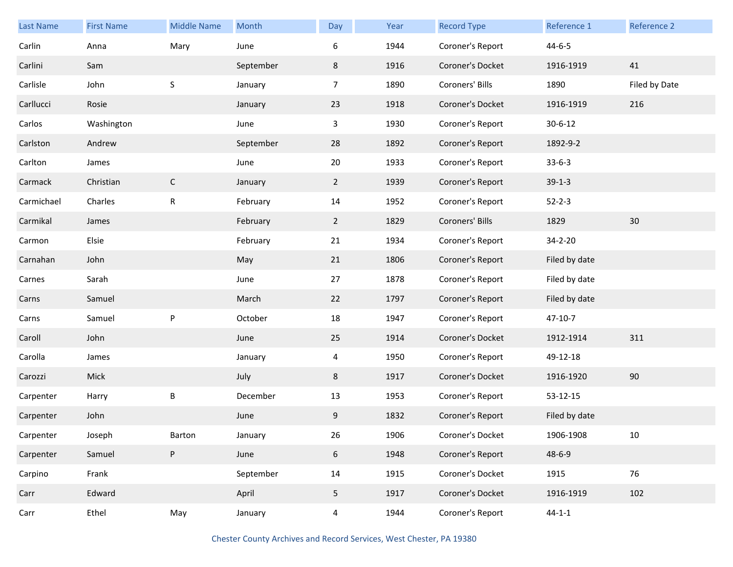| Last Name  | <b>First Name</b> | <b>Middle Name</b> | Month     | Day            | Year | <b>Record Type</b> | Reference 1   | Reference 2   |
|------------|-------------------|--------------------|-----------|----------------|------|--------------------|---------------|---------------|
| Carlin     | Anna              | Mary               | June      | 6              | 1944 | Coroner's Report   | $44 - 6 - 5$  |               |
| Carlini    | Sam               |                    | September | 8              | 1916 | Coroner's Docket   | 1916-1919     | 41            |
| Carlisle   | John              | $\sf S$            | January   | $\overline{7}$ | 1890 | Coroners' Bills    | 1890          | Filed by Date |
| Carllucci  | Rosie             |                    | January   | 23             | 1918 | Coroner's Docket   | 1916-1919     | 216           |
| Carlos     | Washington        |                    | June      | $\mathbf{3}$   | 1930 | Coroner's Report   | $30 - 6 - 12$ |               |
| Carlston   | Andrew            |                    | September | 28             | 1892 | Coroner's Report   | 1892-9-2      |               |
| Carlton    | James             |                    | June      | 20             | 1933 | Coroner's Report   | $33-6-3$      |               |
| Carmack    | Christian         | $\mathsf{C}$       | January   | $\mathbf{2}$   | 1939 | Coroner's Report   | $39-1-3$      |               |
| Carmichael | Charles           | ${\sf R}$          | February  | 14             | 1952 | Coroner's Report   | $52 - 2 - 3$  |               |
| Carmikal   | James             |                    | February  | $\overline{2}$ | 1829 | Coroners' Bills    | 1829          | 30            |
| Carmon     | Elsie             |                    | February  | 21             | 1934 | Coroner's Report   | 34-2-20       |               |
| Carnahan   | John              |                    | May       | 21             | 1806 | Coroner's Report   | Filed by date |               |
| Carnes     | Sarah             |                    | June      | 27             | 1878 | Coroner's Report   | Filed by date |               |
| Carns      | Samuel            |                    | March     | 22             | 1797 | Coroner's Report   | Filed by date |               |
| Carns      | Samuel            | ${\sf P}$          | October   | 18             | 1947 | Coroner's Report   | 47-10-7       |               |
| Caroll     | John              |                    | June      | 25             | 1914 | Coroner's Docket   | 1912-1914     | 311           |
| Carolla    | James             |                    | January   | 4              | 1950 | Coroner's Report   | 49-12-18      |               |
| Carozzi    | Mick              |                    | July      | 8              | 1917 | Coroner's Docket   | 1916-1920     | 90            |
| Carpenter  | Harry             | B                  | December  | 13             | 1953 | Coroner's Report   | 53-12-15      |               |
| Carpenter  | John              |                    | June      | 9              | 1832 | Coroner's Report   | Filed by date |               |
| Carpenter  | Joseph            | Barton             | January   | 26             | 1906 | Coroner's Docket   | 1906-1908     | 10            |
| Carpenter  | Samuel            | ${\sf P}$          | June      | $6\phantom{.}$ | 1948 | Coroner's Report   | $48 - 6 - 9$  |               |
| Carpino    | Frank             |                    | September | 14             | 1915 | Coroner's Docket   | 1915          | 76            |
| Carr       | Edward            |                    | April     | 5 <sub>1</sub> | 1917 | Coroner's Docket   | 1916-1919     | 102           |
| Carr       | Ethel             | May                | January   | $\overline{4}$ | 1944 | Coroner's Report   | $44 - 1 - 1$  |               |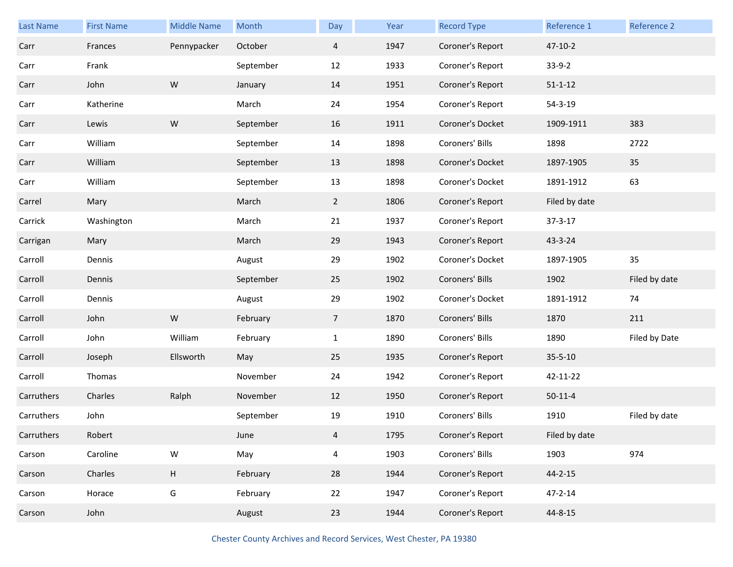| Last Name  | <b>First Name</b> | <b>Middle Name</b>        | Month     | Day            | Year | <b>Record Type</b> | Reference 1   | Reference 2   |
|------------|-------------------|---------------------------|-----------|----------------|------|--------------------|---------------|---------------|
| Carr       | Frances           | Pennypacker               | October   | $\overline{4}$ | 1947 | Coroner's Report   | $47 - 10 - 2$ |               |
| Carr       | Frank             |                           | September | 12             | 1933 | Coroner's Report   | $33-9-2$      |               |
| Carr       | John              | ${\mathsf W}$             | January   | 14             | 1951 | Coroner's Report   | $51 - 1 - 12$ |               |
| Carr       | Katherine         |                           | March     | 24             | 1954 | Coroner's Report   | $54 - 3 - 19$ |               |
| Carr       | Lewis             | ${\sf W}$                 | September | 16             | 1911 | Coroner's Docket   | 1909-1911     | 383           |
| Carr       | William           |                           | September | 14             | 1898 | Coroners' Bills    | 1898          | 2722          |
| Carr       | William           |                           | September | 13             | 1898 | Coroner's Docket   | 1897-1905     | 35            |
| Carr       | William           |                           | September | 13             | 1898 | Coroner's Docket   | 1891-1912     | 63            |
| Carrel     | Mary              |                           | March     | $\overline{2}$ | 1806 | Coroner's Report   | Filed by date |               |
| Carrick    | Washington        |                           | March     | 21             | 1937 | Coroner's Report   | $37 - 3 - 17$ |               |
| Carrigan   | Mary              |                           | March     | 29             | 1943 | Coroner's Report   | 43-3-24       |               |
| Carroll    | Dennis            |                           | August    | 29             | 1902 | Coroner's Docket   | 1897-1905     | 35            |
| Carroll    | Dennis            |                           | September | 25             | 1902 | Coroners' Bills    | 1902          | Filed by date |
| Carroll    | Dennis            |                           | August    | 29             | 1902 | Coroner's Docket   | 1891-1912     | 74            |
|            |                   |                           |           |                |      |                    |               |               |
| Carroll    | John              | ${\sf W}$                 | February  | $\overline{7}$ | 1870 | Coroners' Bills    | 1870          | 211           |
| Carroll    | John              | William                   | February  | $\mathbf{1}$   | 1890 | Coroners' Bills    | 1890          | Filed by Date |
| Carroll    | Joseph            | Ellsworth                 | May       | 25             | 1935 | Coroner's Report   | $35 - 5 - 10$ |               |
| Carroll    | Thomas            |                           | November  | 24             | 1942 | Coroner's Report   | 42-11-22      |               |
| Carruthers | Charles           | Ralph                     | November  | 12             | 1950 | Coroner's Report   | $50-11-4$     |               |
| Carruthers | John              |                           | September | 19             | 1910 | Coroners' Bills    | 1910          | Filed by date |
| Carruthers | Robert            |                           | June      | 4              | 1795 | Coroner's Report   | Filed by date |               |
| Carson     | Caroline          | ${\sf W}$                 | May       | $\overline{4}$ | 1903 | Coroners' Bills    | 1903          | 974           |
| Carson     | Charles           | $\boldsymbol{\mathsf{H}}$ | February  | 28             | 1944 | Coroner's Report   | $44 - 2 - 15$ |               |
| Carson     | Horace            | G                         | February  | 22             | 1947 | Coroner's Report   | $47 - 2 - 14$ |               |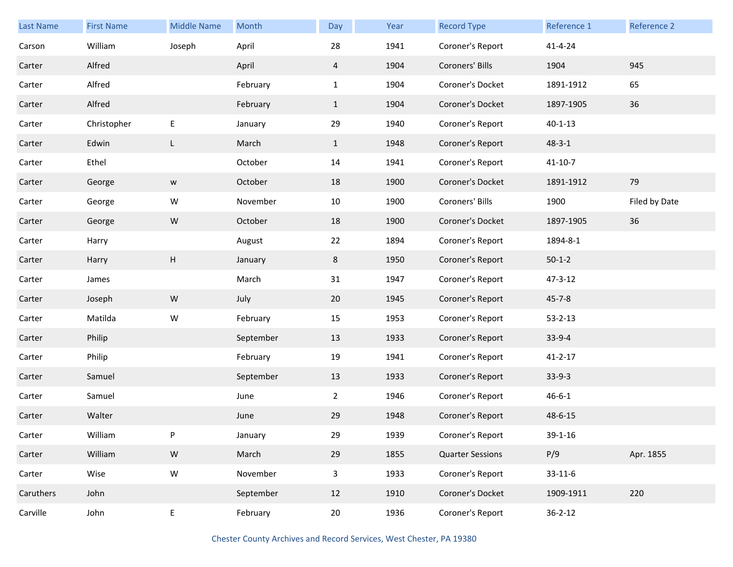| Last Name | <b>First Name</b> | <b>Middle Name</b> | Month     | Day            | Year | <b>Record Type</b>      | Reference 1   | Reference 2   |
|-----------|-------------------|--------------------|-----------|----------------|------|-------------------------|---------------|---------------|
| Carson    | William           | Joseph             | April     | 28             | 1941 | Coroner's Report        | $41 - 4 - 24$ |               |
| Carter    | Alfred            |                    | April     | $\overline{4}$ | 1904 | Coroners' Bills         | 1904          | 945           |
| Carter    | Alfred            |                    | February  | $\mathbf{1}$   | 1904 | Coroner's Docket        | 1891-1912     | 65            |
| Carter    | Alfred            |                    | February  | $\mathbf{1}$   | 1904 | Coroner's Docket        | 1897-1905     | 36            |
| Carter    | Christopher       | $\mathsf E$        | January   | 29             | 1940 | Coroner's Report        | $40 - 1 - 13$ |               |
| Carter    | Edwin             | L                  | March     | $\mathbf{1}$   | 1948 | Coroner's Report        | $48 - 3 - 1$  |               |
| Carter    | Ethel             |                    | October   | 14             | 1941 | Coroner's Report        | $41 - 10 - 7$ |               |
| Carter    | George            | W                  | October   | 18             | 1900 | Coroner's Docket        | 1891-1912     | 79            |
| Carter    | George            | W                  | November  | 10             | 1900 | Coroners' Bills         | 1900          | Filed by Date |
| Carter    | George            | ${\sf W}$          | October   | 18             | 1900 | Coroner's Docket        | 1897-1905     | 36            |
| Carter    | Harry             |                    | August    | 22             | 1894 | Coroner's Report        | 1894-8-1      |               |
| Carter    | Harry             | H                  | January   | 8              | 1950 | Coroner's Report        | $50-1-2$      |               |
| Carter    | James             |                    | March     | 31             | 1947 | Coroner's Report        | 47-3-12       |               |
| Carter    | Joseph            | ${\mathsf W}$      | July      | 20             | 1945 | Coroner's Report        | $45 - 7 - 8$  |               |
| Carter    | Matilda           | W                  | February  | 15             | 1953 | Coroner's Report        | $53 - 2 - 13$ |               |
| Carter    | Philip            |                    | September | 13             | 1933 | Coroner's Report        | $33-9-4$      |               |
| Carter    | Philip            |                    | February  | 19             | 1941 | Coroner's Report        | $41 - 2 - 17$ |               |
| Carter    | Samuel            |                    | September | 13             | 1933 | Coroner's Report        | $33-9-3$      |               |
| Carter    | Samuel            |                    | June      | $\overline{2}$ | 1946 | Coroner's Report        | $46 - 6 - 1$  |               |
| Carter    | Walter            |                    | June      | 29             | 1948 | Coroner's Report        | 48-6-15       |               |
| Carter    | William           | P                  | January   | 29             | 1939 | Coroner's Report        | $39 - 1 - 16$ |               |
| Carter    | William           | ${\mathsf W}$      | March     | 29             | 1855 | <b>Quarter Sessions</b> | P/9           | Apr. 1855     |
| Carter    | Wise              | ${\sf W}$          | November  | $\overline{3}$ | 1933 | Coroner's Report        | $33 - 11 - 6$ |               |
| Caruthers | John              |                    | September | 12             | 1910 | Coroner's Docket        | 1909-1911     | 220           |
| Carville  | John              | ${\sf E}$          | February  | 20             | 1936 | Coroner's Report        | $36 - 2 - 12$ |               |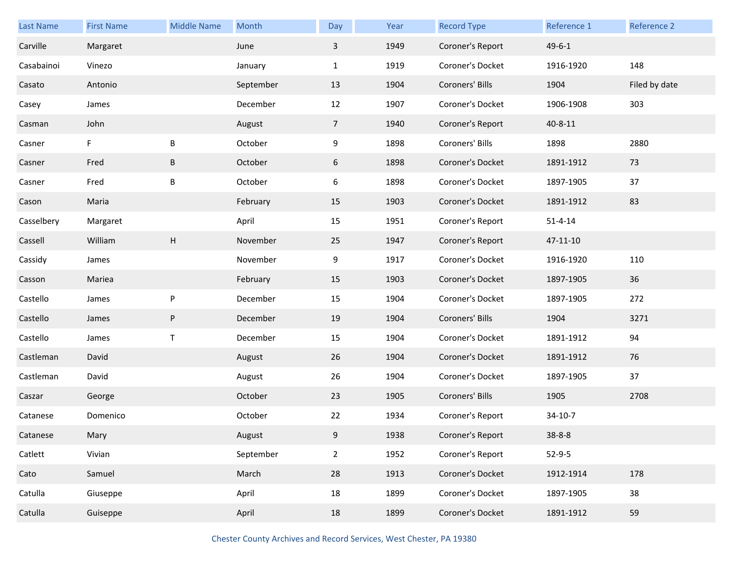| <b>Last Name</b> | <b>First Name</b> | <b>Middle Name</b> | Month     | Day            | Year | <b>Record Type</b> | Reference 1   | Reference 2   |
|------------------|-------------------|--------------------|-----------|----------------|------|--------------------|---------------|---------------|
| Carville         | Margaret          |                    | June      | $\overline{3}$ | 1949 | Coroner's Report   | $49 - 6 - 1$  |               |
| Casabainoi       | Vinezo            |                    | January   | $\mathbf{1}$   | 1919 | Coroner's Docket   | 1916-1920     | 148           |
| Casato           | Antonio           |                    | September | 13             | 1904 | Coroners' Bills    | 1904          | Filed by date |
| Casey            | James             |                    | December  | 12             | 1907 | Coroner's Docket   | 1906-1908     | 303           |
| Casman           | John              |                    | August    | 7 <sup>7</sup> | 1940 | Coroner's Report   | 40-8-11       |               |
| Casner           | F                 | B                  | October   | 9              | 1898 | Coroners' Bills    | 1898          | 2880          |
| Casner           | Fred              | B                  | October   | 6              | 1898 | Coroner's Docket   | 1891-1912     | 73            |
| Casner           | Fred              | B                  | October   | 6              | 1898 | Coroner's Docket   | 1897-1905     | 37            |
| Cason            | Maria             |                    | February  | 15             | 1903 | Coroner's Docket   | 1891-1912     | 83            |
| Casselbery       | Margaret          |                    | April     | 15             | 1951 | Coroner's Report   | $51 - 4 - 14$ |               |
| Cassell          | William           | Н                  | November  | 25             | 1947 | Coroner's Report   | 47-11-10      |               |
| Cassidy          | James             |                    | November  | 9              | 1917 | Coroner's Docket   | 1916-1920     | 110           |
| Casson           | Mariea            |                    | February  | 15             | 1903 | Coroner's Docket   | 1897-1905     | 36            |
| Castello         | James             | P                  | December  | 15             | 1904 | Coroner's Docket   | 1897-1905     | 272           |
| Castello         | James             | P                  | December  | 19             | 1904 | Coroners' Bills    | 1904          | 3271          |
| Castello         | James             | T                  | December  | 15             | 1904 | Coroner's Docket   | 1891-1912     | 94            |
| Castleman        | David             |                    | August    | 26             | 1904 | Coroner's Docket   | 1891-1912     | 76            |
| Castleman        | David             |                    | August    | 26             | 1904 | Coroner's Docket   | 1897-1905     | 37            |
| Caszar           | George            |                    | October   | 23             | 1905 | Coroners' Bills    | 1905          | 2708          |
| Catanese         | Domenico          |                    | October   | 22             | 1934 | Coroner's Report   | 34-10-7       |               |
| Catanese         | Mary              |                    | August    | 9              | 1938 | Coroner's Report   | $38 - 8 - 8$  |               |
| Catlett          | Vivian            |                    | September | $\overline{2}$ | 1952 | Coroner's Report   | $52-9-5$      |               |
| Cato             | Samuel            |                    | March     | 28             | 1913 | Coroner's Docket   | 1912-1914     | 178           |
| Catulla          | Giuseppe          |                    | April     | 18             | 1899 | Coroner's Docket   | 1897-1905     | 38            |
| Catulla          | Guiseppe          |                    | April     | 18             | 1899 | Coroner's Docket   | 1891-1912     | 59            |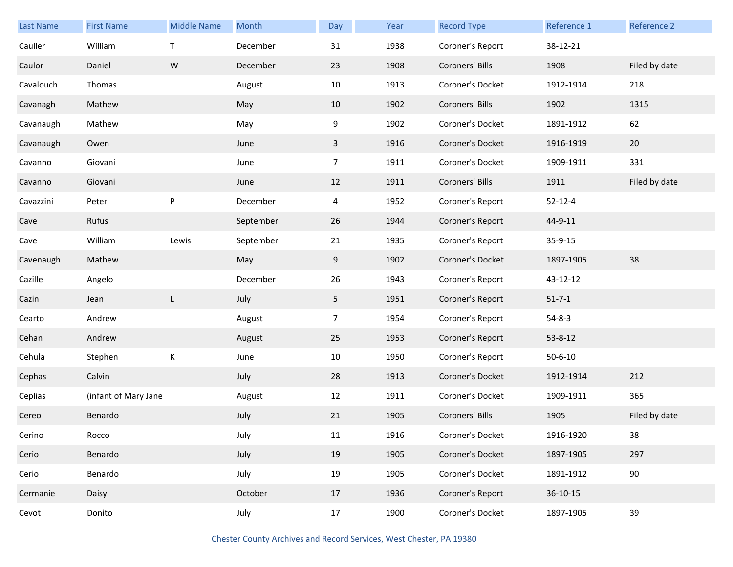| <b>Last Name</b> | <b>First Name</b>    | <b>Middle Name</b> | Month     | Day            | Year | <b>Record Type</b> | Reference 1   | Reference 2   |
|------------------|----------------------|--------------------|-----------|----------------|------|--------------------|---------------|---------------|
| Cauller          | William              | $\mathsf{T}$       | December  | 31             | 1938 | Coroner's Report   | 38-12-21      |               |
| Caulor           | Daniel               | W                  | December  | 23             | 1908 | Coroners' Bills    | 1908          | Filed by date |
| Cavalouch        | Thomas               |                    | August    | 10             | 1913 | Coroner's Docket   | 1912-1914     | 218           |
| Cavanagh         | Mathew               |                    | May       | 10             | 1902 | Coroners' Bills    | 1902          | 1315          |
| Cavanaugh        | Mathew               |                    | May       | 9              | 1902 | Coroner's Docket   | 1891-1912     | 62            |
| Cavanaugh        | Owen                 |                    | June      | $\mathbf{3}$   | 1916 | Coroner's Docket   | 1916-1919     | 20            |
| Cavanno          | Giovani              |                    | June      | $\overline{7}$ | 1911 | Coroner's Docket   | 1909-1911     | 331           |
| Cavanno          | Giovani              |                    | June      | 12             | 1911 | Coroners' Bills    | 1911          | Filed by date |
| Cavazzini        | Peter                | ${\sf P}$          | December  | $\overline{4}$ | 1952 | Coroner's Report   | $52 - 12 - 4$ |               |
| Cave             | Rufus                |                    | September | 26             | 1944 | Coroner's Report   | 44-9-11       |               |
| Cave             | William              | Lewis              | September | 21             | 1935 | Coroner's Report   | 35-9-15       |               |
| Cavenaugh        | Mathew               |                    | May       | 9              | 1902 | Coroner's Docket   | 1897-1905     | 38            |
| Cazille          | Angelo               |                    | December  | 26             | 1943 | Coroner's Report   | 43-12-12      |               |
| Cazin            | Jean                 | L                  | July      | 5              | 1951 | Coroner's Report   | $51 - 7 - 1$  |               |
| Cearto           | Andrew               |                    | August    | $\overline{7}$ | 1954 | Coroner's Report   | $54 - 8 - 3$  |               |
| Cehan            | Andrew               |                    | August    | 25             | 1953 | Coroner's Report   | 53-8-12       |               |
| Cehula           | Stephen              | К                  | June      | 10             | 1950 | Coroner's Report   | $50 - 6 - 10$ |               |
| Cephas           | Calvin               |                    | July      | 28             | 1913 | Coroner's Docket   | 1912-1914     | 212           |
| Ceplias          | (infant of Mary Jane |                    | August    | 12             | 1911 | Coroner's Docket   | 1909-1911     | 365           |
| Cereo            | Benardo              |                    | July      | 21             | 1905 | Coroners' Bills    | 1905          | Filed by date |
| Cerino           | Rocco                |                    | July      | 11             | 1916 | Coroner's Docket   | 1916-1920     | 38            |
| Cerio            | Benardo              |                    | July      | 19             | 1905 | Coroner's Docket   | 1897-1905     | 297           |
| Cerio            | Benardo              |                    | July      | 19             | 1905 | Coroner's Docket   | 1891-1912     | 90            |
| Cermanie         | Daisy                |                    | October   | 17             | 1936 | Coroner's Report   | 36-10-15      |               |
| Cevot            | Donito               |                    | July      | 17             | 1900 | Coroner's Docket   | 1897-1905     | 39            |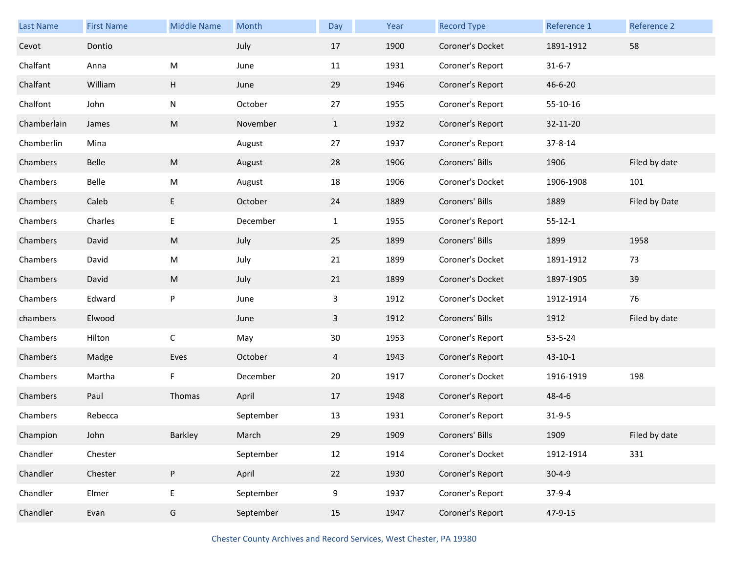| Last Name   | <b>First Name</b> | <b>Middle Name</b> | Month     | Day          | Year | <b>Record Type</b> | Reference 1   | Reference 2   |
|-------------|-------------------|--------------------|-----------|--------------|------|--------------------|---------------|---------------|
| Cevot       | Dontio            |                    | July      | 17           | 1900 | Coroner's Docket   | 1891-1912     | 58            |
| Chalfant    | Anna              | M                  | June      | 11           | 1931 | Coroner's Report   | $31 - 6 - 7$  |               |
| Chalfant    | William           | H                  | June      | 29           | 1946 | Coroner's Report   | 46-6-20       |               |
| Chalfont    | John              | N                  | October   | 27           | 1955 | Coroner's Report   | 55-10-16      |               |
| Chamberlain | James             | ${\sf M}$          | November  | $\mathbf{1}$ | 1932 | Coroner's Report   | 32-11-20      |               |
| Chamberlin  | Mina              |                    | August    | 27           | 1937 | Coroner's Report   | 37-8-14       |               |
| Chambers    | Belle             | ${\sf M}$          | August    | 28           | 1906 | Coroners' Bills    | 1906          | Filed by date |
| Chambers    | Belle             | M                  | August    | 18           | 1906 | Coroner's Docket   | 1906-1908     | 101           |
| Chambers    | Caleb             | E                  | October   | 24           | 1889 | Coroners' Bills    | 1889          | Filed by Date |
| Chambers    | Charles           | E                  | December  | $\mathbf{1}$ | 1955 | Coroner's Report   | $55 - 12 - 1$ |               |
| Chambers    | David             | ${\sf M}$          | July      | 25           | 1899 | Coroners' Bills    | 1899          | 1958          |
| Chambers    | David             | M                  | July      | 21           | 1899 | Coroner's Docket   | 1891-1912     | 73            |
| Chambers    | David             | M                  | July      | 21           | 1899 | Coroner's Docket   | 1897-1905     | 39            |
| Chambers    | Edward            | P                  | June      | 3            | 1912 | Coroner's Docket   | 1912-1914     | 76            |
| chambers    | Elwood            |                    | June      | $\mathbf{3}$ | 1912 | Coroners' Bills    | 1912          | Filed by date |
| Chambers    | Hilton            | С                  | May       | 30           | 1953 | Coroner's Report   | 53-5-24       |               |
| Chambers    | Madge             | Eves               | October   | 4            | 1943 | Coroner's Report   | $43 - 10 - 1$ |               |
| Chambers    | Martha            | F                  | December  | 20           | 1917 | Coroner's Docket   | 1916-1919     | 198           |
| Chambers    | Paul              | Thomas             | April     | 17           | 1948 | Coroner's Report   | $48 - 4 - 6$  |               |
| Chambers    | Rebecca           |                    | September | 13           | 1931 | Coroner's Report   | $31 - 9 - 5$  |               |
| Champion    | John              | Barkley            | March     | 29           | 1909 | Coroners' Bills    | 1909          | Filed by date |
| Chandler    | Chester           |                    | September | 12           | 1914 | Coroner's Docket   | 1912-1914     | 331           |
| Chandler    | Chester           | ${\sf P}$          | April     | 22           | 1930 | Coroner's Report   | $30 - 4 - 9$  |               |
| Chandler    | Elmer             | E                  | September | 9            | 1937 | Coroner's Report   | $37-9-4$      |               |
| Chandler    | Evan              | G                  | September | 15           | 1947 | Coroner's Report   | 47-9-15       |               |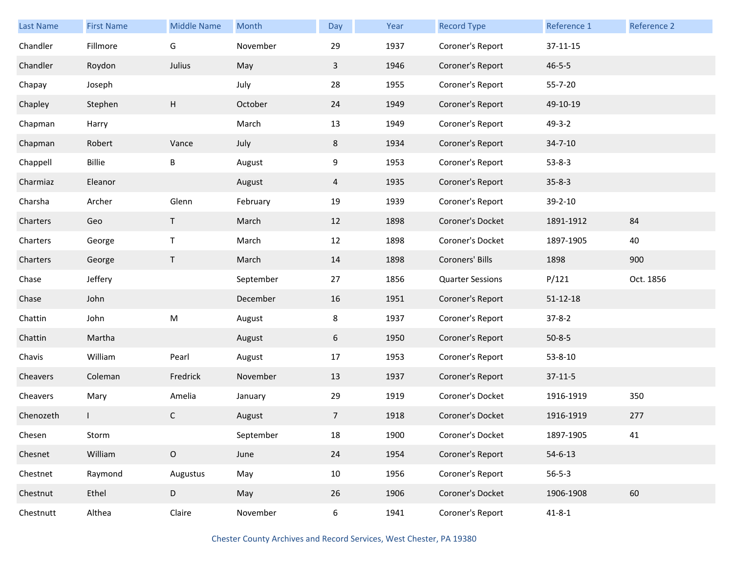| Last Name | <b>First Name</b> | <b>Middle Name</b> | Month     | Day            | Year | <b>Record Type</b>      | Reference 1    | <b>Reference 2</b> |
|-----------|-------------------|--------------------|-----------|----------------|------|-------------------------|----------------|--------------------|
| Chandler  | Fillmore          | G                  | November  | 29             | 1937 | Coroner's Report        | 37-11-15       |                    |
| Chandler  | Roydon            | Julius             | May       | $\mathbf{3}$   | 1946 | Coroner's Report        | $46 - 5 - 5$   |                    |
| Chapay    | Joseph            |                    | July      | 28             | 1955 | Coroner's Report        | 55-7-20        |                    |
| Chapley   | Stephen           | H                  | October   | 24             | 1949 | Coroner's Report        | 49-10-19       |                    |
| Chapman   | Harry             |                    | March     | 13             | 1949 | Coroner's Report        | $49 - 3 - 2$   |                    |
| Chapman   | Robert            | Vance              | July      | 8              | 1934 | Coroner's Report        | $34 - 7 - 10$  |                    |
| Chappell  | Billie            | B                  | August    | 9              | 1953 | Coroner's Report        | $53 - 8 - 3$   |                    |
| Charmiaz  | Eleanor           |                    | August    | 4              | 1935 | Coroner's Report        | $35 - 8 - 3$   |                    |
| Charsha   | Archer            | Glenn              | February  | 19             | 1939 | Coroner's Report        | 39-2-10        |                    |
| Charters  | Geo               | T.                 | March     | 12             | 1898 | Coroner's Docket        | 1891-1912      | 84                 |
| Charters  | George            | Τ                  | March     | 12             | 1898 | Coroner's Docket        | 1897-1905      | 40                 |
| Charters  | George            | T                  | March     | 14             | 1898 | Coroners' Bills         | 1898           | 900                |
| Chase     | Jeffery           |                    | September | 27             | 1856 | <b>Quarter Sessions</b> | P/121          | Oct. 1856          |
| Chase     | John              |                    | December  | 16             | 1951 | Coroner's Report        | $51 - 12 - 18$ |                    |
| Chattin   | John              | ${\sf M}$          | August    | 8              | 1937 | Coroner's Report        | $37 - 8 - 2$   |                    |
| Chattin   | Martha            |                    | August    | 6              | 1950 | Coroner's Report        | $50 - 8 - 5$   |                    |
| Chavis    | William           | Pearl              | August    | 17             | 1953 | Coroner's Report        | $53 - 8 - 10$  |                    |
| Cheavers  | Coleman           | Fredrick           | November  | 13             | 1937 | Coroner's Report        | $37-11-5$      |                    |
| Cheavers  | Mary              | Amelia             | January   | 29             | 1919 | Coroner's Docket        | 1916-1919      | 350                |
| Chenozeth |                   | C                  | August    | $\overline{7}$ | 1918 | Coroner's Docket        | 1916-1919      | 277                |
| Chesen    | Storm             |                    | September | 18             | 1900 | Coroner's Docket        | 1897-1905      | 41                 |
| Chesnet   | William           | $\mathsf O$        | June      | 24             | 1954 | Coroner's Report        | $54 - 6 - 13$  |                    |
| Chestnet  | Raymond           | Augustus           | May       | 10             | 1956 | Coroner's Report        | $56 - 5 - 3$   |                    |
| Chestnut  | Ethel             | D                  | May       | 26             | 1906 | Coroner's Docket        | 1906-1908      | 60                 |
| Chestnutt | Althea            | Claire             | November  | 6              | 1941 | Coroner's Report        | $41 - 8 - 1$   |                    |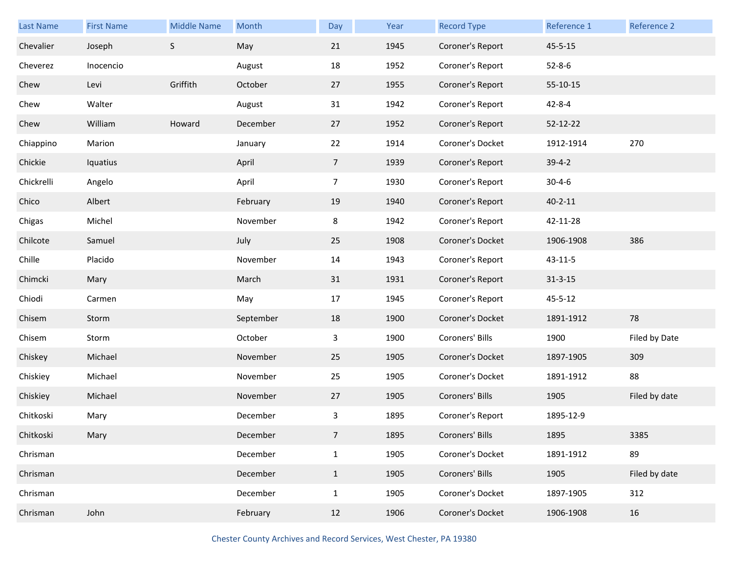| <b>Last Name</b> | <b>First Name</b> | <b>Middle Name</b> | Month     | Day             | Year | <b>Record Type</b> | Reference 1   | Reference 2   |
|------------------|-------------------|--------------------|-----------|-----------------|------|--------------------|---------------|---------------|
| Chevalier        | Joseph            | $\mathsf S$        | May       | 21              | 1945 | Coroner's Report   | $45 - 5 - 15$ |               |
| Cheverez         | Inocencio         |                    | August    | 18              | 1952 | Coroner's Report   | $52 - 8 - 6$  |               |
| Chew             | Levi              | Griffith           | October   | 27              | 1955 | Coroner's Report   | 55-10-15      |               |
| Chew             | Walter            |                    | August    | 31              | 1942 | Coroner's Report   | $42 - 8 - 4$  |               |
| Chew             | William           | Howard             | December  | 27              | 1952 | Coroner's Report   | 52-12-22      |               |
| Chiappino        | Marion            |                    | January   | 22              | 1914 | Coroner's Docket   | 1912-1914     | 270           |
| Chickie          | Iquatius          |                    | April     | $7\overline{ }$ | 1939 | Coroner's Report   | $39-4-2$      |               |
| Chickrelli       | Angelo            |                    | April     | $\overline{7}$  | 1930 | Coroner's Report   | $30 - 4 - 6$  |               |
| Chico            | Albert            |                    | February  | 19              | 1940 | Coroner's Report   | $40 - 2 - 11$ |               |
| Chigas           | Michel            |                    | November  | 8               | 1942 | Coroner's Report   | 42-11-28      |               |
| Chilcote         | Samuel            |                    | July      | 25              | 1908 | Coroner's Docket   | 1906-1908     | 386           |
| Chille           | Placido           |                    | November  | 14              | 1943 | Coroner's Report   | $43 - 11 - 5$ |               |
| Chimcki          | Mary              |                    | March     | 31              | 1931 | Coroner's Report   | $31 - 3 - 15$ |               |
| Chiodi           | Carmen            |                    | May       | 17              | 1945 | Coroner's Report   | $45 - 5 - 12$ |               |
| Chisem           | Storm             |                    | September | 18              | 1900 | Coroner's Docket   | 1891-1912     | 78            |
| Chisem           | Storm             |                    | October   | 3               | 1900 | Coroners' Bills    | 1900          | Filed by Date |
| Chiskey          | Michael           |                    | November  | 25              | 1905 | Coroner's Docket   | 1897-1905     | 309           |
| Chiskiey         | Michael           |                    | November  | 25              | 1905 | Coroner's Docket   | 1891-1912     | 88            |
| Chiskiey         | Michael           |                    | November  | 27              | 1905 | Coroners' Bills    | 1905          | Filed by date |
| Chitkoski        | Mary              |                    | December  | 3               | 1895 | Coroner's Report   | 1895-12-9     |               |
| Chitkoski        | Mary              |                    | December  | $\overline{7}$  | 1895 | Coroners' Bills    | 1895          | 3385          |
| Chrisman         |                   |                    | December  | $\mathbf{1}$    | 1905 | Coroner's Docket   | 1891-1912     | 89            |
| Chrisman         |                   |                    | December  | $\mathbf{1}$    | 1905 | Coroners' Bills    | 1905          | Filed by date |
| Chrisman         |                   |                    | December  | $\mathbf{1}$    | 1905 | Coroner's Docket   | 1897-1905     | 312           |
| Chrisman         | John              |                    | February  | 12              | 1906 | Coroner's Docket   | 1906-1908     | 16            |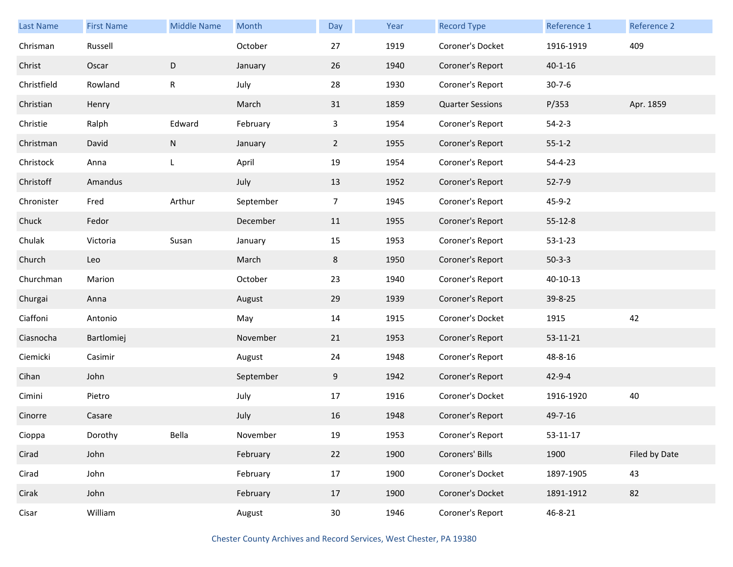| Last Name   | <b>First Name</b> | <b>Middle Name</b> | Month     | Day             | Year | <b>Record Type</b>      | Reference 1   | Reference 2   |
|-------------|-------------------|--------------------|-----------|-----------------|------|-------------------------|---------------|---------------|
| Chrisman    | Russell           |                    | October   | 27              | 1919 | Coroner's Docket        | 1916-1919     | 409           |
| Christ      | Oscar             | $\mathsf D$        | January   | 26              | 1940 | Coroner's Report        | $40 - 1 - 16$ |               |
| Christfield | Rowland           | R                  | July      | 28              | 1930 | Coroner's Report        | $30 - 7 - 6$  |               |
| Christian   | Henry             |                    | March     | 31              | 1859 | <b>Quarter Sessions</b> | P/353         | Apr. 1859     |
| Christie    | Ralph             | Edward             | February  | $\mathbf{3}$    | 1954 | Coroner's Report        | $54 - 2 - 3$  |               |
| Christman   | David             | ${\sf N}$          | January   | $\overline{2}$  | 1955 | Coroner's Report        | $55 - 1 - 2$  |               |
| Christock   | Anna              | L                  | April     | 19              | 1954 | Coroner's Report        | $54 - 4 - 23$ |               |
| Christoff   | Amandus           |                    | July      | 13              | 1952 | Coroner's Report        | $52 - 7 - 9$  |               |
| Chronister  | Fred              | Arthur             | September | $\overline{7}$  | 1945 | Coroner's Report        | $45 - 9 - 2$  |               |
| Chuck       | Fedor             |                    | December  | 11              | 1955 | Coroner's Report        | $55 - 12 - 8$ |               |
| Chulak      | Victoria          | Susan              | January   | 15              | 1953 | Coroner's Report        | $53 - 1 - 23$ |               |
| Church      | Leo               |                    | March     | 8               | 1950 | Coroner's Report        | $50-3-3$      |               |
| Churchman   | Marion            |                    | October   | 23              | 1940 | Coroner's Report        | 40-10-13      |               |
| Churgai     | Anna              |                    | August    | 29              | 1939 | Coroner's Report        | 39-8-25       |               |
| Ciaffoni    | Antonio           |                    | May       | 14              | 1915 | Coroner's Docket        | 1915          | 42            |
| Ciasnocha   | Bartlomiej        |                    | November  | 21              | 1953 | Coroner's Report        | 53-11-21      |               |
| Ciemicki    | Casimir           |                    | August    | 24              | 1948 | Coroner's Report        | 48-8-16       |               |
| Cihan       | John              |                    | September | 9               | 1942 | Coroner's Report        | $42 - 9 - 4$  |               |
| Cimini      | Pietro            |                    | July      | 17              | 1916 | Coroner's Docket        | 1916-1920     | 40            |
| Cinorre     | Casare            |                    | July      | 16              | 1948 | Coroner's Report        | 49-7-16       |               |
| Cioppa      | Dorothy           | Bella              | November  | 19              | 1953 | Coroner's Report        | 53-11-17      |               |
| Cirad       | John              |                    | February  | 22              | 1900 | Coroners' Bills         | 1900          | Filed by Date |
| Cirad       | John              |                    | February  | 17              | 1900 | Coroner's Docket        | 1897-1905     | 43            |
| Cirak       | John              |                    | February  | 17              | 1900 | Coroner's Docket        | 1891-1912     | 82            |
| Cisar       | William           |                    | August    | 30 <sup>°</sup> | 1946 | Coroner's Report        | 46-8-21       |               |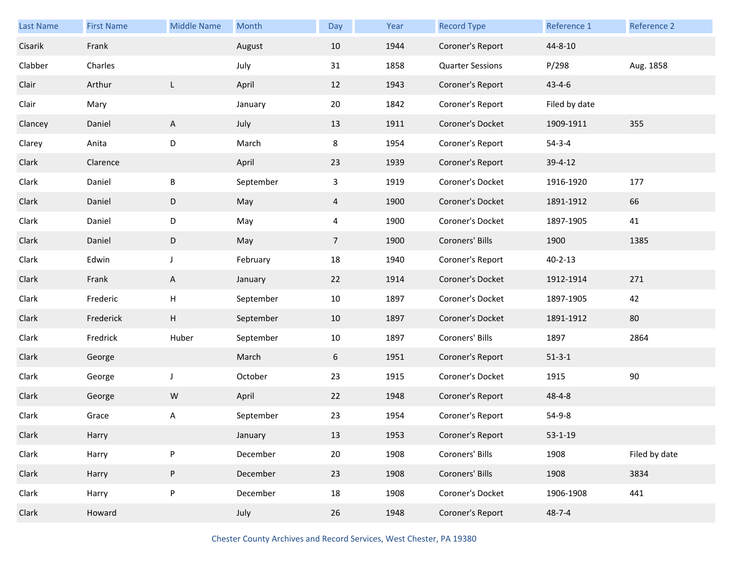| <b>Last Name</b> | <b>First Name</b> | <b>Middle Name</b> | Month     | Day             | Year | <b>Record Type</b>      | Reference 1   | Reference 2   |
|------------------|-------------------|--------------------|-----------|-----------------|------|-------------------------|---------------|---------------|
| Cisarik          | Frank             |                    | August    | 10              | 1944 | Coroner's Report        | 44-8-10       |               |
| Clabber          | Charles           |                    | July      | 31              | 1858 | <b>Quarter Sessions</b> | P/298         | Aug. 1858     |
| Clair            | Arthur            | L                  | April     | 12              | 1943 | Coroner's Report        | $43 - 4 - 6$  |               |
| Clair            | Mary              |                    | January   | 20              | 1842 | Coroner's Report        | Filed by date |               |
| Clancey          | Daniel            | $\mathsf{A}$       | July      | 13              | 1911 | Coroner's Docket        | 1909-1911     | 355           |
| Clarey           | Anita             | D                  | March     | 8               | 1954 | Coroner's Report        | $54 - 3 - 4$  |               |
| Clark            | Clarence          |                    | April     | 23              | 1939 | Coroner's Report        | 39-4-12       |               |
| Clark            | Daniel            | B                  | September | $\mathbf{3}$    | 1919 | Coroner's Docket        | 1916-1920     | 177           |
| Clark            | Daniel            | D                  | May       | $\overline{4}$  | 1900 | Coroner's Docket        | 1891-1912     | 66            |
| Clark            | Daniel            | D                  | May       | 4               | 1900 | Coroner's Docket        | 1897-1905     | 41            |
| Clark            | Daniel            | D                  | May       | $7\overline{ }$ | 1900 | Coroners' Bills         | 1900          | 1385          |
| Clark            | Edwin             | $\mathsf{J}$       | February  | 18              | 1940 | Coroner's Report        | $40 - 2 - 13$ |               |
| Clark            | Frank             | A                  | January   | 22              | 1914 | Coroner's Docket        | 1912-1914     | 271           |
| Clark            | Frederic          | H                  | September | 10              | 1897 | Coroner's Docket        | 1897-1905     | 42            |
| Clark            | Frederick         | H                  | September | 10              | 1897 | Coroner's Docket        | 1891-1912     | 80            |
| Clark            | Fredrick          | Huber              | September | 10              | 1897 | Coroners' Bills         | 1897          | 2864          |
| Clark            | George            |                    | March     | 6               | 1951 | Coroner's Report        | $51 - 3 - 1$  |               |
| Clark            | George            | $\mathsf J$        | October   | 23              | 1915 | Coroner's Docket        | 1915          | 90            |
| Clark            | George            | ${\sf W}$          | April     | 22              | 1948 | Coroner's Report        | $48 - 4 - 8$  |               |
| Clark            | Grace             | Α                  | September | 23              | 1954 | Coroner's Report        | $54-9-8$      |               |
| Clark            | Harry             |                    | January   | 13              | 1953 | Coroner's Report        | $53 - 1 - 19$ |               |
| Clark            | Harry             | ${\sf P}$          | December  | 20              | 1908 | Coroners' Bills         | 1908          | Filed by date |
| Clark            | Harry             | ${\sf P}$          | December  | 23              | 1908 | Coroners' Bills         | 1908          | 3834          |
| Clark            | Harry             | ${\sf P}$          | December  | 18              | 1908 | Coroner's Docket        | 1906-1908     | 441           |
| Clark            | Howard            |                    | July      | 26              | 1948 | Coroner's Report        | $48 - 7 - 4$  |               |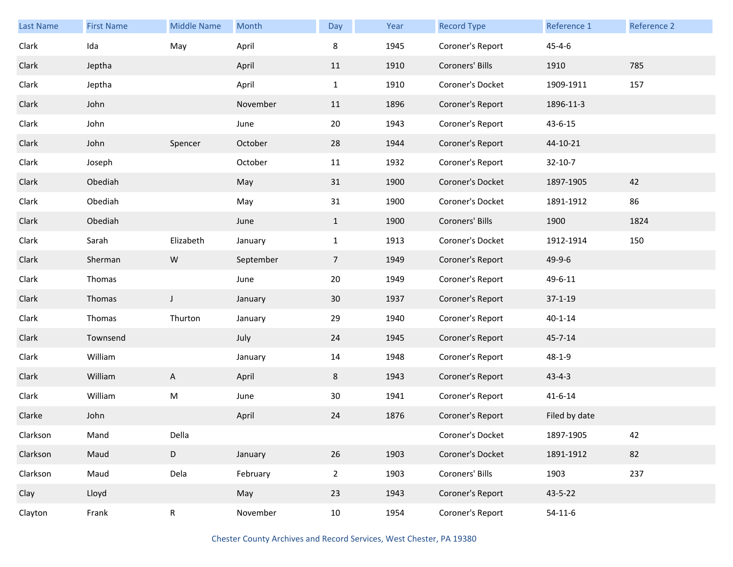| <b>Last Name</b> | <b>First Name</b> | <b>Middle Name</b> | Month     | Day            | Year | <b>Record Type</b> | Reference 1   | Reference 2 |
|------------------|-------------------|--------------------|-----------|----------------|------|--------------------|---------------|-------------|
| Clark            | Ida               | May                | April     | 8              | 1945 | Coroner's Report   | $45 - 4 - 6$  |             |
| Clark            | Jeptha            |                    | April     | 11             | 1910 | Coroners' Bills    | 1910          | 785         |
| Clark            | Jeptha            |                    | April     | $\mathbf{1}$   | 1910 | Coroner's Docket   | 1909-1911     | 157         |
| Clark            | John              |                    | November  | 11             | 1896 | Coroner's Report   | 1896-11-3     |             |
| Clark            | John              |                    | June      | 20             | 1943 | Coroner's Report   | 43-6-15       |             |
| Clark            | John              | Spencer            | October   | 28             | 1944 | Coroner's Report   | 44-10-21      |             |
| Clark            | Joseph            |                    | October   | 11             | 1932 | Coroner's Report   | $32 - 10 - 7$ |             |
| Clark            | Obediah           |                    | May       | 31             | 1900 | Coroner's Docket   | 1897-1905     | 42          |
| Clark            | Obediah           |                    | May       | 31             | 1900 | Coroner's Docket   | 1891-1912     | 86          |
| Clark            | Obediah           |                    | June      | $\mathbf{1}$   | 1900 | Coroners' Bills    | 1900          | 1824        |
| Clark            | Sarah             | Elizabeth          | January   | $\mathbf{1}$   | 1913 | Coroner's Docket   | 1912-1914     | 150         |
| Clark            | Sherman           | ${\sf W}$          | September | $\overline{7}$ | 1949 | Coroner's Report   | 49-9-6        |             |
| Clark            | Thomas            |                    | June      | 20             | 1949 | Coroner's Report   | 49-6-11       |             |
| Clark            | Thomas            | J                  | January   | 30             | 1937 | Coroner's Report   | $37 - 1 - 19$ |             |
| Clark            | Thomas            | Thurton            | January   | 29             | 1940 | Coroner's Report   | $40 - 1 - 14$ |             |
| Clark            | Townsend          |                    | July      | 24             | 1945 | Coroner's Report   | 45-7-14       |             |
| Clark            | William           |                    | January   | 14             | 1948 | Coroner's Report   | $48 - 1 - 9$  |             |
| Clark            | William           | A                  | April     | 8              | 1943 | Coroner's Report   | $43 - 4 - 3$  |             |
| Clark            | William           | ${\sf M}$          | June      | 30             | 1941 | Coroner's Report   | $41 - 6 - 14$ |             |
| Clarke           | John              |                    | April     | 24             | 1876 | Coroner's Report   | Filed by date |             |
| Clarkson         | Mand              | Della              |           |                |      | Coroner's Docket   | 1897-1905     | 42          |
| Clarkson         | Maud              | D                  | January   | 26             | 1903 | Coroner's Docket   | 1891-1912     | 82          |
| Clarkson         | Maud              | Dela               | February  | $\overline{2}$ | 1903 | Coroners' Bills    | 1903          | 237         |
| Clay             | Lloyd             |                    | May       | 23             | 1943 | Coroner's Report   | 43-5-22       |             |
| Clayton          | Frank             | ${\sf R}$          | November  | 10             | 1954 | Coroner's Report   | $54-11-6$     |             |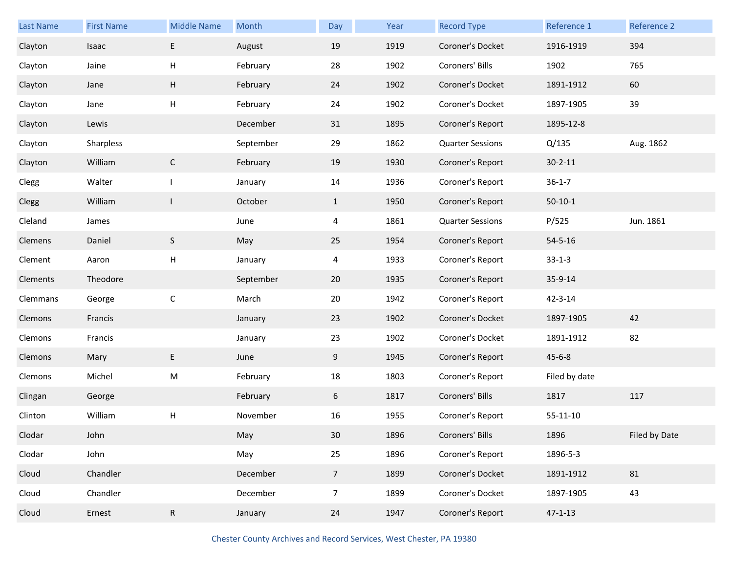| <b>Last Name</b> | <b>First Name</b> | <b>Middle Name</b> | Month     | Day             | Year | <b>Record Type</b>      | Reference 1    | Reference 2   |
|------------------|-------------------|--------------------|-----------|-----------------|------|-------------------------|----------------|---------------|
| Clayton          | Isaac             | E                  | August    | 19              | 1919 | Coroner's Docket        | 1916-1919      | 394           |
| Clayton          | Jaine             | $\mathsf{H}$       | February  | 28              | 1902 | Coroners' Bills         | 1902           | 765           |
| Clayton          | Jane              | Н                  | February  | 24              | 1902 | Coroner's Docket        | 1891-1912      | 60            |
| Clayton          | Jane              | Н                  | February  | 24              | 1902 | Coroner's Docket        | 1897-1905      | 39            |
| Clayton          | Lewis             |                    | December  | 31              | 1895 | Coroner's Report        | 1895-12-8      |               |
| Clayton          | Sharpless         |                    | September | 29              | 1862 | <b>Quarter Sessions</b> | Q/135          | Aug. 1862     |
| Clayton          | William           | $\mathsf{C}$       | February  | 19              | 1930 | Coroner's Report        | $30 - 2 - 11$  |               |
| Clegg            | Walter            | $\mathbf{I}$       | January   | 14              | 1936 | Coroner's Report        | $36 - 1 - 7$   |               |
| Clegg            | William           | $\mathsf{L}$       | October   | $\mathbf{1}$    | 1950 | Coroner's Report        | $50-10-1$      |               |
| Cleland          | James             |                    | June      | 4               | 1861 | <b>Quarter Sessions</b> | P/525          | Jun. 1861     |
| Clemens          | Daniel            | $\mathsf S$        | May       | 25              | 1954 | Coroner's Report        | $54 - 5 - 16$  |               |
| Clement          | Aaron             | $\mathsf{H}$       | January   | 4               | 1933 | Coroner's Report        | $33 - 1 - 3$   |               |
| Clements         | Theodore          |                    | September | 20              | 1935 | Coroner's Report        | 35-9-14        |               |
| Clemmans         | George            | $\mathsf C$        | March     | 20              | 1942 | Coroner's Report        | 42-3-14        |               |
| Clemons          | Francis           |                    | January   | 23              | 1902 | Coroner's Docket        | 1897-1905      | 42            |
| Clemons          | Francis           |                    | January   | 23              | 1902 | Coroner's Docket        | 1891-1912      | 82            |
| Clemons          | Mary              | E                  | June      | 9               | 1945 | Coroner's Report        | $45 - 6 - 8$   |               |
| Clemons          | Michel            | M                  | February  | 18              | 1803 | Coroner's Report        | Filed by date  |               |
| Clingan          | George            |                    | February  | 6               | 1817 | Coroners' Bills         | 1817           | 117           |
| Clinton          | William           | Н                  | November  | 16              | 1955 | Coroner's Report        | $55 - 11 - 10$ |               |
| Clodar           | John              |                    | May       | 30              | 1896 | Coroners' Bills         | 1896           | Filed by Date |
| Clodar           | John              |                    | May       | 25              | 1896 | Coroner's Report        | 1896-5-3       |               |
| Cloud            | Chandler          |                    | December  | $7\overline{ }$ | 1899 | Coroner's Docket        | 1891-1912      | 81            |
| Cloud            | Chandler          |                    | December  | $\overline{7}$  | 1899 | Coroner's Docket        | 1897-1905      | 43            |
| Cloud            | Ernest            | ${\sf R}$          | January   | 24              | 1947 | Coroner's Report        | $47 - 1 - 13$  |               |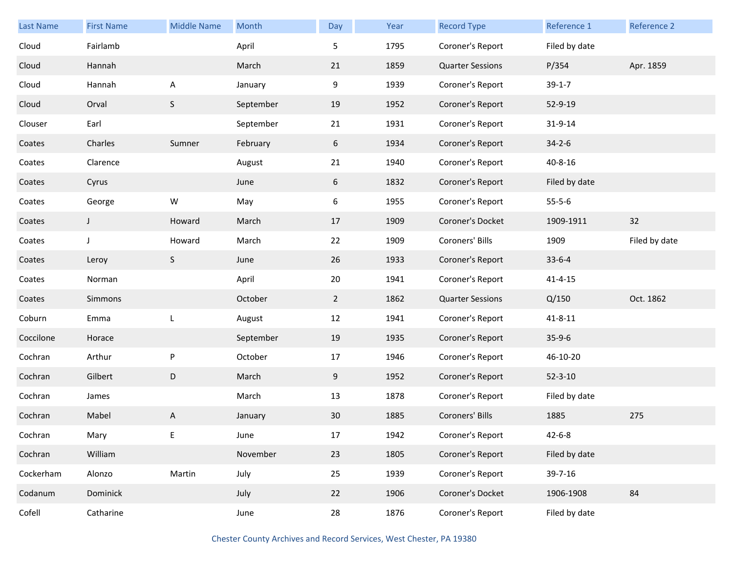| <b>Last Name</b> | <b>First Name</b> | <b>Middle Name</b> | Month     | Day         | Year | <b>Record Type</b>      | Reference 1   | <b>Reference 2</b> |
|------------------|-------------------|--------------------|-----------|-------------|------|-------------------------|---------------|--------------------|
| Cloud            | Fairlamb          |                    | April     | 5           | 1795 | Coroner's Report        | Filed by date |                    |
| Cloud            | Hannah            |                    | March     | 21          | 1859 | <b>Quarter Sessions</b> | P/354         | Apr. 1859          |
| Cloud            | Hannah            | A                  | January   | 9           | 1939 | Coroner's Report        | $39-1-7$      |                    |
| Cloud            | Orval             | S                  | September | 19          | 1952 | Coroner's Report        | 52-9-19       |                    |
| Clouser          | Earl              |                    | September | 21          | 1931 | Coroner's Report        | 31-9-14       |                    |
| Coates           | Charles           | Sumner             | February  | 6           | 1934 | Coroner's Report        | $34 - 2 - 6$  |                    |
| Coates           | Clarence          |                    | August    | 21          | 1940 | Coroner's Report        | $40 - 8 - 16$ |                    |
| Coates           | Cyrus             |                    | June      | 6           | 1832 | Coroner's Report        | Filed by date |                    |
| Coates           | George            | ${\sf W}$          | May       | 6           | 1955 | Coroner's Report        | $55 - 5 - 6$  |                    |
| Coates           | J                 | Howard             | March     | 17          | 1909 | Coroner's Docket        | 1909-1911     | 32                 |
| Coates           | J                 | Howard             | March     | 22          | 1909 | Coroners' Bills         | 1909          | Filed by date      |
| Coates           | Leroy             | S                  | June      | 26          | 1933 | Coroner's Report        | $33 - 6 - 4$  |                    |
| Coates           | Norman            |                    | April     | 20          | 1941 | Coroner's Report        | $41 - 4 - 15$ |                    |
| Coates           | Simmons           |                    | October   | $2^{\circ}$ | 1862 | <b>Quarter Sessions</b> | Q/150         | Oct. 1862          |
| Coburn           | Emma              | L                  | August    | 12          | 1941 | Coroner's Report        | $41 - 8 - 11$ |                    |
| Coccilone        | Horace            |                    | September | 19          | 1935 | Coroner's Report        | $35-9-6$      |                    |
| Cochran          | Arthur            | ${\sf P}$          | October   | 17          | 1946 | Coroner's Report        | 46-10-20      |                    |
| Cochran          | Gilbert           | D                  | March     | 9           | 1952 | Coroner's Report        | $52 - 3 - 10$ |                    |
| Cochran          | James             |                    | March     | 13          | 1878 | Coroner's Report        | Filed by date |                    |
| Cochran          | Mabel             | A                  | January   | 30          | 1885 | Coroners' Bills         | 1885          | 275                |
| Cochran          | Mary              | Е                  | June      | $17\,$      | 1942 | Coroner's Report        | $42 - 6 - 8$  |                    |
| Cochran          | William           |                    | November  | 23          | 1805 | Coroner's Report        | Filed by date |                    |
| Cockerham        | Alonzo            | Martin             | July      | 25          | 1939 | Coroner's Report        | 39-7-16       |                    |
| Codanum          | Dominick          |                    | July      | 22          | 1906 | Coroner's Docket        | 1906-1908     | 84                 |
| Cofell           | Catharine         |                    | June      | 28          | 1876 | Coroner's Report        | Filed by date |                    |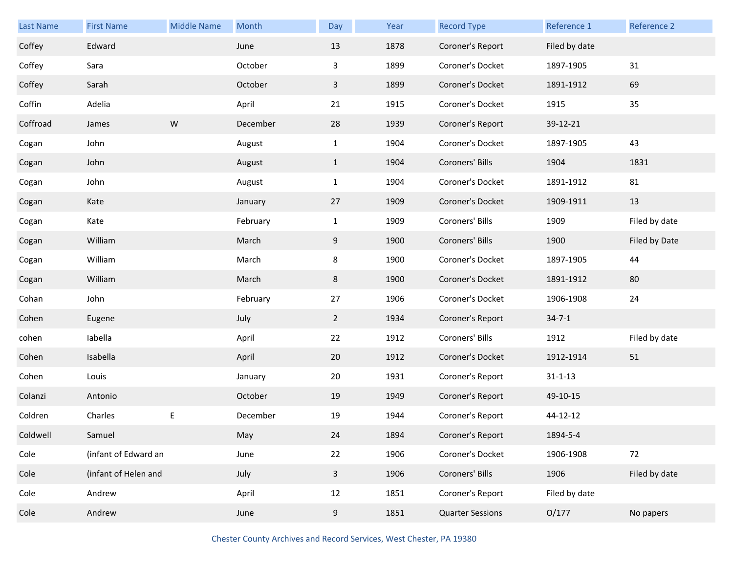| <b>Last Name</b> | <b>First Name</b>    | <b>Middle Name</b> | Month    | Day            | Year | <b>Record Type</b>      | Reference 1   | Reference 2   |
|------------------|----------------------|--------------------|----------|----------------|------|-------------------------|---------------|---------------|
| Coffey           | Edward               |                    | June     | 13             | 1878 | Coroner's Report        | Filed by date |               |
| Coffey           | Sara                 |                    | October  | 3              | 1899 | Coroner's Docket        | 1897-1905     | 31            |
| Coffey           | Sarah                |                    | October  | $\mathbf{3}$   | 1899 | Coroner's Docket        | 1891-1912     | 69            |
| Coffin           | Adelia               |                    | April    | 21             | 1915 | Coroner's Docket        | 1915          | 35            |
| Coffroad         | James                | ${\sf W}$          | December | 28             | 1939 | Coroner's Report        | 39-12-21      |               |
| Cogan            | John                 |                    | August   | $\mathbf{1}$   | 1904 | Coroner's Docket        | 1897-1905     | 43            |
| Cogan            | John                 |                    | August   | $\mathbf{1}$   | 1904 | Coroners' Bills         | 1904          | 1831          |
| Cogan            | John                 |                    | August   | $\mathbf{1}$   | 1904 | Coroner's Docket        | 1891-1912     | 81            |
| Cogan            | Kate                 |                    | January  | 27             | 1909 | Coroner's Docket        | 1909-1911     | 13            |
| Cogan            | Kate                 |                    | February | $\mathbf{1}$   | 1909 | Coroners' Bills         | 1909          | Filed by date |
| Cogan            | William              |                    | March    | 9              | 1900 | Coroners' Bills         | 1900          | Filed by Date |
| Cogan            | William              |                    | March    | 8              | 1900 | Coroner's Docket        | 1897-1905     | 44            |
| Cogan            | William              |                    | March    | 8              | 1900 | Coroner's Docket        | 1891-1912     | 80            |
| Cohan            | John                 |                    | February | 27             | 1906 | Coroner's Docket        | 1906-1908     | 24            |
| Cohen            | Eugene               |                    | July     | $\overline{2}$ | 1934 | Coroner's Report        | $34 - 7 - 1$  |               |
| cohen            | labella              |                    | April    | 22             | 1912 | Coroners' Bills         | 1912          | Filed by date |
| Cohen            | Isabella             |                    | April    | 20             | 1912 | Coroner's Docket        | 1912-1914     | 51            |
| Cohen            | Louis                |                    | January  | 20             | 1931 | Coroner's Report        | $31 - 1 - 13$ |               |
| Colanzi          | Antonio              |                    | October  | 19             | 1949 | Coroner's Report        | 49-10-15      |               |
| Coldren          | Charles              | E                  | December | 19             | 1944 | Coroner's Report        | 44-12-12      |               |
| Coldwell         | Samuel               |                    | May      | 24             | 1894 | Coroner's Report        | 1894-5-4      |               |
| Cole             | (infant of Edward an |                    | June     | 22             | 1906 | Coroner's Docket        | 1906-1908     | 72            |
| Cole             | (infant of Helen and |                    | July     | $\overline{3}$ | 1906 | Coroners' Bills         | 1906          | Filed by date |
| Cole             | Andrew               |                    | April    | 12             | 1851 | Coroner's Report        | Filed by date |               |
| Cole             | Andrew               |                    | June     | 9              | 1851 | <b>Quarter Sessions</b> | O/177         | No papers     |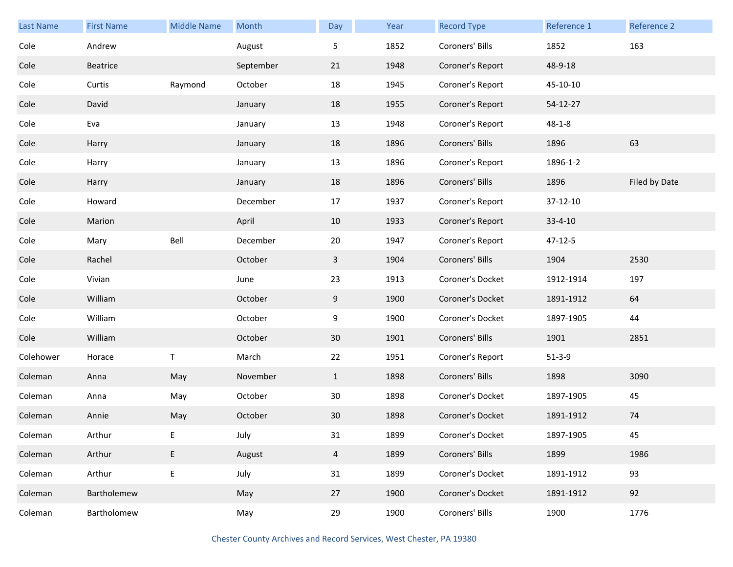| <b>Last Name</b> | <b>First Name</b> | <b>Middle Name</b> | Month     | Day            | Year | <b>Record Type</b> | <b>Reference 1</b> | Reference 2   |
|------------------|-------------------|--------------------|-----------|----------------|------|--------------------|--------------------|---------------|
| Cole             | Andrew            |                    | August    | 5              | 1852 | Coroners' Bills    | 1852               | 163           |
| Cole             | Beatrice          |                    | September | 21             | 1948 | Coroner's Report   | 48-9-18            |               |
| Cole             | Curtis            | Raymond            | October   | 18             | 1945 | Coroner's Report   | 45-10-10           |               |
| Cole             | David             |                    | January   | 18             | 1955 | Coroner's Report   | 54-12-27           |               |
| Cole             | Eva               |                    | January   | 13             | 1948 | Coroner's Report   | $48 - 1 - 8$       |               |
| Cole             | Harry             |                    | January   | 18             | 1896 | Coroners' Bills    | 1896               | 63            |
| Cole             | Harry             |                    | January   | 13             | 1896 | Coroner's Report   | 1896-1-2           |               |
| Cole             | Harry             |                    | January   | 18             | 1896 | Coroners' Bills    | 1896               | Filed by Date |
| Cole             | Howard            |                    | December  | 17             | 1937 | Coroner's Report   | 37-12-10           |               |
| Cole             | Marion            |                    | April     | 10             | 1933 | Coroner's Report   | $33 - 4 - 10$      |               |
| Cole             | Mary              | Bell               | December  | 20             | 1947 | Coroner's Report   | 47-12-5            |               |
| Cole             | Rachel            |                    | October   | 3              | 1904 | Coroners' Bills    | 1904               | 2530          |
| Cole             | Vivian            |                    | June      | 23             | 1913 | Coroner's Docket   | 1912-1914          | 197           |
| Cole             | William           |                    | October   | 9              | 1900 | Coroner's Docket   | 1891-1912          | 64            |
| Cole             | William           |                    | October   | 9              | 1900 | Coroner's Docket   | 1897-1905          | 44            |
| Cole             | William           |                    | October   | 30             | 1901 | Coroners' Bills    | 1901               | 2851          |
| Colehower        | Horace            | T                  | March     | 22             | 1951 | Coroner's Report   | $51-3-9$           |               |
| Coleman          | Anna              | May                | November  | $\mathbf{1}$   | 1898 | Coroners' Bills    | 1898               | 3090          |
| Coleman          | Anna              | May                | October   | 30             | 1898 | Coroner's Docket   | 1897-1905          | 45            |
| Coleman          | Annie             | May                | October   | 30             | 1898 | Coroner's Docket   | 1891-1912          | 74            |
| Coleman          | Arthur            | E                  | July      | 31             | 1899 | Coroner's Docket   | 1897-1905          | 45            |
| Coleman          | Arthur            | E                  | August    | $\overline{4}$ | 1899 | Coroners' Bills    | 1899               | 1986          |
| Coleman          | Arthur            | E                  | July      | 31             | 1899 | Coroner's Docket   | 1891-1912          | 93            |
| Coleman          | Bartholemew       |                    | May       | 27             | 1900 | Coroner's Docket   | 1891-1912          | 92            |
| Coleman          | Bartholomew       |                    | May       | 29             | 1900 | Coroners' Bills    | 1900               | 1776          |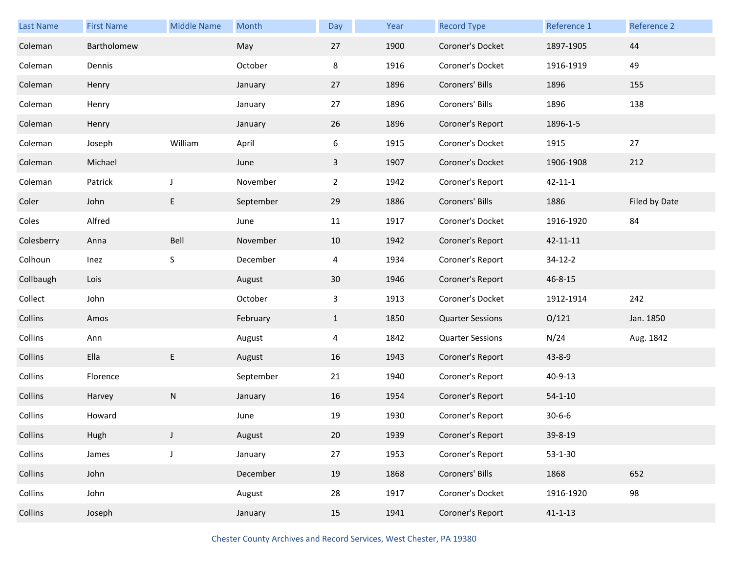| Last Name  | <b>First Name</b> | <b>Middle Name</b> | Month     | Day            | Year | <b>Record Type</b>      | Reference 1   | Reference 2   |
|------------|-------------------|--------------------|-----------|----------------|------|-------------------------|---------------|---------------|
| Coleman    | Bartholomew       |                    | May       | 27             | 1900 | Coroner's Docket        | 1897-1905     | 44            |
| Coleman    | Dennis            |                    | October   | 8              | 1916 | Coroner's Docket        | 1916-1919     | 49            |
| Coleman    | Henry             |                    | January   | 27             | 1896 | Coroners' Bills         | 1896          | 155           |
| Coleman    | Henry             |                    | January   | 27             | 1896 | Coroners' Bills         | 1896          | 138           |
| Coleman    | Henry             |                    | January   | 26             | 1896 | Coroner's Report        | 1896-1-5      |               |
| Coleman    | Joseph            | William            | April     | 6              | 1915 | Coroner's Docket        | 1915          | 27            |
| Coleman    | Michael           |                    | June      | $\mathbf{3}$   | 1907 | Coroner's Docket        | 1906-1908     | 212           |
| Coleman    | Patrick           | J                  | November  | $\overline{2}$ | 1942 | Coroner's Report        | $42 - 11 - 1$ |               |
| Coler      | John              | E                  | September | 29             | 1886 | Coroners' Bills         | 1886          | Filed by Date |
| Coles      | Alfred            |                    | June      | 11             | 1917 | Coroner's Docket        | 1916-1920     | 84            |
| Colesberry | Anna              | Bell               | November  | 10             | 1942 | Coroner's Report        | 42-11-11      |               |
| Colhoun    | Inez              | S                  | December  | 4              | 1934 | Coroner's Report        | $34 - 12 - 2$ |               |
| Collbaugh  | Lois              |                    | August    | 30             | 1946 | Coroner's Report        | 46-8-15       |               |
| Collect    | John              |                    | October   | 3              | 1913 | Coroner's Docket        | 1912-1914     | 242           |
| Collins    | Amos              |                    | February  | $\mathbf{1}$   | 1850 | <b>Quarter Sessions</b> | O/121         | Jan. 1850     |
| Collins    | Ann               |                    | August    | 4              | 1842 | <b>Quarter Sessions</b> | N/24          | Aug. 1842     |
| Collins    | Ella              | E                  | August    | 16             | 1943 | Coroner's Report        | 43-8-9        |               |
| Collins    | Florence          |                    | September | 21             | 1940 | Coroner's Report        | 40-9-13       |               |
| Collins    | Harvey            | N                  | January   | 16             | 1954 | Coroner's Report        | $54 - 1 - 10$ |               |
| Collins    | Howard            |                    | June      | 19             | 1930 | Coroner's Report        | $30 - 6 - 6$  |               |
| Collins    | Hugh              | $\mathsf{L}$       | August    | 20             | 1939 | Coroner's Report        | 39-8-19       |               |
| Collins    | James             | J                  | January   | 27             | 1953 | Coroner's Report        | $53 - 1 - 30$ |               |
| Collins    | John              |                    | December  | 19             | 1868 | Coroners' Bills         | 1868          | 652           |
| Collins    | John              |                    | August    | 28             | 1917 | Coroner's Docket        | 1916-1920     | 98            |
| Collins    | Joseph            |                    | January   | 15             | 1941 | Coroner's Report        | $41 - 1 - 13$ |               |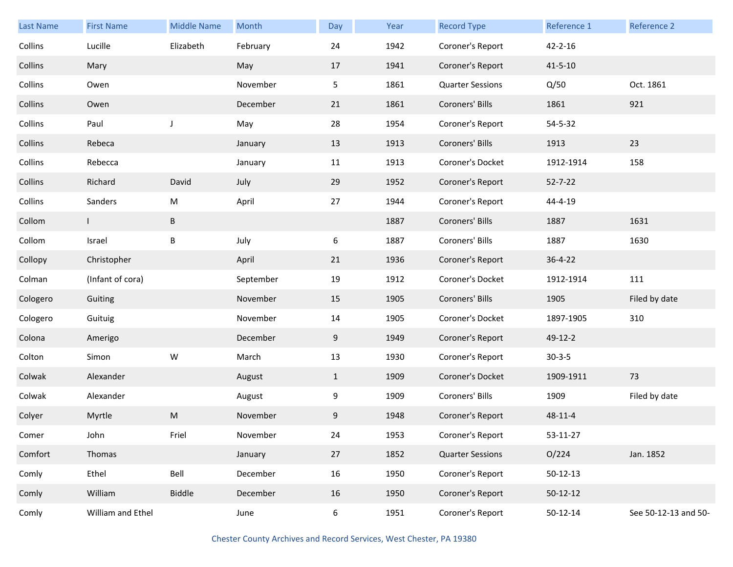| Last Name | <b>First Name</b> | <b>Middle Name</b> | Month     | Day          | Year | <b>Record Type</b>      | Reference 1    | Reference 2          |
|-----------|-------------------|--------------------|-----------|--------------|------|-------------------------|----------------|----------------------|
| Collins   | Lucille           | Elizabeth          | February  | 24           | 1942 | Coroner's Report        | $42 - 2 - 16$  |                      |
| Collins   | Mary              |                    | May       | 17           | 1941 | Coroner's Report        | $41 - 5 - 10$  |                      |
| Collins   | Owen              |                    | November  | 5            | 1861 | <b>Quarter Sessions</b> | Q/50           | Oct. 1861            |
| Collins   | Owen              |                    | December  | 21           | 1861 | Coroners' Bills         | 1861           | 921                  |
| Collins   | Paul              | $\mathsf J$        | May       | 28           | 1954 | Coroner's Report        | 54-5-32        |                      |
| Collins   | Rebeca            |                    | January   | 13           | 1913 | Coroners' Bills         | 1913           | 23                   |
| Collins   | Rebecca           |                    | January   | 11           | 1913 | Coroner's Docket        | 1912-1914      | 158                  |
| Collins   | Richard           | David              | July      | 29           | 1952 | Coroner's Report        | $52 - 7 - 22$  |                      |
| Collins   | Sanders           | ${\sf M}$          | April     | 27           | 1944 | Coroner's Report        | 44-4-19        |                      |
| Collom    |                   | $\sf B$            |           |              | 1887 | Coroners' Bills         | 1887           | 1631                 |
| Collom    | Israel            | B                  | July      | 6            | 1887 | Coroners' Bills         | 1887           | 1630                 |
| Collopy   | Christopher       |                    | April     | 21           | 1936 | Coroner's Report        | $36 - 4 - 22$  |                      |
| Colman    | (Infant of cora)  |                    | September | 19           | 1912 | Coroner's Docket        | 1912-1914      | 111                  |
| Cologero  | Guiting           |                    | November  | 15           | 1905 | Coroners' Bills         | 1905           | Filed by date        |
| Cologero  | Guituig           |                    | November  | 14           | 1905 | Coroner's Docket        | 1897-1905      | 310                  |
| Colona    | Amerigo           |                    | December  | 9            | 1949 | Coroner's Report        | 49-12-2        |                      |
| Colton    | Simon             | ${\sf W}$          | March     | 13           | 1930 | Coroner's Report        | $30 - 3 - 5$   |                      |
| Colwak    | Alexander         |                    | August    | $\mathbf{1}$ | 1909 | Coroner's Docket        | 1909-1911      | 73                   |
| Colwak    | Alexander         |                    | August    | 9            | 1909 | Coroners' Bills         | 1909           | Filed by date        |
| Colyer    | Myrtle            | ${\sf M}$          | November  | 9            | 1948 | Coroner's Report        | $48 - 11 - 4$  |                      |
| Comer     | John              | Friel              | November  | 24           | 1953 | Coroner's Report        | 53-11-27       |                      |
| Comfort   | Thomas            |                    | January   | 27           | 1852 | <b>Quarter Sessions</b> | O/224          | Jan. 1852            |
| Comly     | Ethel             | Bell               | December  | 16           | 1950 | Coroner's Report        | 50-12-13       |                      |
| Comly     | William           | <b>Biddle</b>      | December  | 16           | 1950 | Coroner's Report        | $50-12-12$     |                      |
| Comly     | William and Ethel |                    | June      | 6            | 1951 | Coroner's Report        | $50 - 12 - 14$ | See 50-12-13 and 50- |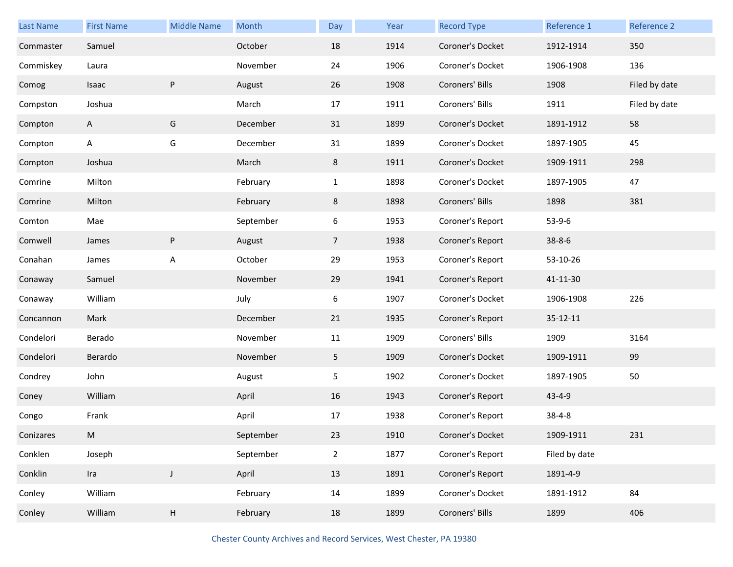| <b>Last Name</b> | <b>First Name</b> | <b>Middle Name</b> | Month     | Day             | Year | <b>Record Type</b> | Reference 1    | Reference 2   |
|------------------|-------------------|--------------------|-----------|-----------------|------|--------------------|----------------|---------------|
| Commaster        | Samuel            |                    | October   | 18              | 1914 | Coroner's Docket   | 1912-1914      | 350           |
| Commiskey        | Laura             |                    | November  | 24              | 1906 | Coroner's Docket   | 1906-1908      | 136           |
| Comog            | Isaac             | P                  | August    | 26              | 1908 | Coroners' Bills    | 1908           | Filed by date |
| Compston         | Joshua            |                    | March     | 17              | 1911 | Coroners' Bills    | 1911           | Filed by date |
| Compton          | $\mathsf{A}$      | G                  | December  | 31              | 1899 | Coroner's Docket   | 1891-1912      | 58            |
| Compton          | A                 | G                  | December  | 31              | 1899 | Coroner's Docket   | 1897-1905      | 45            |
| Compton          | Joshua            |                    | March     | 8               | 1911 | Coroner's Docket   | 1909-1911      | 298           |
| Comrine          | Milton            |                    | February  | $\mathbf{1}$    | 1898 | Coroner's Docket   | 1897-1905      | 47            |
| Comrine          | Milton            |                    | February  | 8               | 1898 | Coroners' Bills    | 1898           | 381           |
| Comton           | Mae               |                    | September | 6               | 1953 | Coroner's Report   | $53-9-6$       |               |
| Comwell          | James             | P                  | August    | $7\overline{ }$ | 1938 | Coroner's Report   | $38 - 8 - 6$   |               |
| Conahan          | James             | A                  | October   | 29              | 1953 | Coroner's Report   | 53-10-26       |               |
| Conaway          | Samuel            |                    | November  | 29              | 1941 | Coroner's Report   | 41-11-30       |               |
| Conaway          | William           |                    | July      | 6               | 1907 | Coroner's Docket   | 1906-1908      | 226           |
| Concannon        | Mark              |                    | December  | 21              | 1935 | Coroner's Report   | $35 - 12 - 11$ |               |
| Condelori        | Berado            |                    | November  | 11              | 1909 | Coroners' Bills    | 1909           | 3164          |
| Condelori        | Berardo           |                    | November  | 5 <sub>1</sub>  | 1909 | Coroner's Docket   | 1909-1911      | 99            |
| Condrey          | John              |                    | August    | 5               | 1902 | Coroner's Docket   | 1897-1905      | 50            |
| Coney            | William           |                    | April     | 16              | 1943 | Coroner's Report   | $43 - 4 - 9$   |               |
| Congo            | Frank             |                    | April     | 17              | 1938 | Coroner's Report   | $38 - 4 - 8$   |               |
| Conizares        | M                 |                    | September | 23              | 1910 | Coroner's Docket   | 1909-1911      | 231           |
| Conklen          | Joseph            |                    | September | $\overline{2}$  | 1877 | Coroner's Report   | Filed by date  |               |
| Conklin          | Ira               | $\mathsf J$        | April     | 13              | 1891 | Coroner's Report   | 1891-4-9       |               |
| Conley           | William           |                    | February  | 14              | 1899 | Coroner's Docket   | 1891-1912      | 84            |
| Conley           | William           | Н                  | February  | 18              | 1899 | Coroners' Bills    | 1899           | 406           |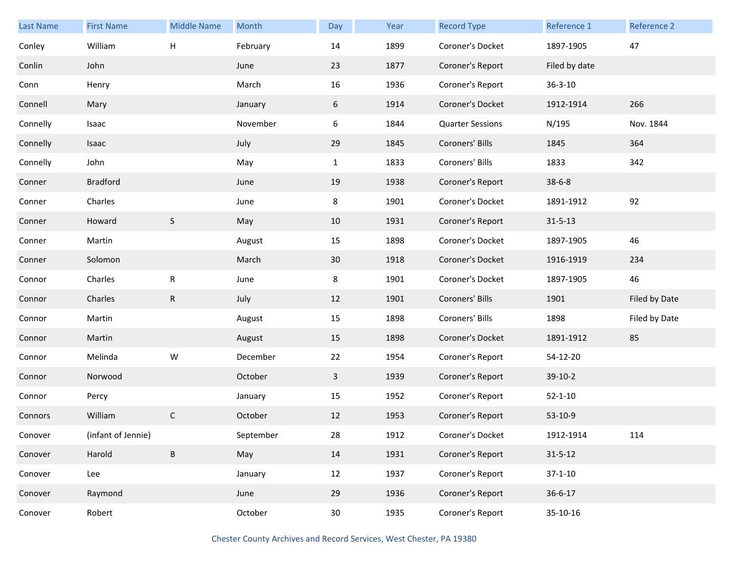| <b>Last Name</b> | <b>First Name</b>  | <b>Middle Name</b> | Month     | Day             | Year | <b>Record Type</b>      | Reference 1   | Reference 2   |
|------------------|--------------------|--------------------|-----------|-----------------|------|-------------------------|---------------|---------------|
| Conley           | William            | Н                  | February  | 14              | 1899 | Coroner's Docket        | 1897-1905     | 47            |
| Conlin           | John               |                    | June      | 23              | 1877 | Coroner's Report        | Filed by date |               |
| Conn             | Henry              |                    | March     | 16              | 1936 | Coroner's Report        | $36 - 3 - 10$ |               |
| Connell          | Mary               |                    | January   | 6               | 1914 | Coroner's Docket        | 1912-1914     | 266           |
| Connelly         | Isaac              |                    | November  | 6               | 1844 | <b>Quarter Sessions</b> | N/195         | Nov. 1844     |
| Connelly         | Isaac              |                    | July      | 29              | 1845 | Coroners' Bills         | 1845          | 364           |
| Connelly         | John               |                    | May       | $\mathbf{1}$    | 1833 | Coroners' Bills         | 1833          | 342           |
| Conner           | <b>Bradford</b>    |                    | June      | 19              | 1938 | Coroner's Report        | $38 - 6 - 8$  |               |
| Conner           | Charles            |                    | June      | 8               | 1901 | Coroner's Docket        | 1891-1912     | 92            |
| Conner           | Howard             | $\mathsf S$        | May       | 10              | 1931 | Coroner's Report        | $31 - 5 - 13$ |               |
| Conner           | Martin             |                    | August    | 15              | 1898 | Coroner's Docket        | 1897-1905     | 46            |
| Conner           | Solomon            |                    | March     | 30              | 1918 | Coroner's Docket        | 1916-1919     | 234           |
| Connor           | Charles            | ${\sf R}$          | June      | 8               | 1901 | Coroner's Docket        | 1897-1905     | 46            |
| Connor           | Charles            | ${\sf R}$          | July      | 12              | 1901 | Coroners' Bills         | 1901          | Filed by Date |
| Connor           | Martin             |                    | August    | 15              | 1898 | Coroners' Bills         | 1898          | Filed by Date |
| Connor           | Martin             |                    | August    | 15              | 1898 | Coroner's Docket        | 1891-1912     | 85            |
| Connor           | Melinda            | W                  | December  | 22              | 1954 | Coroner's Report        | 54-12-20      |               |
| Connor           | Norwood            |                    | October   | 3               | 1939 | Coroner's Report        | 39-10-2       |               |
| Connor           | Percy              |                    | January   | 15              | 1952 | Coroner's Report        | $52 - 1 - 10$ |               |
| Connors          | William            | $\mathsf{C}$       | October   | 12              | 1953 | Coroner's Report        | 53-10-9       |               |
| Conover          | (infant of Jennie) |                    | September | 28              | 1912 | Coroner's Docket        | 1912-1914     | 114           |
| Conover          | Harold             | B                  | May       | 14              | 1931 | Coroner's Report        | $31 - 5 - 12$ |               |
| Conover          | Lee                |                    | January   | 12              | 1937 | Coroner's Report        | $37 - 1 - 10$ |               |
| Conover          | Raymond            |                    | June      | 29              | 1936 | Coroner's Report        | $36 - 6 - 17$ |               |
| Conover          | Robert             |                    | October   | 30 <sub>o</sub> | 1935 | Coroner's Report        | 35-10-16      |               |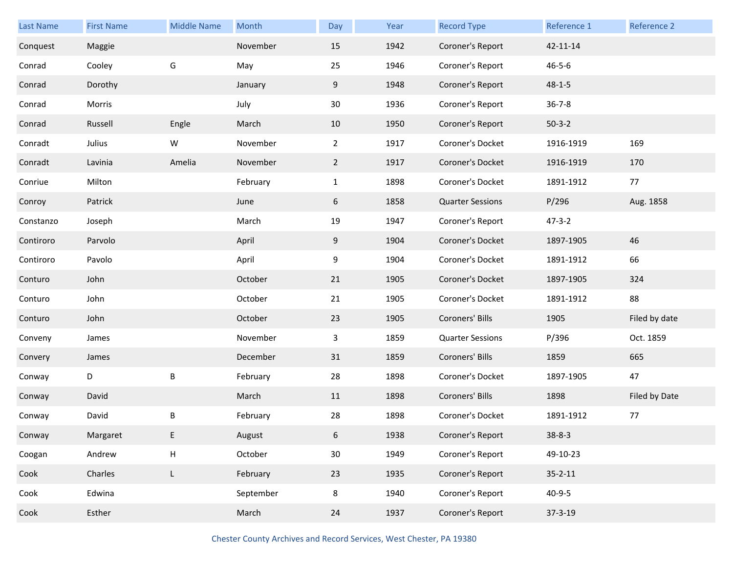| Last Name | <b>First Name</b> | <b>Middle Name</b> | Month     | Day            | Year | <b>Record Type</b>      | Reference 1   | Reference 2   |
|-----------|-------------------|--------------------|-----------|----------------|------|-------------------------|---------------|---------------|
| Conquest  | Maggie            |                    | November  | 15             | 1942 | Coroner's Report        | 42-11-14      |               |
| Conrad    | Cooley            | G                  | May       | 25             | 1946 | Coroner's Report        | $46 - 5 - 6$  |               |
| Conrad    | Dorothy           |                    | January   | 9              | 1948 | Coroner's Report        | $48 - 1 - 5$  |               |
| Conrad    | Morris            |                    | July      | 30             | 1936 | Coroner's Report        | $36 - 7 - 8$  |               |
| Conrad    | Russell           | Engle              | March     | 10             | 1950 | Coroner's Report        | $50-3-2$      |               |
| Conradt   | Julius            | W                  | November  | $\overline{a}$ | 1917 | Coroner's Docket        | 1916-1919     | 169           |
| Conradt   | Lavinia           | Amelia             | November  | $\overline{2}$ | 1917 | Coroner's Docket        | 1916-1919     | 170           |
| Conriue   | Milton            |                    | February  | $\mathbf{1}$   | 1898 | Coroner's Docket        | 1891-1912     | 77            |
| Conroy    | Patrick           |                    | June      | 6              | 1858 | <b>Quarter Sessions</b> | P/296         | Aug. 1858     |
| Constanzo | Joseph            |                    | March     | 19             | 1947 | Coroner's Report        | $47 - 3 - 2$  |               |
| Contiroro | Parvolo           |                    | April     | 9              | 1904 | Coroner's Docket        | 1897-1905     | 46            |
| Contiroro | Pavolo            |                    | April     | 9              | 1904 | Coroner's Docket        | 1891-1912     | 66            |
| Conturo   | John              |                    | October   | 21             | 1905 | Coroner's Docket        | 1897-1905     | 324           |
| Conturo   | John              |                    | October   | 21             | 1905 | Coroner's Docket        | 1891-1912     | 88            |
| Conturo   | John              |                    | October   | 23             | 1905 | Coroners' Bills         | 1905          | Filed by date |
| Conveny   | James             |                    | November  | 3              | 1859 | <b>Quarter Sessions</b> | P/396         | Oct. 1859     |
| Convery   | James             |                    | December  | 31             | 1859 | Coroners' Bills         | 1859          | 665           |
| Conway    | D                 | B                  | February  | 28             | 1898 | Coroner's Docket        | 1897-1905     | 47            |
| Conway    | David             |                    | March     | 11             | 1898 | Coroners' Bills         | 1898          | Filed by Date |
| Conway    | David             | B                  | February  | 28             | 1898 | Coroner's Docket        | 1891-1912     | 77            |
| Conway    | Margaret          | E                  | August    | 6              | 1938 | Coroner's Report        | $38 - 8 - 3$  |               |
| Coogan    | Andrew            | H                  | October   | 30             | 1949 | Coroner's Report        | 49-10-23      |               |
| Cook      | Charles           | L                  | February  | 23             | 1935 | Coroner's Report        | $35 - 2 - 11$ |               |
| Cook      | Edwina            |                    | September | 8              | 1940 | Coroner's Report        | $40 - 9 - 5$  |               |
| Cook      | Esther            |                    | March     | 24             | 1937 | Coroner's Report        | $37 - 3 - 19$ |               |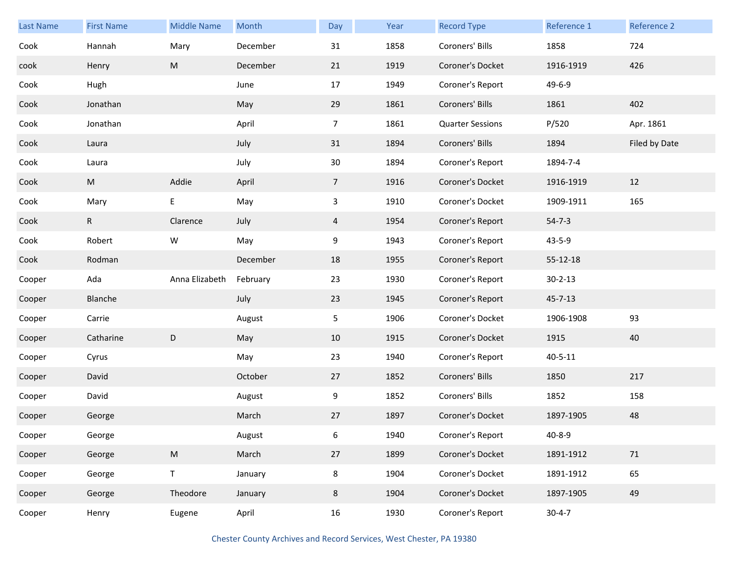| <b>Last Name</b> | <b>First Name</b> | <b>Middle Name</b> | Month    | Day            | Year | <b>Record Type</b>      | Reference 1   | Reference 2   |
|------------------|-------------------|--------------------|----------|----------------|------|-------------------------|---------------|---------------|
| Cook             | Hannah            | Mary               | December | 31             | 1858 | Coroners' Bills         | 1858          | 724           |
| cook             | Henry             | M                  | December | 21             | 1919 | Coroner's Docket        | 1916-1919     | 426           |
| Cook             | Hugh              |                    | June     | 17             | 1949 | Coroner's Report        | 49-6-9        |               |
| Cook             | Jonathan          |                    | May      | 29             | 1861 | Coroners' Bills         | 1861          | 402           |
| Cook             | Jonathan          |                    | April    | $\overline{7}$ | 1861 | <b>Quarter Sessions</b> | P/520         | Apr. 1861     |
| Cook             | Laura             |                    | July     | 31             | 1894 | Coroners' Bills         | 1894          | Filed by Date |
| Cook             | Laura             |                    | July     | 30             | 1894 | Coroner's Report        | 1894-7-4      |               |
| Cook             | M                 | Addie              | April    | 7 <sup>1</sup> | 1916 | Coroner's Docket        | 1916-1919     | 12            |
| Cook             | Mary              | Е                  | May      | $\mathbf{3}$   | 1910 | Coroner's Docket        | 1909-1911     | 165           |
| Cook             | R                 | Clarence           | July     | $\overline{4}$ | 1954 | Coroner's Report        | $54 - 7 - 3$  |               |
| Cook             | Robert            | W                  | May      | 9              | 1943 | Coroner's Report        | $43 - 5 - 9$  |               |
| Cook             | Rodman            |                    | December | 18             | 1955 | Coroner's Report        | 55-12-18      |               |
| Cooper           | Ada               | Anna Elizabeth     | February | 23             | 1930 | Coroner's Report        | $30 - 2 - 13$ |               |
| Cooper           | Blanche           |                    | July     | 23             | 1945 | Coroner's Report        | $45 - 7 - 13$ |               |
| Cooper           | Carrie            |                    | August   | 5              | 1906 | Coroner's Docket        | 1906-1908     | 93            |
| Cooper           | Catharine         | D                  | May      | 10             | 1915 | Coroner's Docket        | 1915          | 40            |
| Cooper           | Cyrus             |                    | May      | 23             | 1940 | Coroner's Report        | $40 - 5 - 11$ |               |
| Cooper           | David             |                    | October  | 27             | 1852 | Coroners' Bills         | 1850          | 217           |
| Cooper           | David             |                    | August   | 9              | 1852 | Coroners' Bills         | 1852          | 158           |
| Cooper           | George            |                    | March    | 27             | 1897 | Coroner's Docket        | 1897-1905     | 48            |
| Cooper           | George            |                    | August   | 6              | 1940 | Coroner's Report        | $40 - 8 - 9$  |               |
| Cooper           | George            | ${\sf M}$          | March    | 27             | 1899 | Coroner's Docket        | 1891-1912     | 71            |
| Cooper           | George            | $\mathsf T$        | January  | 8              | 1904 | Coroner's Docket        | 1891-1912     | 65            |
| Cooper           | George            | Theodore           | January  | 8              | 1904 | Coroner's Docket        | 1897-1905     | 49            |
| Cooper           | Henry             | Eugene             | April    | 16             | 1930 | Coroner's Report        | $30 - 4 - 7$  |               |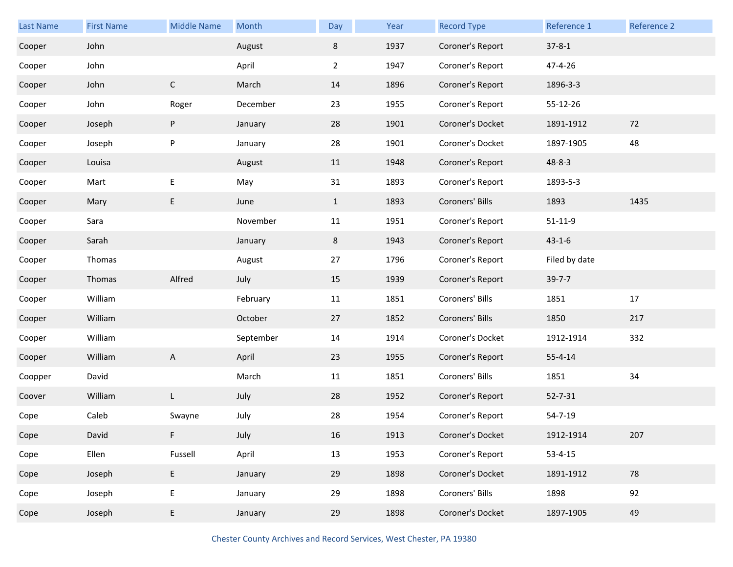| <b>Last Name</b> | <b>First Name</b> | <b>Middle Name</b> | Month     | Day            | Year | <b>Record Type</b> | Reference 1   | Reference 2 |
|------------------|-------------------|--------------------|-----------|----------------|------|--------------------|---------------|-------------|
| Cooper           | John              |                    | August    | 8              | 1937 | Coroner's Report   | $37 - 8 - 1$  |             |
| Cooper           | John              |                    | April     | $\overline{2}$ | 1947 | Coroner's Report   | 47-4-26       |             |
| Cooper           | John              | $\mathsf C$        | March     | 14             | 1896 | Coroner's Report   | 1896-3-3      |             |
| Cooper           | John              | Roger              | December  | 23             | 1955 | Coroner's Report   | 55-12-26      |             |
| Cooper           | Joseph            | P                  | January   | 28             | 1901 | Coroner's Docket   | 1891-1912     | 72          |
| Cooper           | Joseph            | P                  | January   | 28             | 1901 | Coroner's Docket   | 1897-1905     | 48          |
| Cooper           | Louisa            |                    | August    | 11             | 1948 | Coroner's Report   | $48 - 8 - 3$  |             |
| Cooper           | Mart              | E                  | May       | 31             | 1893 | Coroner's Report   | 1893-5-3      |             |
| Cooper           | Mary              | E                  | June      | $\mathbf{1}$   | 1893 | Coroners' Bills    | 1893          | 1435        |
| Cooper           | Sara              |                    | November  | 11             | 1951 | Coroner's Report   | $51 - 11 - 9$ |             |
| Cooper           | Sarah             |                    | January   | 8              | 1943 | Coroner's Report   | $43 - 1 - 6$  |             |
| Cooper           | Thomas            |                    | August    | 27             | 1796 | Coroner's Report   | Filed by date |             |
| Cooper           | Thomas            | Alfred             | July      | 15             | 1939 | Coroner's Report   | $39 - 7 - 7$  |             |
| Cooper           | William           |                    | February  | 11             | 1851 | Coroners' Bills    | 1851          | 17          |
| Cooper           | William           |                    | October   | 27             | 1852 | Coroners' Bills    | 1850          | 217         |
| Cooper           | William           |                    | September | 14             | 1914 | Coroner's Docket   | 1912-1914     | 332         |
| Cooper           | William           | A                  | April     | 23             | 1955 | Coroner's Report   | $55 - 4 - 14$ |             |
| Coopper          | David             |                    | March     | 11             | 1851 | Coroners' Bills    | 1851          | 34          |
| Coover           | William           | L                  | July      | 28             | 1952 | Coroner's Report   | $52 - 7 - 31$ |             |
| Cope             | Caleb             | Swayne             | July      | 28             | 1954 | Coroner's Report   | 54-7-19       |             |
| Cope             | David             |                    | July      | 16             | 1913 | Coroner's Docket   | 1912-1914     | 207         |
| Cope             | Ellen             | Fussell            | April     | 13             | 1953 | Coroner's Report   | $53 - 4 - 15$ |             |
| Cope             | Joseph            | E                  | January   | 29             | 1898 | Coroner's Docket   | 1891-1912     | 78          |
| Cope             | Joseph            | E                  | January   | 29             | 1898 | Coroners' Bills    | 1898          | 92          |
| Cope             | Joseph            | E                  | January   | 29             | 1898 | Coroner's Docket   | 1897-1905     | 49          |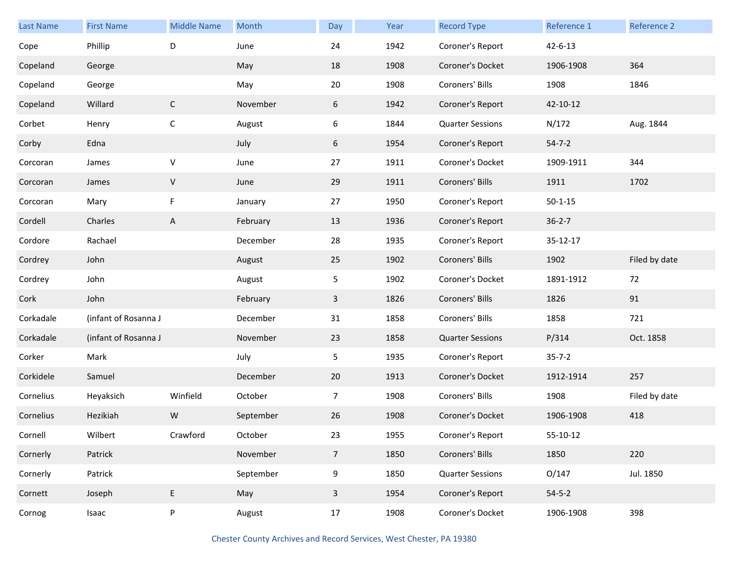| Last Name | <b>First Name</b>    | <b>Middle Name</b> | Month     | Day             | Year | <b>Record Type</b>      | Reference 1   | Reference 2   |
|-----------|----------------------|--------------------|-----------|-----------------|------|-------------------------|---------------|---------------|
| Cope      | Phillip              | D                  | June      | 24              | 1942 | Coroner's Report        | $42 - 6 - 13$ |               |
| Copeland  | George               |                    | May       | 18              | 1908 | Coroner's Docket        | 1906-1908     | 364           |
| Copeland  | George               |                    | May       | 20              | 1908 | Coroners' Bills         | 1908          | 1846          |
| Copeland  | Willard              | $\mathsf{C}$       | November  | 6               | 1942 | Coroner's Report        | 42-10-12      |               |
| Corbet    | Henry                | $\mathsf C$        | August    | 6               | 1844 | <b>Quarter Sessions</b> | N/172         | Aug. 1844     |
| Corby     | Edna                 |                    | July      | 6               | 1954 | Coroner's Report        | $54 - 7 - 2$  |               |
| Corcoran  | James                | $\sf V$            | June      | 27              | 1911 | Coroner's Docket        | 1909-1911     | 344           |
| Corcoran  | James                | V                  | June      | 29              | 1911 | Coroners' Bills         | 1911          | 1702          |
| Corcoran  | Mary                 | F                  | January   | 27              | 1950 | Coroner's Report        | $50 - 1 - 15$ |               |
| Cordell   | Charles              | $\mathsf{A}$       | February  | 13              | 1936 | Coroner's Report        | $36 - 2 - 7$  |               |
| Cordore   | Rachael              |                    | December  | 28              | 1935 | Coroner's Report        | 35-12-17      |               |
| Cordrey   | John                 |                    | August    | 25              | 1902 | Coroners' Bills         | 1902          | Filed by date |
| Cordrey   | John                 |                    | August    | 5               | 1902 | Coroner's Docket        | 1891-1912     | 72            |
| Cork      | John                 |                    | February  | $\mathbf{3}$    | 1826 | Coroners' Bills         | 1826          | 91            |
| Corkadale | (infant of Rosanna J |                    | December  | 31              | 1858 | Coroners' Bills         | 1858          | 721           |
| Corkadale | (infant of Rosanna J |                    | November  | 23              | 1858 | <b>Quarter Sessions</b> | P/314         | Oct. 1858     |
| Corker    | Mark                 |                    | July      | 5               | 1935 | Coroner's Report        | $35 - 7 - 2$  |               |
| Corkidele | Samuel               |                    | December  | 20              | 1913 | Coroner's Docket        | 1912-1914     | 257           |
| Cornelius | Heyaksich            | Winfield           | October   | $\overline{7}$  | 1908 | Coroners' Bills         | 1908          | Filed by date |
| Cornelius | Hezikiah             | W                  | September | 26              | 1908 | Coroner's Docket        | 1906-1908     | 418           |
| Cornell   | Wilbert              | Crawford           | October   | 23              | 1955 | Coroner's Report        | 55-10-12      |               |
| Cornerly  | Patrick              |                    | November  | $7\overline{ }$ | 1850 | Coroners' Bills         | 1850          | 220           |
| Cornerly  | Patrick              |                    | September | 9               | 1850 | <b>Quarter Sessions</b> | O/147         | Jul. 1850     |
| Cornett   | Joseph               | E                  | May       | $\overline{3}$  | 1954 | Coroner's Report        | $54 - 5 - 2$  |               |
| Cornog    | Isaac                | P                  | August    | 17              | 1908 | Coroner's Docket        | 1906-1908     | 398           |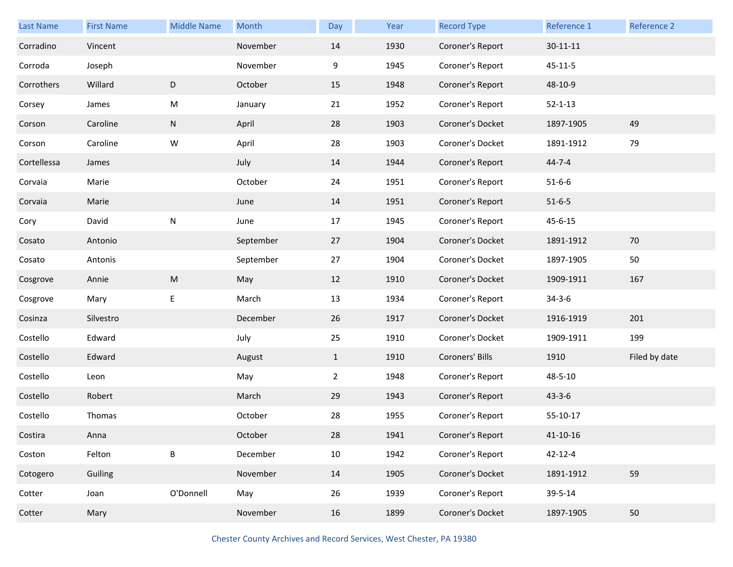| <b>Last Name</b> | <b>First Name</b> | <b>Middle Name</b> | Month     | Day            | Year | <b>Record Type</b> | Reference 1    | <b>Reference 2</b> |
|------------------|-------------------|--------------------|-----------|----------------|------|--------------------|----------------|--------------------|
| Corradino        | Vincent           |                    | November  | 14             | 1930 | Coroner's Report   | $30 - 11 - 11$ |                    |
| Corroda          | Joseph            |                    | November  | 9              | 1945 | Coroner's Report   | $45 - 11 - 5$  |                    |
| Corrothers       | Willard           | D                  | October   | 15             | 1948 | Coroner's Report   | 48-10-9        |                    |
| Corsey           | James             | M                  | January   | 21             | 1952 | Coroner's Report   | $52 - 1 - 13$  |                    |
| Corson           | Caroline          | N                  | April     | 28             | 1903 | Coroner's Docket   | 1897-1905      | 49                 |
| Corson           | Caroline          | W                  | April     | 28             | 1903 | Coroner's Docket   | 1891-1912      | 79                 |
| Cortellessa      | James             |                    | July      | 14             | 1944 | Coroner's Report   | $44 - 7 - 4$   |                    |
| Corvaia          | Marie             |                    | October   | 24             | 1951 | Coroner's Report   | $51 - 6 - 6$   |                    |
| Corvaia          | Marie             |                    | June      | 14             | 1951 | Coroner's Report   | $51 - 6 - 5$   |                    |
| Cory             | David             | N                  | June      | 17             | 1945 | Coroner's Report   | $45 - 6 - 15$  |                    |
| Cosato           | Antonio           |                    | September | 27             | 1904 | Coroner's Docket   | 1891-1912      | 70                 |
| Cosato           | Antonis           |                    | September | 27             | 1904 | Coroner's Docket   | 1897-1905      | 50                 |
| Cosgrove         | Annie             | ${\sf M}$          | May       | 12             | 1910 | Coroner's Docket   | 1909-1911      | 167                |
| Cosgrove         | Mary              | E                  | March     | 13             | 1934 | Coroner's Report   | $34 - 3 - 6$   |                    |
| Cosinza          | Silvestro         |                    | December  | 26             | 1917 | Coroner's Docket   | 1916-1919      | 201                |
| Costello         | Edward            |                    | July      | 25             | 1910 | Coroner's Docket   | 1909-1911      | 199                |
| Costello         | Edward            |                    | August    | $\mathbf{1}$   | 1910 | Coroners' Bills    | 1910           | Filed by date      |
| Costello         | Leon              |                    | May       | $\overline{2}$ | 1948 | Coroner's Report   | 48-5-10        |                    |
| Costello         | Robert            |                    | March     | 29             | 1943 | Coroner's Report   | $43 - 3 - 6$   |                    |
| Costello         | Thomas            |                    | October   | 28             | 1955 | Coroner's Report   | 55-10-17       |                    |
| Costira          | Anna              |                    | October   | 28             | 1941 | Coroner's Report   | $41 - 10 - 16$ |                    |
| Coston           | Felton            | B                  | December  | 10             | 1942 | Coroner's Report   | $42 - 12 - 4$  |                    |
| Cotogero         | Guiling           |                    | November  | 14             | 1905 | Coroner's Docket   | 1891-1912      | 59                 |
| Cotter           | Joan              | O'Donnell          | May       | 26             | 1939 | Coroner's Report   | 39-5-14        |                    |
| Cotter           | Mary              |                    | November  | 16             | 1899 | Coroner's Docket   | 1897-1905      | 50                 |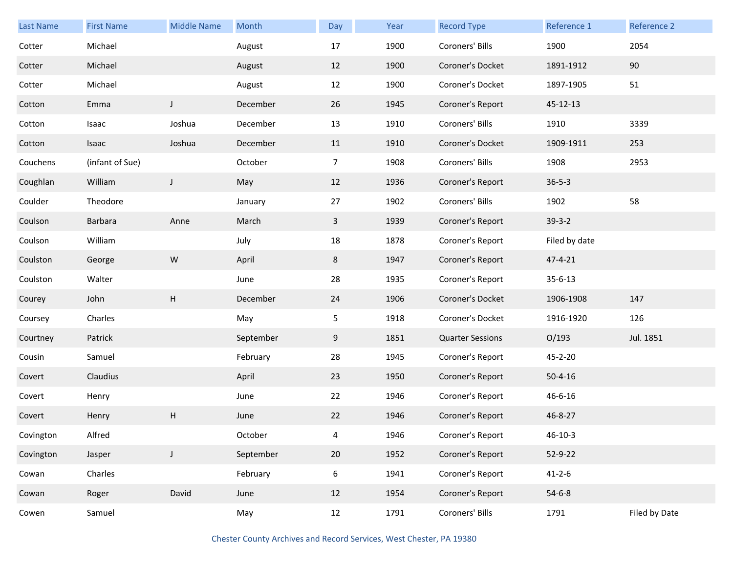| <b>Last Name</b> | <b>First Name</b> | <b>Middle Name</b>        | Month     | Day            | Year | <b>Record Type</b>      | Reference 1   | Reference 2   |
|------------------|-------------------|---------------------------|-----------|----------------|------|-------------------------|---------------|---------------|
| Cotter           | Michael           |                           | August    | 17             | 1900 | Coroners' Bills         | 1900          | 2054          |
| Cotter           | Michael           |                           | August    | 12             | 1900 | Coroner's Docket        | 1891-1912     | 90            |
| Cotter           | Michael           |                           | August    | 12             | 1900 | Coroner's Docket        | 1897-1905     | 51            |
| Cotton           | Emma              | J                         | December  | 26             | 1945 | Coroner's Report        | 45-12-13      |               |
| Cotton           | Isaac             | Joshua                    | December  | 13             | 1910 | Coroners' Bills         | 1910          | 3339          |
| Cotton           | Isaac             | Joshua                    | December  | 11             | 1910 | Coroner's Docket        | 1909-1911     | 253           |
| Couchens         | (infant of Sue)   |                           | October   | $\overline{7}$ | 1908 | Coroners' Bills         | 1908          | 2953          |
| Coughlan         | William           | J                         | May       | 12             | 1936 | Coroner's Report        | $36 - 5 - 3$  |               |
| Coulder          | Theodore          |                           | January   | 27             | 1902 | Coroners' Bills         | 1902          | 58            |
| Coulson          | Barbara           | Anne                      | March     | $\mathbf{3}$   | 1939 | Coroner's Report        | $39-3-2$      |               |
| Coulson          | William           |                           | July      | 18             | 1878 | Coroner's Report        | Filed by date |               |
| Coulston         | George            | W                         | April     | 8              | 1947 | Coroner's Report        | 47-4-21       |               |
| Coulston         | Walter            |                           | June      | 28             | 1935 | Coroner's Report        | $35 - 6 - 13$ |               |
| Courey           | John              | $\boldsymbol{\mathsf{H}}$ | December  | 24             | 1906 | Coroner's Docket        | 1906-1908     | 147           |
| Coursey          | Charles           |                           | May       | 5              | 1918 | Coroner's Docket        | 1916-1920     | 126           |
| Courtney         | Patrick           |                           | September | 9              | 1851 | <b>Quarter Sessions</b> | O/193         | Jul. 1851     |
| Cousin           | Samuel            |                           | February  | 28             | 1945 | Coroner's Report        | 45-2-20       |               |
| Covert           | Claudius          |                           | April     | 23             | 1950 | Coroner's Report        | $50 - 4 - 16$ |               |
| Covert           | Henry             |                           | June      | 22             | 1946 | Coroner's Report        | 46-6-16       |               |
| Covert           | Henry             | н                         | June      | 22             | 1946 | Coroner's Report        | 46-8-27       |               |
| Covington        | Alfred            |                           | October   | 4              | 1946 | Coroner's Report        | $46 - 10 - 3$ |               |
| Covington        | Jasper            | $\mathsf{I}$              | September | 20             | 1952 | Coroner's Report        | 52-9-22       |               |
| Cowan            | Charles           |                           | February  | 6              | 1941 | Coroner's Report        | $41 - 2 - 6$  |               |
| Cowan            | Roger             | David                     | June      | 12             | 1954 | Coroner's Report        | $54 - 6 - 8$  |               |
| Cowen            | Samuel            |                           | May       | 12             | 1791 | Coroners' Bills         | 1791          | Filed by Date |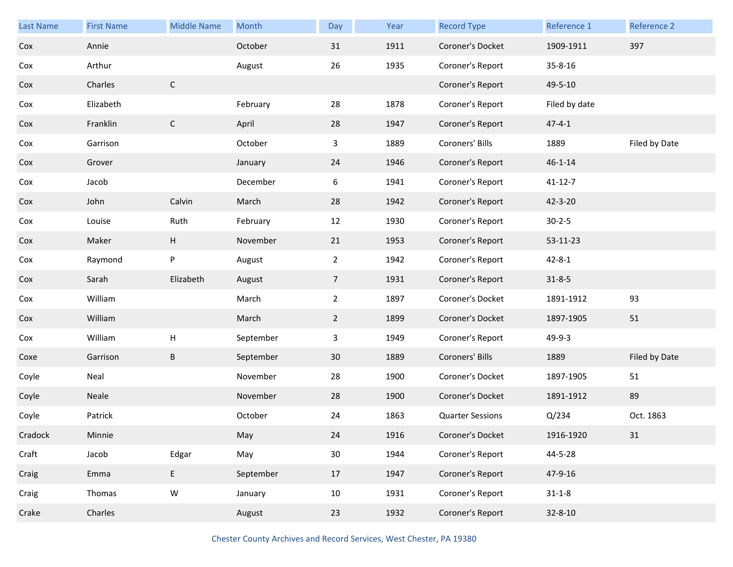| Last Name | <b>First Name</b> | <b>Middle Name</b> | Month     | Day             | Year | <b>Record Type</b>      | Reference 1   | Reference 2   |
|-----------|-------------------|--------------------|-----------|-----------------|------|-------------------------|---------------|---------------|
| Cox       | Annie             |                    | October   | 31              | 1911 | Coroner's Docket        | 1909-1911     | 397           |
| Cox       | Arthur            |                    | August    | 26              | 1935 | Coroner's Report        | 35-8-16       |               |
| Cox       | Charles           | $\mathsf C$        |           |                 |      | Coroner's Report        | 49-5-10       |               |
| Cox       | Elizabeth         |                    | February  | 28              | 1878 | Coroner's Report        | Filed by date |               |
| Cox       | Franklin          | $\mathsf C$        | April     | 28              | 1947 | Coroner's Report        | $47 - 4 - 1$  |               |
| Cox       | Garrison          |                    | October   | 3               | 1889 | Coroners' Bills         | 1889          | Filed by Date |
| Cox       | Grover            |                    | January   | 24              | 1946 | Coroner's Report        | $46 - 1 - 14$ |               |
| Cox       | Jacob             |                    | December  | 6               | 1941 | Coroner's Report        | $41 - 12 - 7$ |               |
| Cox       | John              | Calvin             | March     | 28              | 1942 | Coroner's Report        | 42-3-20       |               |
| Cox       | Louise            | Ruth               | February  | 12              | 1930 | Coroner's Report        | $30 - 2 - 5$  |               |
| Cox       | Maker             | H                  | November  | 21              | 1953 | Coroner's Report        | 53-11-23      |               |
| Cox       | Raymond           | P                  | August    | $\mathbf{2}$    | 1942 | Coroner's Report        | $42 - 8 - 1$  |               |
| Cox       | Sarah             | Elizabeth          | August    | $7\overline{ }$ | 1931 | Coroner's Report        | $31 - 8 - 5$  |               |
| Cox       | William           |                    | March     | $\overline{2}$  | 1897 | Coroner's Docket        | 1891-1912     | 93            |
| Cox       | William           |                    | March     | $2^{\circ}$     | 1899 | Coroner's Docket        | 1897-1905     | 51            |
| Cox       | William           | Н                  | September | 3               | 1949 | Coroner's Report        | 49-9-3        |               |
| Coxe      | Garrison          | B                  | September | 30              | 1889 | Coroners' Bills         | 1889          | Filed by Date |
| Coyle     | Neal              |                    | November  | 28              | 1900 | Coroner's Docket        | 1897-1905     | 51            |
| Coyle     | Neale             |                    | November  | 28              | 1900 | Coroner's Docket        | 1891-1912     | 89            |
| Coyle     | Patrick           |                    | October   | 24              | 1863 | <b>Quarter Sessions</b> | Q/234         | Oct. 1863     |
| Cradock   | Minnie            |                    | May       | 24              | 1916 | Coroner's Docket        | 1916-1920     | 31            |
| Craft     | Jacob             | Edgar              | May       | $30\,$          | 1944 | Coroner's Report        | 44-5-28       |               |
| Craig     | Emma              | $\mathsf E$        | September | 17              | 1947 | Coroner's Report        | 47-9-16       |               |
| Craig     | Thomas            | ${\sf W}$          | January   | 10              | 1931 | Coroner's Report        | $31 - 1 - 8$  |               |
| Crake     | Charles           |                    | August    | 23              | 1932 | Coroner's Report        | $32 - 8 - 10$ |               |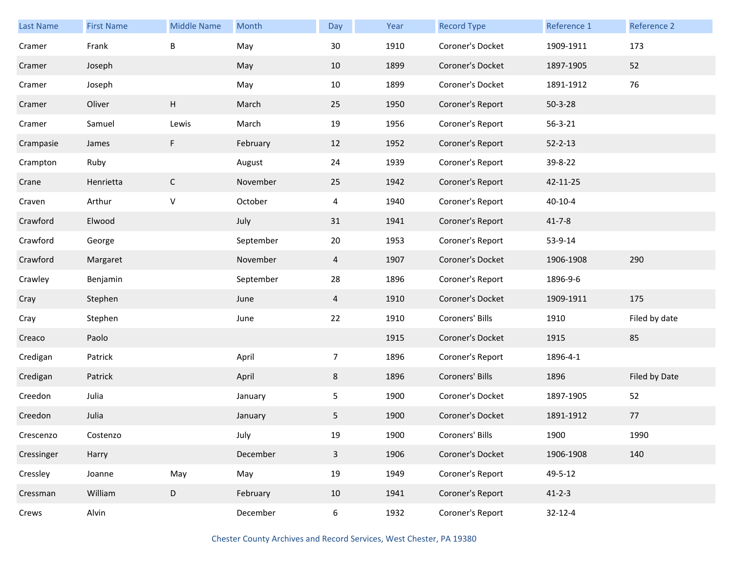| Last Name  | <b>First Name</b> | <b>Middle Name</b> | Month     | Day            | Year | <b>Record Type</b> | Reference 1   | Reference 2   |
|------------|-------------------|--------------------|-----------|----------------|------|--------------------|---------------|---------------|
| Cramer     | Frank             | B                  | May       | 30             | 1910 | Coroner's Docket   | 1909-1911     | 173           |
| Cramer     | Joseph            |                    | May       | 10             | 1899 | Coroner's Docket   | 1897-1905     | 52            |
| Cramer     | Joseph            |                    | May       | 10             | 1899 | Coroner's Docket   | 1891-1912     | 76            |
| Cramer     | Oliver            | Н                  | March     | 25             | 1950 | Coroner's Report   | $50 - 3 - 28$ |               |
| Cramer     | Samuel            | Lewis              | March     | 19             | 1956 | Coroner's Report   | $56 - 3 - 21$ |               |
| Crampasie  | James             | F                  | February  | 12             | 1952 | Coroner's Report   | $52 - 2 - 13$ |               |
| Crampton   | Ruby              |                    | August    | 24             | 1939 | Coroner's Report   | 39-8-22       |               |
| Crane      | Henrietta         | $\mathsf C$        | November  | 25             | 1942 | Coroner's Report   | 42-11-25      |               |
| Craven     | Arthur            | $\sf V$            | October   | 4              | 1940 | Coroner's Report   | $40 - 10 - 4$ |               |
| Crawford   | Elwood            |                    | July      | 31             | 1941 | Coroner's Report   | $41 - 7 - 8$  |               |
| Crawford   | George            |                    | September | 20             | 1953 | Coroner's Report   | 53-9-14       |               |
| Crawford   | Margaret          |                    | November  | 4              | 1907 | Coroner's Docket   | 1906-1908     | 290           |
| Crawley    | Benjamin          |                    | September | 28             | 1896 | Coroner's Report   | 1896-9-6      |               |
| Cray       | Stephen           |                    | June      | 4              | 1910 | Coroner's Docket   | 1909-1911     | 175           |
| Cray       | Stephen           |                    | June      | 22             | 1910 | Coroners' Bills    | 1910          | Filed by date |
| Creaco     | Paolo             |                    |           |                | 1915 | Coroner's Docket   | 1915          | 85            |
| Credigan   | Patrick           |                    | April     | $\overline{7}$ | 1896 | Coroner's Report   | 1896-4-1      |               |
| Credigan   | Patrick           |                    | April     | 8              | 1896 | Coroners' Bills    | 1896          | Filed by Date |
| Creedon    | Julia             |                    | January   | 5              | 1900 | Coroner's Docket   | 1897-1905     | 52            |
| Creedon    | Julia             |                    | January   | 5              | 1900 | Coroner's Docket   | 1891-1912     | 77            |
| Crescenzo  | Costenzo          |                    | July      | 19             | 1900 | Coroners' Bills    | 1900          | 1990          |
| Cressinger | Harry             |                    | December  | $\overline{3}$ | 1906 | Coroner's Docket   | 1906-1908     | 140           |
| Cressley   | Joanne            | May                | May       | 19             | 1949 | Coroner's Report   | 49-5-12       |               |
| Cressman   | William           | D                  | February  | 10             | 1941 | Coroner's Report   | $41 - 2 - 3$  |               |
| Crews      | Alvin             |                    | December  | 6              | 1932 | Coroner's Report   | $32 - 12 - 4$ |               |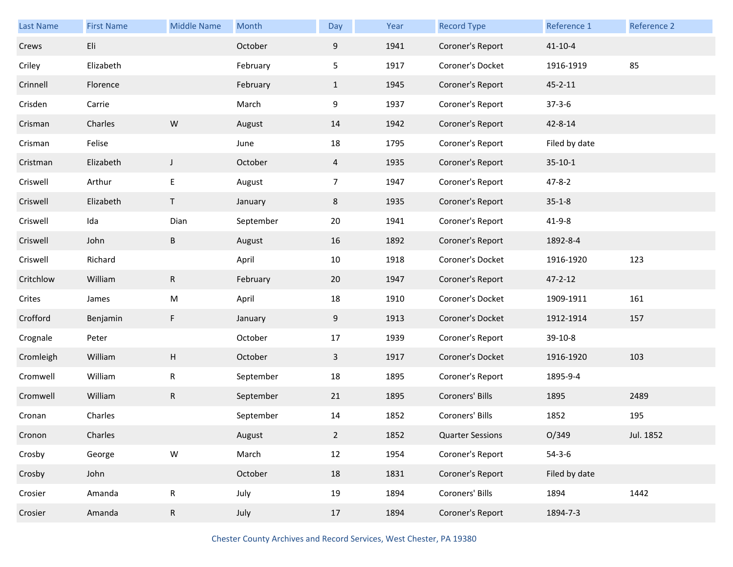| <b>Last Name</b> | <b>First Name</b> | <b>Middle Name</b> | Month     | Day            | Year | <b>Record Type</b>      | Reference 1   | Reference 2 |
|------------------|-------------------|--------------------|-----------|----------------|------|-------------------------|---------------|-------------|
| Crews            | Eli               |                    | October   | 9              | 1941 | Coroner's Report        | $41 - 10 - 4$ |             |
| Criley           | Elizabeth         |                    | February  | 5              | 1917 | Coroner's Docket        | 1916-1919     | 85          |
| Crinnell         | Florence          |                    | February  | $\mathbf{1}$   | 1945 | Coroner's Report        | $45 - 2 - 11$ |             |
| Crisden          | Carrie            |                    | March     | 9              | 1937 | Coroner's Report        | $37 - 3 - 6$  |             |
| Crisman          | Charles           | ${\sf W}$          | August    | 14             | 1942 | Coroner's Report        | 42-8-14       |             |
| Crisman          | Felise            |                    | June      | 18             | 1795 | Coroner's Report        | Filed by date |             |
| Cristman         | Elizabeth         | $\mathsf J$        | October   | 4              | 1935 | Coroner's Report        | $35 - 10 - 1$ |             |
| Criswell         | Arthur            | E                  | August    | 7              | 1947 | Coroner's Report        | $47 - 8 - 2$  |             |
| Criswell         | Elizabeth         | $\mathsf T$        | January   | 8              | 1935 | Coroner's Report        | $35 - 1 - 8$  |             |
| Criswell         | Ida               | Dian               | September | 20             | 1941 | Coroner's Report        | $41 - 9 - 8$  |             |
| Criswell         | John              | Β                  | August    | 16             | 1892 | Coroner's Report        | 1892-8-4      |             |
| Criswell         | Richard           |                    | April     | 10             | 1918 | Coroner's Docket        | 1916-1920     | 123         |
| Critchlow        | William           | $\mathsf R$        | February  | 20             | 1947 | Coroner's Report        | $47 - 2 - 12$ |             |
| Crites           | James             | M                  | April     | 18             | 1910 | Coroner's Docket        | 1909-1911     | 161         |
| Crofford         | Benjamin          | F                  | January   | 9              | 1913 | Coroner's Docket        | 1912-1914     | 157         |
| Crognale         | Peter             |                    | October   | 17             | 1939 | Coroner's Report        | 39-10-8       |             |
| Cromleigh        | William           | Н                  | October   | $\mathbf{3}$   | 1917 | Coroner's Docket        | 1916-1920     | 103         |
| Cromwell         | William           | R                  | September | 18             | 1895 | Coroner's Report        | 1895-9-4      |             |
| Cromwell         | William           | ${\sf R}$          | September | 21             | 1895 | Coroners' Bills         | 1895          | 2489        |
| Cronan           | Charles           |                    | September | 14             | 1852 | Coroners' Bills         | 1852          | 195         |
| Cronon           | Charles           |                    | August    | $\overline{2}$ | 1852 | <b>Quarter Sessions</b> | O/349         | Jul. 1852   |
| Crosby           | George            | ${\sf W}$          | March     | 12             | 1954 | Coroner's Report        | $54 - 3 - 6$  |             |
| Crosby           | John              |                    | October   | 18             | 1831 | Coroner's Report        | Filed by date |             |
| Crosier          | Amanda            | ${\sf R}$          | July      | 19             | 1894 | Coroners' Bills         | 1894          | 1442        |
| Crosier          | Amanda            | ${\sf R}$          | July      | 17             | 1894 | Coroner's Report        | 1894-7-3      |             |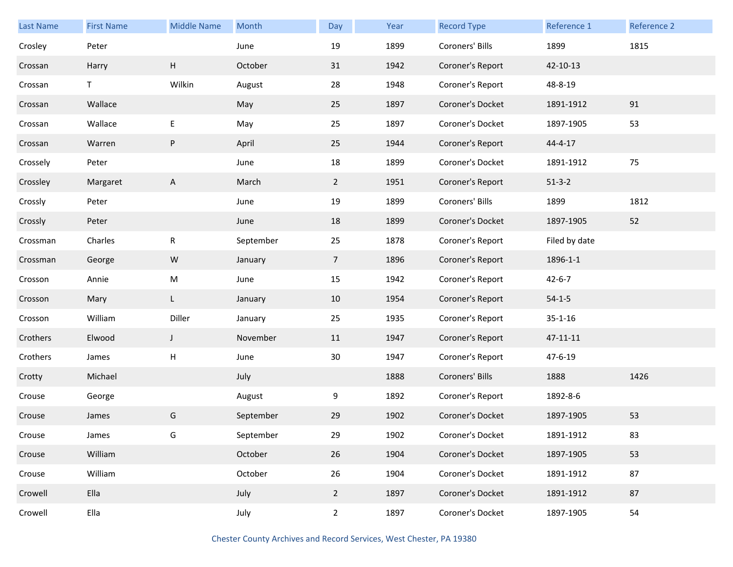| Last Name | <b>First Name</b> | <b>Middle Name</b> | Month     | Day            | Year | <b>Record Type</b> | Reference 1   | Reference 2 |
|-----------|-------------------|--------------------|-----------|----------------|------|--------------------|---------------|-------------|
| Crosley   | Peter             |                    | June      | 19             | 1899 | Coroners' Bills    | 1899          | 1815        |
| Crossan   | Harry             | H                  | October   | 31             | 1942 | Coroner's Report   | 42-10-13      |             |
| Crossan   | T.                | Wilkin             | August    | 28             | 1948 | Coroner's Report   | 48-8-19       |             |
| Crossan   | Wallace           |                    | May       | 25             | 1897 | Coroner's Docket   | 1891-1912     | 91          |
| Crossan   | Wallace           | $\mathsf E$        | May       | 25             | 1897 | Coroner's Docket   | 1897-1905     | 53          |
| Crossan   | Warren            | P                  | April     | 25             | 1944 | Coroner's Report   | 44-4-17       |             |
| Crossely  | Peter             |                    | June      | 18             | 1899 | Coroner's Docket   | 1891-1912     | 75          |
| Crossley  | Margaret          | A                  | March     | $\overline{2}$ | 1951 | Coroner's Report   | $51-3-2$      |             |
| Crossly   | Peter             |                    | June      | 19             | 1899 | Coroners' Bills    | 1899          | 1812        |
| Crossly   | Peter             |                    | June      | 18             | 1899 | Coroner's Docket   | 1897-1905     | 52          |
| Crossman  | Charles           | R                  | September | 25             | 1878 | Coroner's Report   | Filed by date |             |
| Crossman  | George            | W                  | January   | $\overline{7}$ | 1896 | Coroner's Report   | 1896-1-1      |             |
| Crosson   | Annie             | M                  | June      | 15             | 1942 | Coroner's Report   | $42 - 6 - 7$  |             |
| Crosson   | Mary              | L                  | January   | 10             | 1954 | Coroner's Report   | $54 - 1 - 5$  |             |
| Crosson   | William           | Diller             | January   | 25             | 1935 | Coroner's Report   | $35 - 1 - 16$ |             |
| Crothers  | Elwood            | J                  | November  | 11             | 1947 | Coroner's Report   | 47-11-11      |             |
| Crothers  | James             | н                  | June      | 30             | 1947 | Coroner's Report   | 47-6-19       |             |
| Crotty    | Michael           |                    | July      |                | 1888 | Coroners' Bills    | 1888          | 1426        |
| Crouse    | George            |                    | August    | 9              | 1892 | Coroner's Report   | 1892-8-6      |             |
| Crouse    | James             | G                  | September | 29             | 1902 | Coroner's Docket   | 1897-1905     | 53          |
| Crouse    | James             | G                  | September | 29             | 1902 | Coroner's Docket   | 1891-1912     | 83          |
| Crouse    | William           |                    | October   | 26             | 1904 | Coroner's Docket   | 1897-1905     | 53          |
| Crouse    | William           |                    | October   | 26             | 1904 | Coroner's Docket   | 1891-1912     | 87          |
| Crowell   | Ella              |                    | July      | $\overline{2}$ | 1897 | Coroner's Docket   | 1891-1912     | 87          |
| Crowell   | Ella              |                    | July      | $\overline{2}$ | 1897 | Coroner's Docket   | 1897-1905     | 54          |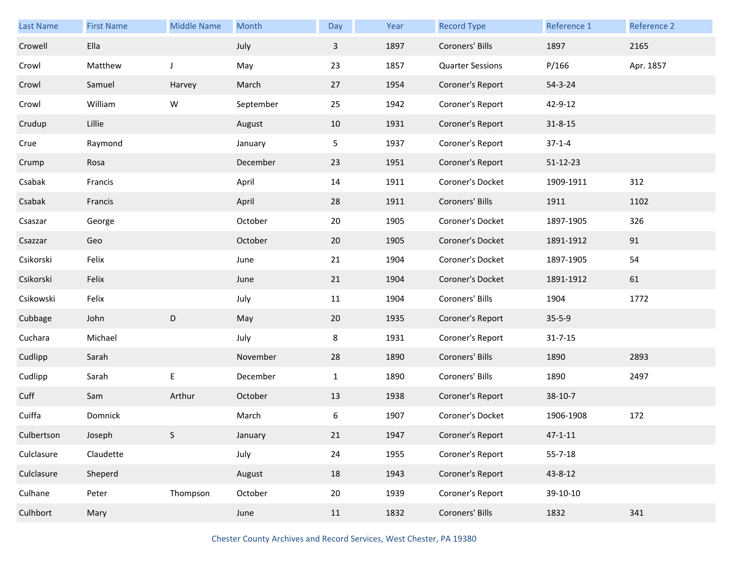| <b>Last Name</b> | <b>First Name</b> | <b>Middle Name</b> | Month     | Day                     | Year | <b>Record Type</b>      | Reference 1   | Reference 2 |
|------------------|-------------------|--------------------|-----------|-------------------------|------|-------------------------|---------------|-------------|
| Crowell          | Ella              |                    | July      | $\overline{\mathbf{3}}$ | 1897 | Coroners' Bills         | 1897          | 2165        |
| Crowl            | Matthew           | J                  | May       | 23                      | 1857 | <b>Quarter Sessions</b> | P/166         | Apr. 1857   |
| Crowl            | Samuel            | Harvey             | March     | 27                      | 1954 | Coroner's Report        | $54 - 3 - 24$ |             |
| Crowl            | William           | W                  | September | 25                      | 1942 | Coroner's Report        | 42-9-12       |             |
| Crudup           | Lillie            |                    | August    | 10                      | 1931 | Coroner's Report        | $31 - 8 - 15$ |             |
| Crue             | Raymond           |                    | January   | 5                       | 1937 | Coroner's Report        | $37 - 1 - 4$  |             |
| Crump            | Rosa              |                    | December  | 23                      | 1951 | Coroner's Report        | 51-12-23      |             |
| Csabak           | Francis           |                    | April     | 14                      | 1911 | Coroner's Docket        | 1909-1911     | 312         |
| Csabak           | Francis           |                    | April     | 28                      | 1911 | Coroners' Bills         | 1911          | 1102        |
| Csaszar          | George            |                    | October   | 20                      | 1905 | Coroner's Docket        | 1897-1905     | 326         |
| Csazzar          | Geo               |                    | October   | 20                      | 1905 | Coroner's Docket        | 1891-1912     | 91          |
| Csikorski        | Felix             |                    | June      | 21                      | 1904 | Coroner's Docket        | 1897-1905     | 54          |
| Csikorski        | Felix             |                    | June      | 21                      | 1904 | Coroner's Docket        | 1891-1912     | 61          |
| Csikowski        | Felix             |                    | July      | 11                      | 1904 | Coroners' Bills         | 1904          | 1772        |
| Cubbage          | John              | D                  | May       | 20                      | 1935 | Coroner's Report        | $35 - 5 - 9$  |             |
| Cuchara          | Michael           |                    | July      | 8                       | 1931 | Coroner's Report        | $31 - 7 - 15$ |             |
| Cudlipp          | Sarah             |                    | November  | 28                      | 1890 | Coroners' Bills         | 1890          | 2893        |
| Cudlipp          | Sarah             | E                  | December  | $\mathbf{1}$            | 1890 | Coroners' Bills         | 1890          | 2497        |
| Cuff             | Sam               | Arthur             | October   | 13                      | 1938 | Coroner's Report        | $38-10-7$     |             |
| Cuiffa           | Domnick           |                    | March     | 6                       | 1907 | Coroner's Docket        | 1906-1908     | 172         |
| Culbertson       | Joseph            | S                  | January   | 21                      | 1947 | Coroner's Report        | $47 - 1 - 11$ |             |
| Culclasure       | Claudette         |                    | July      | 24                      | 1955 | Coroner's Report        | $55 - 7 - 18$ |             |
| Culclasure       | Sheperd           |                    | August    | 18                      | 1943 | Coroner's Report        | 43-8-12       |             |
| Culhane          | Peter             | Thompson           | October   | 20                      | 1939 | Coroner's Report        | 39-10-10      |             |
| Culhbort         | Mary              |                    | June      | 11                      | 1832 | Coroners' Bills         | 1832          | 341         |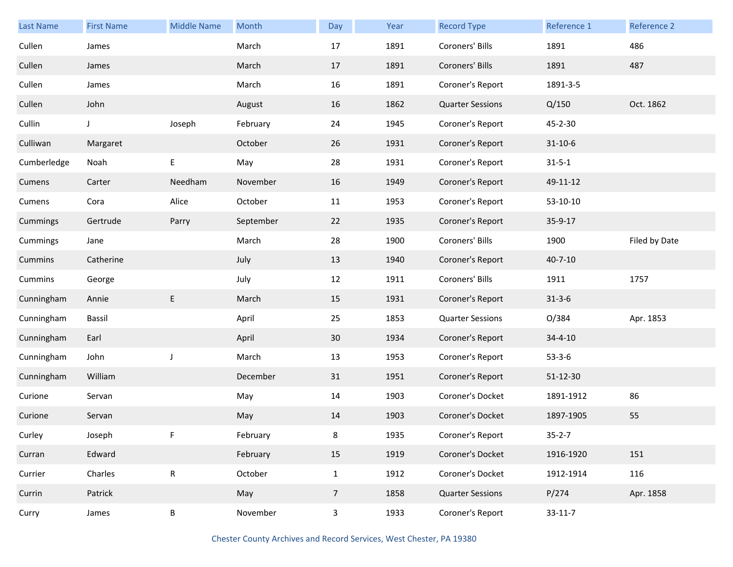| <b>Last Name</b> | <b>First Name</b> | <b>Middle Name</b> | Month     | Day                     | Year | <b>Record Type</b>      | Reference 1   | Reference 2   |
|------------------|-------------------|--------------------|-----------|-------------------------|------|-------------------------|---------------|---------------|
| Cullen           | James             |                    | March     | 17                      | 1891 | Coroners' Bills         | 1891          | 486           |
| Cullen           | James             |                    | March     | 17                      | 1891 | Coroners' Bills         | 1891          | 487           |
| Cullen           | James             |                    | March     | 16                      | 1891 | Coroner's Report        | 1891-3-5      |               |
| Cullen           | John              |                    | August    | 16                      | 1862 | <b>Quarter Sessions</b> | Q/150         | Oct. 1862     |
| Cullin           | J                 | Joseph             | February  | 24                      | 1945 | Coroner's Report        | 45-2-30       |               |
| Culliwan         | Margaret          |                    | October   | 26                      | 1931 | Coroner's Report        | $31 - 10 - 6$ |               |
| Cumberledge      | Noah              | E                  | May       | 28                      | 1931 | Coroner's Report        | $31 - 5 - 1$  |               |
| Cumens           | Carter            | Needham            | November  | 16                      | 1949 | Coroner's Report        | 49-11-12      |               |
| Cumens           | Cora              | Alice              | October   | 11                      | 1953 | Coroner's Report        | $53-10-10$    |               |
| Cummings         | Gertrude          | Parry              | September | 22                      | 1935 | Coroner's Report        | 35-9-17       |               |
| Cummings         | Jane              |                    | March     | 28                      | 1900 | Coroners' Bills         | 1900          | Filed by Date |
| Cummins          | Catherine         |                    | July      | 13                      | 1940 | Coroner's Report        | $40 - 7 - 10$ |               |
| Cummins          | George            |                    | July      | 12                      | 1911 | Coroners' Bills         | 1911          | 1757          |
| Cunningham       | Annie             | E                  | March     | 15                      | 1931 | Coroner's Report        | $31 - 3 - 6$  |               |
| Cunningham       | Bassil            |                    | April     | 25                      | 1853 | <b>Quarter Sessions</b> | O/384         | Apr. 1853     |
| Cunningham       | Earl              |                    | April     | 30                      | 1934 | Coroner's Report        | $34 - 4 - 10$ |               |
| Cunningham       | John              | $\mathsf J$        | March     | 13                      | 1953 | Coroner's Report        | $53 - 3 - 6$  |               |
| Cunningham       | William           |                    | December  | 31                      | 1951 | Coroner's Report        | 51-12-30      |               |
| Curione          | Servan            |                    | May       | 14                      | 1903 | Coroner's Docket        | 1891-1912     | 86            |
| Curione          | Servan            |                    | May       | 14                      | 1903 | Coroner's Docket        | 1897-1905     | 55            |
| Curley           | Joseph            |                    | February  | 8                       | 1935 | Coroner's Report        | $35 - 2 - 7$  |               |
| Curran           | Edward            |                    | February  | 15                      | 1919 | Coroner's Docket        | 1916-1920     | 151           |
| Currier          | Charles           | ${\sf R}$          | October   | $\mathbf{1}$            | 1912 | Coroner's Docket        | 1912-1914     | 116           |
| Currin           | Patrick           |                    | May       | $7\overline{ }$         | 1858 | <b>Quarter Sessions</b> | P/274         | Apr. 1858     |
| Curry            | James             | B                  | November  | $\overline{\mathbf{3}}$ | 1933 | Coroner's Report        | $33 - 11 - 7$ |               |